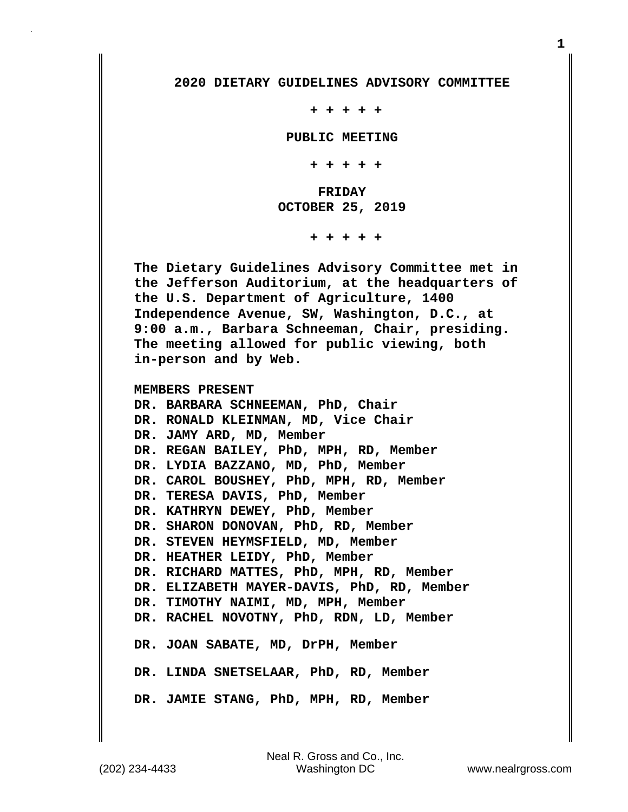## **2020 DIETARY GUIDELINES ADVISORY COMMITTEE**

 **+ + + + +**

 **PUBLIC MEETING**

 **+ + + + +**

 **FRIDAY OCTOBER 25, 2019**

 **+ + + + +**

**The Dietary Guidelines Advisory Committee met in the Jefferson Auditorium, at the headquarters of the U.S. Department of Agriculture, 1400 Independence Avenue, SW, Washington, D.C., at 9:00 a.m., Barbara Schneeman, Chair, presiding. The meeting allowed for public viewing, both in-person and by Web.**

**MEMBERS PRESENT**

**DR. BARBARA SCHNEEMAN, PhD, Chair DR. RONALD KLEINMAN, MD, Vice Chair DR. JAMY ARD, MD, Member DR. REGAN BAILEY, PhD, MPH, RD, Member DR. LYDIA BAZZANO, MD, PhD, Member DR. CAROL BOUSHEY, PhD, MPH, RD, Member DR. TERESA DAVIS, PhD, Member DR. KATHRYN DEWEY, PhD, Member DR. SHARON DONOVAN, PhD, RD, Member DR. STEVEN HEYMSFIELD, MD, Member DR. HEATHER LEIDY, PhD, Member DR. RICHARD MATTES, PhD, MPH, RD, Member DR. ELIZABETH MAYER-DAVIS, PhD, RD, Member DR. TIMOTHY NAIMI, MD, MPH, Member DR. RACHEL NOVOTNY, PhD, RDN, LD, Member DR. JOAN SABATE, MD, DrPH, Member DR. LINDA SNETSELAAR, PhD, RD, Member DR. JAMIE STANG, PhD, MPH, RD, Member**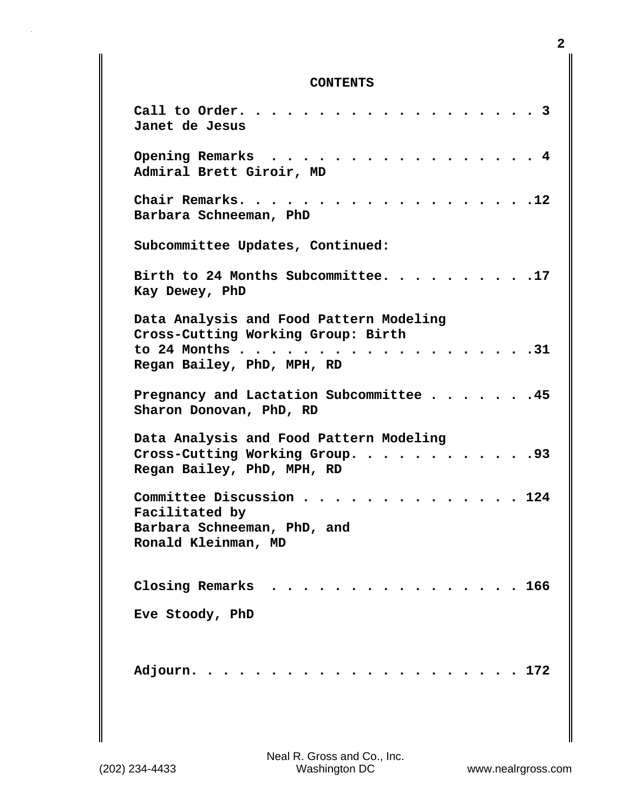## **CONTENTS**

| Call to Order.<br>. 3<br>Janet de Jesus                                          |
|----------------------------------------------------------------------------------|
| Opening Remarks<br>$\cdot$ 4<br>$\ddot{\phantom{a}}$<br>Admiral Brett Giroir, MD |
| .12<br>Chair Remarks.<br>Barbara Schneeman, PhD                                  |
| Subcommittee Updates, Continued:                                                 |
| Birth to 24 Months Subcommittee.<br>.17<br>Kay Dewey, PhD                        |
| Data Analysis and Food Pattern Modeling<br>Cross-Cutting Working Group: Birth    |
| to 24 Months<br>.31<br>Regan Bailey, PhD, MPH, RD                                |
| Pregnancy and Lactation Subcommittee 45<br>Sharon Donovan, PhD, RD               |
| Data Analysis and Food Pattern Modeling                                          |
| Cross-Cutting Working Group.<br>.93<br>Regan Bailey, PhD, MPH, RD                |
| Committee Discussion.<br>124                                                     |
| Facilitated by<br>Barbara Schneeman, PhD, and<br>Ronald Kleinman, MD             |
| Closing Remarks<br>. 166<br>$\sim$ $\sim$ $\sim$ $\sim$ $\sim$                   |
| Eve Stoody, PhD                                                                  |
| Adjourn.<br>. 172                                                                |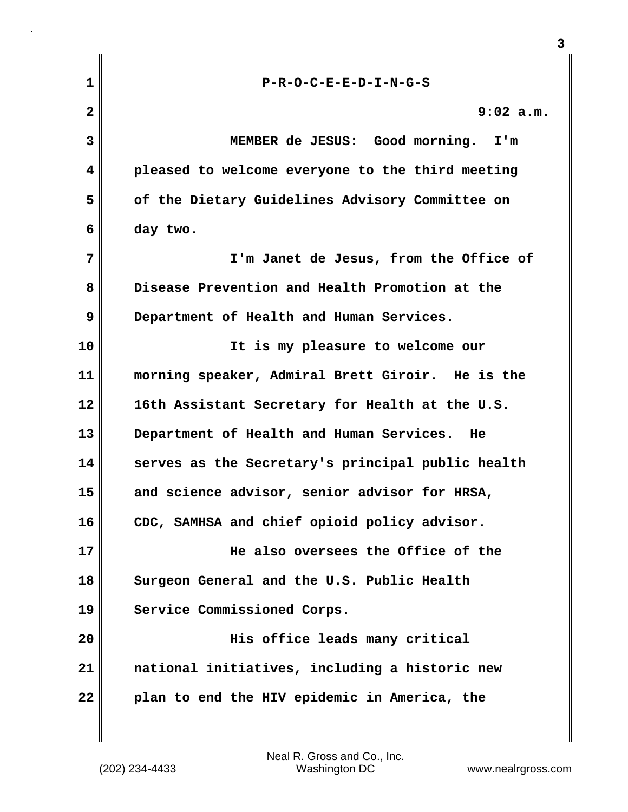| $\mathbf{1}$            | $P-R-O-C-E-E-D-I-N-G-S$                           |
|-------------------------|---------------------------------------------------|
| $\overline{\mathbf{2}}$ | $9:02$ a.m.                                       |
| 3                       | MEMBER de JESUS: Good morning.<br>I'm             |
| 4                       | pleased to welcome everyone to the third meeting  |
| 5                       | of the Dietary Guidelines Advisory Committee on   |
| 6                       | day two.                                          |
| 7                       | I'm Janet de Jesus, from the Office of            |
| 8                       | Disease Prevention and Health Promotion at the    |
| 9                       | Department of Health and Human Services.          |
| 10                      | It is my pleasure to welcome our                  |
| 11                      | morning speaker, Admiral Brett Giroir. He is the  |
| 12                      | 16th Assistant Secretary for Health at the U.S.   |
| 13                      | Department of Health and Human Services.<br>He    |
| 14                      | serves as the Secretary's principal public health |
| 15                      | and science advisor, senior advisor for HRSA,     |
| 16                      | CDC, SAMHSA and chief opioid policy advisor.      |
| 17                      | He also oversees the Office of the                |
| 18                      | Surgeon General and the U.S. Public Health        |
| 19                      | Service Commissioned Corps.                       |
| 20                      | His office leads many critical                    |
| 21                      | national initiatives, including a historic new    |
| 22                      | plan to end the HIV epidemic in America, the      |
|                         |                                                   |

 $\mathbf{I}$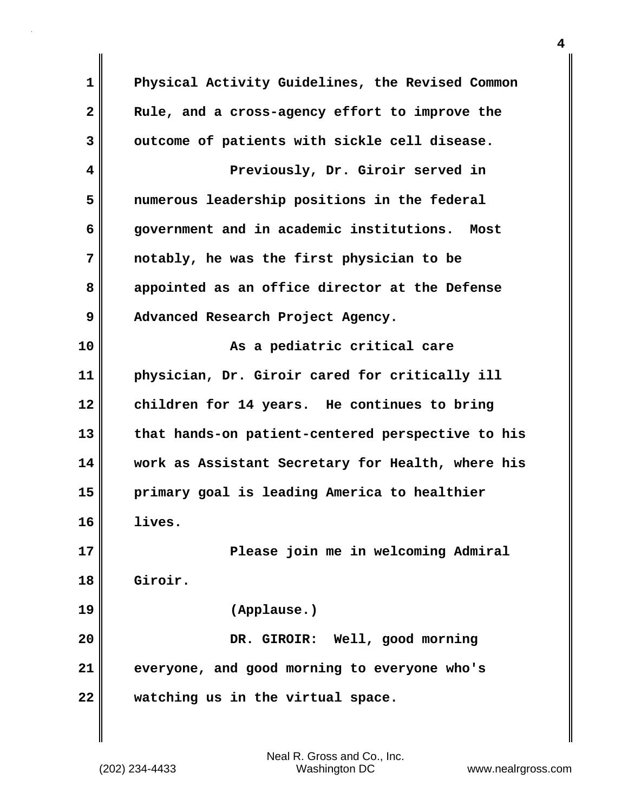| $\mathbf 1$  | Physical Activity Guidelines, the Revised Common  |
|--------------|---------------------------------------------------|
| $\mathbf{2}$ | Rule, and a cross-agency effort to improve the    |
| 3            | outcome of patients with sickle cell disease.     |
| 4            | Previously, Dr. Giroir served in                  |
| 5            | numerous leadership positions in the federal      |
| 6            | government and in academic institutions.<br>Most  |
| 7            | notably, he was the first physician to be         |
| 8            | appointed as an office director at the Defense    |
| 9            | Advanced Research Project Agency.                 |
| 10           | As a pediatric critical care                      |
| 11           | physician, Dr. Giroir cared for critically ill    |
| 12           | children for 14 years. He continues to bring      |
| 13           | that hands-on patient-centered perspective to his |
| 14           | work as Assistant Secretary for Health, where his |
| 15           | primary goal is leading America to healthier      |
| 16           | lives.                                            |
| 17           | Please join me in welcoming Admiral               |
| 18           | Giroir.                                           |
| 19           | (Applause.)                                       |
| 20           | DR. GIROIR: Well, good morning                    |
| 21           | everyone, and good morning to everyone who's      |
| 22           | watching us in the virtual space.                 |

 $\mathbf{I}$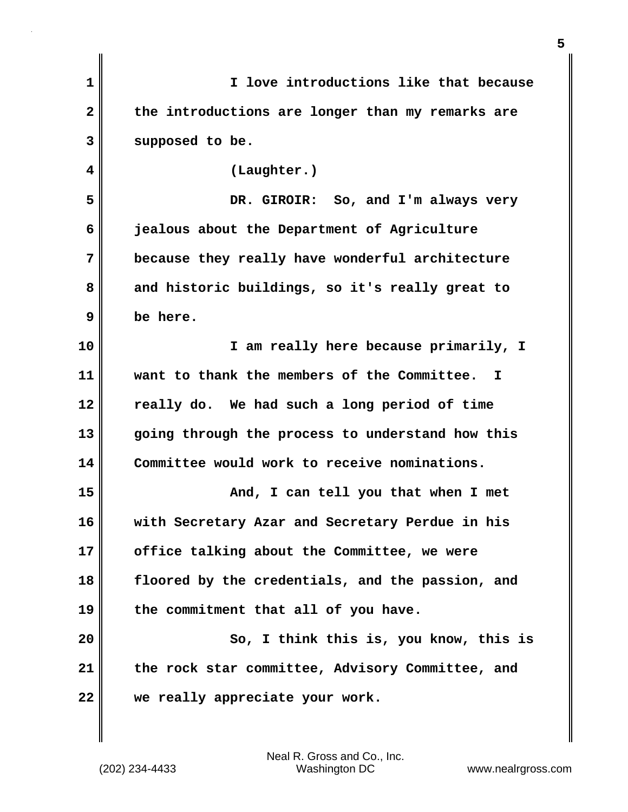| $\mathbf{1}$            | I love introductions like that because           |
|-------------------------|--------------------------------------------------|
| $\overline{\mathbf{2}}$ | the introductions are longer than my remarks are |
| 3                       | supposed to be.                                  |
| 4                       | (Laughter.)                                      |
| 5                       | DR. GIROIR: So, and I'm always very              |
| 6                       | jealous about the Department of Agriculture      |
| 7                       | because they really have wonderful architecture  |
| 8                       | and historic buildings, so it's really great to  |
| 9                       | be here.                                         |
| 10                      | I am really here because primarily, I            |
| 11                      | want to thank the members of the Committee. I    |
| 12                      | really do. We had such a long period of time     |
| 13                      | going through the process to understand how this |
| 14                      | Committee would work to receive nominations.     |
| 15                      | And, I can tell you that when I met              |
| 16                      | with Secretary Azar and Secretary Perdue in his  |
| 17                      | office talking about the Committee, we were      |
| 18                      | floored by the credentials, and the passion, and |
| 19                      | the commitment that all of you have.             |
| 20                      | So, I think this is, you know, this is           |
| 21                      | the rock star committee, Advisory Committee, and |
| 22                      | we really appreciate your work.                  |
|                         |                                                  |

(202) 234-4433 Washington DC www.nealrgross.com Neal R. Gross and Co., Inc.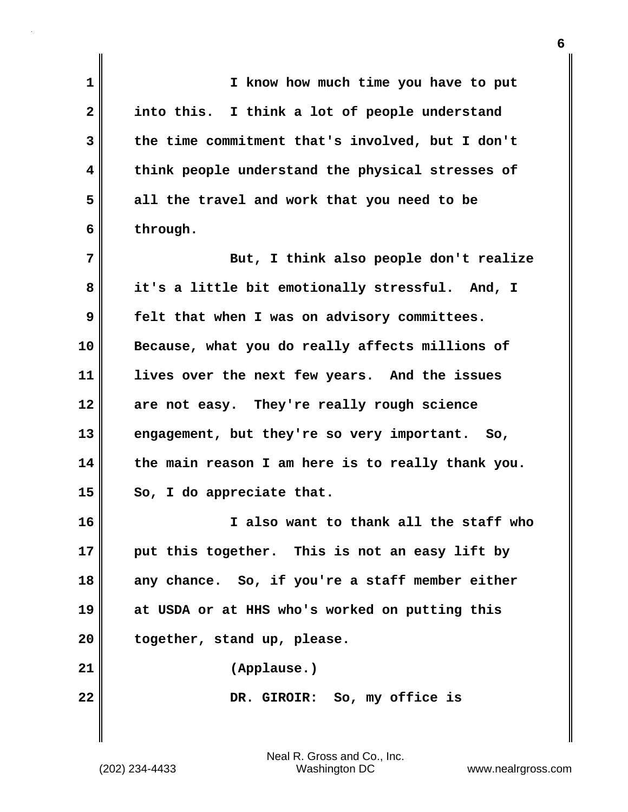| I know how much time you have to put              |
|---------------------------------------------------|
| into this. I think a lot of people understand     |
| the time commitment that's involved, but I don't  |
| think people understand the physical stresses of  |
| all the travel and work that you need to be       |
| through.                                          |
| But, I think also people don't realize            |
| it's a little bit emotionally stressful. And, I   |
| felt that when I was on advisory committees.      |
| Because, what you do really affects millions of   |
| lives over the next few years. And the issues     |
| are not easy. They're really rough science        |
| engagement, but they're so very important. So,    |
| the main reason I am here is to really thank you. |
| So, I do appreciate that.                         |
| I also want to thank all the staff who            |
| put this together. This is not an easy lift by    |
| any chance. So, if you're a staff member either   |
| at USDA or at HHS who's worked on putting this    |
| together, stand up, please.                       |
| (Applause.)                                       |
| DR. GIROIR: So, my office is                      |
|                                                   |
|                                                   |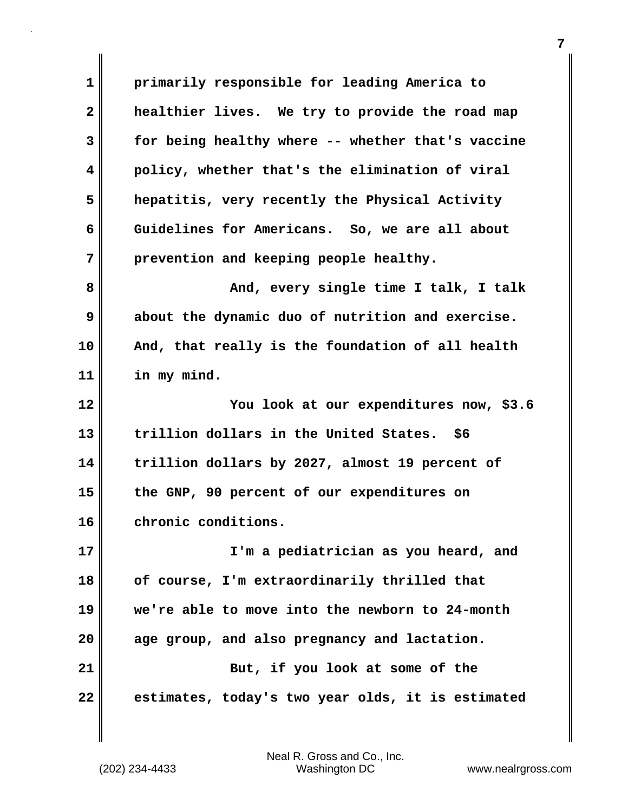**1 primarily responsible for leading America to 2 healthier lives. We try to provide the road map 3 for being healthy where -- whether that's vaccine 4 policy, whether that's the elimination of viral 5 hepatitis, very recently the Physical Activity 6 Guidelines for Americans. So, we are all about 7 prevention and keeping people healthy. 8 And, every single time I talk, I talk 9 about the dynamic duo of nutrition and exercise. 10 And, that really is the foundation of all health 11 in my mind. 12 You look at our expenditures now, \$3.6 13 trillion dollars in the United States. \$6 14 trillion dollars by 2027, almost 19 percent of 15 the GNP, 90 percent of our expenditures on 16 chronic conditions. 17 I'm a pediatrician as you heard, and 18 of course, I'm extraordinarily thrilled that 19 we're able to move into the newborn to 24-month 20 age group, and also pregnancy and lactation. 21** But, if you look at some of the **22 estimates, today's two year olds, it is estimated**

(202) 234-4433 Washington DC www.nealrgross.com Neal R. Gross and Co., Inc.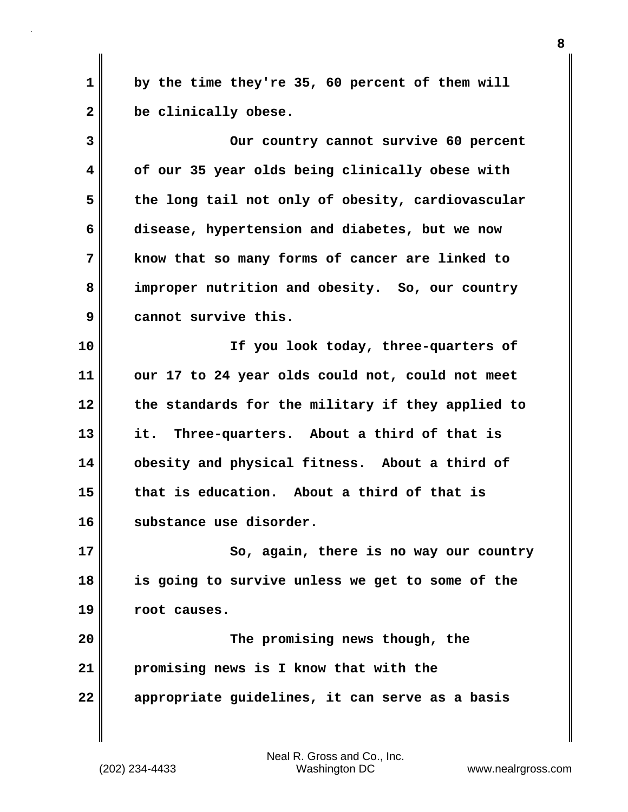**1 by the time they're 35, 60 percent of them will 2 be clinically obese.**

**3 Our country cannot survive 60 percent 4 of our 35 year olds being clinically obese with 5 the long tail not only of obesity, cardiovascular 6 disease, hypertension and diabetes, but we now 7 know that so many forms of cancer are linked to 8 improper nutrition and obesity. So, our country 9 cannot survive this.**

**10 If you look today, three-quarters of 11 our 17 to 24 year olds could not, could not meet 12 the standards for the military if they applied to 13 it. Three-quarters. About a third of that is 14 obesity and physical fitness. About a third of 15 that is education. About a third of that is 16 substance use disorder.**

**17** So, again, there is no way our country **18 is going to survive unless we get to some of the 19 root causes.**

**20 The promising news though, the 21 promising news is I know that with the 22 appropriate guidelines, it can serve as a basis**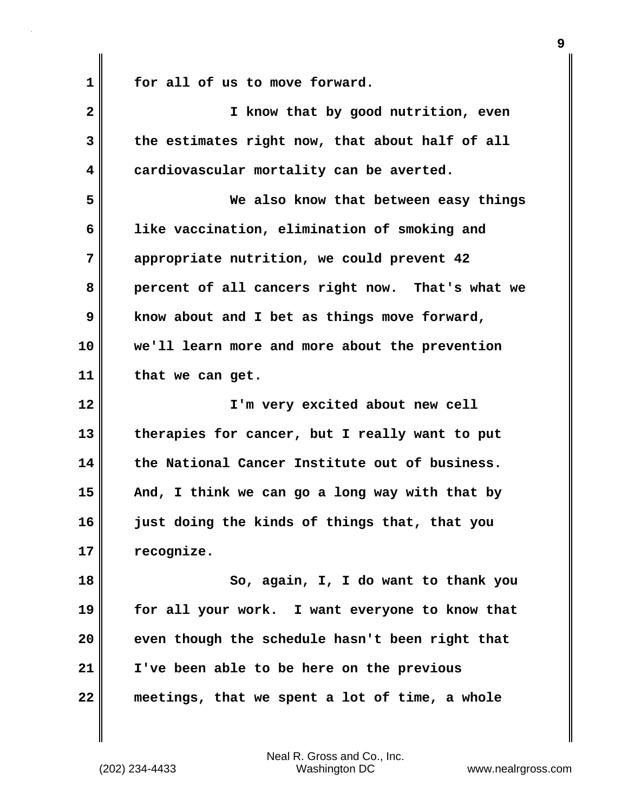| 1            | for all of us to move forward.                   |
|--------------|--------------------------------------------------|
| $\mathbf{2}$ | I know that by good nutrition, even              |
| 3            | the estimates right now, that about half of all  |
| 4            | cardiovascular mortality can be averted.         |
| 5            | We also know that between easy things            |
| 6            | like vaccination, elimination of smoking and     |
| 7            | appropriate nutrition, we could prevent 42       |
| 8            | percent of all cancers right now. That's what we |
| 9            | know about and I bet as things move forward,     |
| 10           | we'll learn more and more about the prevention   |
| 11           | that we can get.                                 |
|              |                                                  |
| 12           | I'm very excited about new cell                  |
| 13           | therapies for cancer, but I really want to put   |
| 14           | the National Cancer Institute out of business.   |
| 15           | And, I think we can go a long way with that by   |
| 16           | just doing the kinds of things that, that you    |
| 17           | recognize.                                       |
| 18           | So, again, I, I do want to thank you             |
| 19           | for all your work. I want everyone to know that  |
| 20           | even though the schedule hasn't been right that  |
| 21           | I've been able to be here on the previous        |

 $\mathbf{I}$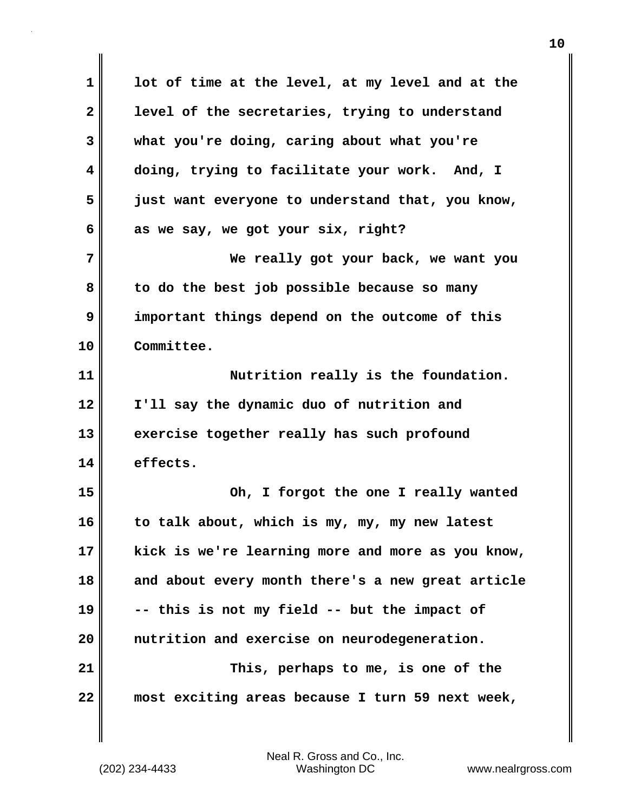**1 lot of time at the level, at my level and at the 2 level of the secretaries, trying to understand 3 what you're doing, caring about what you're 4 doing, trying to facilitate your work. And, I 5 just want everyone to understand that, you know, 6 as we say, we got your six, right? 7 We really got your back, we want you 8 to do the best job possible because so many 9 important things depend on the outcome of this 10 Committee. 11 Nutrition really is the foundation. 12 I'll say the dynamic duo of nutrition and 13 exercise together really has such profound 14 effects. 15 Oh, I forgot the one I really wanted 16 to talk about, which is my, my, my new latest 17 kick is we're learning more and more as you know, 18 and about every month there's a new great article 19 -- this is not my field -- but the impact of 20 nutrition and exercise on neurodegeneration. 21 This, perhaps to me, is one of the 22 most exciting areas because I turn 59 next week,**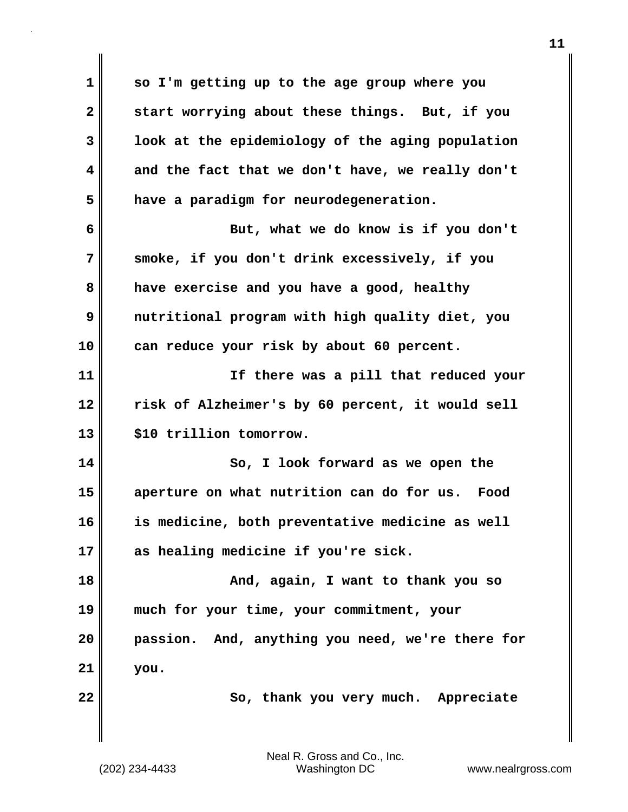**1 so I'm getting up to the age group where you 2 start worrying about these things. But, if you 3 look at the epidemiology of the aging population 4 and the fact that we don't have, we really don't 5 have a paradigm for neurodegeneration. 6 But, what we do know is if you don't 7 smoke, if you don't drink excessively, if you 8 have exercise and you have a good, healthy 9 nutritional program with high quality diet, you 10 can reduce your risk by about 60 percent. 11 If there was a pill that reduced your 12 risk of Alzheimer's by 60 percent, it would sell 13 \$10 trillion tomorrow. 14 So, I look forward as we open the 15 aperture on what nutrition can do for us. Food 16 is medicine, both preventative medicine as well 17 as healing medicine if you're sick. 18 And, again, I want to thank you so 19 much for your time, your commitment, your 20 passion. And, anything you need, we're there for 21 you. 22** So, thank you very much. Appreciate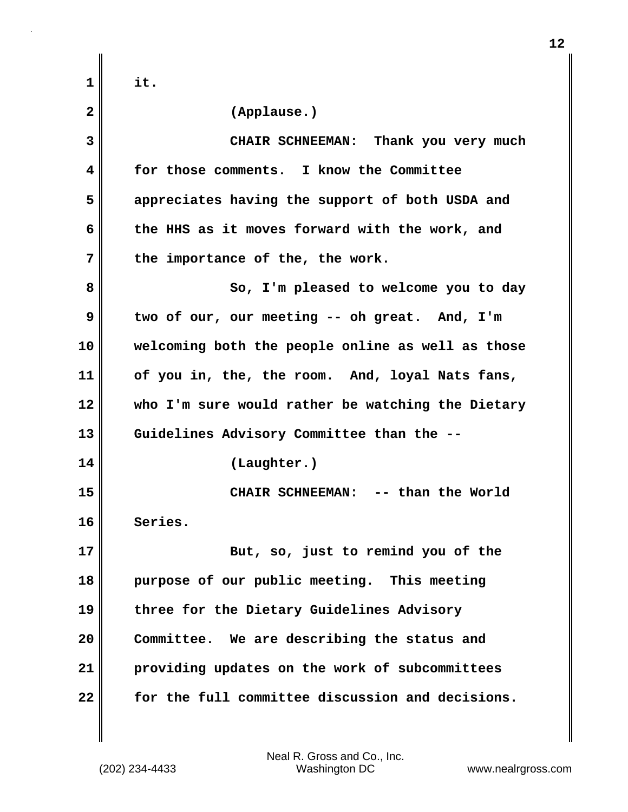| $\mathbf 1$  | it.                                               |
|--------------|---------------------------------------------------|
| $\mathbf{2}$ | (Applause.)                                       |
| 3            | CHAIR SCHNEEMAN: Thank you very much              |
| 4            | for those comments. I know the Committee          |
| 5            | appreciates having the support of both USDA and   |
| 6            | the HHS as it moves forward with the work, and    |
| 7            | the importance of the, the work.                  |
| 8            | So, I'm pleased to welcome you to day             |
| 9            | two of our, our meeting -- oh great. And, I'm     |
| 10           | welcoming both the people online as well as those |
| 11           | of you in, the, the room. And, loyal Nats fans,   |
| 12           | who I'm sure would rather be watching the Dietary |
| 13           | Guidelines Advisory Committee than the --         |
| 14           | (Laughter.)                                       |
| 15           | -- than the World<br><b>CHAIR SCHNEEMAN:</b>      |
| 16           | Series.                                           |
| 17           | But, so, just to remind you of the                |
| 18           | purpose of our public meeting. This meeting       |
| 19           | three for the Dietary Guidelines Advisory         |
| 20           | Committee. We are describing the status and       |
| 21           | providing updates on the work of subcommittees    |
| 22           | for the full committee discussion and decisions.  |

 $\mathbf{I}$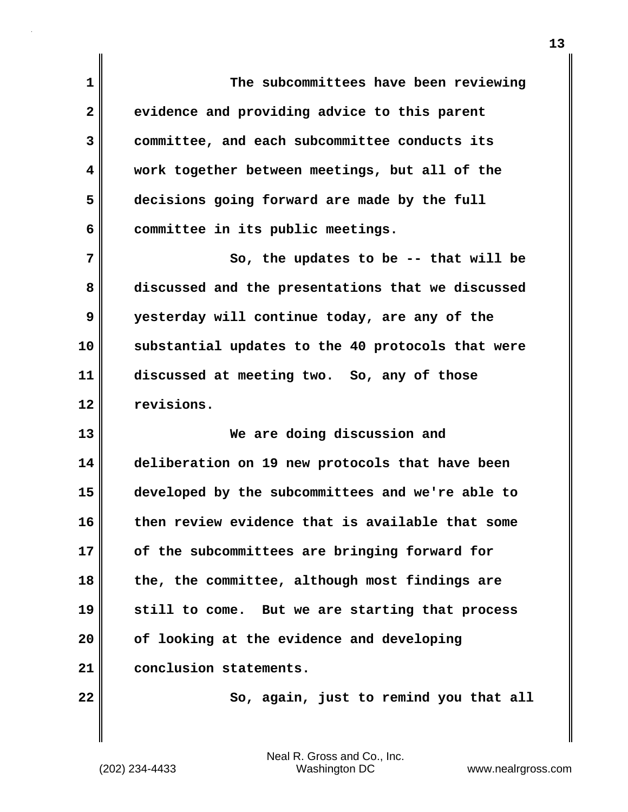**1 The subcommittees have been reviewing 2 evidence and providing advice to this parent 3 committee, and each subcommittee conducts its 4 work together between meetings, but all of the 5 decisions going forward are made by the full 6 committee in its public meetings. 7** So, the updates to be -- that will be **8 discussed and the presentations that we discussed 9 yesterday will continue today, are any of the 10 substantial updates to the 40 protocols that were 11 discussed at meeting two. So, any of those 12 revisions. 13 We are doing discussion and 14 deliberation on 19 new protocols that have been 15 developed by the subcommittees and we're able to 16 then review evidence that is available that some 17 of the subcommittees are bringing forward for 18 the, the committee, although most findings are 19 still to come. But we are starting that process 20 of looking at the evidence and developing 21 conclusion statements. 22** So, again, just to remind you that all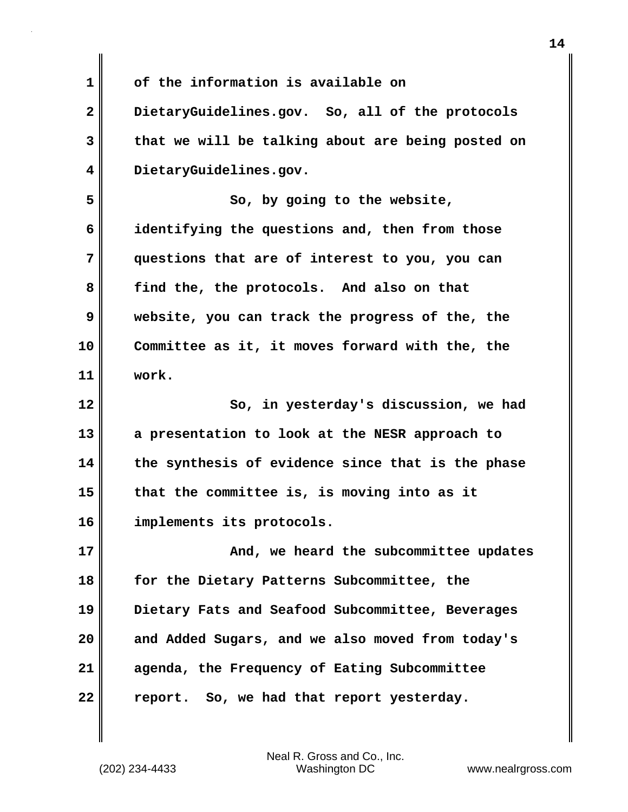**1 of the information is available on**

**2 DietaryGuidelines.gov. So, all of the protocols 3 that we will be talking about are being posted on 4 DietaryGuidelines.gov.**

**5** So, by going to the website, **6 identifying the questions and, then from those 7 questions that are of interest to you, you can 8 find the, the protocols. And also on that 9 website, you can track the progress of the, the 10 Committee as it, it moves forward with the, the 11 work.**

**12** So, in yesterday's discussion, we had **13 a presentation to look at the NESR approach to 14 the synthesis of evidence since that is the phase 15 that the committee is, is moving into as it 16 implements its protocols.**

**17 And, we heard the subcommittee updates 18 for the Dietary Patterns Subcommittee, the 19 Dietary Fats and Seafood Subcommittee, Beverages 20 and Added Sugars, and we also moved from today's 21 agenda, the Frequency of Eating Subcommittee 22 report. So, we had that report yesterday.**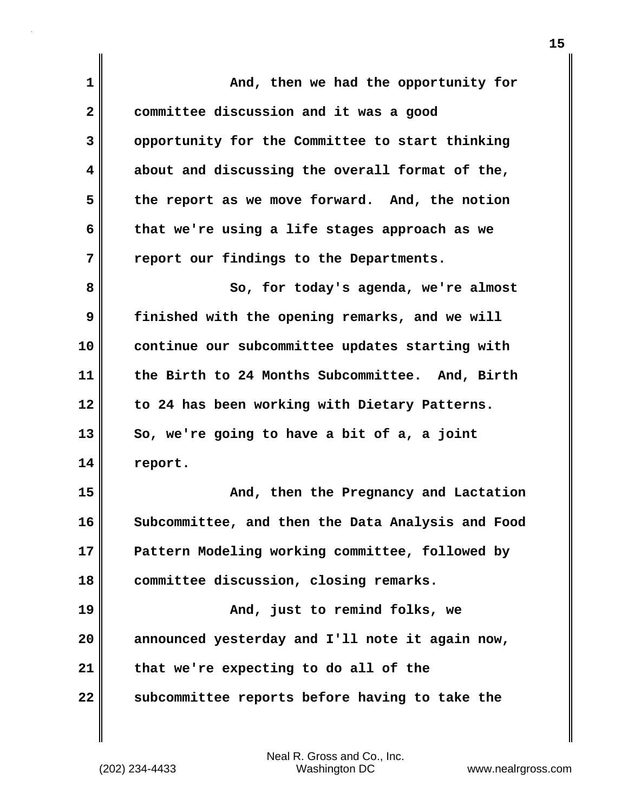| $\mathbf 1$  | And, then we had the opportunity for              |
|--------------|---------------------------------------------------|
| $\mathbf{2}$ | committee discussion and it was a good            |
| 3            | opportunity for the Committee to start thinking   |
| 4            | about and discussing the overall format of the,   |
| 5            | the report as we move forward. And, the notion    |
| 6            | that we're using a life stages approach as we     |
| 7            | report our findings to the Departments.           |
| 8            | So, for today's agenda, we're almost              |
| 9            | finished with the opening remarks, and we will    |
| 10           | continue our subcommittee updates starting with   |
| 11           | the Birth to 24 Months Subcommittee. And, Birth   |
| 12           | to 24 has been working with Dietary Patterns.     |
| 13           | So, we're going to have a bit of a, a joint       |
| 14           | report.                                           |
| 15           | And, then the Pregnancy and Lactation             |
| 16           | Subcommittee, and then the Data Analysis and Food |
| 17           | Pattern Modeling working committee, followed by   |
| 18           | committee discussion, closing remarks.            |
| 19           | And, just to remind folks, we                     |
| 20           | announced yesterday and I'll note it again now,   |
| 21           | that we're expecting to do all of the             |
| 22           | subcommittee reports before having to take the    |

 $\mathbf{I}$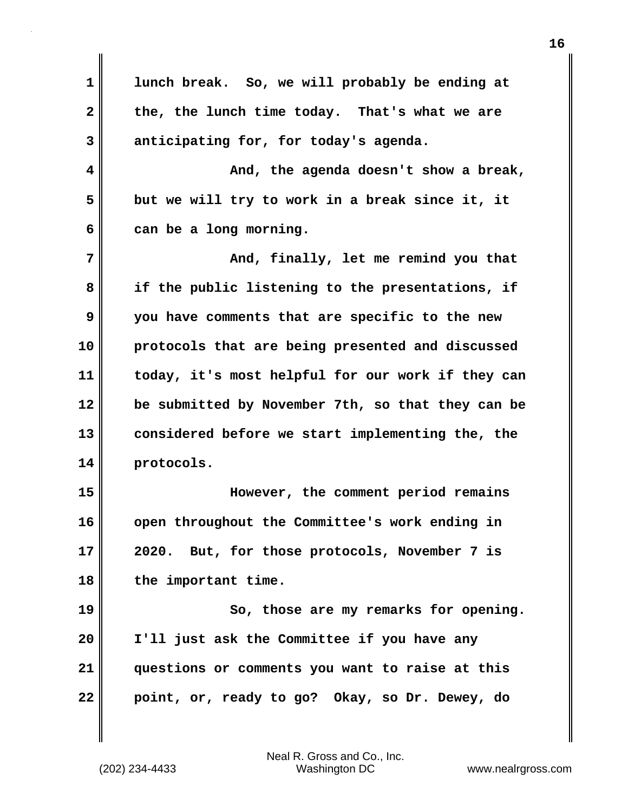**1 lunch break. So, we will probably be ending at 2 the, the lunch time today. That's what we are 3 anticipating for, for today's agenda. 4 And, the agenda doesn't show a break, 5 but we will try to work in a break since it, it 6 can be a long morning. 7 And, finally, let me remind you that 8 if the public listening to the presentations, if 9 you have comments that are specific to the new 10 protocols that are being presented and discussed 11 today, it's most helpful for our work if they can 12 be submitted by November 7th, so that they can be 13 considered before we start implementing the, the 14 protocols. 15 However, the comment period remains 16 open throughout the Committee's work ending in 17 2020. But, for those protocols, November 7 is 18 the important time. 19 So, those are my remarks for opening. 20 I'll just ask the Committee if you have any 21 questions or comments you want to raise at this 22 point, or, ready to go? Okay, so Dr. Dewey, do**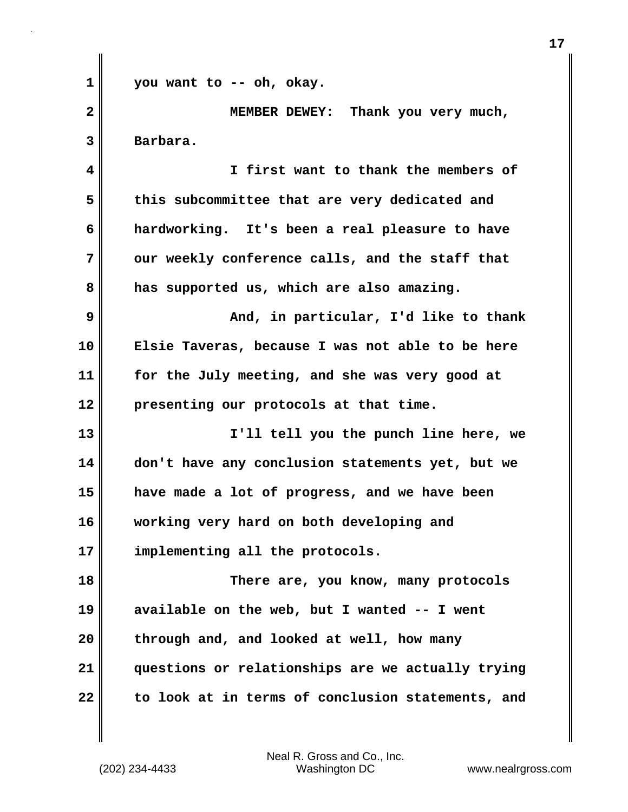**1 you want to -- oh, okay. 2 MEMBER DEWEY: Thank you very much, 3 Barbara. 4 I first want to thank the members of 5 this subcommittee that are very dedicated and 6 hardworking. It's been a real pleasure to have** 7 || our weekly conference calls, and the staff that **8 has supported us, which are also amazing. 9 And, in particular, I'd like to thank 10 Elsie Taveras, because I was not able to be here 11 for the July meeting, and she was very good at 12 presenting our protocols at that time. 13 I'll tell you the punch line here, we 14 don't have any conclusion statements yet, but we 15 have made a lot of progress, and we have been 16 working very hard on both developing and 17 implementing all the protocols. 18 There are, you know, many protocols 19 available on the web, but I wanted -- I went 20 through and, and looked at well, how many 21 questions or relationships are we actually trying 22 to look at in terms of conclusion statements, and**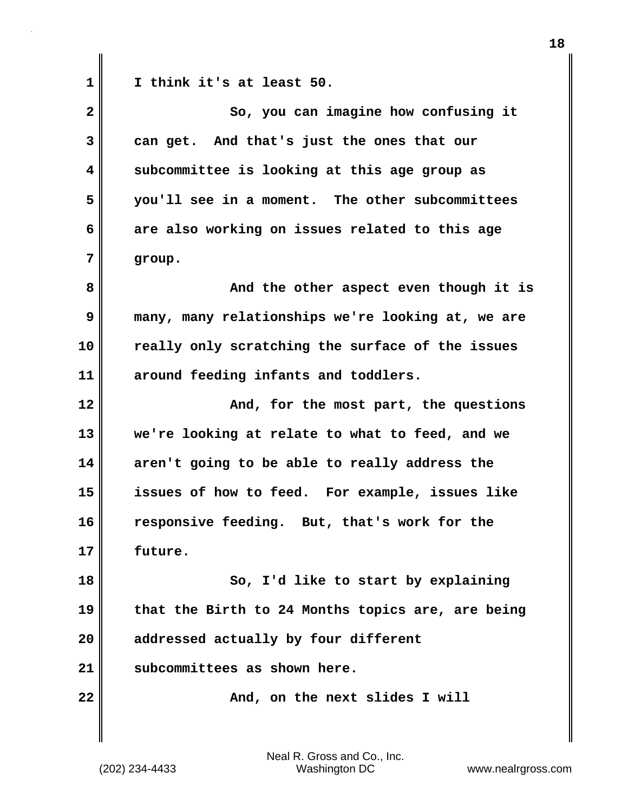**1 I think it's at least 50.**

| $\overline{\mathbf{2}}$ | So, you can imagine how confusing it              |
|-------------------------|---------------------------------------------------|
| 3                       | can get. And that's just the ones that our        |
| 4                       | subcommittee is looking at this age group as      |
| 5                       | you'll see in a moment. The other subcommittees   |
| 6                       | are also working on issues related to this age    |
| 7                       | group.                                            |
| 8                       | And the other aspect even though it is            |
| 9                       | many, many relationships we're looking at, we are |
| 10                      | really only scratching the surface of the issues  |
| 11                      | around feeding infants and toddlers.              |
| 12                      | And, for the most part, the questions             |
| 13                      | we're looking at relate to what to feed, and we   |
| 14                      | aren't going to be able to really address the     |
| 15                      | issues of how to feed. For example, issues like   |
| 16                      | responsive feeding. But, that's work for the      |
| 17                      | future.                                           |
| 18                      | So, I'd like to start by explaining               |
| 19                      | that the Birth to 24 Months topics are, are being |
| 20                      | addressed actually by four different              |
| 21                      | subcommittees as shown here.                      |
| 22                      | And, on the next slides I will                    |
|                         |                                                   |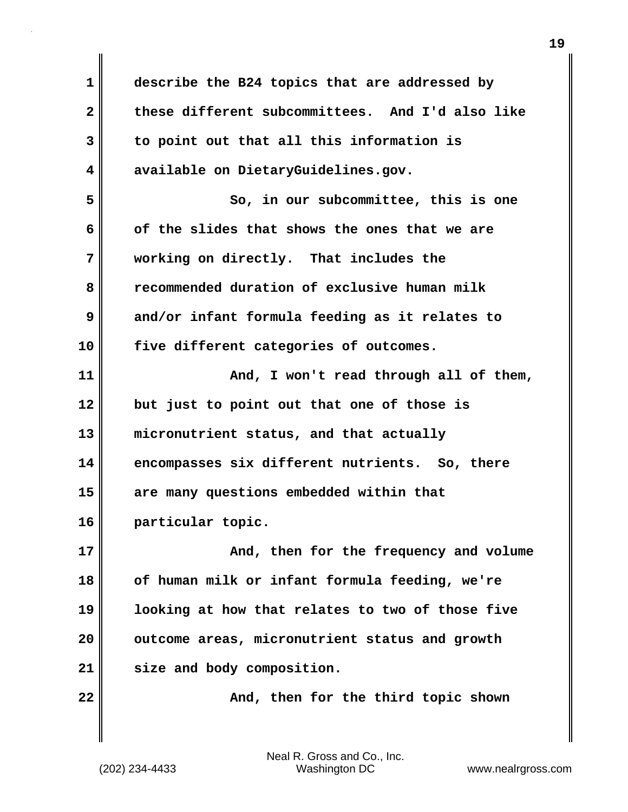**1 describe the B24 topics that are addressed by 2 these different subcommittees. And I'd also like 3 to point out that all this information is 4 available on DietaryGuidelines.gov. 5 So, in our subcommittee, this is one 6 of the slides that shows the ones that we are 7 working on directly. That includes the 8 recommended duration of exclusive human milk 9 and/or infant formula feeding as it relates to 10 five different categories of outcomes. 11 And, I won't read through all of them, 12 but just to point out that one of those is 13 micronutrient status, and that actually 14 encompasses six different nutrients. So, there 15 are many questions embedded within that 16 particular topic. 17**  $\parallel$  **And, then for the frequency and volume 18 of human milk or infant formula feeding, we're 19 looking at how that relates to two of those five 20 outcome areas, micronutrient status and growth 21 size and body composition. 22** Merry **22** And, then for the third topic shown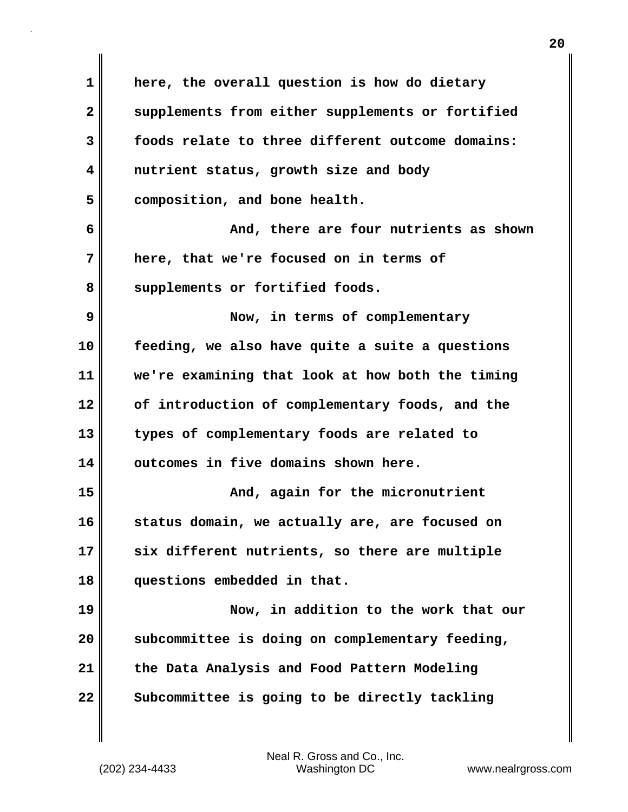**1 here, the overall question is how do dietary 2 supplements from either supplements or fortified 3 foods relate to three different outcome domains: 4 nutrient status, growth size and body 5 composition, and bone health. 6** And, there are four nutrients as shown **7 here, that we're focused on in terms of** 8 supplements or fortified foods. **9 Now, in terms of complementary 10 feeding, we also have quite a suite a questions 11 we're examining that look at how both the timing 12 of introduction of complementary foods, and the 13 types of complementary foods are related to 14 outcomes in five domains shown here. 15 And, again for the micronutrient 16 status domain, we actually are, are focused on 17 six different nutrients, so there are multiple 18 questions embedded in that. 19 Now, in addition to the work that our 20 subcommittee is doing on complementary feeding, 21 the Data Analysis and Food Pattern Modeling 22 Subcommittee is going to be directly tackling**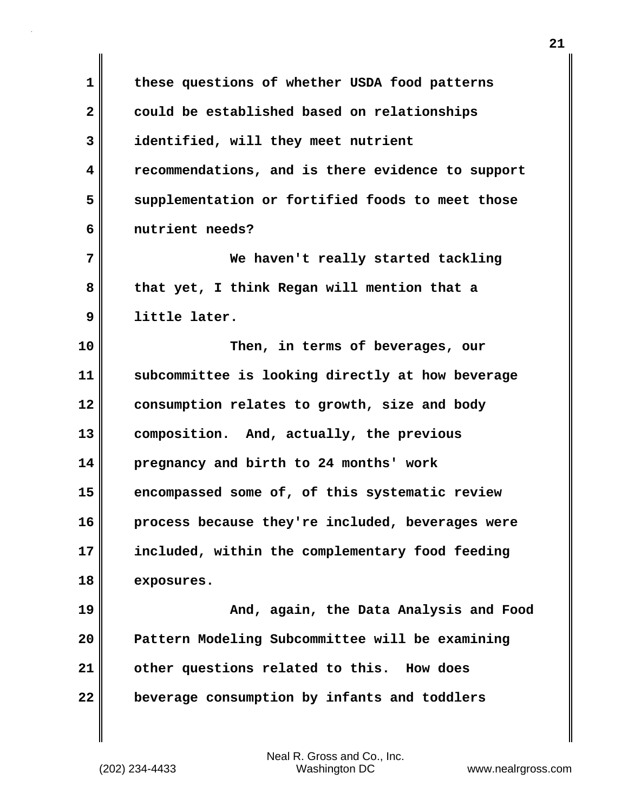**1 these questions of whether USDA food patterns 2 could be established based on relationships 3 identified, will they meet nutrient 4 recommendations, and is there evidence to support 5 supplementation or fortified foods to meet those 6 nutrient needs? 7 We haven't really started tackling 8 that yet, I think Regan will mention that a 9 little later. 10 Then, in terms of beverages, our 11 subcommittee is looking directly at how beverage 12 consumption relates to growth, size and body 13 composition. And, actually, the previous 14 pregnancy and birth to 24 months' work 15 encompassed some of, of this systematic review 16 process because they're included, beverages were 17 included, within the complementary food feeding 18 exposures. 19 And, again, the Data Analysis and Food 20 Pattern Modeling Subcommittee will be examining 21 other questions related to this. How does 22 beverage consumption by infants and toddlers**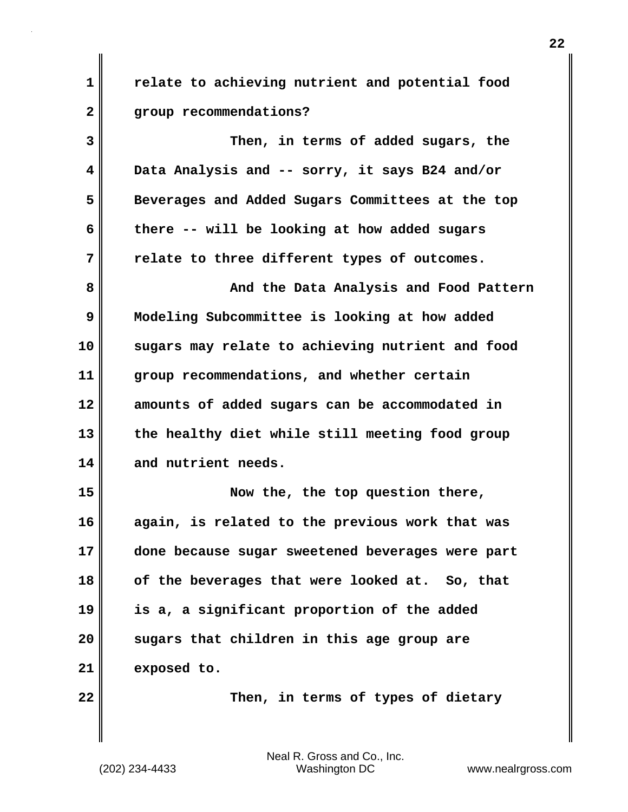**1 relate to achieving nutrient and potential food 2 group recommendations?**

| 3  | Then, in terms of added sugars, the              |
|----|--------------------------------------------------|
| 4  | Data Analysis and -- sorry, it says B24 and/or   |
| 5  | Beverages and Added Sugars Committees at the top |
| 6  | there -- will be looking at how added sugars     |
| 7  | relate to three different types of outcomes.     |
| 8  | And the Data Analysis and Food Pattern           |
| 9  | Modeling Subcommittee is looking at how added    |
| 10 | sugars may relate to achieving nutrient and food |
| 11 | group recommendations, and whether certain       |
| 12 | amounts of added sugars can be accommodated in   |
| 13 | the healthy diet while still meeting food group  |
| 14 | and nutrient needs.                              |
| 15 | Now the, the top question there,                 |
| 16 | again, is related to the previous work that was  |
| 17 | done because sugar sweetened beverages were part |
| 18 | of the beverages that were looked at. So, that   |
| 19 | is a, a significant proportion of the added      |
| 20 | sugars that children in this age group are       |
| 21 | exposed to.                                      |

**22** Then, in terms of types of dietary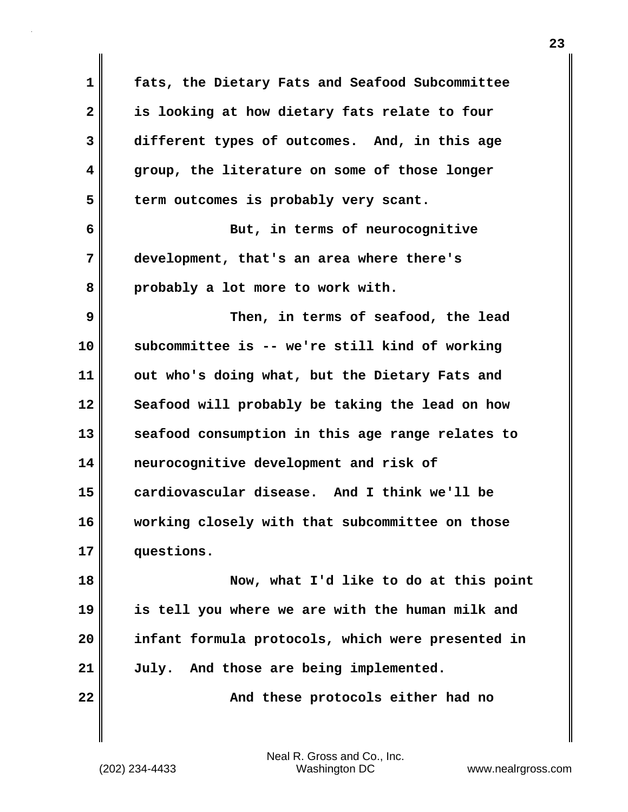**1 fats, the Dietary Fats and Seafood Subcommittee 2 is looking at how dietary fats relate to four 3 different types of outcomes. And, in this age 4 group, the literature on some of those longer 5 term outcomes is probably very scant. 6 But, in terms of neurocognitive 7 development, that's an area where there's 8 probably a lot more to work with. 9 Then, in terms of seafood, the lead 10 subcommittee is -- we're still kind of working 11 out who's doing what, but the Dietary Fats and** 12 Seafood will probably be taking the lead on how **13 seafood consumption in this age range relates to 14 neurocognitive development and risk of 15 cardiovascular disease. And I think we'll be 16 working closely with that subcommittee on those 17 questions. 18 Now, what I'd like to do at this point 19 is tell you where we are with the human milk and 20 infant formula protocols, which were presented in 21 July. And those are being implemented. 22 And these protocols either had no**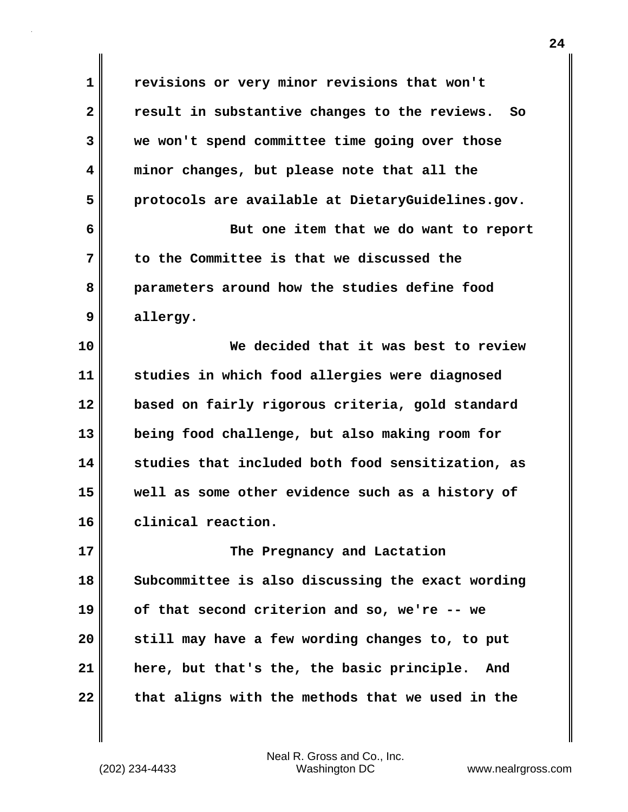**1 revisions or very minor revisions that won't 2 result in substantive changes to the reviews. So 3 we won't spend committee time going over those 4 minor changes, but please note that all the 5 protocols are available at DietaryGuidelines.gov. 6** But one item that we do want to report **7 to the Committee is that we discussed the 8 parameters around how the studies define food 9 allergy. 10 We decided that it was best to review 11 studies in which food allergies were diagnosed 12 based on fairly rigorous criteria, gold standard 13 being food challenge, but also making room for 14 studies that included both food sensitization, as 15 well as some other evidence such as a history of 16 clinical reaction. 17 The Pregnancy and Lactation 18 Subcommittee is also discussing the exact wording 19 of that second criterion and so, we're -- we 20 still may have a few wording changes to, to put 21 here, but that's the, the basic principle. And 22 that aligns with the methods that we used in the**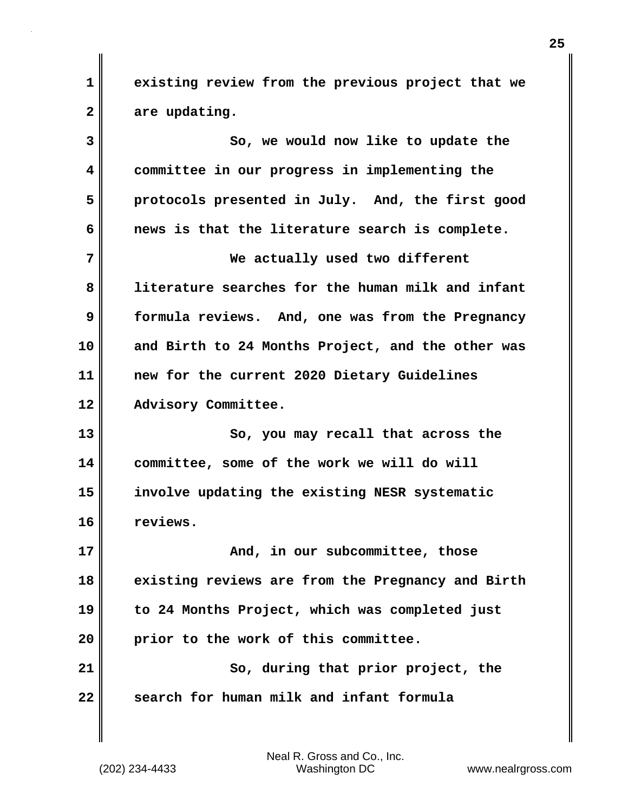**1 existing review from the previous project that we 2 are updating.**

**3 So, we would now like to update the 4 committee in our progress in implementing the 5 protocols presented in July. And, the first good 6 news is that the literature search is complete. 7 We actually used two different 8 literature searches for the human milk and infant 9 formula reviews. And, one was from the Pregnancy 10 and Birth to 24 Months Project, and the other was 11 new for the current 2020 Dietary Guidelines 12 Advisory Committee. 13** So, you may recall that across the **14 committee, some of the work we will do will 15 involve updating the existing NESR systematic 16 reviews. 17 And, in our subcommittee, those 18 existing reviews are from the Pregnancy and Birth 19 to 24 Months Project, which was completed just 20 prior to the work of this committee. 21** So, during that prior project, the **22 search for human milk and infant formula**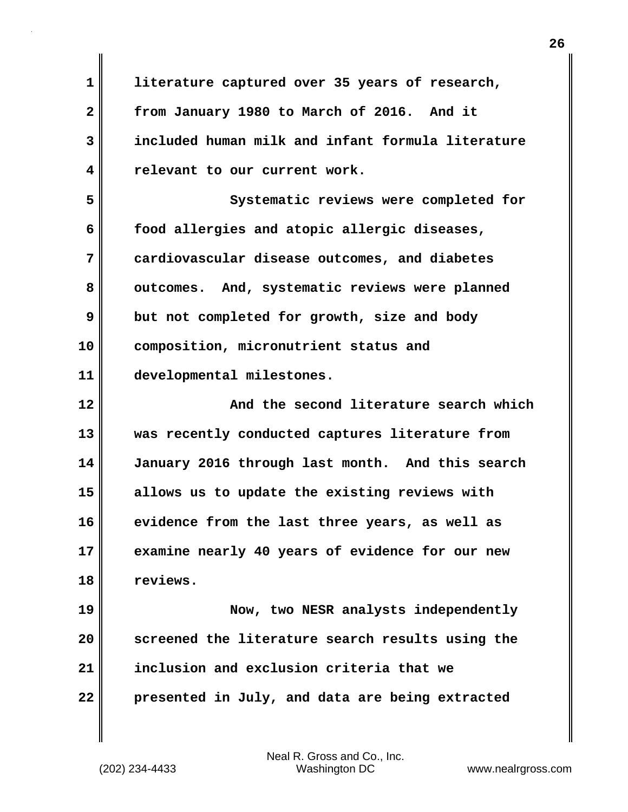**1 literature captured over 35 years of research, 2 from January 1980 to March of 2016. And it 3 included human milk and infant formula literature 4 relevant to our current work.**

**5 Systematic reviews were completed for 6 food allergies and atopic allergic diseases, 7 cardiovascular disease outcomes, and diabetes 8 outcomes. And, systematic reviews were planned 9 but not completed for growth, size and body 10 composition, micronutrient status and 11 developmental milestones.**

**12 And the second literature search which 13 was recently conducted captures literature from 14 January 2016 through last month. And this search 15 allows us to update the existing reviews with 16 evidence from the last three years, as well as 17 examine nearly 40 years of evidence for our new 18 reviews.**

**19 Now, two NESR analysts independently 20 screened the literature search results using the 21 inclusion and exclusion criteria that we 22 presented in July, and data are being extracted**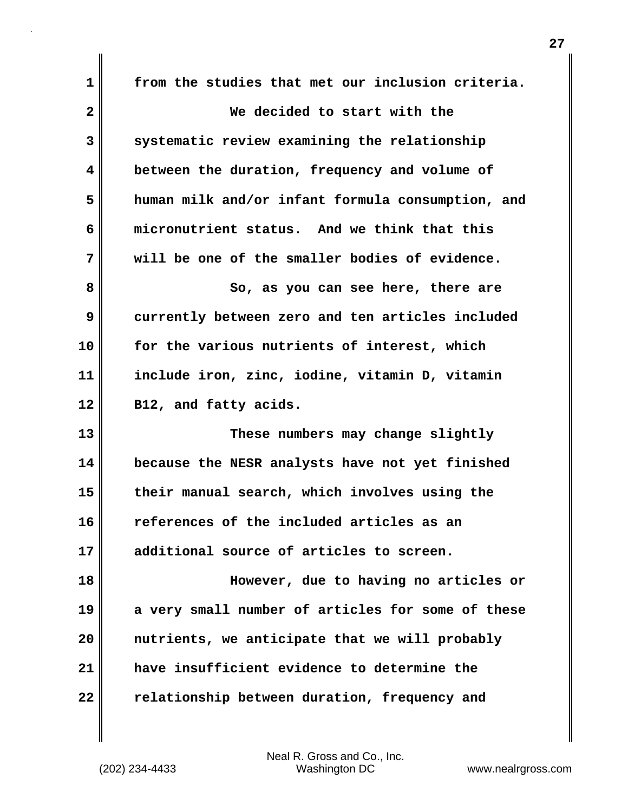**1 from the studies that met our inclusion criteria. 2 We decided to start with the 3 systematic review examining the relationship 4 between the duration, frequency and volume of 5 human milk and/or infant formula consumption, and 6 micronutrient status. And we think that this 7 will be one of the smaller bodies of evidence. 8** So, as you can see here, there are **9 currently between zero and ten articles included 10 for the various nutrients of interest, which 11 include iron, zinc, iodine, vitamin D, vitamin 12 B12, and fatty acids. 13 These numbers may change slightly 14 because the NESR analysts have not yet finished 15 their manual search, which involves using the 16 references of the included articles as an 17 additional source of articles to screen. 18 However, due to having no articles or 19 a very small number of articles for some of these 20 nutrients, we anticipate that we will probably 21 have insufficient evidence to determine the 22 relationship between duration, frequency and**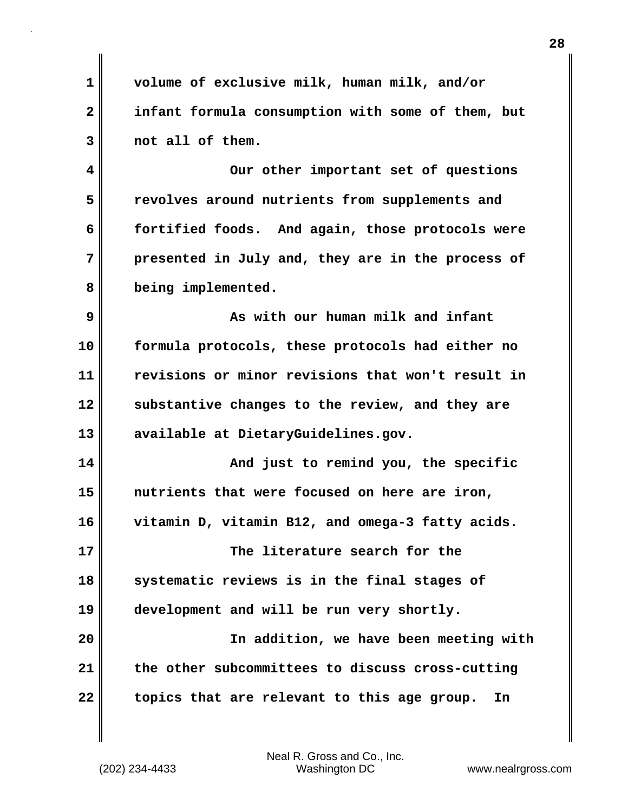**1 volume of exclusive milk, human milk, and/or 2 infant formula consumption with some of them, but 3 not all of them. 4 Our other important set of questions 5 revolves around nutrients from supplements and 6 fortified foods. And again, those protocols were 7 presented in July and, they are in the process of 8 being implemented. 9 As with our human milk and infant 10 formula protocols, these protocols had either no 11 revisions or minor revisions that won't result in 12 substantive changes to the review, and they are 13 available at DietaryGuidelines.gov. 14 And just to remind you, the specific 15 nutrients that were focused on here are iron, 16 vitamin D, vitamin B12, and omega-3 fatty acids. 17 The literature search for the 18 systematic reviews is in the final stages of 19 development and will be run very shortly. 20 In addition, we have been meeting with 21 the other subcommittees to discuss cross-cutting 22 topics that are relevant to this age group. In**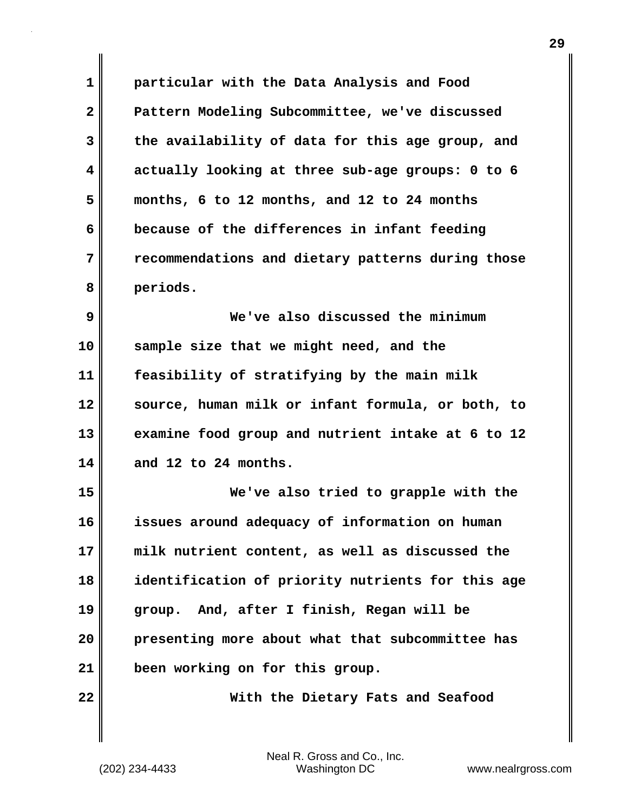**1 particular with the Data Analysis and Food 2 Pattern Modeling Subcommittee, we've discussed 3 the availability of data for this age group, and 4 actually looking at three sub-age groups: 0 to 6 5 months, 6 to 12 months, and 12 to 24 months 6 because of the differences in infant feeding 7 recommendations and dietary patterns during those 8 periods. 9 We've also discussed the minimum 10 sample size that we might need, and the 11 feasibility of stratifying by the main milk 12 source, human milk or infant formula, or both, to 13 examine food group and nutrient intake at 6 to 12 14 and 12 to 24 months. 15 We've also tried to grapple with the 16 issues around adequacy of information on human 17 milk nutrient content, as well as discussed the 18 identification of priority nutrients for this age 19 group. And, after I finish, Regan will be 20 presenting more about what that subcommittee has 21 been working on for this group. 22 With the Dietary Fats and Seafood**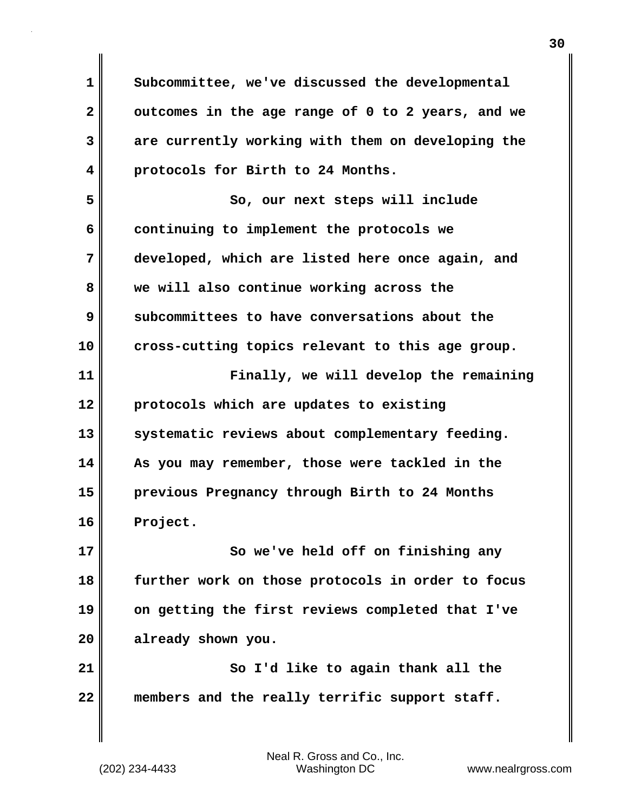**1 Subcommittee, we've discussed the developmental 2 outcomes in the age range of 0 to 2 years, and we 3 are currently working with them on developing the 4 protocols for Birth to 24 Months. 5** So, our next steps will include **6 continuing to implement the protocols we 7 developed, which are listed here once again, and 8 we will also continue working across the 9 subcommittees to have conversations about the 10 cross-cutting topics relevant to this age group. 11 Finally, we will develop the remaining 12 protocols which are updates to existing** 13 systematic reviews about complementary feeding. **14 As you may remember, those were tackled in the 15 previous Pregnancy through Birth to 24 Months 16 Project. 17** So we've held off on finishing any **18 further work on those protocols in order to focus 19 on getting the first reviews completed that I've 20 already shown you. 21** So I'd like to again thank all the **22 members and the really terrific support staff.**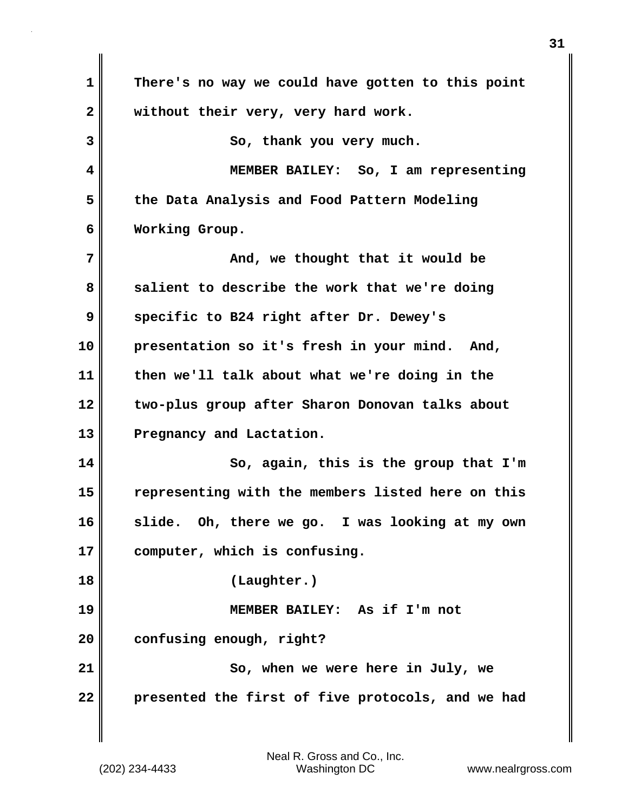| 1            | There's no way we could have gotten to this point  |
|--------------|----------------------------------------------------|
| $\mathbf{2}$ | without their very, very hard work.                |
| 3            | So, thank you very much.                           |
| 4            | MEMBER BAILEY: So, I am representing               |
| 5            | the Data Analysis and Food Pattern Modeling        |
| 6            | Working Group.                                     |
| 7            | And, we thought that it would be                   |
| 8            | salient to describe the work that we're doing      |
| 9            | specific to B24 right after Dr. Dewey's            |
| 10           | presentation so it's fresh in your mind. And,      |
| 11           | then we'll talk about what we're doing in the      |
| 12           | two-plus group after Sharon Donovan talks about    |
| 13           | Pregnancy and Lactation.                           |
| 14           | So, again, this is the group that I'm              |
| 15           | representing with the members listed here on this  |
| 16           | Oh, there we go. I was looking at my own<br>slide. |
| 17           | computer, which is confusing.                      |
| 18           | (Laughter.)                                        |
| 19           | MEMBER BAILEY: As if I'm not                       |
| 20           | confusing enough, right?                           |
| 21           | So, when we were here in July, we                  |
| 22           | presented the first of five protocols, and we had  |
|              |                                                    |

 $\mathbf{I}$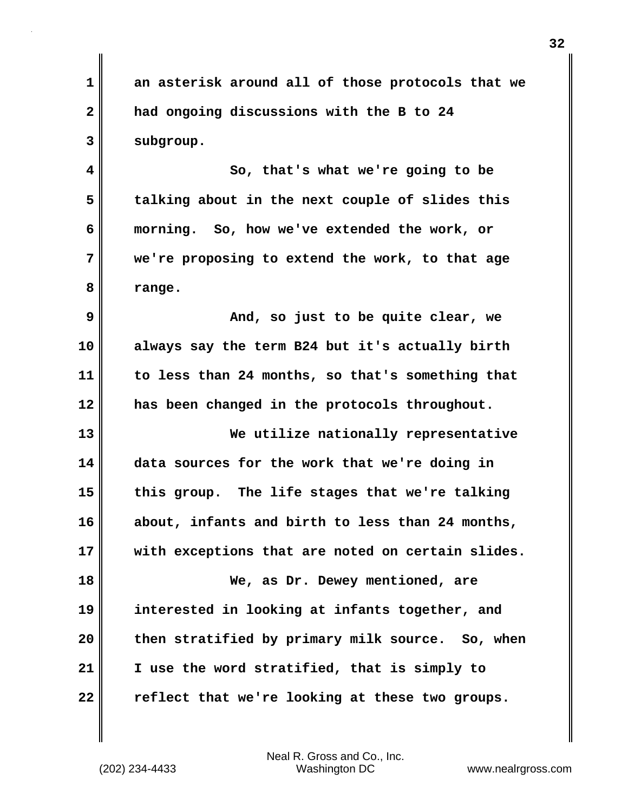**1 an asterisk around all of those protocols that we 2 had ongoing discussions with the B to 24 3 subgroup.**

**4 So, that's what we're going to be 5 talking about in the next couple of slides this 6 morning. So, how we've extended the work, or 7 we're proposing to extend the work, to that age 8 range.**

**9 And, so just to be quite clear, we 10 always say the term B24 but it's actually birth 11 to less than 24 months, so that's something that 12 has been changed in the protocols throughout.**

**13 We utilize nationally representative 14 data sources for the work that we're doing in 15 this group. The life stages that we're talking 16 about, infants and birth to less than 24 months, 17 with exceptions that are noted on certain slides. 18 We, as Dr. Dewey mentioned, are 19 interested in looking at infants together, and 20 then stratified by primary milk source. So, when 21 I use the word stratified, that is simply to**

**22 reflect that we're looking at these two groups.**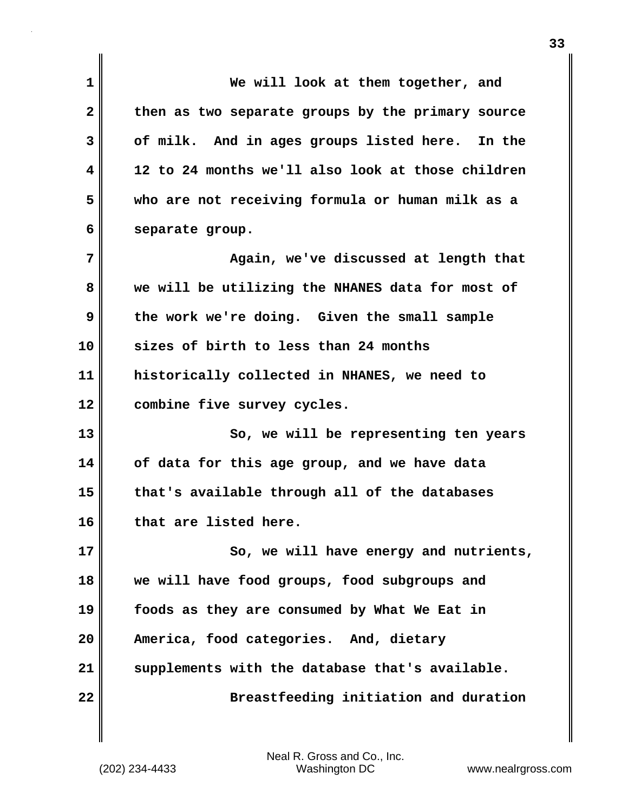| 1            | We will look at them together, and                |
|--------------|---------------------------------------------------|
| $\mathbf{2}$ | then as two separate groups by the primary source |
| 3            | of milk. And in ages groups listed here. In the   |
| 4            | 12 to 24 months we'll also look at those children |
| 5            | who are not receiving formula or human milk as a  |
| 6            | separate group.                                   |
| 7            | Again, we've discussed at length that             |
| 8            | we will be utilizing the NHANES data for most of  |
| 9            | the work we're doing. Given the small sample      |
| 10           | sizes of birth to less than 24 months             |
| 11           | historically collected in NHANES, we need to      |
| 12           | combine five survey cycles.                       |
| 13           | So, we will be representing ten years             |
| 14           | of data for this age group, and we have data      |
| 15           | that's available through all of the databases     |
| 16           | that are listed here.                             |
| 17           | So, we will have energy and nutrients,            |
| 18           | we will have food groups, food subgroups and      |
| 19           | foods as they are consumed by What We Eat in      |
| 20           | America, food categories. And, dietary            |
| 21           | supplements with the database that's available.   |
| 22           | Breastfeeding initiation and duration             |

 $\mathbf{I}$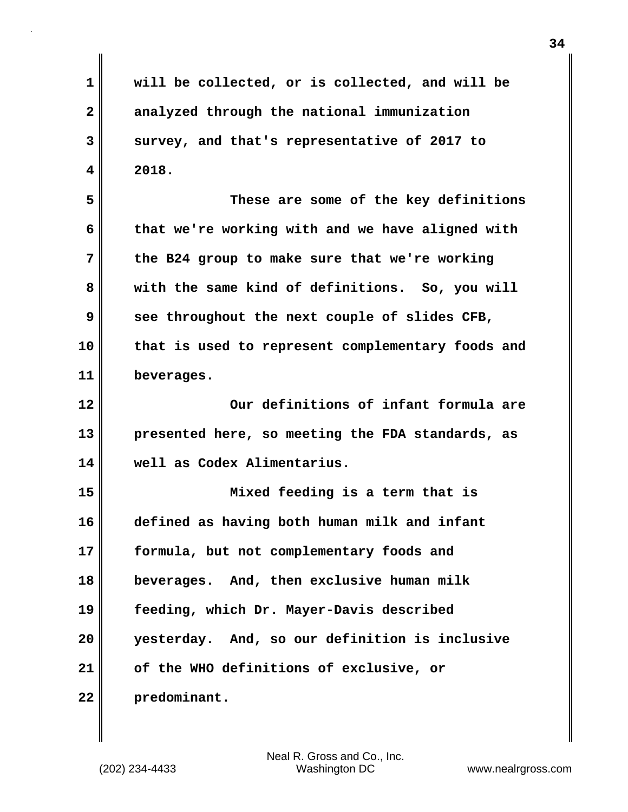**1 will be collected, or is collected, and will be 2 analyzed through the national immunization 3 survey, and that's representative of 2017 to 4 2018. 5 These are some of the key definitions 6 that we're working with and we have aligned with 7 the B24 group to make sure that we're working 8 with the same kind of definitions. So, you will 9 see throughout the next couple of slides CFB, 10 that is used to represent complementary foods and 11 beverages. 12 Our definitions of infant formula are 13 presented here, so meeting the FDA standards, as 14 well as Codex Alimentarius. 15 Mixed feeding is a term that is 16 defined as having both human milk and infant 17 formula, but not complementary foods and 18 beverages. And, then exclusive human milk 19 feeding, which Dr. Mayer-Davis described 20 yesterday. And, so our definition is inclusive 21 of the WHO definitions of exclusive, or 22 predominant.**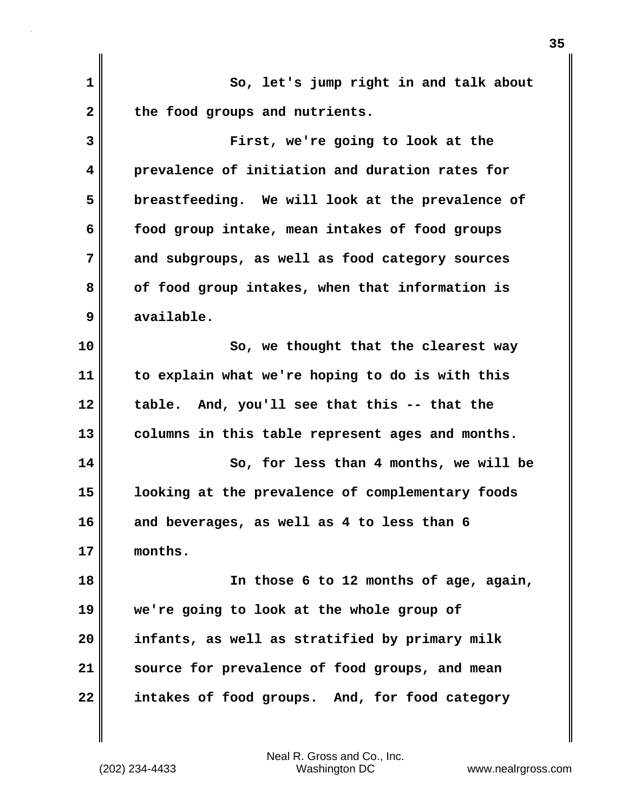**1 So, let's jump right in and talk about** 2 the food groups and nutrients. **3 First, we're going to look at the 4 prevalence of initiation and duration rates for 5 breastfeeding. We will look at the prevalence of 6 food group intake, mean intakes of food groups 7 and subgroups, as well as food category sources 8 of food group intakes, when that information is 9 available. 10** So, we thought that the clearest way **11 to explain what we're hoping to do is with this 12 table. And, you'll see that this -- that the 13 columns in this table represent ages and months. 14 So, for less than 4 months, we will be 15 looking at the prevalence of complementary foods 16 and beverages, as well as 4 to less than 6 17 months. 18 In those 6 to 12 months of age, again, 19 we're going to look at the whole group of 20 infants, as well as stratified by primary milk 21 source for prevalence of food groups, and mean 22 intakes of food groups. And, for food category**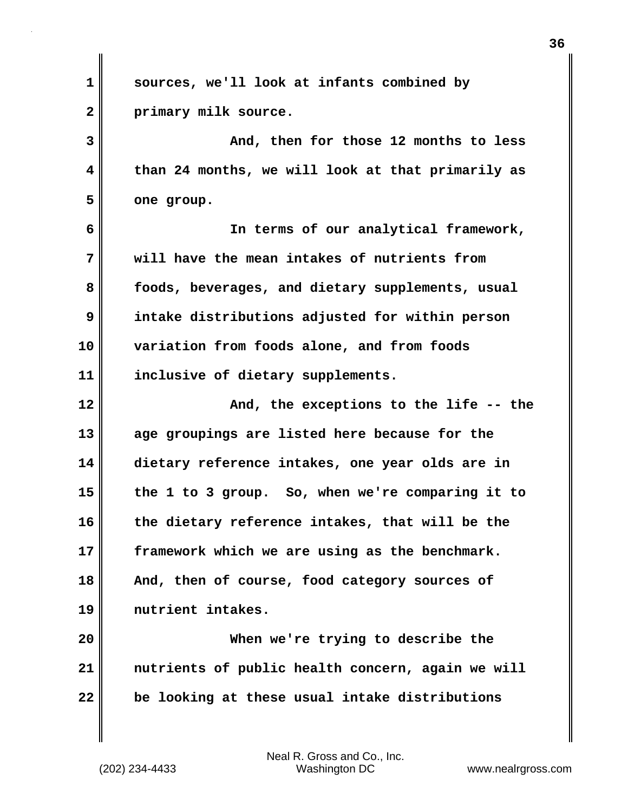| 1            | sources, we'll look at infants combined by        |
|--------------|---------------------------------------------------|
| $\mathbf{2}$ | primary milk source.                              |
| 3            | And, then for those 12 months to less             |
| 4            | than 24 months, we will look at that primarily as |
| 5            | one group.                                        |
| 6            | In terms of our analytical framework,             |
| 7            | will have the mean intakes of nutrients from      |
| 8            | foods, beverages, and dietary supplements, usual  |
| 9            | intake distributions adjusted for within person   |
| 10           | variation from foods alone, and from foods        |
| 11           | inclusive of dietary supplements.                 |
| 12           | And, the exceptions to the life -- the            |
| 13           | age groupings are listed here because for the     |
| 14           | dietary reference intakes, one year olds are in   |
| 15           |                                                   |
|              | the 1 to 3 group. So, when we're comparing it to  |
|              | the dietary reference intakes, that will be the   |
| 16<br>17     | framework which we are using as the benchmark.    |
| 18           | And, then of course, food category sources of     |
| 19           | nutrient intakes.                                 |
| 20           | When we're trying to describe the                 |
| 21           | nutrients of public health concern, again we will |
| 22           | be looking at these usual intake distributions    |

 $\mathbf{I}$ 

(202) 234-4433 Washington DC www.nealrgross.com Neal R. Gross and Co., Inc.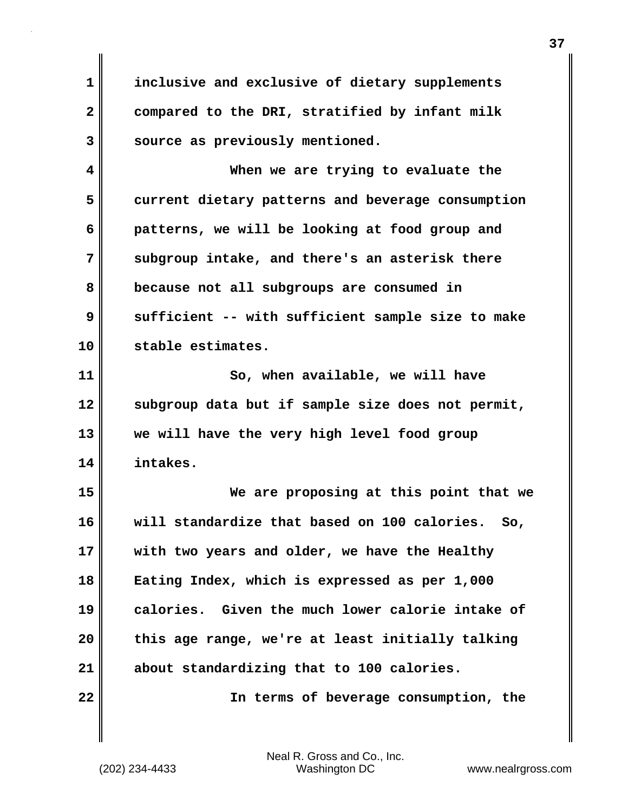**1 inclusive and exclusive of dietary supplements 2 compared to the DRI, stratified by infant milk 3 source as previously mentioned.**

**4 When we are trying to evaluate the 5 current dietary patterns and beverage consumption 6 patterns, we will be looking at food group and 7** subgroup intake, and there's an asterisk there **8 because not all subgroups are consumed in 9 sufficient -- with sufficient sample size to make 10 stable estimates.**

**11** So, when available, we will have **12 subgroup data but if sample size does not permit, 13 we will have the very high level food group 14 intakes.**

**15 We are proposing at this point that we 16 will standardize that based on 100 calories. So, 17 with two years and older, we have the Healthy 18 Eating Index, which is expressed as per 1,000 19 calories. Given the much lower calorie intake of 20 this age range, we're at least initially talking 21 about standardizing that to 100 calories.**

**22 In terms of beverage consumption, the**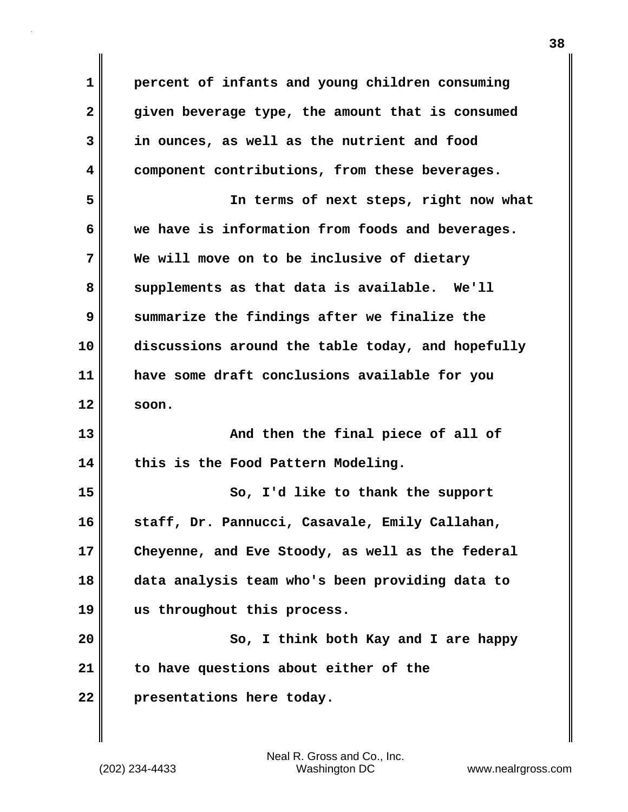**1 percent of infants and young children consuming 2 given beverage type, the amount that is consumed 3 in ounces, as well as the nutrient and food 4 component contributions, from these beverages. 5 In terms of next steps, right now what 6 we have is information from foods and beverages. 7 We will move on to be inclusive of dietary 8 supplements as that data is available. We'll 9 summarize the findings after we finalize the 10 discussions around the table today, and hopefully 11 have some draft conclusions available for you 12 soon. 13** And then the final piece of all of **14 this is the Food Pattern Modeling. 15 So, I'd like to thank the support 16 staff, Dr. Pannucci, Casavale, Emily Callahan, 17 Cheyenne, and Eve Stoody, as well as the federal 18 data analysis team who's been providing data to 19 us throughout this process. 20** So, I think both Kay and I are happy **21 to have questions about either of the 22 presentations here today.**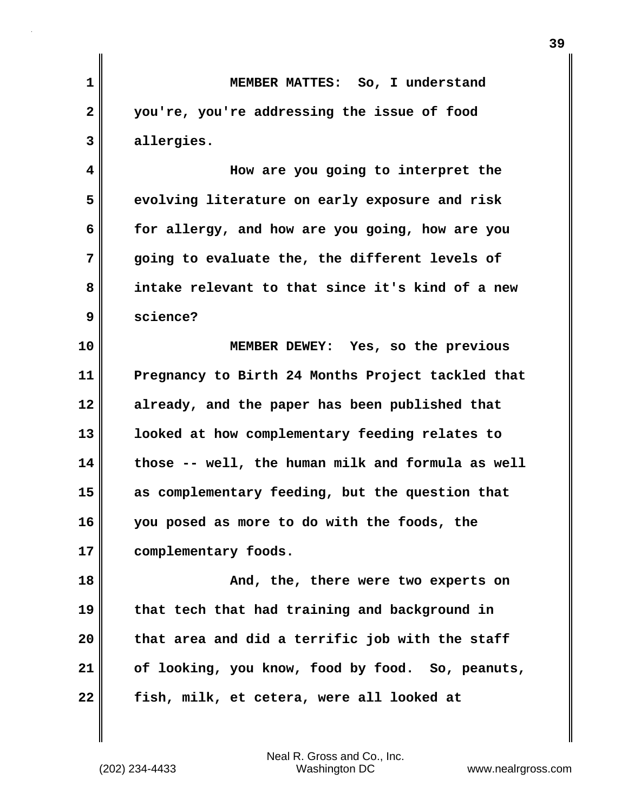| MEMBER MATTES: So, I understand                   |
|---------------------------------------------------|
| you're, you're addressing the issue of food       |
| allergies.                                        |
| How are you going to interpret the                |
| evolving literature on early exposure and risk    |
| for allergy, and how are you going, how are you   |
| going to evaluate the, the different levels of    |
| intake relevant to that since it's kind of a new  |
| science?                                          |
| MEMBER DEWEY: Yes, so the previous                |
| Pregnancy to Birth 24 Months Project tackled that |
| already, and the paper has been published that    |
| looked at how complementary feeding relates to    |
| those -- well, the human milk and formula as well |
| as complementary feeding, but the question that   |
| you posed as more to do with the foods, the       |
| complementary foods.                              |
| And, the, there were two experts on               |
| that tech that had training and background in     |
| that area and did a terrific job with the staff   |
| of looking, you know, food by food. So, peanuts,  |
| fish, milk, et cetera, were all looked at         |
|                                                   |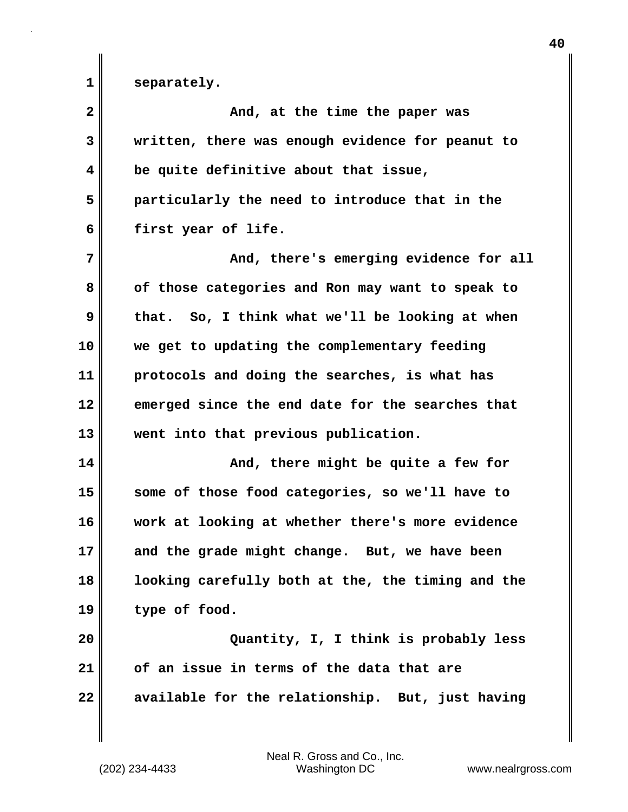1 separately.

| $\overline{\mathbf{2}}$ | And, at the time the paper was                    |
|-------------------------|---------------------------------------------------|
| 3                       | written, there was enough evidence for peanut to  |
| 4                       | be quite definitive about that issue,             |
| 5                       | particularly the need to introduce that in the    |
| 6                       | first year of life.                               |
| 7                       | And, there's emerging evidence for all            |
| 8                       | of those categories and Ron may want to speak to  |
| 9                       | that. So, I think what we'll be looking at when   |
| 10                      | we get to updating the complementary feeding      |
| 11                      | protocols and doing the searches, is what has     |
| 12                      | emerged since the end date for the searches that  |
| 13                      | went into that previous publication.              |
| 14                      | And, there might be quite a few for               |
| 15                      | some of those food categories, so we'll have to   |
| 16                      | work at looking at whether there's more evidence  |
| 17                      | and the grade might change. But, we have been     |
| 18                      | looking carefully both at the, the timing and the |
| 19                      | type of food.                                     |
| 20                      | Quantity, I, I think is probably less             |
| 21                      | of an issue in terms of the data that are         |
| 22                      | available for the relationship. But, just having  |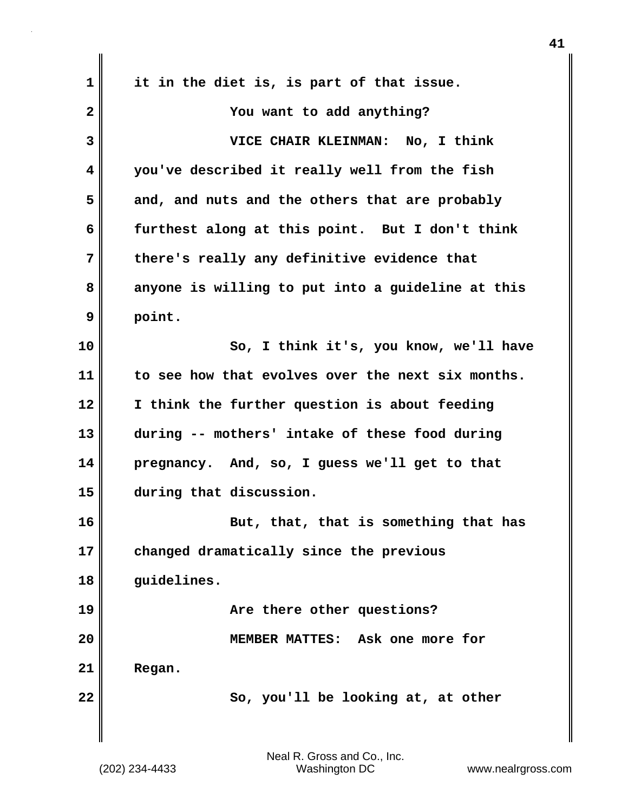| 1            | it in the diet is, is part of that issue.         |
|--------------|---------------------------------------------------|
| $\mathbf{2}$ | You want to add anything?                         |
| 3            | VICE CHAIR KLEINMAN: No, I think                  |
| 4            | you've described it really well from the fish     |
| 5            | and, and nuts and the others that are probably    |
| 6            | furthest along at this point. But I don't think   |
| 7            | there's really any definitive evidence that       |
| 8            | anyone is willing to put into a guideline at this |
| 9            | point.                                            |
| 10           | So, I think it's, you know, we'll have            |
| 11           | to see how that evolves over the next six months. |
| 12           | I think the further question is about feeding     |
| 13           | during -- mothers' intake of these food during    |
| 14           | pregnancy. And, so, I guess we'll get to that     |
| 15           | during that discussion.                           |
| 16           | But, that, that is something that has             |
| 17           | changed dramatically since the previous           |
| 18           | guidelines.                                       |
| 19           | Are there other questions?                        |
| 20           | MEMBER MATTES: Ask one more for                   |
| 21           | Regan.                                            |
| 22           | So, you'll be looking at, at other                |
|              |                                                   |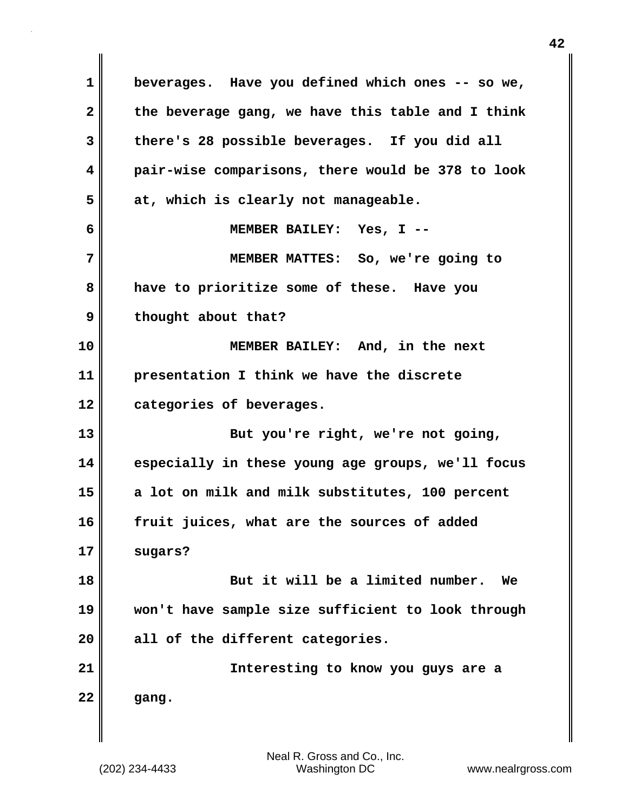**1 beverages. Have you defined which ones -- so we, 2 the beverage gang, we have this table and I think 3 there's 28 possible beverages. If you did all 4 pair-wise comparisons, there would be 378 to look 5 at, which is clearly not manageable. 6 MEMBER BAILEY: Yes, I -- 7 MEMBER MATTES: So, we're going to 8 have to prioritize some of these. Have you 9 thought about that? 10 MEMBER BAILEY: And, in the next 11 presentation I think we have the discrete 12 categories of beverages. 13 But you're right, we're not going, 14 especially in these young age groups, we'll focus 15 a lot on milk and milk substitutes, 100 percent 16 fruit juices, what are the sources of added 17 sugars? 18 But it will be a limited number. We 19 won't have sample size sufficient to look through 20 all of the different categories. 21 Interesting to know you guys are a 22 gang.**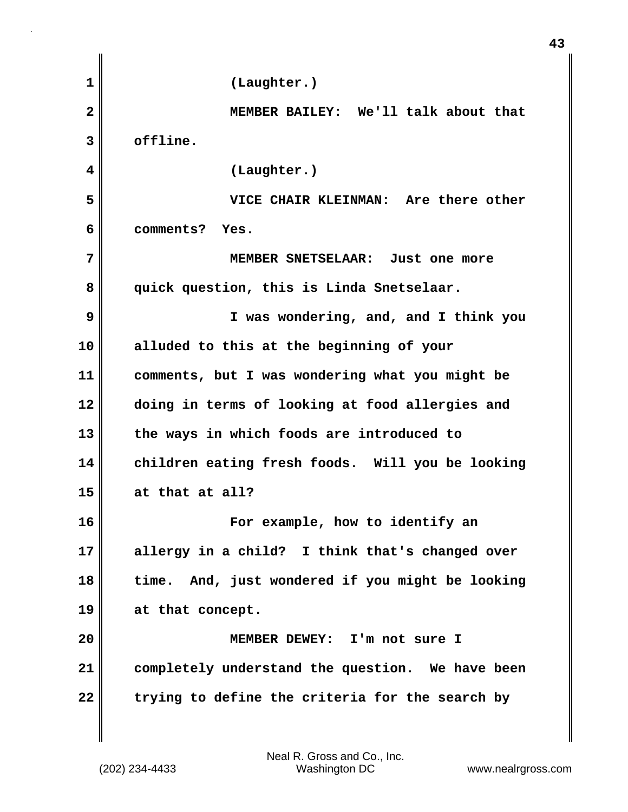| (Laughter.)                                      |
|--------------------------------------------------|
| MEMBER BAILEY: We'll talk about that             |
| offline.                                         |
| (Laughter.)                                      |
| VICE CHAIR KLEINMAN: Are there other             |
| comments? Yes.                                   |
| MEMBER SNETSELAAR: Just one more                 |
| quick question, this is Linda Snetselaar.        |
| I was wondering, and, and I think you            |
| alluded to this at the beginning of your         |
| comments, but I was wondering what you might be  |
| doing in terms of looking at food allergies and  |
| the ways in which foods are introduced to        |
| children eating fresh foods. Will you be looking |
| at that at all?                                  |
| For example, how to identify an                  |
| allergy in a child? I think that's changed over  |
| time. And, just wondered if you might be looking |
| at that concept.                                 |
| MEMBER DEWEY: I'm not sure I                     |
| completely understand the question. We have been |
| trying to define the criteria for the search by  |
|                                                  |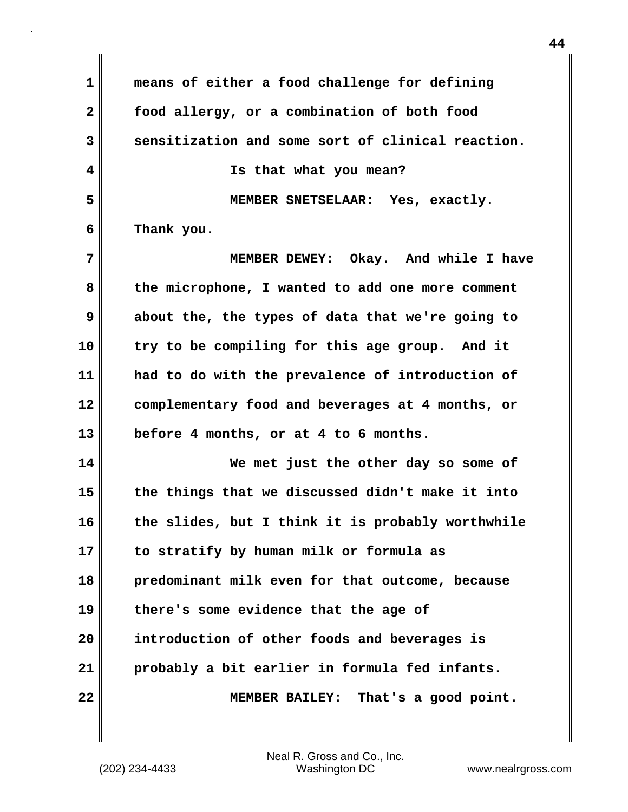**1 means of either a food challenge for defining 2 food allergy, or a combination of both food 3 sensitization and some sort of clinical reaction. 4 Is that what you mean? 5 MEMBER SNETSELAAR: Yes, exactly. 6 Thank you. 7 MEMBER DEWEY: Okay. And while I have 8 the microphone, I wanted to add one more comment 9 about the, the types of data that we're going to 10 try to be compiling for this age group. And it 11 had to do with the prevalence of introduction of 12 complementary food and beverages at 4 months, or 13 before 4 months, or at 4 to 6 months. 14 We met just the other day so some of 15 the things that we discussed didn't make it into 16 the slides, but I think it is probably worthwhile 17 to stratify by human milk or formula as 18 predominant milk even for that outcome, because 19 there's some evidence that the age of 20 introduction of other foods and beverages is 21 probably a bit earlier in formula fed infants. 22 MEMBER BAILEY: That's a good point.**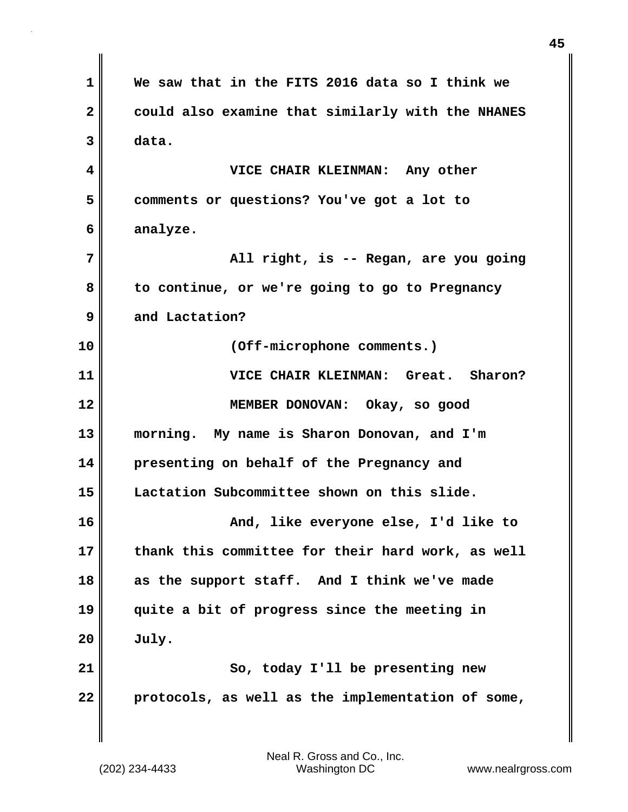| $\mathbf 1$             | We saw that in the FITS 2016 data so I think we   |
|-------------------------|---------------------------------------------------|
| $\mathbf{2}$            | could also examine that similarly with the NHANES |
| 3                       | data.                                             |
| $\overline{\mathbf{4}}$ | VICE CHAIR KLEINMAN: Any other                    |
| 5                       | comments or questions? You've got a lot to        |
| 6                       | analyze.                                          |
| 7                       | All right, is -- Regan, are you going             |
| 8                       | to continue, or we're going to go to Pregnancy    |
| 9                       | and Lactation?                                    |
| 10                      | (Off-microphone comments.)                        |
| 11                      | VICE CHAIR KLEINMAN: Great. Sharon?               |
| 12                      | MEMBER DONOVAN: Okay, so good                     |
| 13                      | morning. My name is Sharon Donovan, and I'm       |
| 14                      | presenting on behalf of the Pregnancy and         |
| 15                      | Lactation Subcommittee shown on this slide.       |
| 16                      | And, like everyone else, I'd like to              |
| 17                      | thank this committee for their hard work, as well |
| 18                      | as the support staff. And I think we've made      |
| 19                      | quite a bit of progress since the meeting in      |
| 20                      | July.                                             |
| 21                      | So, today I'll be presenting new                  |
| 22                      | protocols, as well as the implementation of some, |
|                         |                                                   |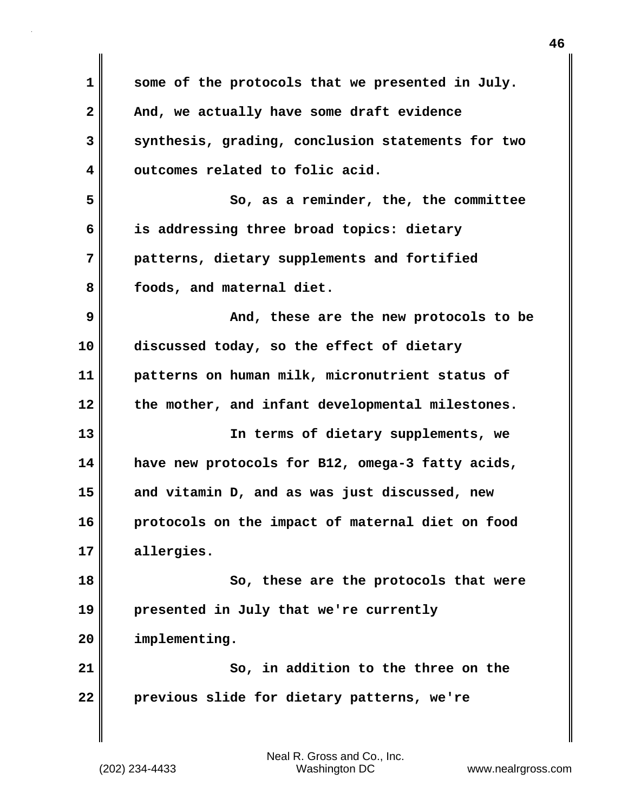| 1            | some of the protocols that we presented in July.  |
|--------------|---------------------------------------------------|
| $\mathbf{2}$ | And, we actually have some draft evidence         |
| 3            | synthesis, grading, conclusion statements for two |
| 4            | outcomes related to folic acid.                   |
| 5            | So, as a reminder, the, the committee             |
| 6            | is addressing three broad topics: dietary         |
| 7            | patterns, dietary supplements and fortified       |
| 8            | foods, and maternal diet.                         |
| 9            | And, these are the new protocols to be            |
| 10           | discussed today, so the effect of dietary         |
| 11           | patterns on human milk, micronutrient status of   |
| 12           | the mother, and infant developmental milestones.  |
| 13           | In terms of dietary supplements, we               |
| 14           | have new protocols for B12, omega-3 fatty acids,  |
| 15           | and vitamin D, and as was just discussed, new     |
| 16           | protocols on the impact of maternal diet on food  |
| 17           | allergies.                                        |
| 18           | So, these are the protocols that were             |
| 19           | presented in July that we're currently            |
| 20           | implementing.                                     |
| 21           | So, in addition to the three on the               |
| 22           | previous slide for dietary patterns, we're        |
|              |                                                   |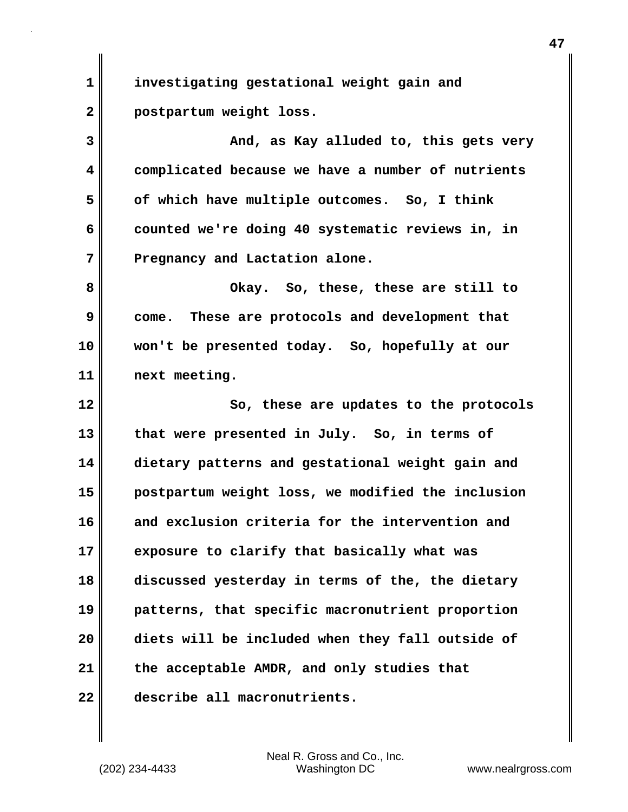**1 investigating gestational weight gain and 2 postpartum weight loss.**

**3 And, as Kay alluded to, this gets very 4 complicated because we have a number of nutrients 5 of which have multiple outcomes. So, I think 6 counted we're doing 40 systematic reviews in, in 7 Pregnancy and Lactation alone.**

**8 Okay. So, these, these are still to 9 come. These are protocols and development that 10 won't be presented today. So, hopefully at our 11 next meeting.**

**12 So, these are updates to the protocols 13 that were presented in July. So, in terms of 14 dietary patterns and gestational weight gain and 15 postpartum weight loss, we modified the inclusion 16 and exclusion criteria for the intervention and 17 exposure to clarify that basically what was 18 discussed yesterday in terms of the, the dietary 19 patterns, that specific macronutrient proportion 20 diets will be included when they fall outside of 21 the acceptable AMDR, and only studies that 22 describe all macronutrients.**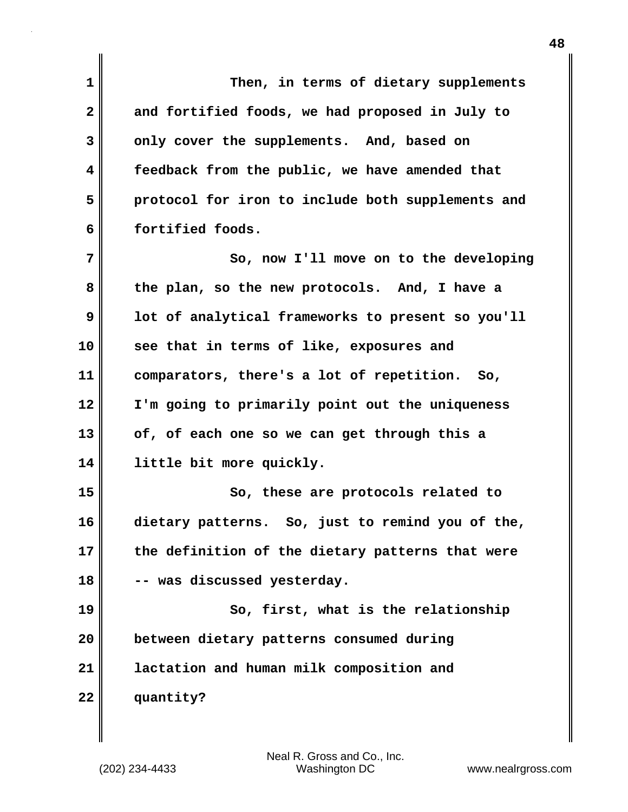| 1            | Then, in terms of dietary supplements             |
|--------------|---------------------------------------------------|
| $\mathbf{2}$ | and fortified foods, we had proposed in July to   |
| 3            | only cover the supplements. And, based on         |
| 4            | feedback from the public, we have amended that    |
| 5            | protocol for iron to include both supplements and |
| 6            | fortified foods.                                  |
| 7            | So, now I'll move on to the developing            |
| 8            | the plan, so the new protocols. And, I have a     |
| 9            | lot of analytical frameworks to present so you'll |
| 10           | see that in terms of like, exposures and          |
| 11           | comparators, there's a lot of repetition. So,     |
| 12           | I'm going to primarily point out the uniqueness   |
| 13           | of, of each one so we can get through this a      |
| 14           | little bit more quickly.                          |
| 15           | So, these are protocols related to                |
| 16           | dietary patterns. So, just to remind you of the,  |
| 17           | the definition of the dietary patterns that were  |
| 18           | -- was discussed yesterday.                       |
| 19           | So, first, what is the relationship               |
| 20           | between dietary patterns consumed during          |
| 21           | lactation and human milk composition and          |
| 22           | quantity?                                         |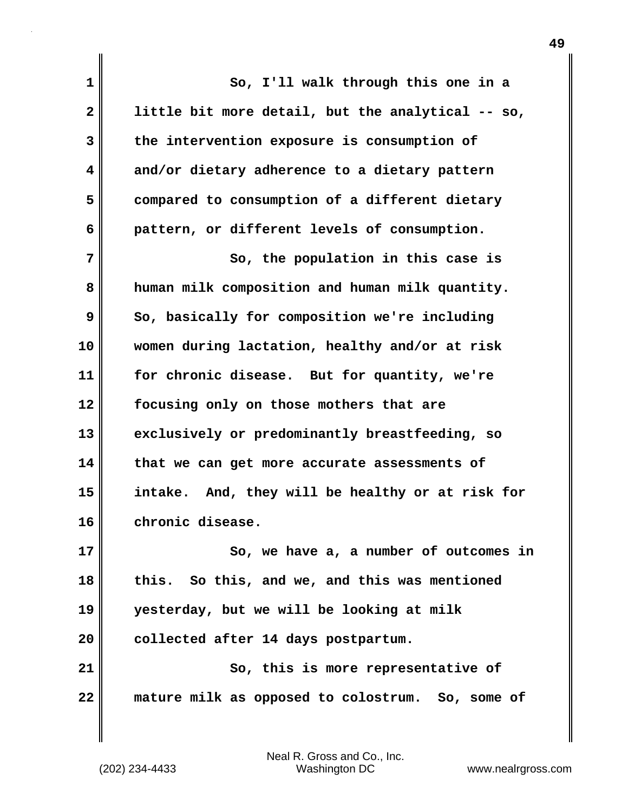| 1            | So, I'll walk through this one in a               |
|--------------|---------------------------------------------------|
| $\mathbf{2}$ | little bit more detail, but the analytical -- so, |
| 3            | the intervention exposure is consumption of       |
| 4            | and/or dietary adherence to a dietary pattern     |
| 5            | compared to consumption of a different dietary    |
| 6            | pattern, or different levels of consumption.      |
| 7            | So, the population in this case is                |
| 8            | human milk composition and human milk quantity.   |
| 9            | So, basically for composition we're including     |
| 10           | women during lactation, healthy and/or at risk    |
| 11           | for chronic disease. But for quantity, we're      |
| 12           | focusing only on those mothers that are           |
| 13           | exclusively or predominantly breastfeeding, so    |
| 14           | that we can get more accurate assessments of      |
| 15           | intake. And, they will be healthy or at risk for  |
| 16           | chronic disease.                                  |
| 17           | So, we have a, a number of outcomes in            |
| 18           | this. So this, and we, and this was mentioned     |
| 19           | yesterday, but we will be looking at milk         |
| 20           | collected after 14 days postpartum.               |
| 21           | So, this is more representative of                |
| 22           | mature milk as opposed to colostrum. So, some of  |
|              |                                                   |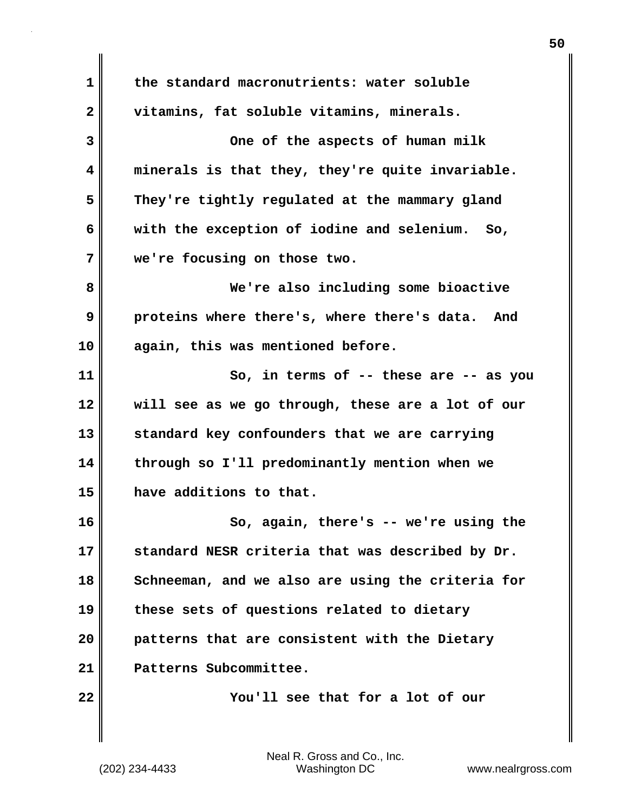**1 the standard macronutrients: water soluble 2 vitamins, fat soluble vitamins, minerals. 3 One of the aspects of human milk 4 minerals is that they, they're quite invariable. 5 They're tightly regulated at the mammary gland 6 with the exception of iodine and selenium. So, 7 we're focusing on those two. 8 We're also including some bioactive 9 proteins where there's, where there's data. And 10 again, this was mentioned before. 11 So, in terms of -- these are -- as you 12 will see as we go through, these are a lot of our 13 standard key confounders that we are carrying 14 through so I'll predominantly mention when we 15 have additions to that. 16 So, again, there's -- we're using the 17 standard NESR criteria that was described by Dr. 18 Schneeman, and we also are using the criteria for 19 these sets of questions related to dietary 20 patterns that are consistent with the Dietary 21 Patterns Subcommittee. 22 You'll see that for a lot of our**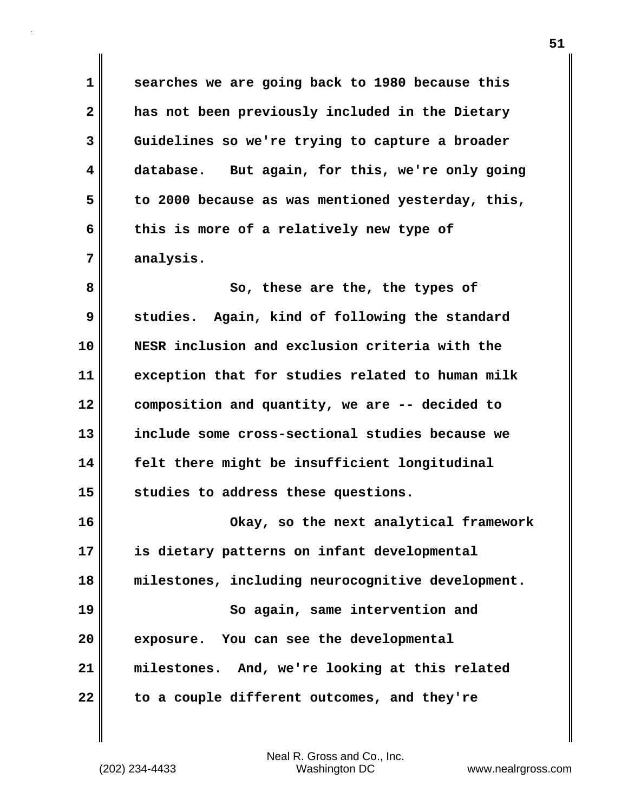**1 searches we are going back to 1980 because this 2 has not been previously included in the Dietary 3 Guidelines so we're trying to capture a broader 4 database. But again, for this, we're only going 5 to 2000 because as was mentioned yesterday, this, 6 this is more of a relatively new type of 7 analysis.**

**8** So, these are the, the types of **9 studies. Again, kind of following the standard 10 NESR inclusion and exclusion criteria with the 11 exception that for studies related to human milk 12 composition and quantity, we are -- decided to 13 include some cross-sectional studies because we 14 felt there might be insufficient longitudinal 15 studies to address these questions.**

**16 Okay, so the next analytical framework 17 is dietary patterns on infant developmental 18 milestones, including neurocognitive development. 19 So again, same intervention and 20 exposure. You can see the developmental 21 milestones. And, we're looking at this related 22 to a couple different outcomes, and they're**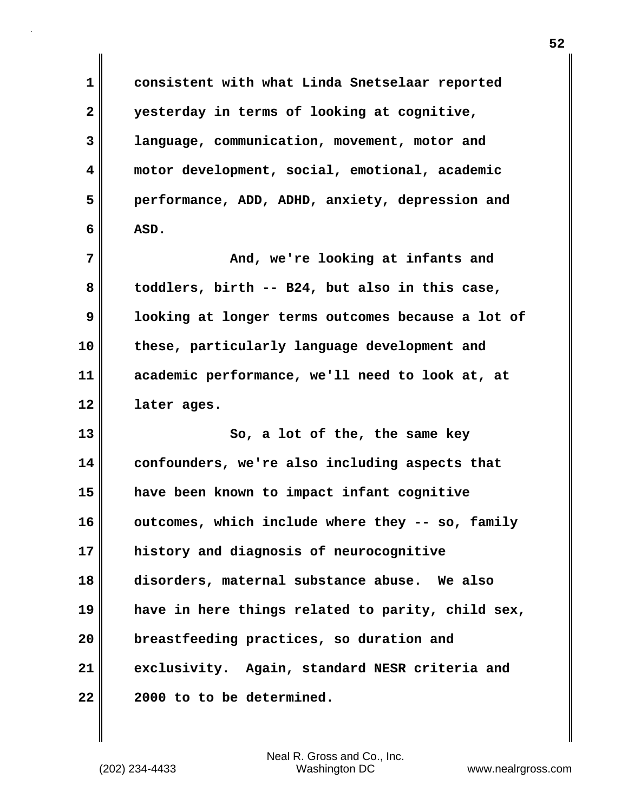**1 consistent with what Linda Snetselaar reported 2 yesterday in terms of looking at cognitive, 3 language, communication, movement, motor and 4 motor development, social, emotional, academic 5 performance, ADD, ADHD, anxiety, depression and 6 ASD. 7 And, we're looking at infants and 8 toddlers, birth -- B24, but also in this case, 9 looking at longer terms outcomes because a lot of 10 these, particularly language development and 11 academic performance, we'll need to look at, at 12 later ages. 13 So, a lot of the, the same key 14 confounders, we're also including aspects that 15 have been known to impact infant cognitive 16 outcomes, which include where they -- so, family 17 history and diagnosis of neurocognitive 18 disorders, maternal substance abuse. We also 19 have in here things related to parity, child sex, 20 breastfeeding practices, so duration and 21 exclusivity. Again, standard NESR criteria and 22 2000 to to be determined.**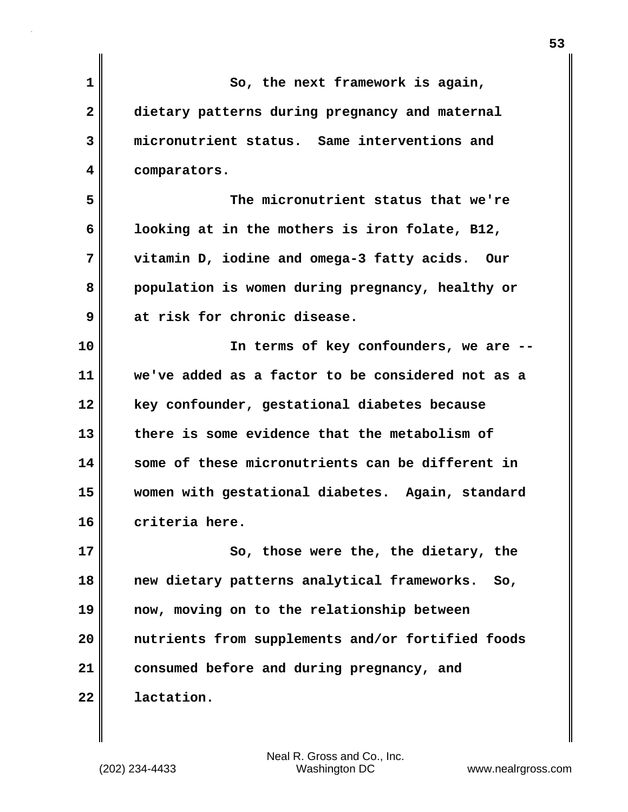| So, the next framework is again,                   |
|----------------------------------------------------|
| dietary patterns during pregnancy and maternal     |
| micronutrient status. Same interventions and       |
| comparators.                                       |
| The micronutrient status that we're                |
| looking at in the mothers is iron folate, B12,     |
| vitamin D, iodine and omega-3 fatty acids.<br>Our  |
| population is women during pregnancy, healthy or   |
| at risk for chronic disease.                       |
| In terms of key confounders, we are --             |
| we've added as a factor to be considered not as a  |
| key confounder, gestational diabetes because       |
| there is some evidence that the metabolism of      |
| some of these micronutrients can be different in   |
| women with gestational diabetes. Again, standard   |
| criteria here.                                     |
| So, those were the, the dietary, the               |
| new dietary patterns analytical frameworks.<br>So, |
| now, moving on to the relationship between         |
| nutrients from supplements and/or fortified foods  |
| consumed before and during pregnancy, and          |
| lactation.                                         |
|                                                    |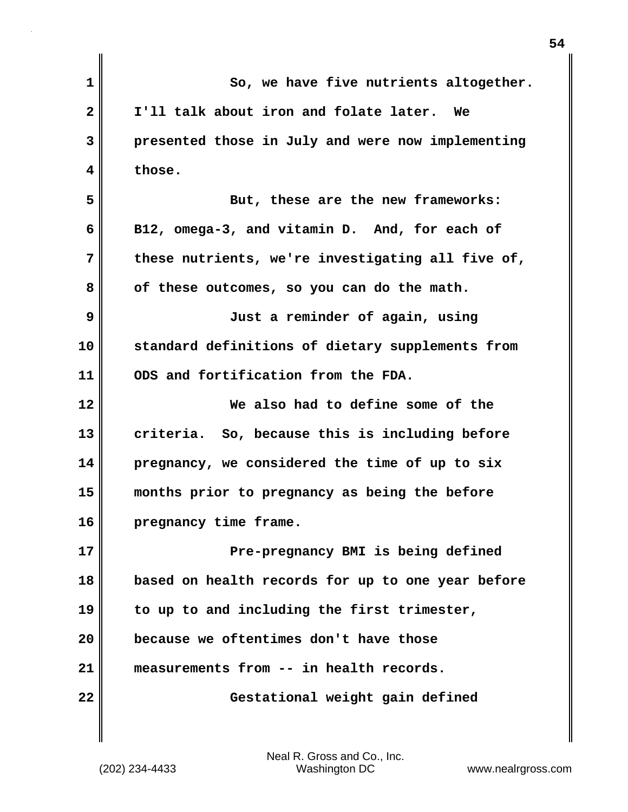| $\mathbf 1$  | So, we have five nutrients altogether.            |
|--------------|---------------------------------------------------|
| $\mathbf{2}$ | I'll talk about iron and folate later. We         |
| 3            | presented those in July and were now implementing |
| 4            | those.                                            |
| 5            | But, these are the new frameworks:                |
| 6            | B12, omega-3, and vitamin D. And, for each of     |
| 7            | these nutrients, we're investigating all five of, |
| 8            | of these outcomes, so you can do the math.        |
| 9            | Just a reminder of again, using                   |
| 10           | standard definitions of dietary supplements from  |
| 11           | ODS and fortification from the FDA.               |
| 12           | We also had to define some of the                 |
| 13           | criteria. So, because this is including before    |
| 14           | pregnancy, we considered the time of up to six    |
| 15           | months prior to pregnancy as being the before     |
| 16           | pregnancy time frame.                             |
| 17           | Pre-pregnancy BMI is being defined                |
| 18           | based on health records for up to one year before |
| 19           | to up to and including the first trimester,       |
| 20           | because we oftentimes don't have those            |
| 21           | measurements from -- in health records.           |
| 22           | Gestational weight gain defined                   |
|              |                                                   |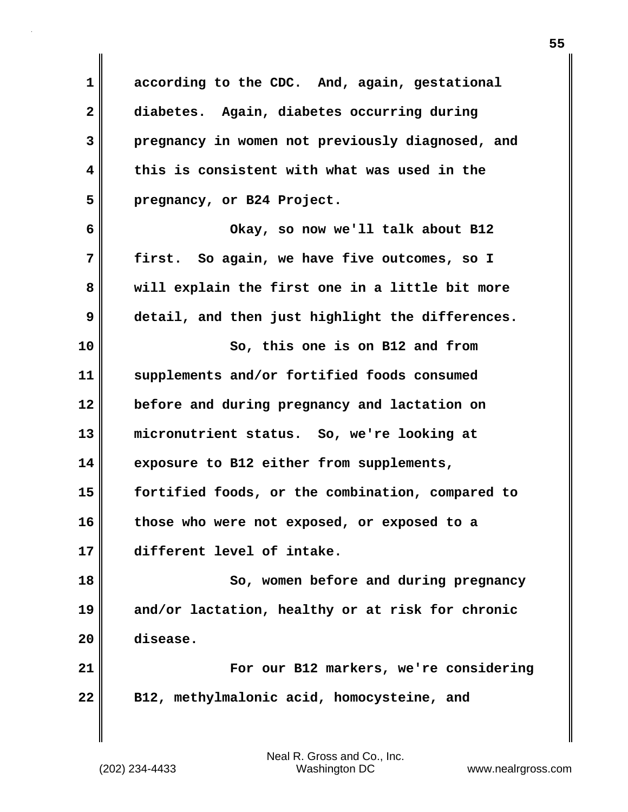**1 according to the CDC. And, again, gestational 2 diabetes. Again, diabetes occurring during 3 pregnancy in women not previously diagnosed, and 4 this is consistent with what was used in the 5 pregnancy, or B24 Project. 6 Okay, so now we'll talk about B12 7 first. So again, we have five outcomes, so I 8 will explain the first one in a little bit more 9 detail, and then just highlight the differences. 10 So, this one is on B12 and from 11 supplements and/or fortified foods consumed 12 before and during pregnancy and lactation on 13 micronutrient status. So, we're looking at 14 exposure to B12 either from supplements, 15 fortified foods, or the combination, compared to 16 those who were not exposed, or exposed to a 17 different level of intake. 18 So, women before and during pregnancy 19 and/or lactation, healthy or at risk for chronic 20 disease. 21 For our B12 markers, we're considering 22 B12, methylmalonic acid, homocysteine, and**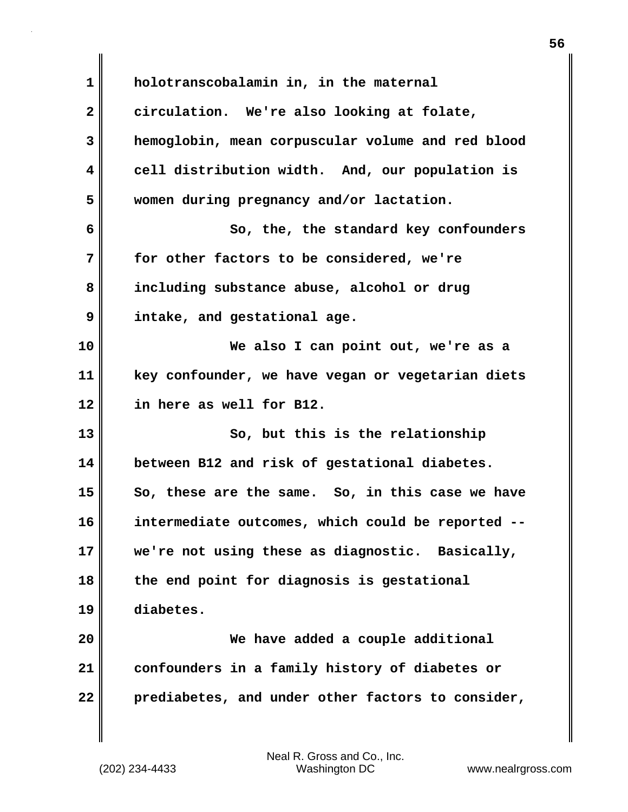**1 holotranscobalamin in, in the maternal 2 circulation. We're also looking at folate, 3 hemoglobin, mean corpuscular volume and red blood 4 cell distribution width. And, our population is 5 women during pregnancy and/or lactation. 6 So, the, the standard key confounders 7 for other factors to be considered, we're 8 including substance abuse, alcohol or drug 9 intake, and gestational age. 10 We also I can point out, we're as a 11 key confounder, we have vegan or vegetarian diets 12 in here as well for B12. 13** So, but this is the relationship **14 between B12 and risk of gestational diabetes. 15 So, these are the same. So, in this case we have 16 intermediate outcomes, which could be reported -- 17 we're not using these as diagnostic. Basically, 18 the end point for diagnosis is gestational 19 diabetes. 20 We have added a couple additional 21 confounders in a family history of diabetes or 22 prediabetes, and under other factors to consider,**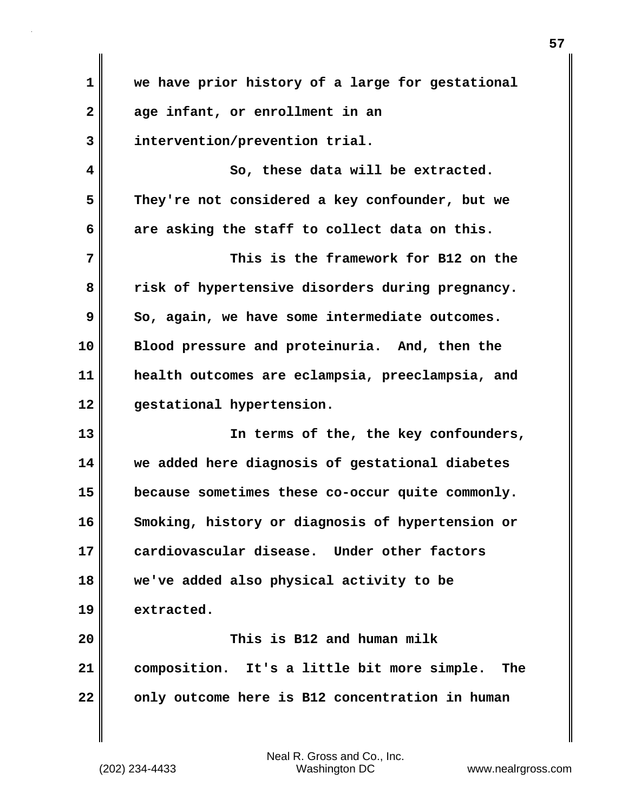**1 we have prior history of a large for gestational 2 age infant, or enrollment in an 3 intervention/prevention trial. 4 So, these data will be extracted. 5 They're not considered a key confounder, but we 6 are asking the staff to collect data on this. 7 This is the framework for B12 on the 8 risk of hypertensive disorders during pregnancy. 9** So, again, we have some intermediate outcomes. **10 Blood pressure and proteinuria. And, then the 11 health outcomes are eclampsia, preeclampsia, and 12 gestational hypertension. 13 In terms of the, the key confounders, 14 we added here diagnosis of gestational diabetes 15 because sometimes these co-occur quite commonly. 16 Smoking, history or diagnosis of hypertension or 17 cardiovascular disease. Under other factors 18 we've added also physical activity to be 19 extracted. 20 This is B12 and human milk 21 composition. It's a little bit more simple. The 22 only outcome here is B12 concentration in human**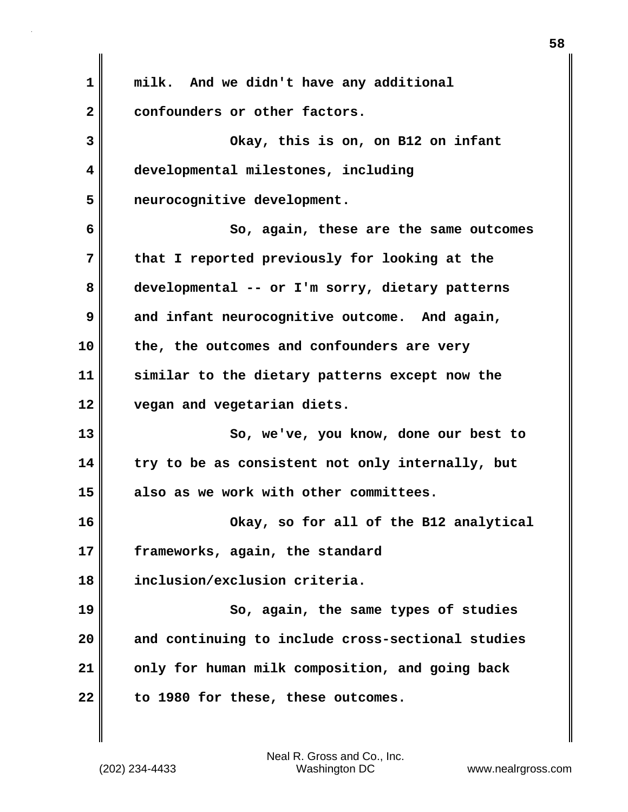**1 milk. And we didn't have any additional** 2 confounders or other factors. **3 Okay, this is on, on B12 on infant 4 developmental milestones, including 5 neurocognitive development. 6 So, again, these are the same outcomes 7 that I reported previously for looking at the 8 developmental -- or I'm sorry, dietary patterns 9 and infant neurocognitive outcome. And again, 10 the, the outcomes and confounders are very 11 similar to the dietary patterns except now the 12 vegan and vegetarian diets. 13 So, we've, you know, done our best to 14 try to be as consistent not only internally, but 15 also as we work with other committees. 16 Okay, so for all of the B12 analytical 17 frameworks, again, the standard 18 inclusion/exclusion criteria. 19 So, again, the same types of studies 20 and continuing to include cross-sectional studies 21 only for human milk composition, and going back 22 to 1980 for these, these outcomes.**

(202) 234-4433 Washington DC www.nealrgross.com Neal R. Gross and Co., Inc.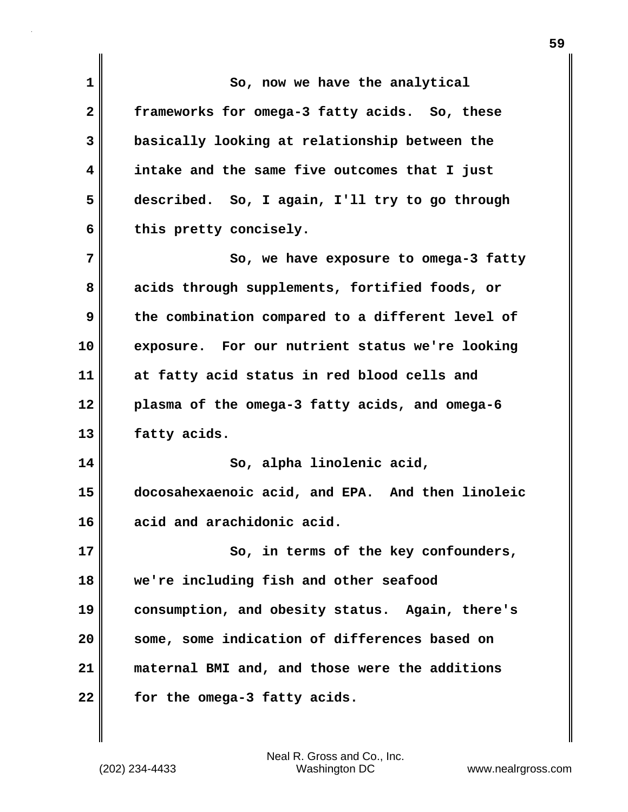**1 So, now we have the analytical 2 frameworks for omega-3 fatty acids. So, these 3 basically looking at relationship between the 4 intake and the same five outcomes that I just 5 described. So, I again, I'll try to go through** 6 this pretty concisely. **7** So, we have exposure to omega-3 fatty **8 acids through supplements, fortified foods, or 9 the combination compared to a different level of 10 exposure. For our nutrient status we're looking 11 at fatty acid status in red blood cells and 12 plasma of the omega-3 fatty acids, and omega-6 13 fatty acids. 14 So, alpha linolenic acid, 15 docosahexaenoic acid, and EPA. And then linoleic 16 acid and arachidonic acid. 17** So, in terms of the key confounders, **18 we're including fish and other seafood 19 consumption, and obesity status. Again, there's 20 some, some indication of differences based on 21 maternal BMI and, and those were the additions 22 for the omega-3 fatty acids.**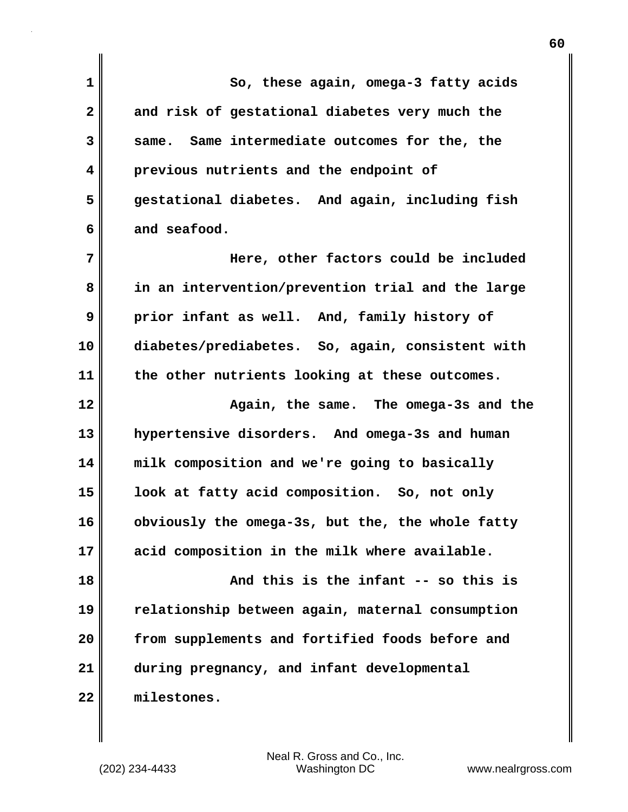**1 So, these again, omega-3 fatty acids 2 and risk of gestational diabetes very much the 3 same. Same intermediate outcomes for the, the 4 previous nutrients and the endpoint of 5 gestational diabetes. And again, including fish 6 and seafood. 7 Here, other factors could be included 8 in an intervention/prevention trial and the large 9 prior infant as well. And, family history of 10 diabetes/prediabetes. So, again, consistent with 11 the other nutrients looking at these outcomes. 12 Again, the same. The omega-3s and the 13 hypertensive disorders. And omega-3s and human 14 milk composition and we're going to basically 15 look at fatty acid composition. So, not only 16 obviously the omega-3s, but the, the whole fatty 17 acid composition in the milk where available. 18 And this is the infant -- so this is 19 relationship between again, maternal consumption 20 from supplements and fortified foods before and 21 during pregnancy, and infant developmental 22 milestones.**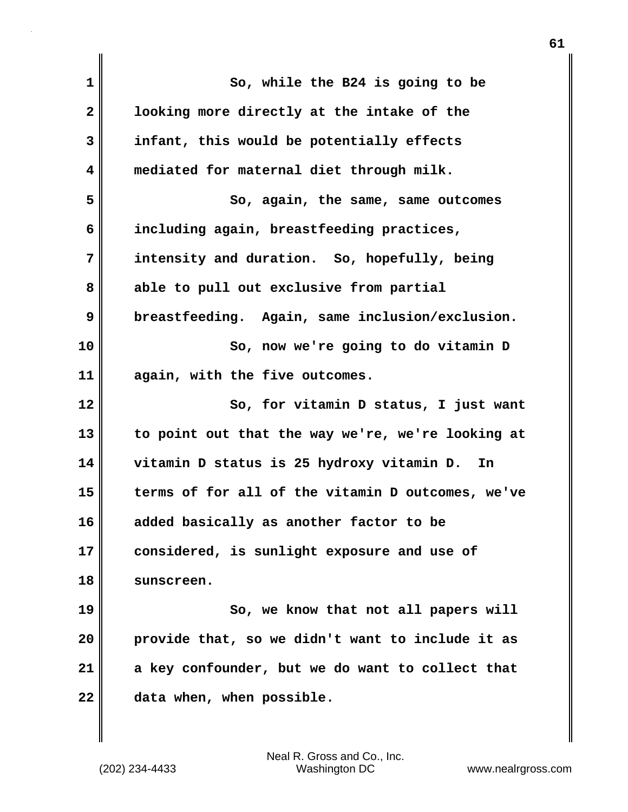| $\mathbf 1$  | So, while the B24 is going to be                  |
|--------------|---------------------------------------------------|
| $\mathbf{2}$ | looking more directly at the intake of the        |
| 3            | infant, this would be potentially effects         |
| 4            | mediated for maternal diet through milk.          |
| 5            | So, again, the same, same outcomes                |
| 6            | including again, breastfeeding practices,         |
| 7            | intensity and duration. So, hopefully, being      |
| 8            | able to pull out exclusive from partial           |
| 9            | breastfeeding. Again, same inclusion/exclusion.   |
| 10           | So, now we're going to do vitamin D               |
| 11           | again, with the five outcomes.                    |
| 12           | So, for vitamin D status, I just want             |
| 13           | to point out that the way we're, we're looking at |
| 14           | vitamin D status is 25 hydroxy vitamin D. In      |
| 15           | terms of for all of the vitamin D outcomes, we've |
| 16           | added basically as another factor to be           |
| 17           | considered, is sunlight exposure and use of       |
| 18           | sunscreen.                                        |
| 19           | So, we know that not all papers will              |
| 20           | provide that, so we didn't want to include it as  |
| 21           | a key confounder, but we do want to collect that  |
| 22           | data when, when possible.                         |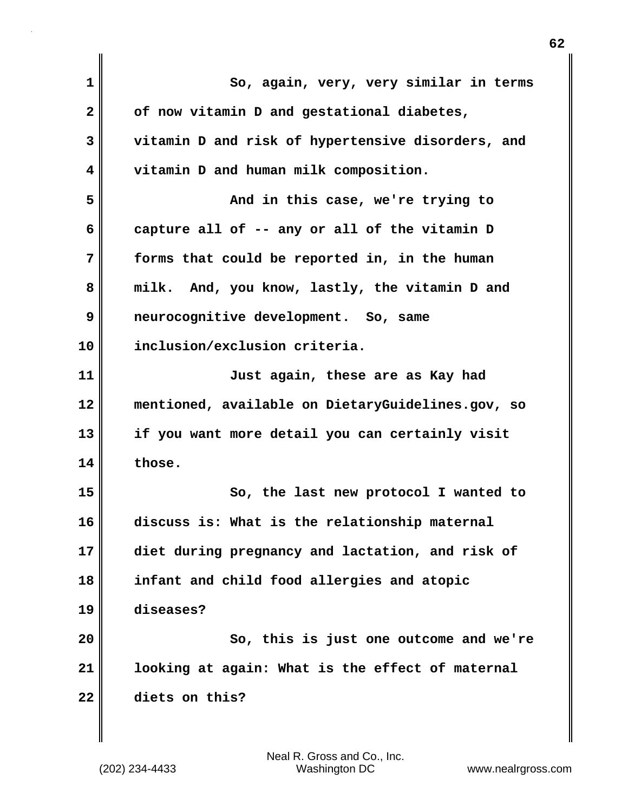| $\mathbf{1}$            | So, again, very, very similar in terms            |
|-------------------------|---------------------------------------------------|
| $\overline{\mathbf{2}}$ | of now vitamin D and gestational diabetes,        |
| 3                       | vitamin D and risk of hypertensive disorders, and |
| 4                       | vitamin D and human milk composition.             |
| 5                       | And in this case, we're trying to                 |
| 6                       | capture all of -- any or all of the vitamin D     |
| 7                       | forms that could be reported in, in the human     |
| 8                       | And, you know, lastly, the vitamin D and<br>milk. |
| 9                       | neurocognitive development. So, same              |
| 10                      | inclusion/exclusion criteria.                     |
| 11                      | Just again, these are as Kay had                  |
| 12                      | mentioned, available on DietaryGuidelines.gov, so |
| 13                      | if you want more detail you can certainly visit   |
| 14                      | those.                                            |
| 15                      | So, the last new protocol I wanted to             |
| 16                      | discuss is: What is the relationship maternal     |
| 17                      | diet during pregnancy and lactation, and risk of  |
| 18                      | infant and child food allergies and atopic        |
| 19                      | diseases?                                         |
| 20                      | So, this is just one outcome and we're            |
| 21                      | looking at again: What is the effect of maternal  |
| 22                      | diets on this?                                    |
|                         |                                                   |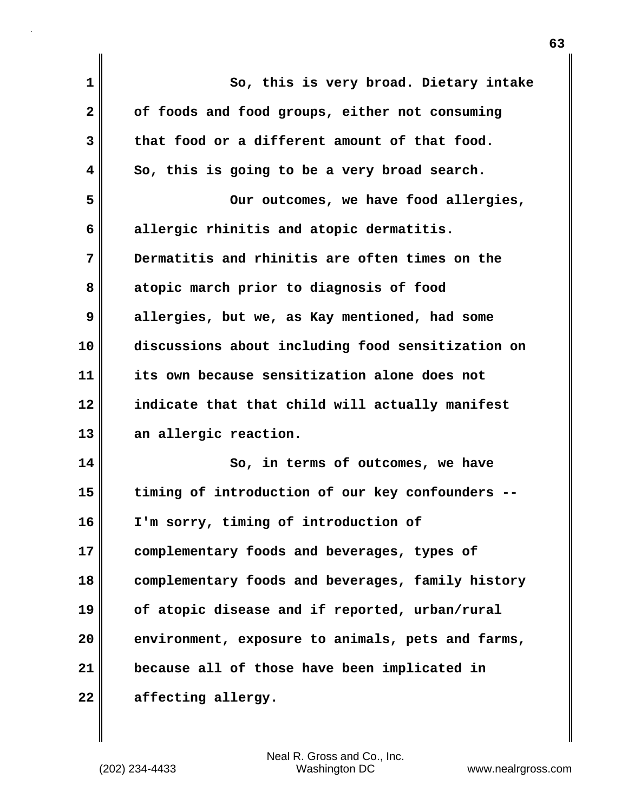| $\mathbf 1$  | So, this is very broad. Dietary intake            |
|--------------|---------------------------------------------------|
| $\mathbf{2}$ | of foods and food groups, either not consuming    |
| 3            | that food or a different amount of that food.     |
| 4            | So, this is going to be a very broad search.      |
| 5            | Our outcomes, we have food allergies,             |
| 6            | allergic rhinitis and atopic dermatitis.          |
| 7            | Dermatitis and rhinitis are often times on the    |
| 8            | atopic march prior to diagnosis of food           |
| 9            | allergies, but we, as Kay mentioned, had some     |
| 10           | discussions about including food sensitization on |
| 11           | its own because sensitization alone does not      |
| 12           | indicate that that child will actually manifest   |
| 13           | an allergic reaction.                             |
| 14           | So, in terms of outcomes, we have                 |
| 15           | timing of introduction of our key confounders --  |
| 16           | I'm sorry, timing of introduction of              |
| 17           | complementary foods and beverages, types of       |
| 18           | complementary foods and beverages, family history |
| 19           | of atopic disease and if reported, urban/rural    |
| 20           | environment, exposure to animals, pets and farms, |
| 21           | because all of those have been implicated in      |
| 22           | affecting allergy.                                |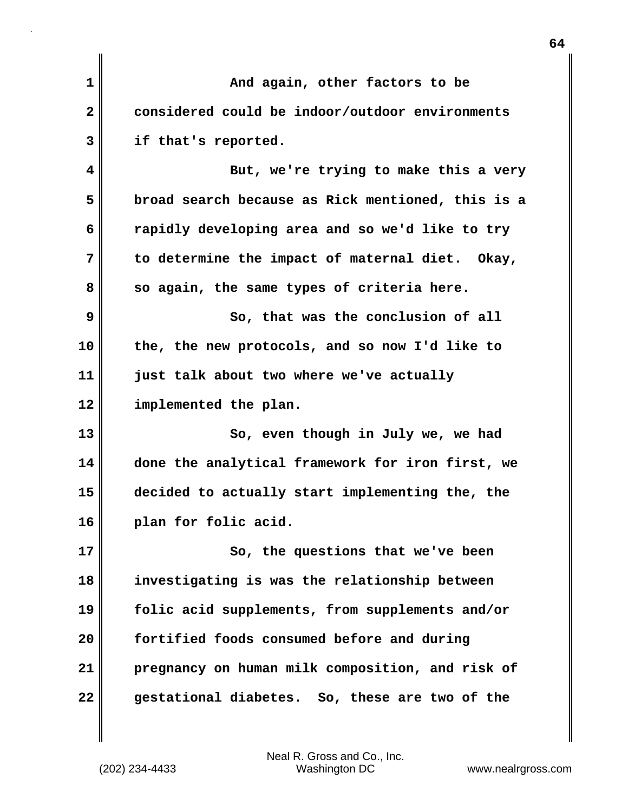| And again, other factors to be                    |
|---------------------------------------------------|
| considered could be indoor/outdoor environments   |
| if that's reported.                               |
| But, we're trying to make this a very             |
| broad search because as Rick mentioned, this is a |
| rapidly developing area and so we'd like to try   |
| to determine the impact of maternal diet. Okay,   |
| so again, the same types of criteria here.        |
| So, that was the conclusion of all                |
| the, the new protocols, and so now I'd like to    |
| just talk about two where we've actually          |
| implemented the plan.                             |
| So, even though in July we, we had                |
| done the analytical framework for iron first, we  |
| decided to actually start implementing the, the   |
| plan for folic acid.                              |
| So, the questions that we've been                 |
| investigating is was the relationship between     |
| folic acid supplements, from supplements and/or   |
| fortified foods consumed before and during        |
| pregnancy on human milk composition, and risk of  |
| gestational diabetes. So, these are two of the    |
|                                                   |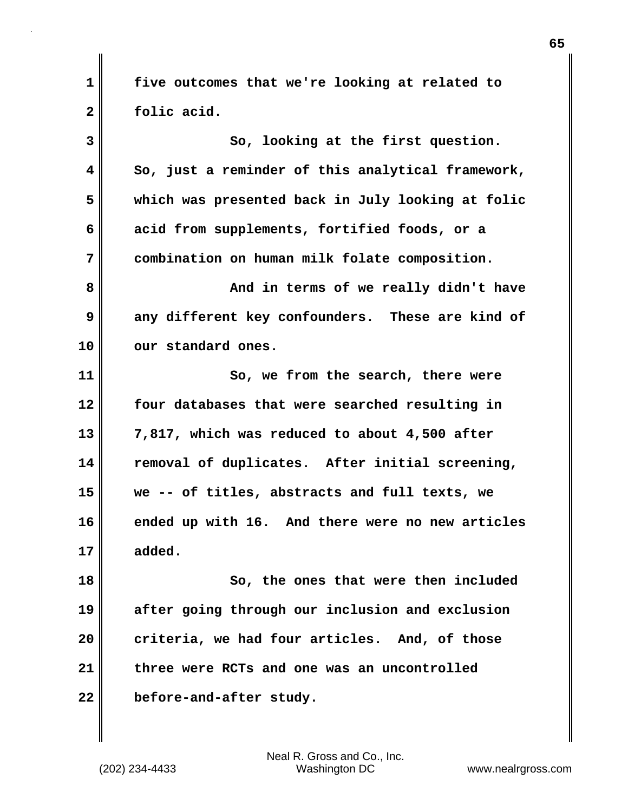**1 five outcomes that we're looking at related to 2 folic acid.**

**3** So, looking at the first question. **4 So, just a reminder of this analytical framework, 5 which was presented back in July looking at folic 6 acid from supplements, fortified foods, or a 7 combination on human milk folate composition. 8 And in terms of we really didn't have 9** any different key confounders. These are kind of **10 our standard ones. 11 So, we from the search, there were 12 four databases that were searched resulting in 13 7,817, which was reduced to about 4,500 after 14 removal of duplicates. After initial screening, 15 we -- of titles, abstracts and full texts, we 16 ended up with 16. And there were no new articles 17 added. 18 So, the ones that were then included**

**19 after going through our inclusion and exclusion 20 criteria, we had four articles. And, of those 21 three were RCTs and one was an uncontrolled 22 before-and-after study.**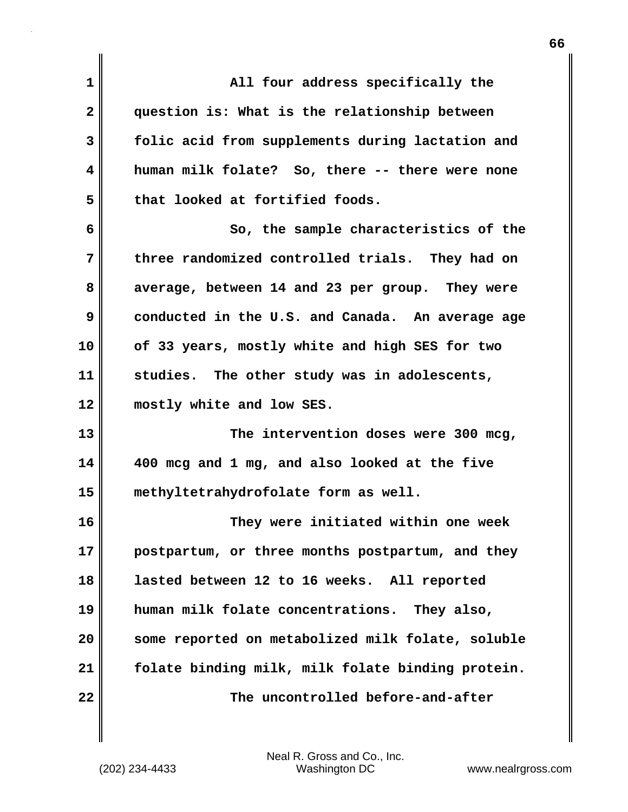| $\mathbf{1}$ | All four address specifically the                 |
|--------------|---------------------------------------------------|
| $\mathbf{2}$ | question is: What is the relationship between     |
| 3            | folic acid from supplements during lactation and  |
| 4            | human milk folate? So, there -- there were none   |
| 5            | that looked at fortified foods.                   |
| 6            | So, the sample characteristics of the             |
| 7            | three randomized controlled trials. They had on   |
| 8            | average, between 14 and 23 per group. They were   |
| 9            | conducted in the U.S. and Canada. An average age  |
| 10           | of 33 years, mostly white and high SES for two    |
| 11           | studies. The other study was in adolescents,      |
| 12           | mostly white and low SES.                         |
| 13           | The intervention doses were 300 mcg,              |
| 14           | 400 mcg and 1 mg, and also looked at the five     |
| 15           | methyltetrahydrofolate form as well.              |
| 16           | They were initiated within one week               |
| 17           | postpartum, or three months postpartum, and they  |
| 18           | lasted between 12 to 16 weeks. All reported       |
| 19           | human milk folate concentrations. They also,      |
| 20           | some reported on metabolized milk folate, soluble |
| 21           | folate binding milk, milk folate binding protein. |
| 22           | The uncontrolled before-and-after                 |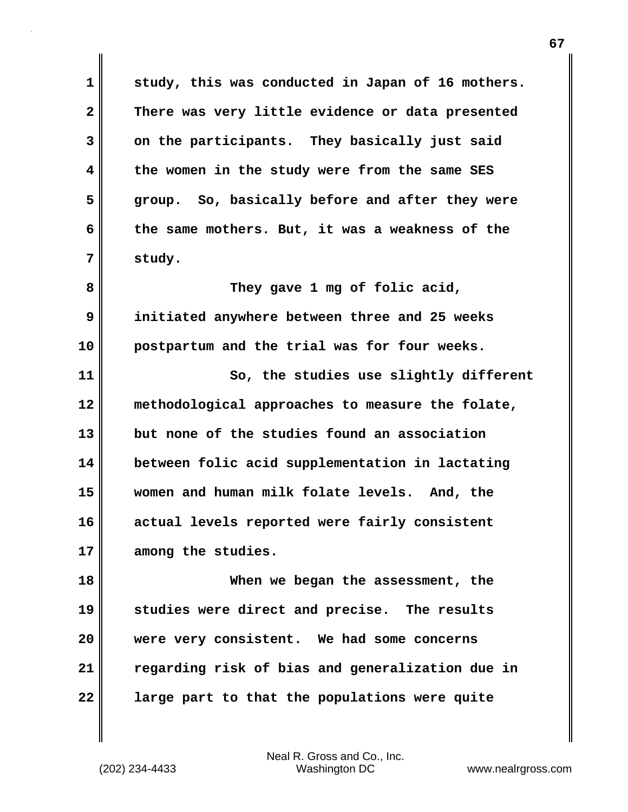**1 study, this was conducted in Japan of 16 mothers. 2 There was very little evidence or data presented 3 on the participants. They basically just said 4 the women in the study were from the same SES 5 group. So, basically before and after they were 6 the same mothers. But, it was a weakness of the 7 study. 8 They gave 1 mg of folic acid, 9 initiated anywhere between three and 25 weeks 10 postpartum and the trial was for four weeks.**

**11 So, the studies use slightly different 12 methodological approaches to measure the folate, 13 but none of the studies found an association 14 between folic acid supplementation in lactating 15 women and human milk folate levels. And, the 16 actual levels reported were fairly consistent 17 among the studies.**

**18 When we began the assessment, the 19 studies were direct and precise. The results 20 were very consistent. We had some concerns 21 regarding risk of bias and generalization due in 22 large part to that the populations were quite**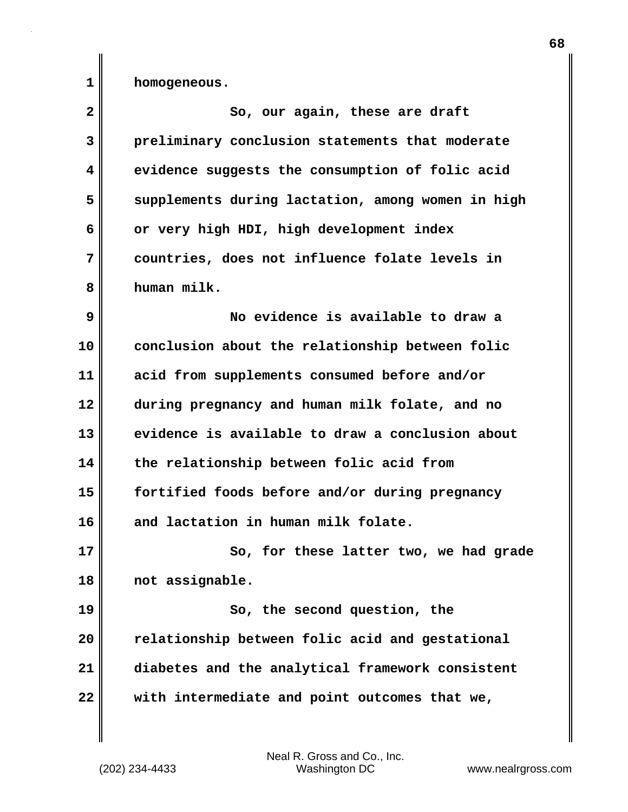**1 homogeneous.**

| $\overline{\mathbf{2}}$ | So, our again, these are draft                    |
|-------------------------|---------------------------------------------------|
| 3                       | preliminary conclusion statements that moderate   |
| 4                       | evidence suggests the consumption of folic acid   |
| 5                       | supplements during lactation, among women in high |
| 6                       | or very high HDI, high development index          |
| 7                       | countries, does not influence folate levels in    |
| 8                       | human milk.                                       |
| 9                       | No evidence is available to draw a                |
| 10                      | conclusion about the relationship between folic   |
| 11                      | acid from supplements consumed before and/or      |
| 12                      | during pregnancy and human milk folate, and no    |
| 13                      | evidence is available to draw a conclusion about  |
| 14                      | the relationship between folic acid from          |
| 15                      | fortified foods before and/or during pregnancy    |
| 16                      | and lactation in human milk folate.               |
| 17                      | So, for these latter two, we had grade            |
| 18                      | not assignable.                                   |
| 19                      | So, the second question, the                      |
| 20                      | relationship between folic acid and gestational   |
| 21                      | diabetes and the analytical framework consistent  |
| 22                      | with intermediate and point outcomes that we,     |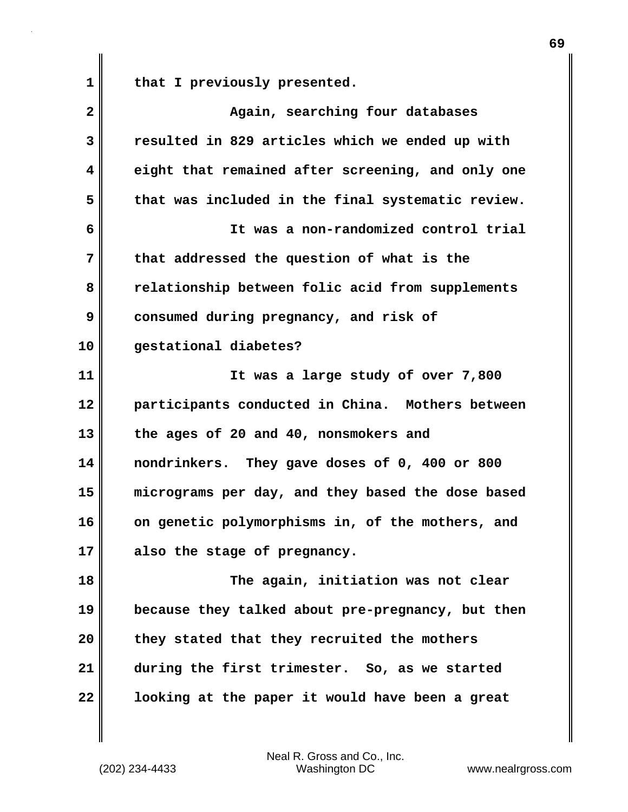1 || that I previously presented.

**2 Again, searching four databases 3 resulted in 829 articles which we ended up with 4 eight that remained after screening, and only one 5 that was included in the final systematic review. 6 It was a non-randomized control trial 7 that addressed the question of what is the 8 relationship between folic acid from supplements 9 consumed during pregnancy, and risk of 10 gestational diabetes? 11 It was a large study of over 7,800 12 participants conducted in China. Mothers between 13 the ages of 20 and 40, nonsmokers and 14 nondrinkers. They gave doses of 0, 400 or 800 15 micrograms per day, and they based the dose based 16 on genetic polymorphisms in, of the mothers, and 17 also the stage of pregnancy. 18 The again, initiation was not clear 19 because they talked about pre-pregnancy, but then 20 they stated that they recruited the mothers 21 during the first trimester. So, as we started 22 looking at the paper it would have been a great**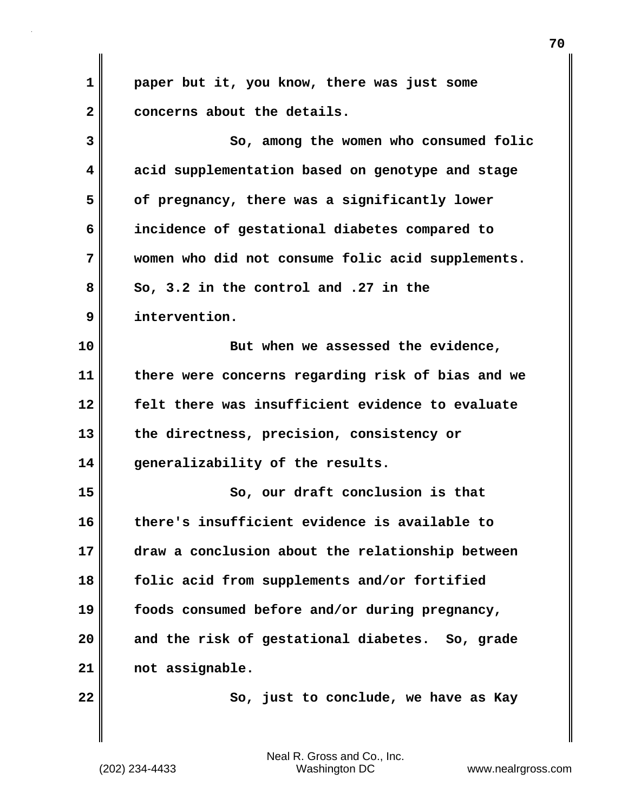| 1  | paper but it, you know, there was just some       |
|----|---------------------------------------------------|
| 2  | concerns about the details.                       |
| 3  | So, among the women who consumed folic            |
| 4  | acid supplementation based on genotype and stage  |
| 5  | of pregnancy, there was a significantly lower     |
| 6  | incidence of gestational diabetes compared to     |
| 7  | women who did not consume folic acid supplements. |
| 8  | So, 3.2 in the control and .27 in the             |
| 9  | intervention.                                     |
| 10 | But when we assessed the evidence,                |
| 11 | there were concerns regarding risk of bias and we |
| 12 | felt there was insufficient evidence to evaluate  |
| 13 | the directness, precision, consistency or         |
| 14 | generalizability of the results.                  |
| 15 | So, our draft conclusion is that                  |
| 16 | there's insufficient evidence is available to     |
| 17 | draw a conclusion about the relationship between  |
| 18 | folic acid from supplements and/or fortified      |
| 19 | foods consumed before and/or during pregnancy,    |
| 20 | and the risk of gestational diabetes. So, grade   |
| 21 | not assignable.                                   |
| 22 | So, just to conclude, we have as Kay              |
|    |                                                   |

I

 $\mathbf{I}$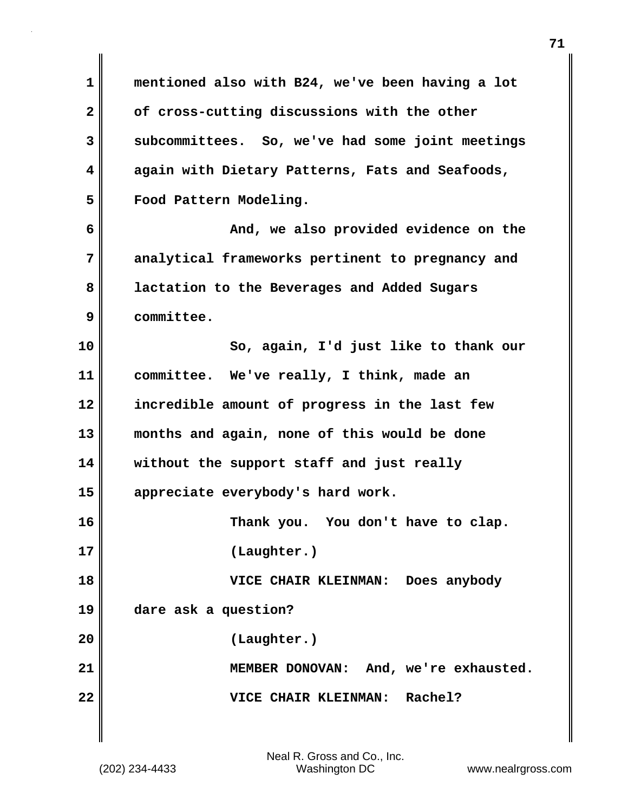**1 mentioned also with B24, we've been having a lot 2 of cross-cutting discussions with the other 3 subcommittees. So, we've had some joint meetings 4 again with Dietary Patterns, Fats and Seafoods, 5 Food Pattern Modeling. 6 And, we also provided evidence on the 7 analytical frameworks pertinent to pregnancy and 8 lactation to the Beverages and Added Sugars 9 committee. 10 So, again, I'd just like to thank our 11 committee. We've really, I think, made an 12 incredible amount of progress in the last few 13 months and again, none of this would be done 14 without the support staff and just really 15 appreciate everybody's hard work. 16 Thank you. You don't have to clap. 17 (Laughter.) 18 VICE CHAIR KLEINMAN: Does anybody 19 dare ask a question? 20 (Laughter.) 21 MEMBER DONOVAN: And, we're exhausted. 22 VICE CHAIR KLEINMAN: Rachel?**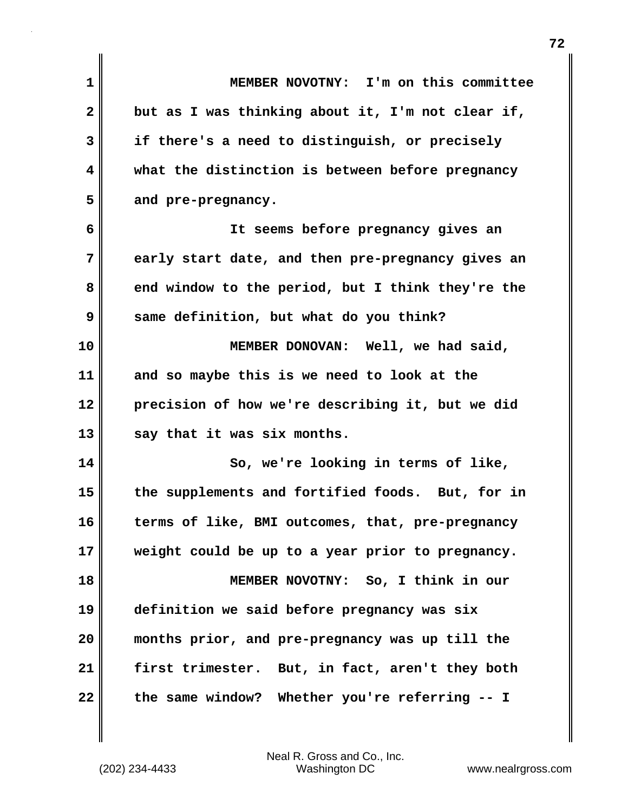| $\mathbf{1}$ | MEMBER NOVOTNY: I'm on this committee             |
|--------------|---------------------------------------------------|
| $\mathbf{2}$ | but as I was thinking about it, I'm not clear if, |
| 3            | if there's a need to distinguish, or precisely    |
| 4            | what the distinction is between before pregnancy  |
| 5            | and pre-pregnancy.                                |
| 6            | It seems before pregnancy gives an                |
| 7            | early start date, and then pre-pregnancy gives an |
| 8            | end window to the period, but I think they're the |
| 9            | same definition, but what do you think?           |
| 10           | MEMBER DONOVAN: Well, we had said,                |
| 11           | and so maybe this is we need to look at the       |
| 12           | precision of how we're describing it, but we did  |
| 13           | say that it was six months.                       |
| 14           | So, we're looking in terms of like,               |
| 15           | the supplements and fortified foods. But, for in  |
| 16           | terms of like, BMI outcomes, that, pre-pregnancy  |
| 17           | weight could be up to a year prior to pregnancy.  |
| 18           | MEMBER NOVOTNY: So, I think in our                |
| 19           | definition we said before pregnancy was six       |
| 20           | months prior, and pre-pregnancy was up till the   |
| 21           | first trimester. But, in fact, aren't they both   |
| 22           | the same window? Whether you're referring -- I    |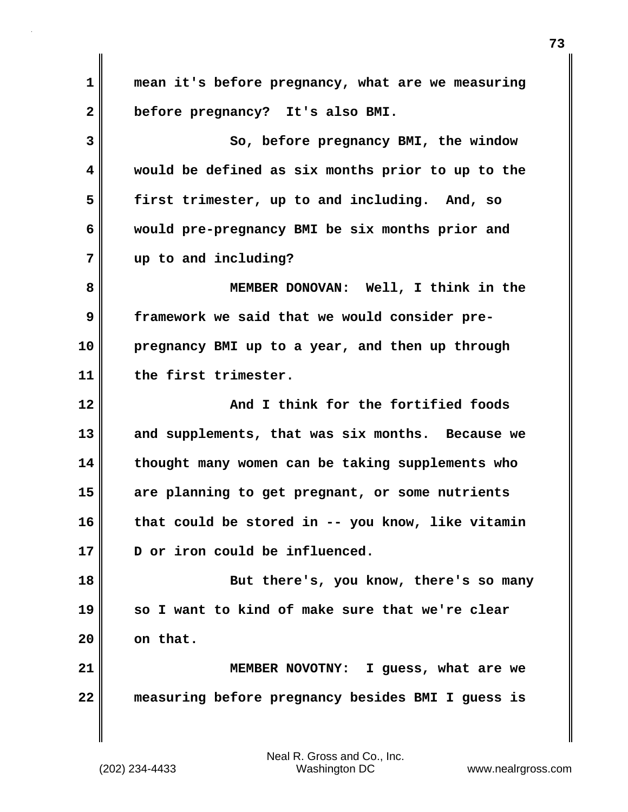**1 mean it's before pregnancy, what are we measuring 2 before pregnancy? It's also BMI. 3** So, before pregnancy BMI, the window **4 would be defined as six months prior to up to the 5 first trimester, up to and including. And, so 6 would pre-pregnancy BMI be six months prior and 7 up to and including? 8 MEMBER DONOVAN: Well, I think in the 9 framework we said that we would consider pre-10 pregnancy BMI up to a year, and then up through 11 the first trimester. 12 And I think for the fortified foods 13 and supplements, that was six months. Because we 14 thought many women can be taking supplements who 15 are planning to get pregnant, or some nutrients 16 that could be stored in -- you know, like vitamin 17 D or iron could be influenced. 18 But there's, you know, there's so many 19 so I want to kind of make sure that we're clear 20 on that. 21 MEMBER NOVOTNY: I guess, what are we 22 measuring before pregnancy besides BMI I guess is**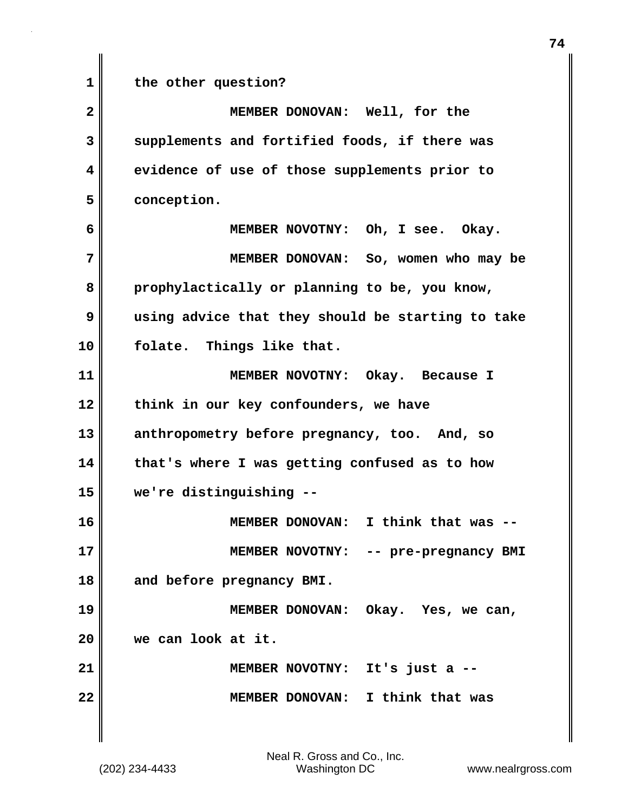**1 the other question?**

**2 MEMBER DONOVAN: Well, for the 3 supplements and fortified foods, if there was 4 evidence of use of those supplements prior to 5 conception. 6 MEMBER NOVOTNY: Oh, I see. Okay. 7 MEMBER DONOVAN: So, women who may be 8 prophylactically or planning to be, you know, 9 using advice that they should be starting to take 10 folate. Things like that. 11 MEMBER NOVOTNY: Okay. Because I 12 think in our key confounders, we have 13 anthropometry before pregnancy, too. And, so 14 that's where I was getting confused as to how 15 we're distinguishing -- 16 MEMBER DONOVAN: I think that was -- 17 MEMBER NOVOTNY: -- pre-pregnancy BMI 18 and before pregnancy BMI. 19 MEMBER DONOVAN: Okay. Yes, we can, 20 we can look at it. 21 MEMBER NOVOTNY: It's just a -- 22 MEMBER DONOVAN: I think that was**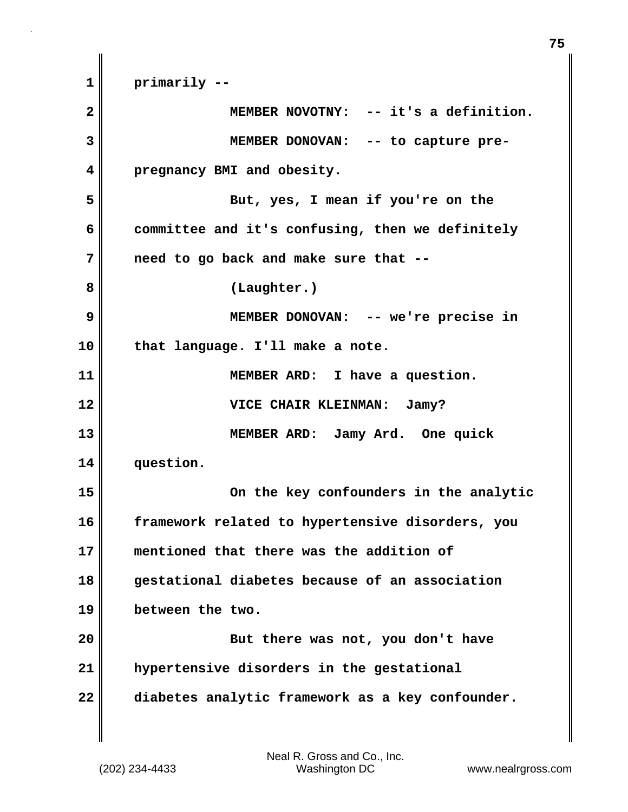**1 primarily -- 2 MEMBER NOVOTNY: -- it's a definition. 3 MEMBER DONOVAN: -- to capture pre-4 pregnancy BMI and obesity. 5 But, yes, I mean if you're on the 6 committee and it's confusing, then we definitely 7 need to go back and make sure that -- 8 (Laughter.) 9 MEMBER DONOVAN: -- we're precise in 10 that language. I'll make a note. 11 MEMBER ARD: I have a question. 12 VICE CHAIR KLEINMAN: Jamy? 13 MEMBER ARD: Jamy Ard. One quick 14 question. 15 On the key confounders in the analytic 16 framework related to hypertensive disorders, you 17 mentioned that there was the addition of 18 gestational diabetes because of an association 19 between the two. 20 But there was not, you don't have 21 hypertensive disorders in the gestational 22 diabetes analytic framework as a key confounder.**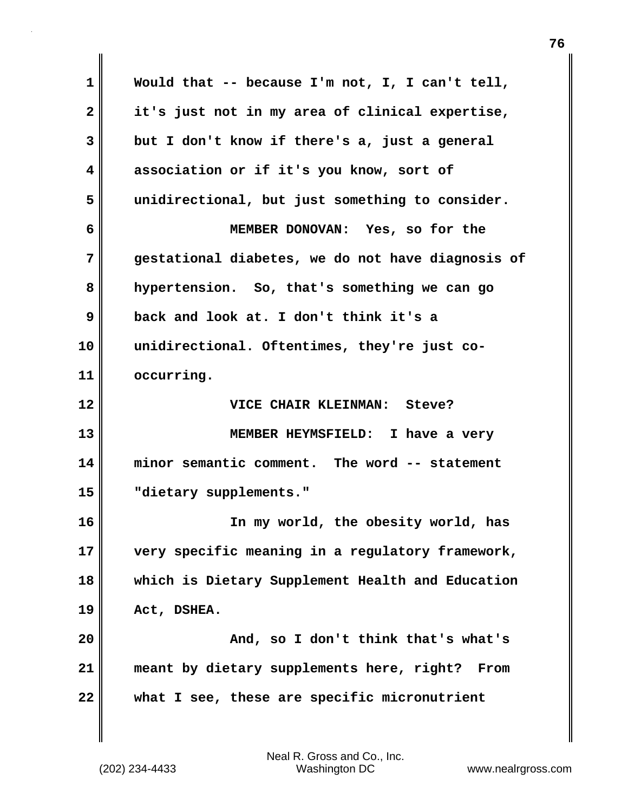**1 Would that -- because I'm not, I, I can't tell, 2 it's just not in my area of clinical expertise, 3 but I don't know if there's a, just a general 4 association or if it's you know, sort of 5 unidirectional, but just something to consider. 6 MEMBER DONOVAN: Yes, so for the 7 gestational diabetes, we do not have diagnosis of 8 hypertension. So, that's something we can go 9 back and look at. I don't think it's a 10 unidirectional. Oftentimes, they're just co-11 occurring. 12 VICE CHAIR KLEINMAN: Steve? 13 MEMBER HEYMSFIELD: I have a very 14 minor semantic comment. The word -- statement 15 "dietary supplements." 16 In my world, the obesity world, has 17 very specific meaning in a regulatory framework, 18 which is Dietary Supplement Health and Education 19 Act, DSHEA. 20 And, so I don't think that's what's 21 meant by dietary supplements here, right? From 22 what I see, these are specific micronutrient**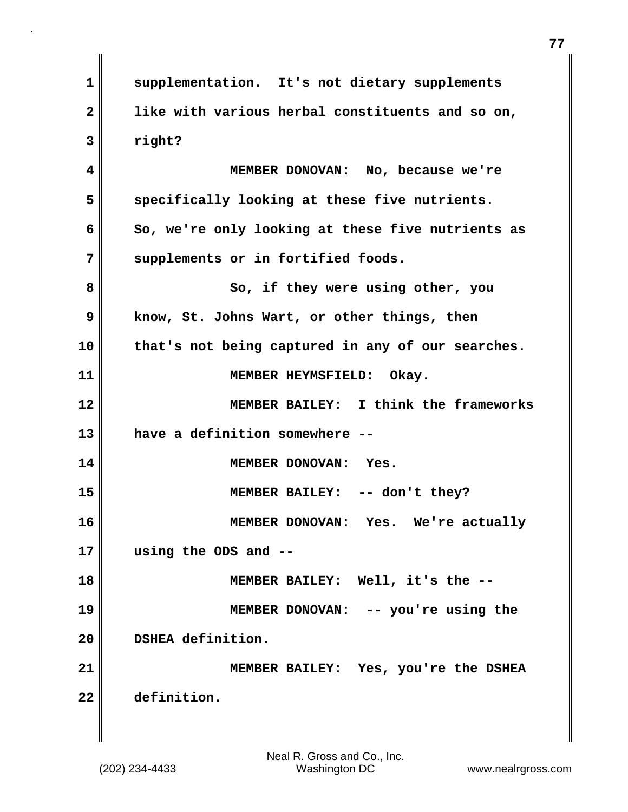**1 supplementation. It's not dietary supplements 2 like with various herbal constituents and so on, 3 right? 4 MEMBER DONOVAN: No, because we're 5 specifically looking at these five nutrients. 6 So, we're only looking at these five nutrients as 7 supplements or in fortified foods. 8** So, if they were using other, you **9 know, St. Johns Wart, or other things, then 10 that's not being captured in any of our searches. 11 MEMBER HEYMSFIELD: Okay. 12 MEMBER BAILEY: I think the frameworks 13 have a definition somewhere -- 14 MEMBER DONOVAN: Yes. 15 MEMBER BAILEY: -- don't they? 16 MEMBER DONOVAN: Yes. We're actually 17 using the ODS and -- 18 MEMBER BAILEY: Well, it's the -- 19 MEMBER DONOVAN: -- you're using the 20 DSHEA definition. 21 MEMBER BAILEY: Yes, you're the DSHEA 22 definition.**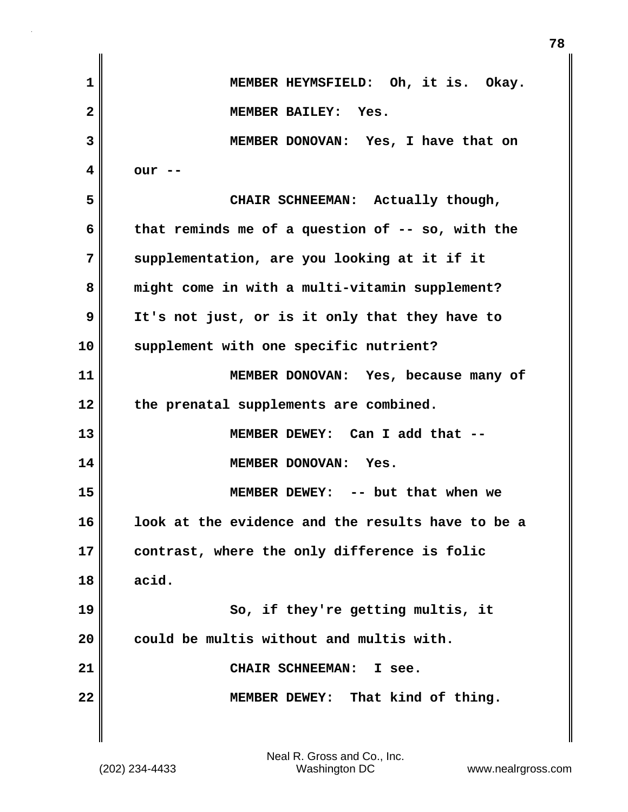| 1            | MEMBER HEYMSFIELD: Oh, it is. Okay.               |
|--------------|---------------------------------------------------|
| $\mathbf{2}$ | MEMBER BAILEY: Yes.                               |
| 3            | MEMBER DONOVAN: Yes, I have that on               |
| 4            | our --                                            |
| 5            | CHAIR SCHNEEMAN: Actually though,                 |
| 6            | that reminds me of a question of -- so, with the  |
| 7            | supplementation, are you looking at it if it      |
| 8            | might come in with a multi-vitamin supplement?    |
| 9            | It's not just, or is it only that they have to    |
| 10           | supplement with one specific nutrient?            |
| 11           | MEMBER DONOVAN: Yes, because many of              |
| 12           | the prenatal supplements are combined.            |
| 13           | MEMBER DEWEY: Can I add that --                   |
| 14           | MEMBER DONOVAN: Yes.                              |
| 15           | MEMBER DEWEY: -- but that when we                 |
| 16           | look at the evidence and the results have to be a |
| 17           | contrast, where the only difference is folic      |
| 18           | acid.                                             |
| 19           | So, if they're getting multis, it                 |
| 20           | could be multis without and multis with.          |
| 21           | CHAIR SCHNEEMAN:<br>I see.                        |
| 22           | That kind of thing.<br><b>MEMBER DEWEY:</b>       |
|              |                                                   |

**78**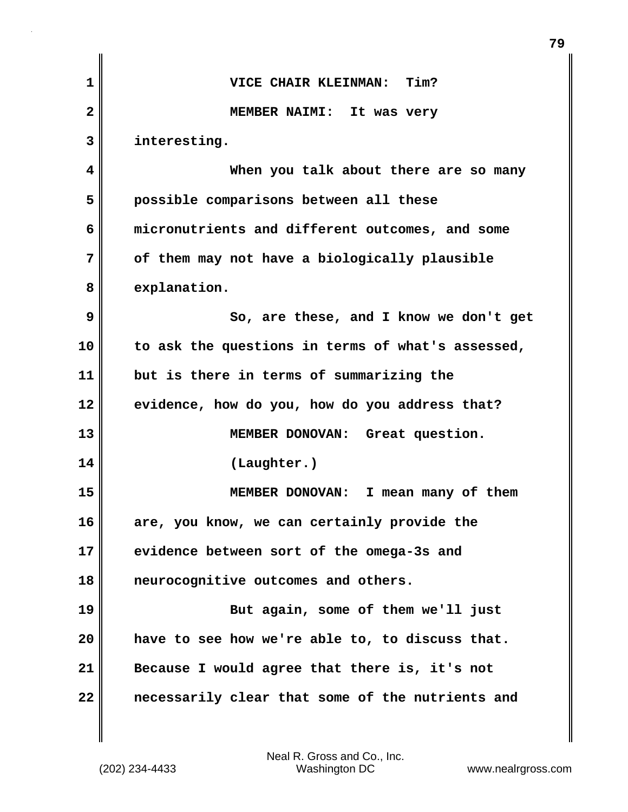| 1  | VICE CHAIR KLEINMAN: Tim?                         |
|----|---------------------------------------------------|
| 2  | MEMBER NAIMI: It was very                         |
| 3  | interesting.                                      |
| 4  | When you talk about there are so many             |
| 5  | possible comparisons between all these            |
| 6  | micronutrients and different outcomes, and some   |
| 7  | of them may not have a biologically plausible     |
| 8  | explanation.                                      |
| 9  | So, are these, and I know we don't get            |
| 10 | to ask the questions in terms of what's assessed, |
| 11 | but is there in terms of summarizing the          |
| 12 | evidence, how do you, how do you address that?    |
| 13 | MEMBER DONOVAN: Great question.                   |
| 14 | (Laughter.)                                       |
| 15 | MEMBER DONOVAN: I mean many of them               |
| 16 | are, you know, we can certainly provide the       |
| 17 | evidence between sort of the omega-3s and         |
| 18 | neurocognitive outcomes and others.               |
| 19 | But again, some of them we'll just                |
| 20 | have to see how we're able to, to discuss that.   |
| 21 | Because I would agree that there is, it's not     |
| 22 | necessarily clear that some of the nutrients and  |
|    |                                                   |

(202) 234-4433 Washington DC www.nealrgross.com Neal R. Gross and Co., Inc.

**79**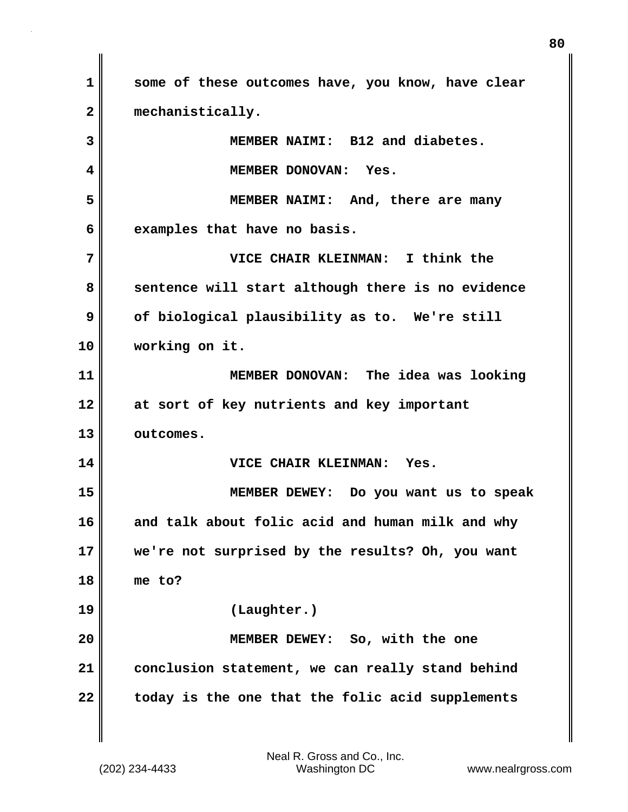**1 some of these outcomes have, you know, have clear 2 mechanistically. 3 MEMBER NAIMI: B12 and diabetes. 4 MEMBER DONOVAN: Yes. 5 MEMBER NAIMI: And, there are many 6 examples that have no basis. 7 VICE CHAIR KLEINMAN: I think the 8** Sentence will start although there is no evidence **9** of biological plausibility as to. We're still **10 working on it. 11 MEMBER DONOVAN: The idea was looking 12 at sort of key nutrients and key important 13 outcomes. 14 VICE CHAIR KLEINMAN: Yes. 15 MEMBER DEWEY: Do you want us to speak 16 and talk about folic acid and human milk and why 17 we're not surprised by the results? Oh, you want 18 me to? 19 (Laughter.) 20 MEMBER DEWEY: So, with the one 21 conclusion statement, we can really stand behind 22 today is the one that the folic acid supplements**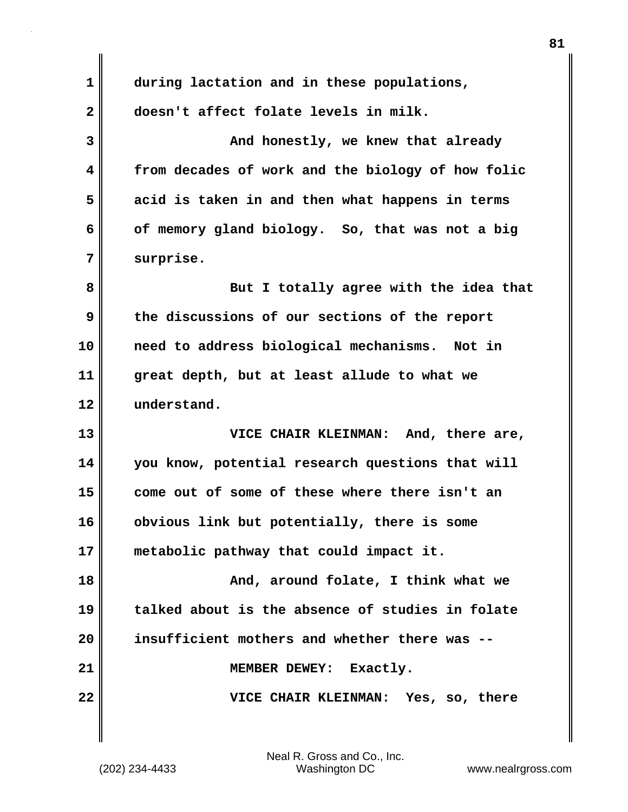**1 during lactation and in these populations, 2 doesn't affect folate levels in milk. 3** And honestly, we knew that already **4 from decades of work and the biology of how folic 5 acid is taken in and then what happens in terms 6 of memory gland biology. So, that was not a big 7 surprise. 8 But I totally agree with the idea that 9 the discussions of our sections of the report 10 need to address biological mechanisms. Not in 11 great depth, but at least allude to what we 12 understand. 13 VICE CHAIR KLEINMAN: And, there are, 14 you know, potential research questions that will 15 come out of some of these where there isn't an 16 obvious link but potentially, there is some 17 metabolic pathway that could impact it. 18 And, around folate, I think what we 19 talked about is the absence of studies in folate 20 insufficient mothers and whether there was --** 21 | MEMBER DEWEY: Exactly. **22 VICE CHAIR KLEINMAN: Yes, so, there**

(202) 234-4433 Washington DC www.nealrgross.com Neal R. Gross and Co., Inc.

**81**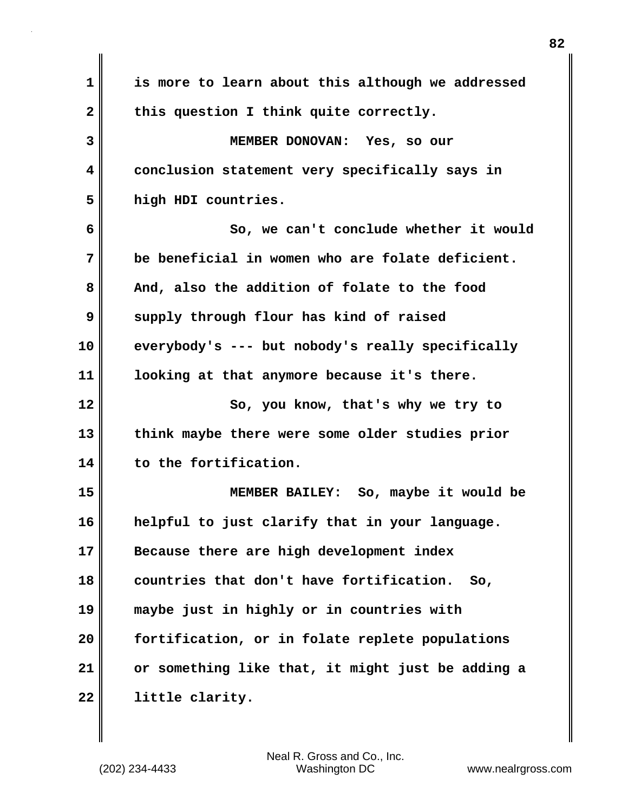| 1        | is more to learn about this although we addressed |
|----------|---------------------------------------------------|
| 2        | this question I think quite correctly.            |
| 3        | MEMBER DONOVAN: Yes, so our                       |
| 4        | conclusion statement very specifically says in    |
| 5        | high HDI countries.                               |
| 6        | So, we can't conclude whether it would            |
| 7        | be beneficial in women who are folate deficient.  |
| 8        | And, also the addition of folate to the food      |
| 9        | supply through flour has kind of raised           |
| 10       | everybody's --- but nobody's really specifically  |
| 11       | looking at that anymore because it's there.       |
|          |                                                   |
|          | So, you know, that's why we try to                |
| 12<br>13 | think maybe there were some older studies prior   |
| 14       | to the fortification.                             |
| 15       | MEMBER BAILEY: So, maybe it would be              |
| 16       | helpful to just clarify that in your language.    |
|          | Because there are high development index          |
| 17<br>18 | countries that don't have fortification.<br>So,   |
|          | maybe just in highly or in countries with         |
| 19<br>20 | fortification, or in folate replete populations   |
| 21       | or something like that, it might just be adding a |

 $\mathbf{I}$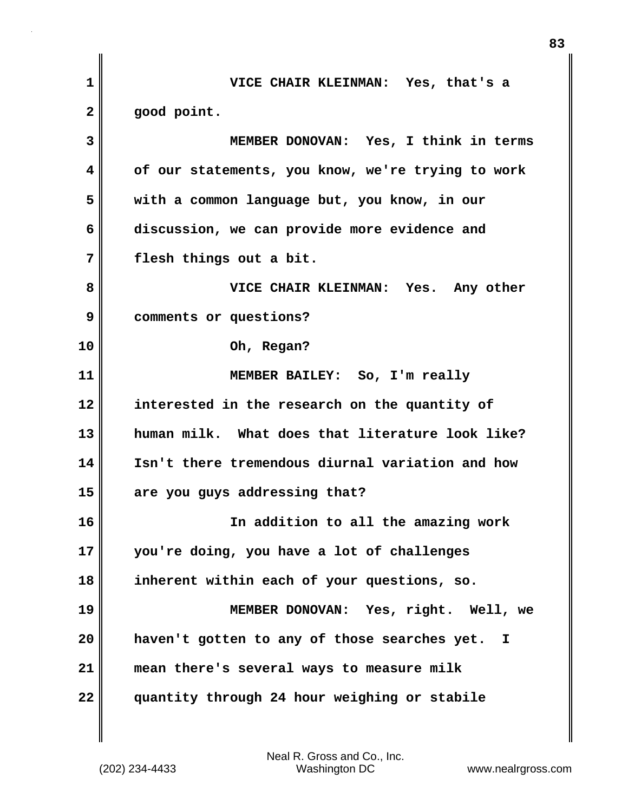| VICE CHAIR KLEINMAN: Yes, that's a                 |
|----------------------------------------------------|
| good point.                                        |
| MEMBER DONOVAN: Yes, I think in terms              |
| of our statements, you know, we're trying to work  |
| with a common language but, you know, in our       |
| discussion, we can provide more evidence and       |
| flesh things out a bit.                            |
| VICE CHAIR KLEINMAN: Yes. Any other                |
| comments or questions?                             |
| Oh, Regan?                                         |
| MEMBER BAILEY: So, I'm really                      |
| interested in the research on the quantity of      |
| human milk. What does that literature look like?   |
| Isn't there tremendous diurnal variation and how   |
| are you guys addressing that?                      |
| In addition to all the amazing work                |
| you're doing, you have a lot of challenges         |
| inherent within each of your questions, so.        |
| MEMBER DONOVAN: Yes, right. Well, we               |
| haven't gotten to any of those searches yet.<br>I. |
| mean there's several ways to measure milk          |
| quantity through 24 hour weighing or stabile       |
|                                                    |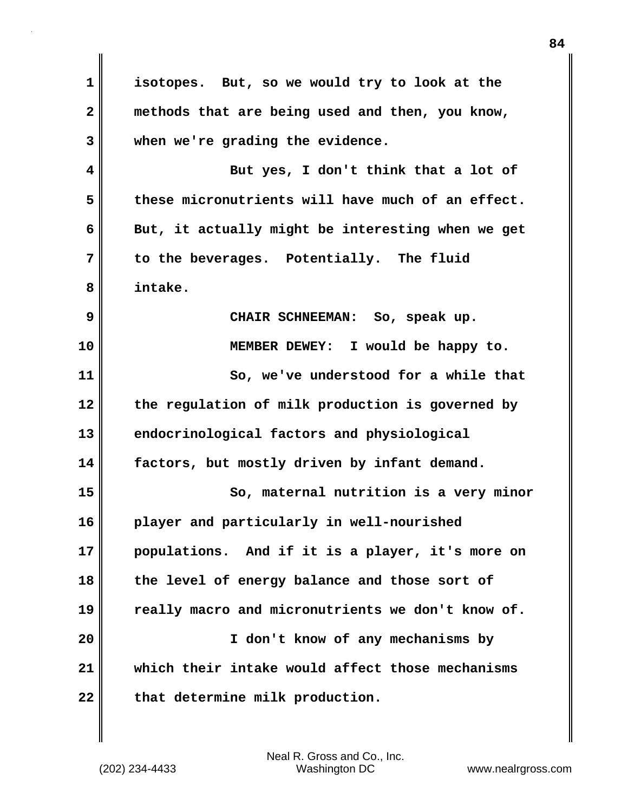**1 isotopes. But, so we would try to look at the 2 methods that are being used and then, you know, 3 when we're grading the evidence. 4 But yes, I don't think that a lot of 5 these micronutrients will have much of an effect.**  6 **But, it actually might be interesting when we get 7 to the beverages. Potentially. The fluid 8 intake. 9 CHAIR SCHNEEMAN: So, speak up. 10 MEMBER DEWEY: I would be happy to. 11 So, we've understood for a while that 12 the regulation of milk production is governed by 13 endocrinological factors and physiological 14 factors, but mostly driven by infant demand. 15 So, maternal nutrition is a very minor 16 player and particularly in well-nourished 17 populations. And if it is a player, it's more on 18 the level of energy balance and those sort of 19 really macro and micronutrients we don't know of. 20 I don't know of any mechanisms by 21 which their intake would affect those mechanisms** 22 that determine milk production.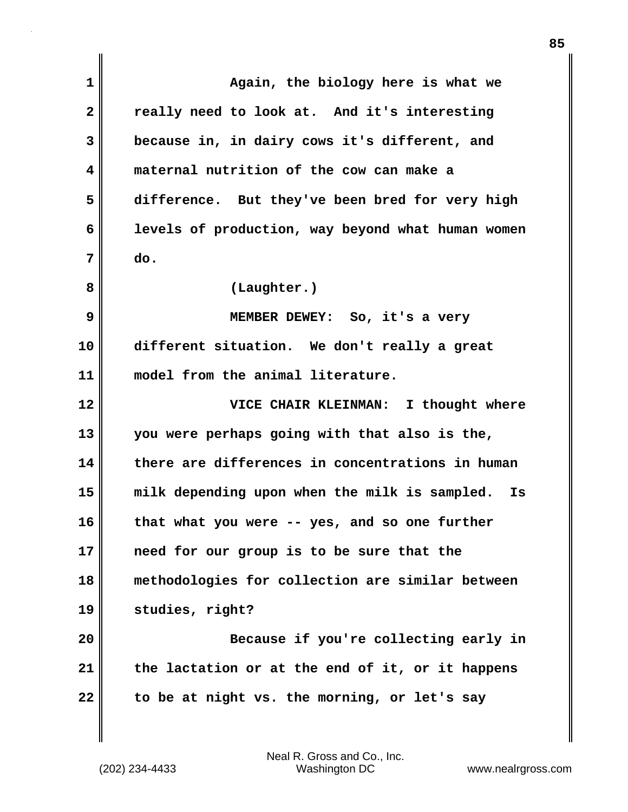| 1            | Again, the biology here is what we                  |
|--------------|-----------------------------------------------------|
| $\mathbf{2}$ | really need to look at. And it's interesting        |
| 3            | because in, in dairy cows it's different, and       |
| 4            | maternal nutrition of the cow can make a            |
| 5            | difference. But they've been bred for very high     |
| 6            | levels of production, way beyond what human women   |
| 7            | do.                                                 |
| 8            | (Laughter.)                                         |
| 9            | MEMBER DEWEY: So, it's a very                       |
| 10           | different situation. We don't really a great        |
| 11           | model from the animal literature.                   |
|              |                                                     |
| 12           | VICE CHAIR KLEINMAN: I thought where                |
| 13           | you were perhaps going with that also is the,       |
| 14           | there are differences in concentrations in human    |
| 15           | milk depending upon when the milk is sampled.<br>Is |
| 16           | that what you were -- yes, and so one further       |
| 17           | need for our group is to be sure that the           |
| 18           | methodologies for collection are similar between    |
| 19           | studies, right?                                     |
| 20           | Because if you're collecting early in               |
| 21           | the lactation or at the end of it, or it happens    |

 $\mathbf{I}$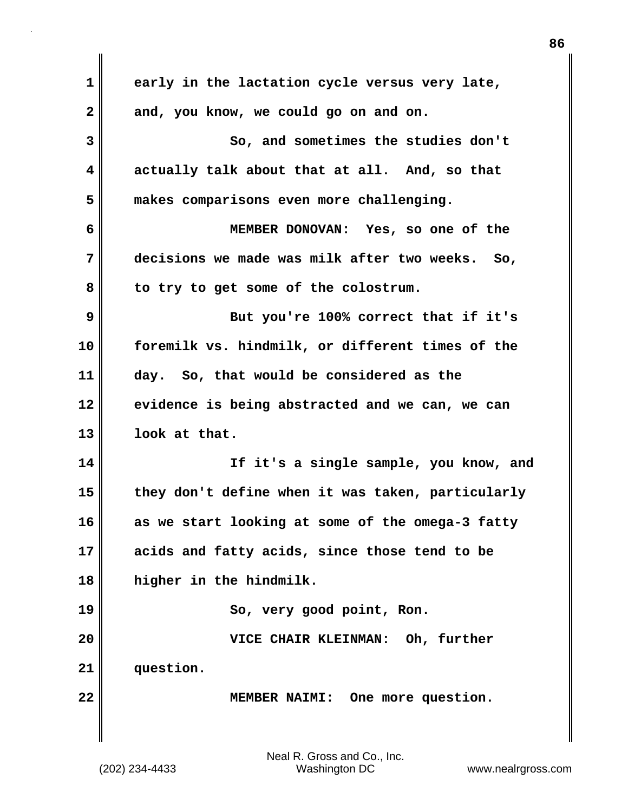| 1            | early in the lactation cycle versus very late,    |
|--------------|---------------------------------------------------|
| $\mathbf{2}$ | and, you know, we could go on and on.             |
| 3            | So, and sometimes the studies don't               |
| 4            | actually talk about that at all. And, so that     |
| 5            | makes comparisons even more challenging.          |
| 6            | MEMBER DONOVAN: Yes, so one of the                |
| 7            | decisions we made was milk after two weeks. So,   |
| 8            | to try to get some of the colostrum.              |
| 9            | But you're 100% correct that if it's              |
| 10           | foremilk vs. hindmilk, or different times of the  |
| 11           | day. So, that would be considered as the          |
| 12           | evidence is being abstracted and we can, we can   |
| 13           | look at that.                                     |
| 14           | If it's a single sample, you know, and            |
| 15           | they don't define when it was taken, particularly |
| 16           | as we start looking at some of the omega-3 fatty  |
| 17           | acids and fatty acids, since those tend to be     |
| 18           | higher in the hindmilk.                           |
| 19           | So, very good point, Ron.                         |
| 20           | VICE CHAIR KLEINMAN: Oh, further                  |
| 21           | question.                                         |
| 22           | MEMBER NAIMI: One more question.                  |
|              |                                                   |

 $\mathbf{I}$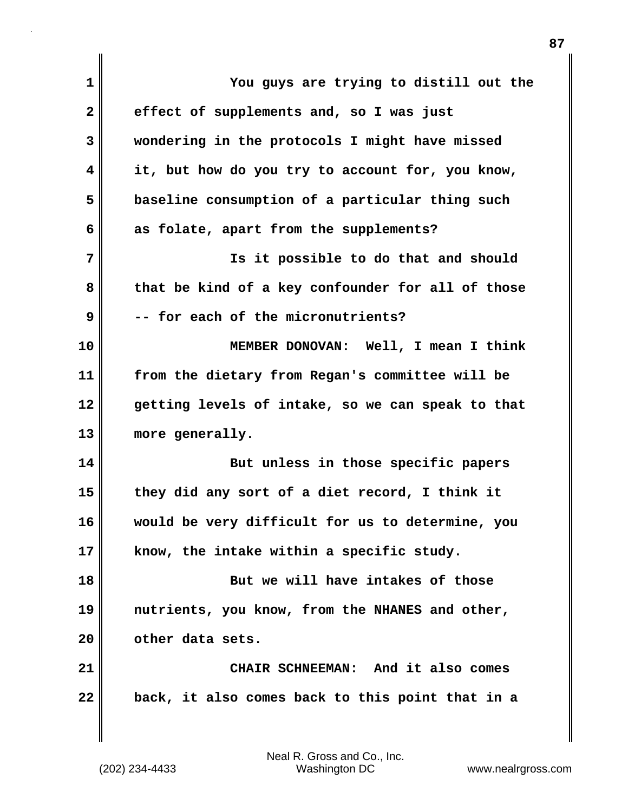| $\mathbf{1}$ | You guys are trying to distill out the            |
|--------------|---------------------------------------------------|
| $\mathbf{2}$ | effect of supplements and, so I was just          |
| 3            | wondering in the protocols I might have missed    |
| 4            | it, but how do you try to account for, you know,  |
| 5            | baseline consumption of a particular thing such   |
| 6            | as folate, apart from the supplements?            |
| 7            | Is it possible to do that and should              |
| 8            | that be kind of a key confounder for all of those |
| 9            | -- for each of the micronutrients?                |
| 10           | MEMBER DONOVAN: Well, I mean I think              |
| 11           | from the dietary from Regan's committee will be   |
| 12           | getting levels of intake, so we can speak to that |
| 13           | more generally.                                   |
| 14           | But unless in those specific papers               |
| 15           | they did any sort of a diet record, I think it    |
| 16           | would be very difficult for us to determine, you  |
| 17           | know, the intake within a specific study.         |
| 18           | But we will have intakes of those                 |
| 19           | nutrients, you know, from the NHANES and other,   |
| 20           | other data sets.                                  |
| 21           | CHAIR SCHNEEMAN: And it also comes                |
| 22           | back, it also comes back to this point that in a  |
|              |                                                   |

(202) 234-4433 Washington DC www.nealrgross.com Neal R. Gross and Co., Inc.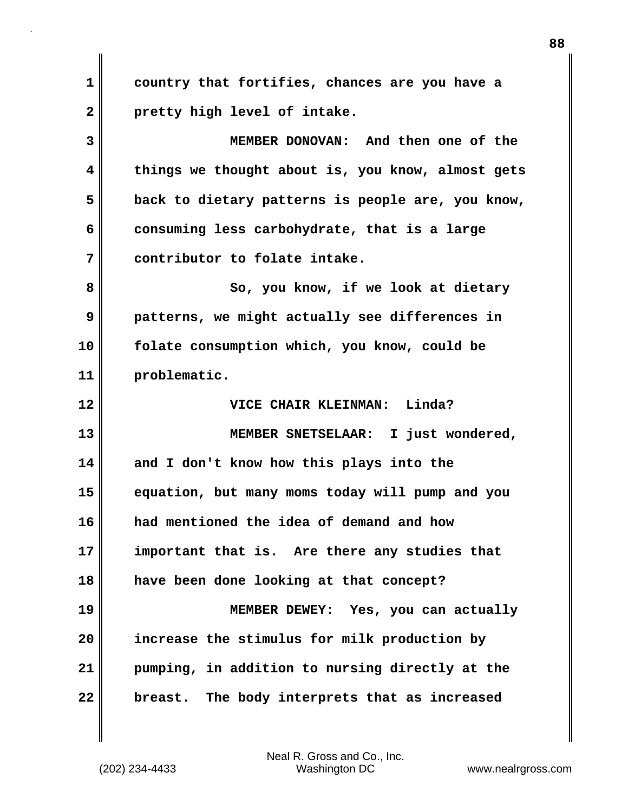**1 country that fortifies, chances are you have a 2 pretty high level of intake. 3 MEMBER DONOVAN: And then one of the 4 things we thought about is, you know, almost gets 5 back to dietary patterns is people are, you know, 6 consuming less carbohydrate, that is a large 7 contributor to folate intake. 8** So, you know, if we look at dietary **9 patterns, we might actually see differences in 10 folate consumption which, you know, could be 11 problematic. 12 VICE CHAIR KLEINMAN: Linda? 13 MEMBER SNETSELAAR: I just wondered, 14 and I don't know how this plays into the 15 equation, but many moms today will pump and you 16 had mentioned the idea of demand and how 17 important that is. Are there any studies that 18 have been done looking at that concept? 19 MEMBER DEWEY: Yes, you can actually 20 increase the stimulus for milk production by 21 pumping, in addition to nursing directly at the 22 breast. The body interprets that as increased**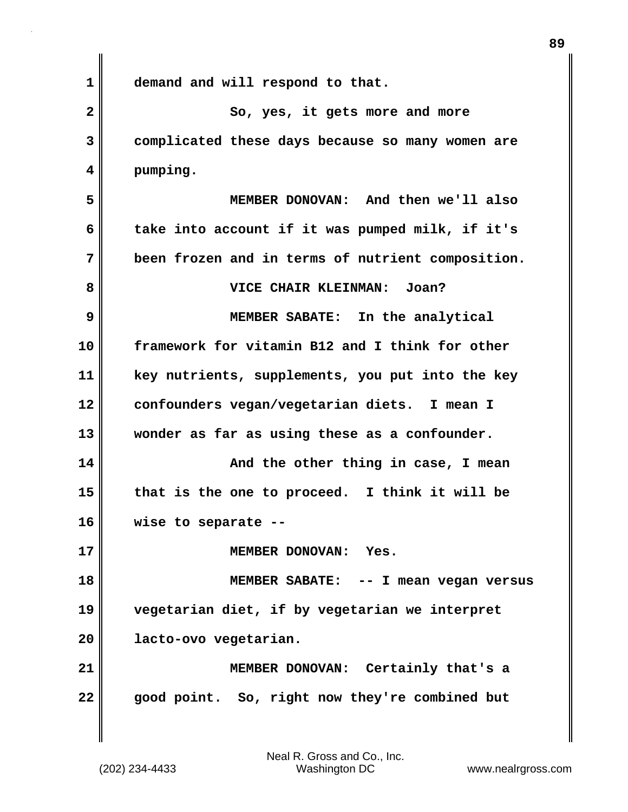**1 demand and will respond to that. 2** So, yes, it gets more and more **3 complicated these days because so many women are 4 pumping. 5 MEMBER DONOVAN: And then we'll also 6 take into account if it was pumped milk, if it's 7 been frozen and in terms of nutrient composition. 8 VICE CHAIR KLEINMAN: Joan? 9 MEMBER SABATE: In the analytical 10 framework for vitamin B12 and I think for other 11 key nutrients, supplements, you put into the key 12 confounders vegan/vegetarian diets. I mean I 13 wonder as far as using these as a confounder. 14 And the other thing in case, I mean 15 that is the one to proceed. I think it will be 16 wise to separate -- 17 MEMBER DONOVAN: Yes. 18 MEMBER SABATE: -- I mean vegan versus 19 vegetarian diet, if by vegetarian we interpret 20 lacto-ovo vegetarian. 21 MEMBER DONOVAN: Certainly that's a 22 good point. So, right now they're combined but**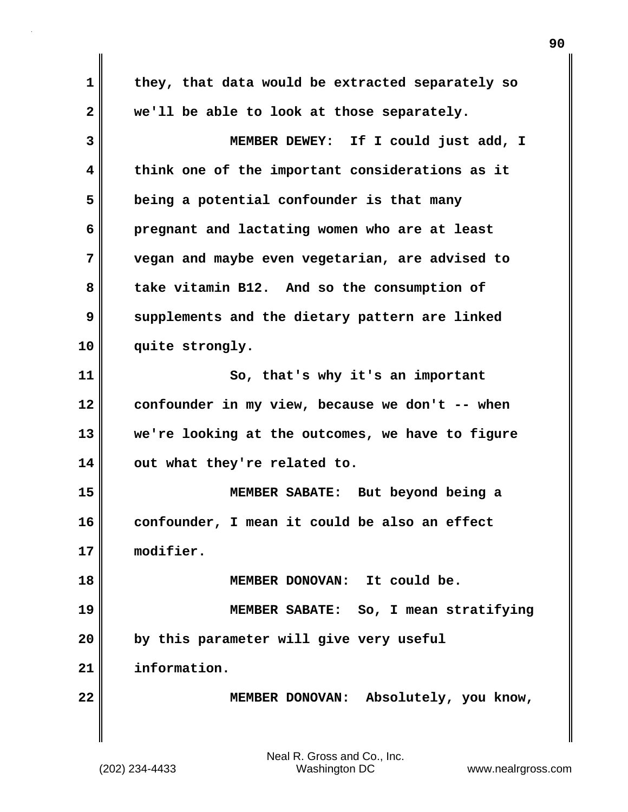**1 they, that data would be extracted separately so 2 we'll be able to look at those separately. 3 MEMBER DEWEY: If I could just add, I 4 think one of the important considerations as it 5 being a potential confounder is that many 6 pregnant and lactating women who are at least 7 vegan and maybe even vegetarian, are advised to 8 take vitamin B12. And so the consumption of 9 supplements and the dietary pattern are linked 10 quite strongly. 11** So, that's why it's an important **12 confounder in my view, because we don't -- when 13 we're looking at the outcomes, we have to figure 14 out what they're related to. 15 MEMBER SABATE: But beyond being a 16 confounder, I mean it could be also an effect 17 modifier. 18 MEMBER DONOVAN: It could be. 19 MEMBER SABATE: So, I mean stratifying 20 by this parameter will give very useful 21 information. 22 MEMBER DONOVAN: Absolutely, you know,**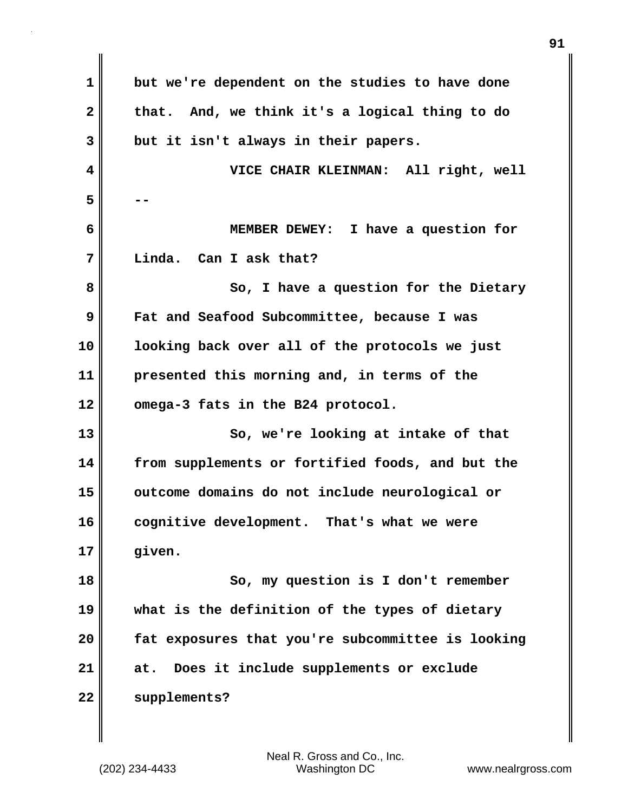| $\mathbf{1}$   | but we're dependent on the studies to have done   |
|----------------|---------------------------------------------------|
| $\mathbf{2}$   | that. And, we think it's a logical thing to do    |
| $\overline{3}$ | but it isn't always in their papers.              |
| 4              | VICE CHAIR KLEINMAN: All right, well              |
| 5              |                                                   |
| 6              | I have a question for<br><b>MEMBER DEWEY:</b>     |
| 7              | Can I ask that?<br>Linda.                         |
| 8              | So, I have a question for the Dietary             |
| 9              | Fat and Seafood Subcommittee, because I was       |
| 10             | looking back over all of the protocols we just    |
| 11             | presented this morning and, in terms of the       |
| 12             | omega-3 fats in the B24 protocol.                 |
| 13             | So, we're looking at intake of that               |
| 14             | from supplements or fortified foods, and but the  |
| 15             | outcome domains do not include neurological or    |
| 16             | cognitive development.<br>That's what we were     |
| 17             | given.                                            |
| 18             | So, my question is I don't remember               |
| 19             | what is the definition of the types of dietary    |
| 20             | fat exposures that you're subcommittee is looking |
| 21             | Does it include supplements or exclude<br>at.     |
| 22             | supplements?                                      |
|                |                                                   |

 $\mathbf{I}$ 

**91**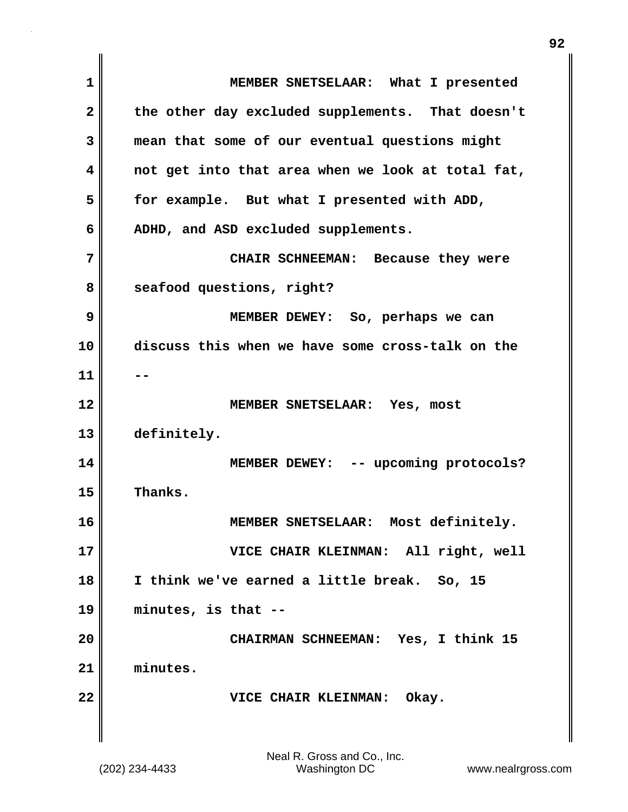**1 MEMBER SNETSELAAR: What I presented 2 the other day excluded supplements. That doesn't 3 mean that some of our eventual questions might 4 not get into that area when we look at total fat, 5 for example. But what I presented with ADD, 6 ADHD, and ASD excluded supplements. 7 CHAIR SCHNEEMAN: Because they were** 8 seafood questions, right? **9 MEMBER DEWEY: So, perhaps we can 10 discuss this when we have some cross-talk on the 11 -- 12 MEMBER SNETSELAAR: Yes, most 13 definitely. 14 MEMBER DEWEY: -- upcoming protocols? 15 Thanks. 16 MEMBER SNETSELAAR: Most definitely. 17 VICE CHAIR KLEINMAN: All right, well 18 I think we've earned a little break. So, 15 19 minutes, is that -- 20 CHAIRMAN SCHNEEMAN: Yes, I think 15 21 minutes. 22 VICE CHAIR KLEINMAN: Okay.**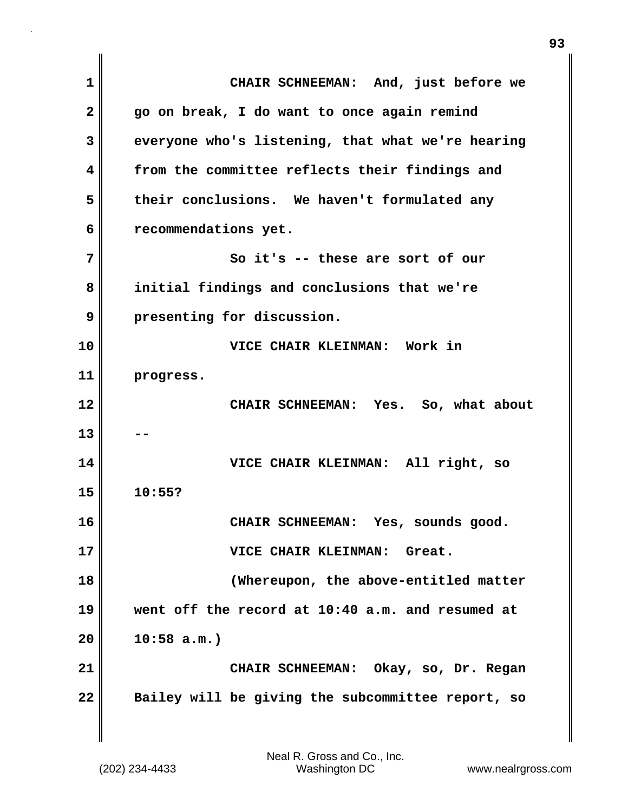**1 CHAIR SCHNEEMAN: And, just before we 2 go on break, I do want to once again remind 3 everyone who's listening, that what we're hearing 4 from the committee reflects their findings and 5 their conclusions. We haven't formulated any 6 recommendations yet. 7** So it's -- these are sort of our **8 initial findings and conclusions that we're 9 presenting for discussion. 10 VICE CHAIR KLEINMAN: Work in 11 progress. 12 CHAIR SCHNEEMAN: Yes. So, what about 13 14 VICE CHAIR KLEINMAN: All right, so 15 10:55? 16 CHAIR SCHNEEMAN: Yes, sounds good. 17 VICE CHAIR KLEINMAN: Great. 18 (Whereupon, the above-entitled matter 19 went off the record at 10:40 a.m. and resumed at 20 10:58 a.m.) 21 CHAIR SCHNEEMAN: Okay, so, Dr. Regan 22 Bailey will be giving the subcommittee report, so**

(202) 234-4433 Washington DC www.nealrgross.com Neal R. Gross and Co., Inc.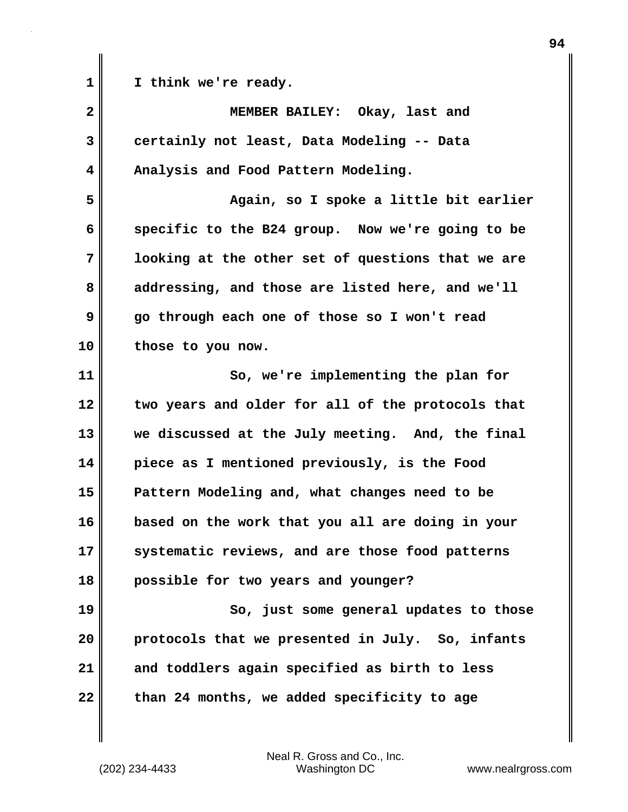1 **I** think we're ready.

| $\overline{\mathbf{2}}$ | MEMBER BAILEY: Okay, last and                     |
|-------------------------|---------------------------------------------------|
| 3                       | certainly not least, Data Modeling -- Data        |
| 4                       | Analysis and Food Pattern Modeling.               |
| 5                       | Again, so I spoke a little bit earlier            |
| 6                       | specific to the B24 group. Now we're going to be  |
| 7                       | looking at the other set of questions that we are |
| 8                       | addressing, and those are listed here, and we'll  |
| 9                       | go through each one of those so I won't read      |
| 10                      | those to you now.                                 |
| 11                      | So, we're implementing the plan for               |
| 12                      | two years and older for all of the protocols that |
| 13                      | we discussed at the July meeting. And, the final  |
| 14                      | piece as I mentioned previously, is the Food      |
| 15                      | Pattern Modeling and, what changes need to be     |
| 16                      | based on the work that you all are doing in your  |
| 17                      | systematic reviews, and are those food patterns   |
| 18                      | possible for two years and younger?               |
| 19                      | So, just some general updates to those            |
| 20                      | protocols that we presented in July. So, infants  |
| 21                      | and toddlers again specified as birth to less     |
| 22                      | than 24 months, we added specificity to age       |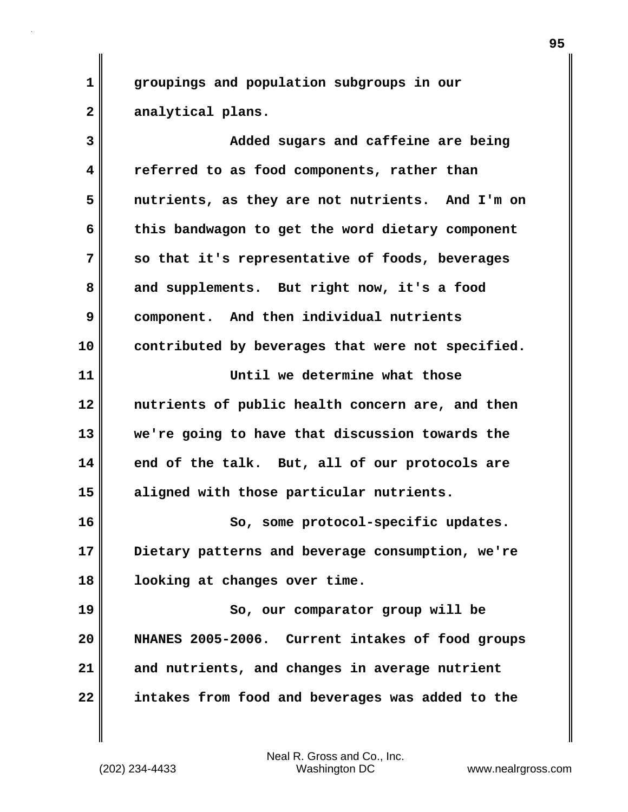**1 groupings and population subgroups in our 2 analytical plans.**

**3 Added sugars and caffeine are being 4 referred to as food components, rather than 5 nutrients, as they are not nutrients. And I'm on 6 this bandwagon to get the word dietary component 7 so that it's representative of foods, beverages 8 and supplements. But right now, it's a food 9 component. And then individual nutrients 10 contributed by beverages that were not specified. 11 Until we determine what those 12 nutrients of public health concern are, and then 13 we're going to have that discussion towards the 14 end of the talk. But, all of our protocols are 15 aligned with those particular nutrients.** 16 So, some protocol-specific updates. **17 Dietary patterns and beverage consumption, we're 18 looking at changes over time. 19** So, our comparator group will be **20 NHANES 2005-2006. Current intakes of food groups 21 and nutrients, and changes in average nutrient 22 intakes from food and beverages was added to the**

(202) 234-4433 Washington DC www.nealrgross.com Neal R. Gross and Co., Inc.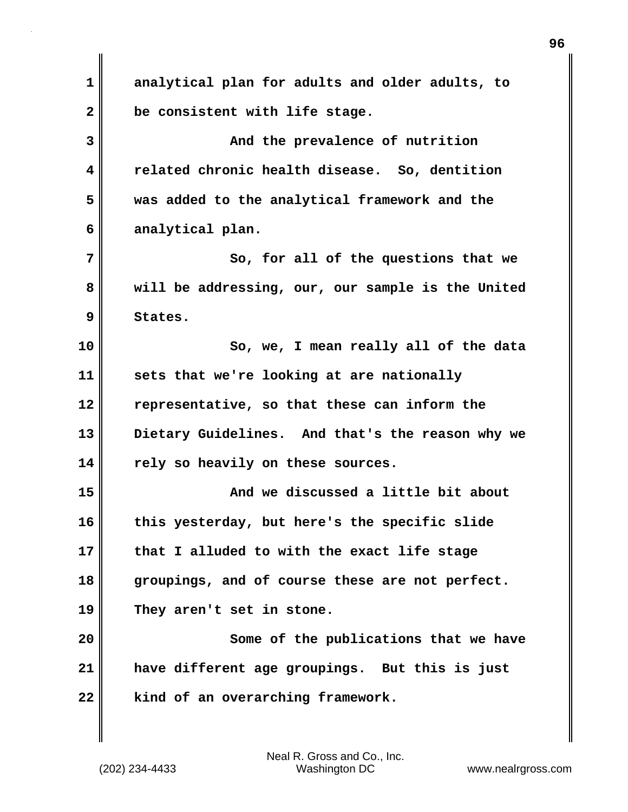**1 analytical plan for adults and older adults, to 2 be consistent with life stage. 3 And the prevalence of nutrition 4 related chronic health disease. So, dentition 5 was added to the analytical framework and the 6 analytical plan. 7** So, for all of the questions that we **8 will be addressing, our, our sample is the United 9 States. 10 So, we, I mean really all of the data 11 sets that we're looking at are nationally 12 representative, so that these can inform the 13 Dietary Guidelines. And that's the reason why we 14 rely so heavily on these sources. 15 And we discussed a little bit about 16 this yesterday, but here's the specific slide 17 that I alluded to with the exact life stage 18 groupings, and of course these are not perfect. 19 They aren't set in stone. 20 Some of the publications that we have 21 have different age groupings. But this is just 22 kind of an overarching framework.**

(202) 234-4433 Washington DC www.nealrgross.com Neal R. Gross and Co., Inc.

**96**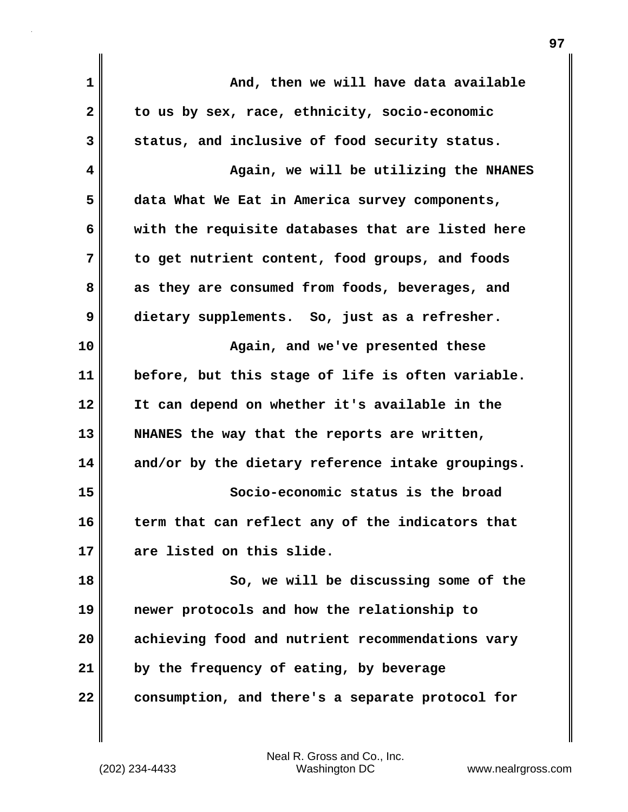| $\mathbf 1$    | And, then we will have data available             |
|----------------|---------------------------------------------------|
| $\overline{2}$ | to us by sex, race, ethnicity, socio-economic     |
| 3              | status, and inclusive of food security status.    |
| 4              | Again, we will be utilizing the NHANES            |
| 5              | data What We Eat in America survey components,    |
| 6              | with the requisite databases that are listed here |
| 7              | to get nutrient content, food groups, and foods   |
| 8              | as they are consumed from foods, beverages, and   |
| 9              | dietary supplements. So, just as a refresher.     |
| 10             | Again, and we've presented these                  |
| 11             | before, but this stage of life is often variable. |
| 12             | It can depend on whether it's available in the    |
| 13             | NHANES the way that the reports are written,      |
| 14             | and/or by the dietary reference intake groupings. |
| 15             | Socio-economic status is the broad                |
| 16             | term that can reflect any of the indicators that  |
| 17             | are listed on this slide.                         |
| 18             | So, we will be discussing some of the             |
| 19             | newer protocols and how the relationship to       |
| 20             | achieving food and nutrient recommendations vary  |
| 21             | by the frequency of eating, by beverage           |
| 22             | consumption, and there's a separate protocol for  |
|                |                                                   |

**97**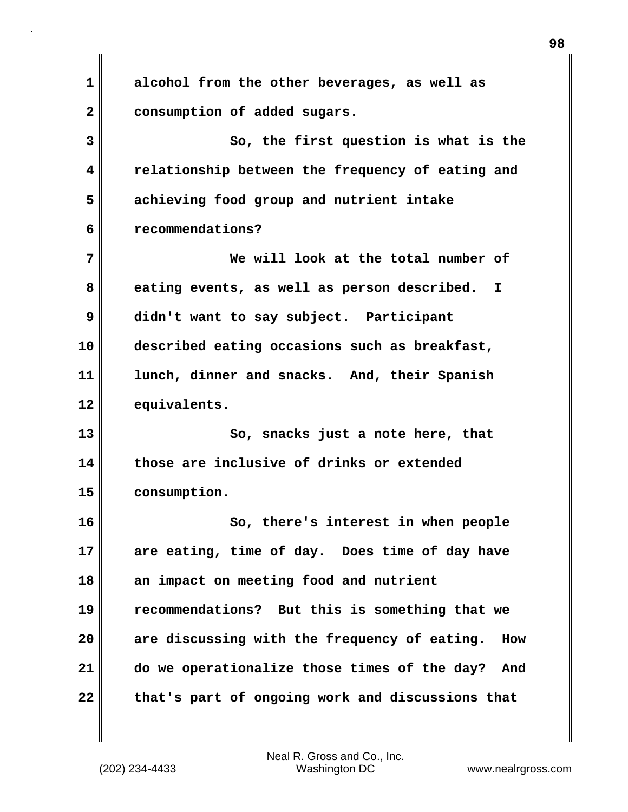**1 alcohol from the other beverages, as well as 2 consumption of added sugars. 3 So, the first question is what is the 4 relationship between the frequency of eating and 5 achieving food group and nutrient intake 6 recommendations? 7 We will look at the total number of 8 eating events, as well as person described. I 9 didn't want to say subject. Participant 10 described eating occasions such as breakfast, 11 lunch, dinner and snacks. And, their Spanish 12 equivalents. 13 So, snacks just a note here, that 14 those are inclusive of drinks or extended 15 consumption. 16 So, there's interest in when people 17 are eating, time of day. Does time of day have 18 an impact on meeting food and nutrient 19 recommendations? But this is something that we 20 are discussing with the frequency of eating. How 21 do we operationalize those times of the day? And 22 that's part of ongoing work and discussions that**

(202) 234-4433 Washington DC www.nealrgross.com Neal R. Gross and Co., Inc.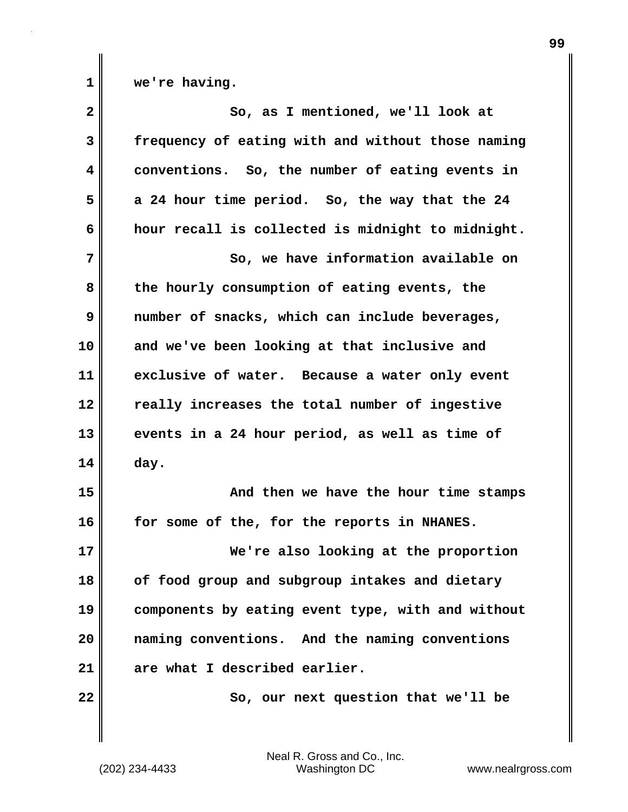**1 we're having.**

| $\overline{\mathbf{2}}$ | So, as I mentioned, we'll look at                 |
|-------------------------|---------------------------------------------------|
| 3                       | frequency of eating with and without those naming |
| 4                       | conventions. So, the number of eating events in   |
| 5                       | a 24 hour time period. So, the way that the 24    |
| 6                       | hour recall is collected is midnight to midnight. |
| 7                       | So, we have information available on              |
| 8                       | the hourly consumption of eating events, the      |
| 9                       | number of snacks, which can include beverages,    |
| 10                      | and we've been looking at that inclusive and      |
| 11                      | exclusive of water. Because a water only event    |
| 12                      | really increases the total number of ingestive    |
| 13                      | events in a 24 hour period, as well as time of    |
| 14                      | day.                                              |
| 15                      | And then we have the hour time stamps             |
| 16                      | for some of the, for the reports in NHANES.       |
| 17                      | We're also looking at the proportion              |
| 18                      | of food group and subgroup intakes and dietary    |
| 19                      | components by eating event type, with and without |
| 20                      | naming conventions. And the naming conventions    |
| 21                      | are what I described earlier.                     |
| 22                      | So, our next question that we'll be               |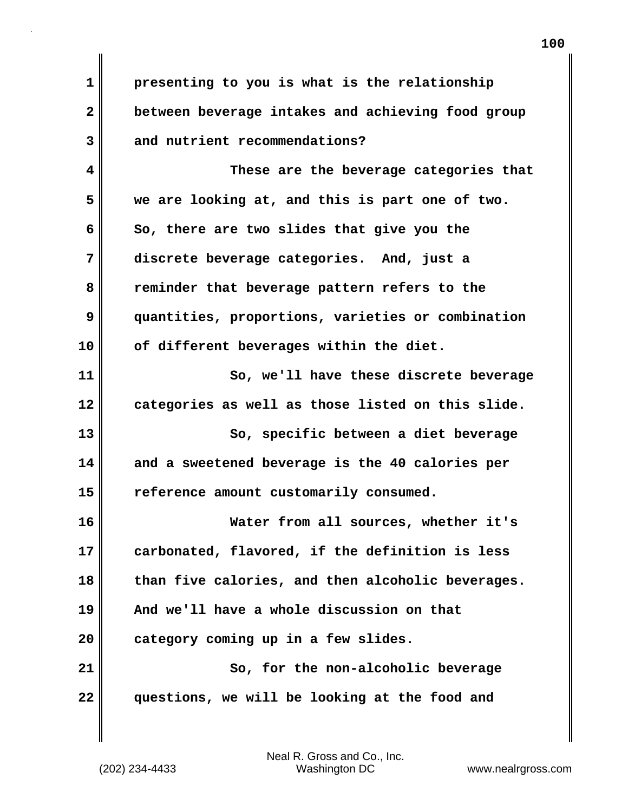**1 presenting to you is what is the relationship 2 between beverage intakes and achieving food group 3 and nutrient recommendations?**

**4 These are the beverage categories that 5 we are looking at, and this is part one of two. 6** So, there are two slides that give you the **7 discrete beverage categories. And, just a 8 reminder that beverage pattern refers to the 9 quantities, proportions, varieties or combination 10 of different beverages within the diet. 11 So, we'll have these discrete beverage**

**12 categories as well as those listed on this slide.**

**13** So, specific between a diet beverage **14 and a sweetened beverage is the 40 calories per 15 reference amount customarily consumed.**

**16 Water from all sources, whether it's 17 carbonated, flavored, if the definition is less 18 than five calories, and then alcoholic beverages. 19 And we'll have a whole discussion on that 20 category coming up in a few slides. 21 So, for the non-alcoholic beverage 22 questions, we will be looking at the food and**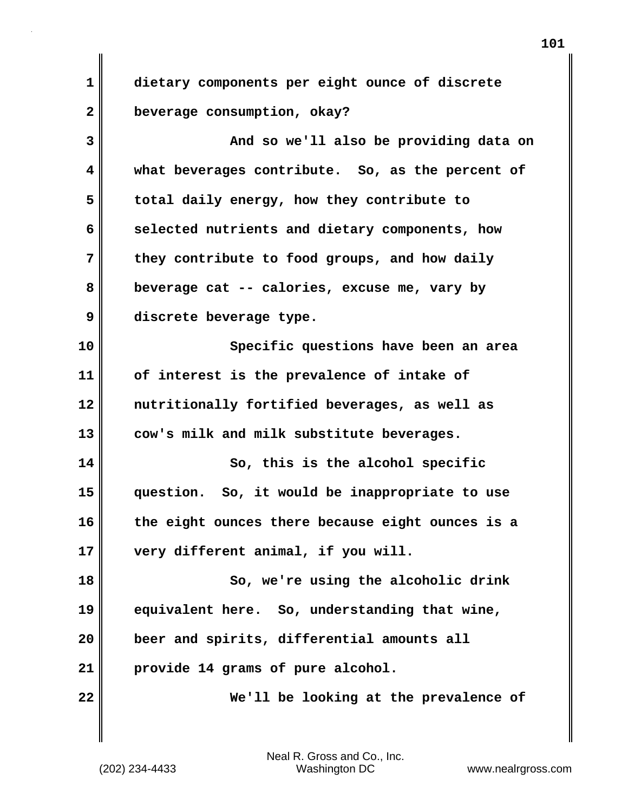**1 dietary components per eight ounce of discrete 2 beverage consumption, okay?**

**3 And so we'll also be providing data on 4 what beverages contribute. So, as the percent of 5 total daily energy, how they contribute to 6 selected nutrients and dietary components, how 7 they contribute to food groups, and how daily 8 beverage cat -- calories, excuse me, vary by 9 discrete beverage type. 10 Specific questions have been an area 11 of interest is the prevalence of intake of 12 nutritionally fortified beverages, as well as 13 cow's milk and milk substitute beverages. 14** So, this is the alcohol specific **15 question. So, it would be inappropriate to use 16 the eight ounces there because eight ounces is a 17 very different animal, if you will. 18 So, we're using the alcoholic drink 19 equivalent here. So, understanding that wine, 20 beer and spirits, differential amounts all 21 provide 14 grams of pure alcohol.**

**22 We'll be looking at the prevalence of**

(202) 234-4433 Washington DC www.nealrgross.com Neal R. Gross and Co., Inc.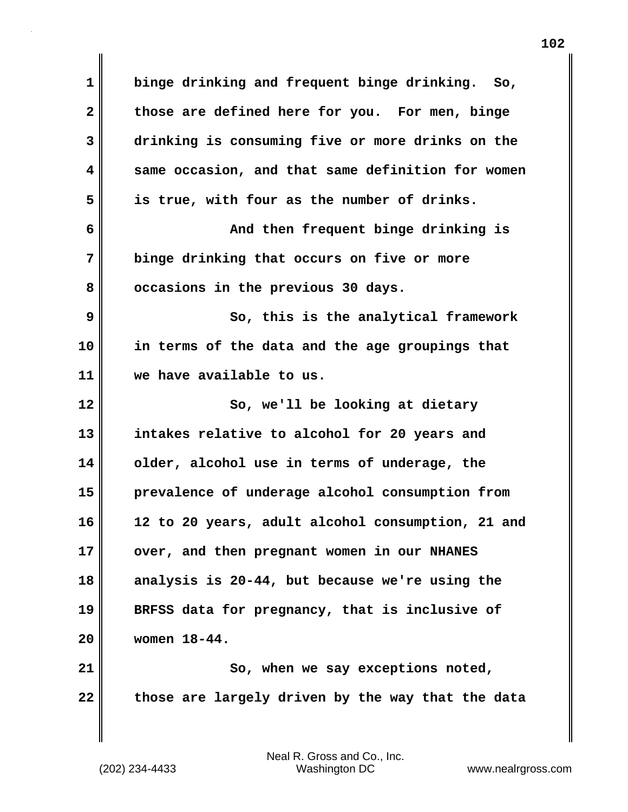**1 binge drinking and frequent binge drinking. So, 2 those are defined here for you. For men, binge 3 drinking is consuming five or more drinks on the 4 same occasion, and that same definition for women 5 is true, with four as the number of drinks. 6 And then frequent binge drinking is 7 binge drinking that occurs on five or more 8 occasions in the previous 30 days. 9 So, this is the analytical framework 10 in terms of the data and the age groupings that 11 we have available to us. 12** So, we'll be looking at dietary **13 intakes relative to alcohol for 20 years and 14 older, alcohol use in terms of underage, the 15 prevalence of underage alcohol consumption from 16 12 to 20 years, adult alcohol consumption, 21 and** 17 **over, and then pregnant women in our NHANES 18 analysis is 20-44, but because we're using the 19 BRFSS data for pregnancy, that is inclusive of 20 women 18-44.** 21 | So, when we say exceptions noted, 22 those are largely driven by the way that the data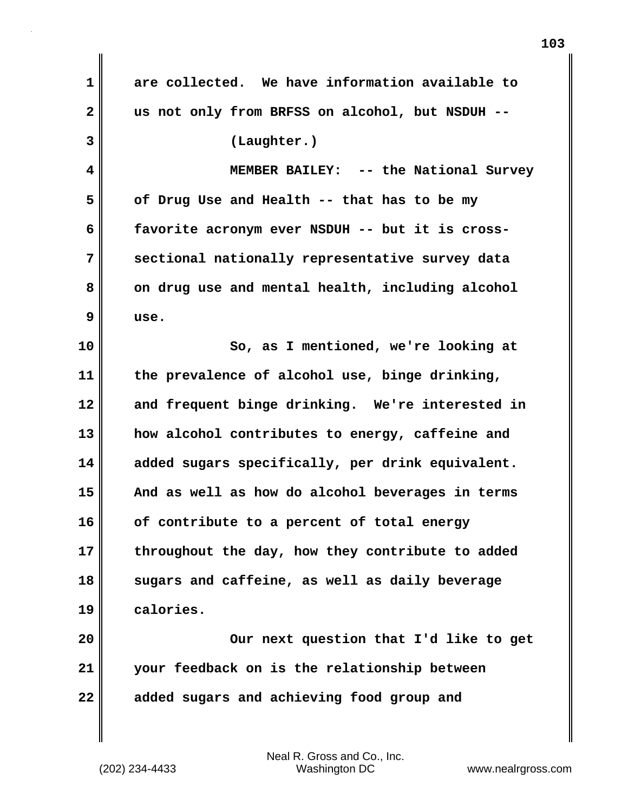**1 are collected. We have information available to 2 us not only from BRFSS on alcohol, but NSDUH -- 3 (Laughter.) 4 MEMBER BAILEY: -- the National Survey 5 of Drug Use and Health -- that has to be my 6 favorite acronym ever NSDUH -- but it is cross-7 sectional nationally representative survey data 8** on drug use and mental health, including alcohol **9 use. 10 So, as I mentioned, we're looking at 11 the prevalence of alcohol use, binge drinking, 12 and frequent binge drinking. We're interested in 13 how alcohol contributes to energy, caffeine and 14 added sugars specifically, per drink equivalent. 15 And as well as how do alcohol beverages in terms 16 of contribute to a percent of total energy 17 throughout the day, how they contribute to added 18 sugars and caffeine, as well as daily beverage 19 calories. 20 Our next question that I'd like to get 21 your feedback on is the relationship between 22 added sugars and achieving food group and**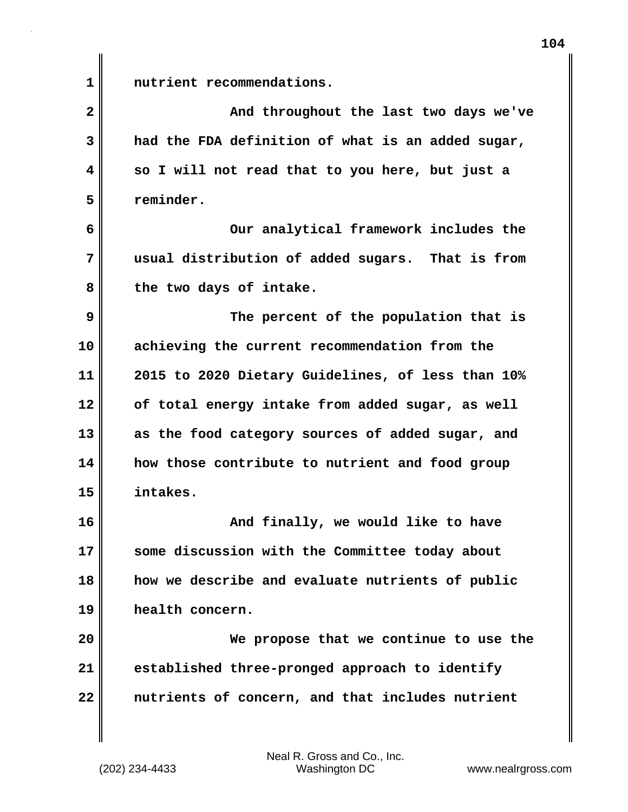**1 nutrient recommendations.**

**2** And throughout the last two days we've **3 had the FDA definition of what is an added sugar, 4 so I will not read that to you here, but just a 5 reminder.**

**6 Our analytical framework includes the 7 usual distribution of added sugars. That is from** 8 the two days of intake.

**9 The percent of the population that is 10 achieving the current recommendation from the 11 2015 to 2020 Dietary Guidelines, of less than 10% 12 of total energy intake from added sugar, as well 13 as the food category sources of added sugar, and 14 how those contribute to nutrient and food group 15 intakes.**

**16 And finally, we would like to have 17 some discussion with the Committee today about 18 how we describe and evaluate nutrients of public 19 health concern.**

**20 We propose that we continue to use the 21 established three-pronged approach to identify 22 nutrients of concern, and that includes nutrient**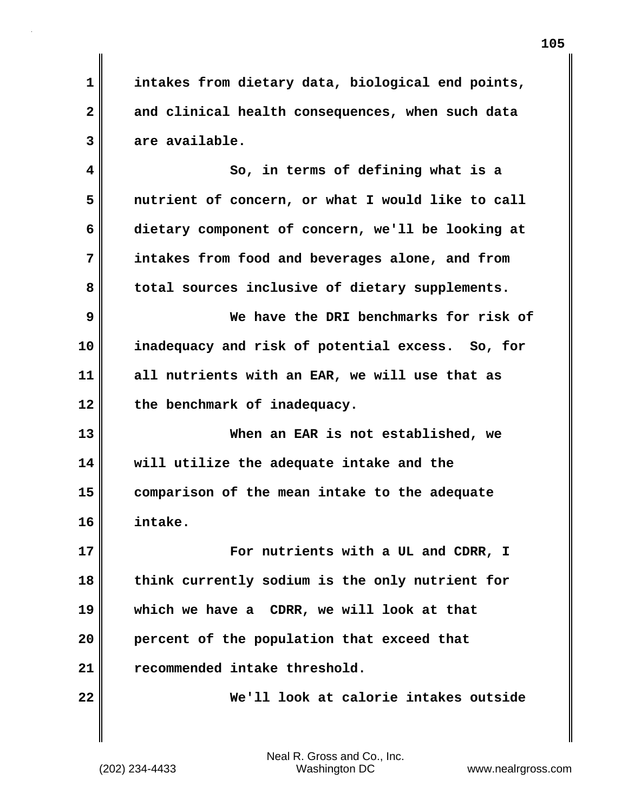**1 intakes from dietary data, biological end points, 2 and clinical health consequences, when such data 3 are available. 4 So, in terms of defining what is a 5 nutrient of concern, or what I would like to call 6 dietary component of concern, we'll be looking at 7 intakes from food and beverages alone, and from** 8 total sources inclusive of dietary supplements. **9 We have the DRI benchmarks for risk of 10 inadequacy and risk of potential excess. So, for 11 all nutrients with an EAR, we will use that as 12 the benchmark of inadequacy. 13 When an EAR is not established, we 14 will utilize the adequate intake and the 15 comparison of the mean intake to the adequate 16 intake. 17 Example 17** For nutrients with a UL and CDRR, I **18 think currently sodium is the only nutrient for 19 which we have a CDRR, we will look at that 20 percent of the population that exceed that 21 recommended intake threshold. 22 We'll look at calorie intakes outside**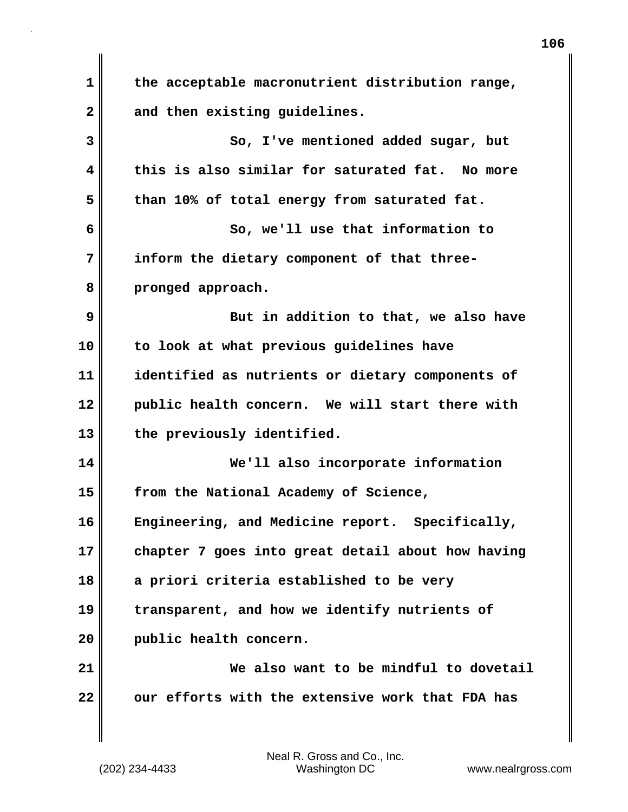| 1  | the acceptable macronutrient distribution range,  |
|----|---------------------------------------------------|
| 2  | and then existing guidelines.                     |
| 3  | So, I've mentioned added sugar, but               |
| 4  | this is also similar for saturated fat. No more   |
| 5  | than 10% of total energy from saturated fat.      |
| 6  | So, we'll use that information to                 |
| 7  | inform the dietary component of that three-       |
| 8  | pronged approach.                                 |
| 9  | But in addition to that, we also have             |
| 10 | to look at what previous guidelines have          |
| 11 | identified as nutrients or dietary components of  |
| 12 | public health concern. We will start there with   |
| 13 | the previously identified.                        |
| 14 | We'll also incorporate information                |
| 15 | from the National Academy of Science,             |
| 16 | Engineering, and Medicine report. Specifically,   |
| 17 | chapter 7 goes into great detail about how having |
| 18 | a priori criteria established to be very          |
| 19 | transparent, and how we identify nutrients of     |
| 20 | public health concern.                            |
| 21 | We also want to be mindful to dovetail            |
| 22 | our efforts with the extensive work that FDA has  |

 $\blacksquare$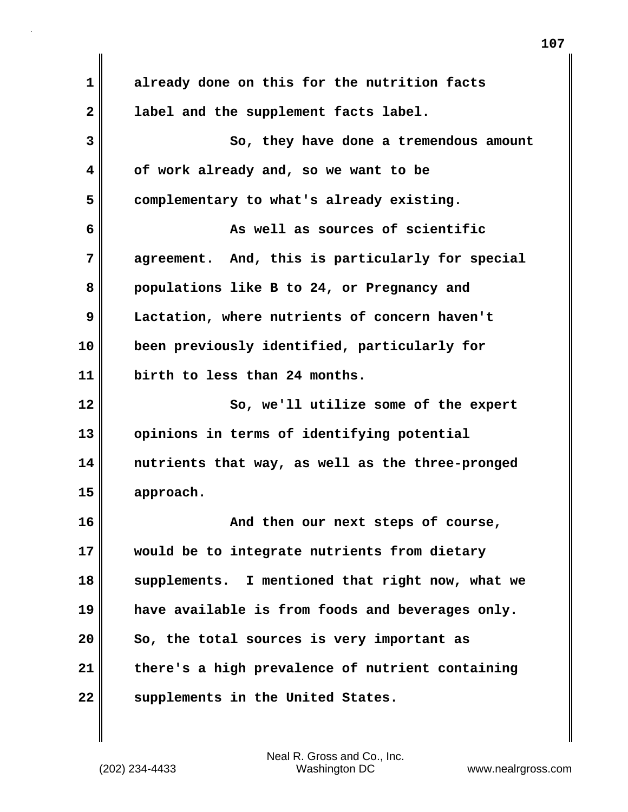**1 already done on this for the nutrition facts 2 label and the supplement facts label. 3 So, they have done a tremendous amount 4 of work already and, so we want to be 5 complementary to what's already existing. 6 As well as sources of scientific 7 agreement. And, this is particularly for special 8 populations like B to 24, or Pregnancy and 9 Lactation, where nutrients of concern haven't 10 been previously identified, particularly for 11 birth to less than 24 months. 12** So, we'll utilize some of the expert **13 opinions in terms of identifying potential 14 nutrients that way, as well as the three-pronged 15 approach. 16 And then our next steps of course, 17 would be to integrate nutrients from dietary 18 supplements. I mentioned that right now, what we 19 have available is from foods and beverages only. 20 So, the total sources is very important as 21 there's a high prevalence of nutrient containing** 22 supplements in the United States.

(202) 234-4433 Washington DC www.nealrgross.com Neal R. Gross and Co., Inc.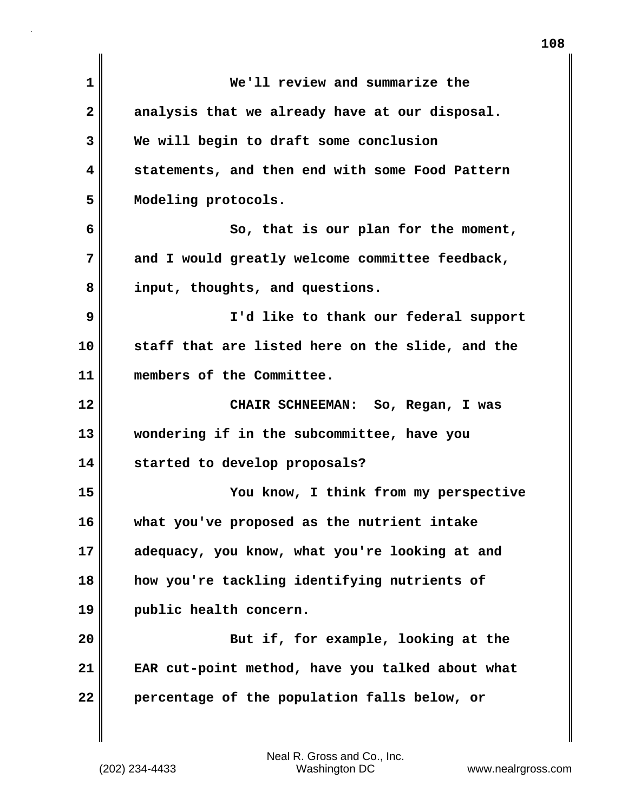| $\mathbf 1$  | We'll review and summarize the                   |
|--------------|--------------------------------------------------|
| $\mathbf{2}$ | analysis that we already have at our disposal.   |
| 3            | We will begin to draft some conclusion           |
| 4            | statements, and then end with some Food Pattern  |
| 5            | Modeling protocols.                              |
| 6            | So, that is our plan for the moment,             |
| 7            | and I would greatly welcome committee feedback,  |
| 8            | input, thoughts, and questions.                  |
| 9            | I'd like to thank our federal support            |
| 10           | staff that are listed here on the slide, and the |
| 11           | members of the Committee.                        |
| 12           | CHAIR SCHNEEMAN: So, Regan, I was                |
| 13           | wondering if in the subcommittee, have you       |
| 14           | started to develop proposals?                    |
| 15           | You know, I think from my perspective            |
| 16           | what you've proposed as the nutrient intake      |
| 17           | adequacy, you know, what you're looking at and   |
| 18           | how you're tackling identifying nutrients of     |
| 19           | public health concern.                           |
| 20           | But if, for example, looking at the              |
| 21           | EAR cut-point method, have you talked about what |
| 22           | percentage of the population falls below, or     |
|              |                                                  |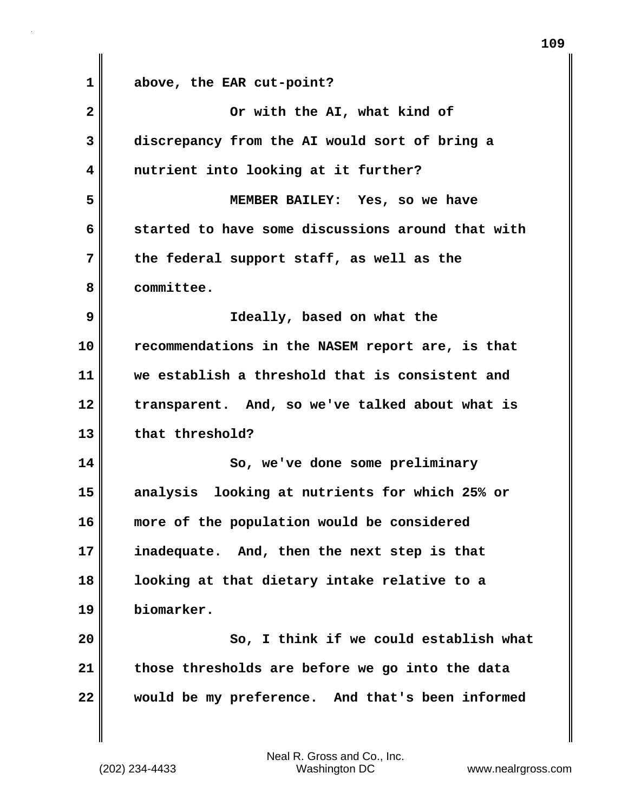**1 above, the EAR cut-point? 2 Or with the AI, what kind of 3 discrepancy from the AI would sort of bring a 4 nutrient into looking at it further? 5 MEMBER BAILEY: Yes, so we have 6 started to have some discussions around that with 7 the federal support staff, as well as the 8 committee. 9 Ideally, based on what the 10 recommendations in the NASEM report are, is that 11 we establish a threshold that is consistent and 12 transparent. And, so we've talked about what is** 13 that threshold? **14 So, we've done some preliminary 15 analysis looking at nutrients for which 25% or 16 more of the population would be considered 17 inadequate. And, then the next step is that 18 looking at that dietary intake relative to a 19 biomarker. 20 So, I think if we could establish what 21 those thresholds are before we go into the data 22 would be my preference. And that's been informed**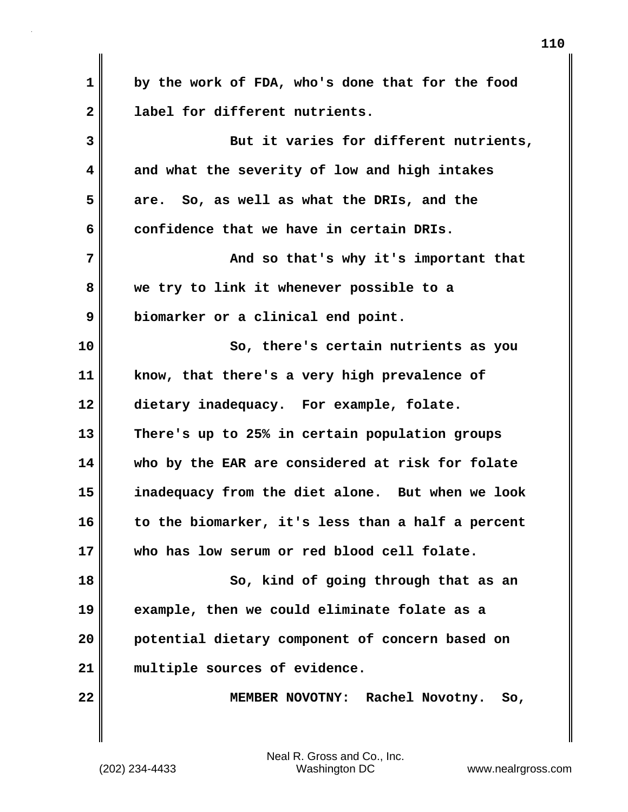**1 by the work of FDA, who's done that for the food 2 label for different nutrients. 3 But it varies for different nutrients, 4 and what the severity of low and high intakes 5 are. So, as well as what the DRIs, and the 6 confidence that we have in certain DRIs. 7 And so that's why it's important that 8 we try to link it whenever possible to a 9 biomarker or a clinical end point. 10 So, there's certain nutrients as you 11 know, that there's a very high prevalence of 12 dietary inadequacy. For example, folate. 13 There's up to 25% in certain population groups 14 who by the EAR are considered at risk for folate 15 inadequacy from the diet alone. But when we look 16 to the biomarker, it's less than a half a percent 17 who has low serum or red blood cell folate. 18 So, kind of going through that as an 19 example, then we could eliminate folate as a 20 potential dietary component of concern based on 21 multiple sources of evidence. 22 MEMBER NOVOTNY: Rachel Novotny. So,**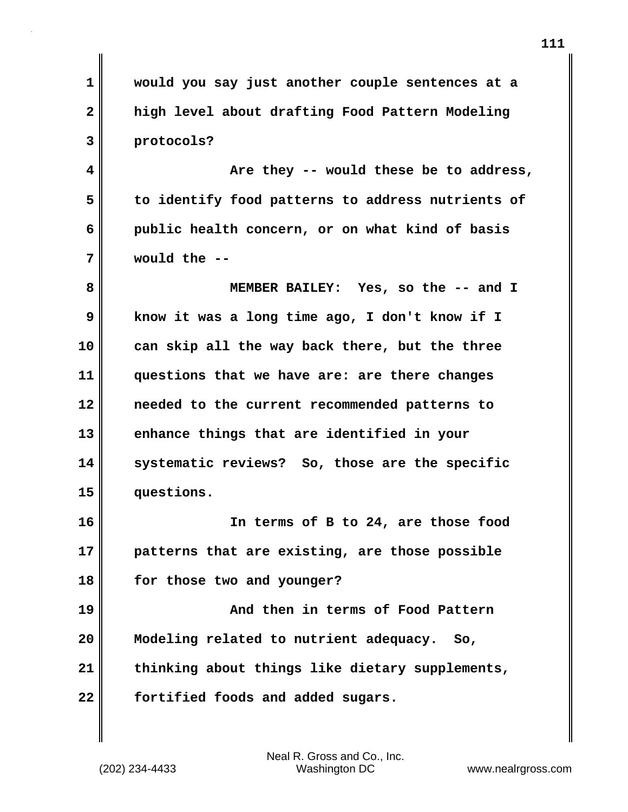**1 would you say just another couple sentences at a 2 high level about drafting Food Pattern Modeling 3 protocols? 4 Are they -- would these be to address, 5 to identify food patterns to address nutrients of 6 public health concern, or on what kind of basis 7 would the -- 8 MEMBER BAILEY: Yes, so the -- and I 9 know it was a long time ago, I don't know if I 10 can skip all the way back there, but the three 11 questions that we have are: are there changes 12 needed to the current recommended patterns to 13 enhance things that are identified in your 14 systematic reviews? So, those are the specific 15 questions. 16 In terms of B to 24, are those food 17 patterns that are existing, are those possible 18 for those two and younger? 19 And then in terms of Food Pattern 20 Modeling related to nutrient adequacy. So, 21 thinking about things like dietary supplements, 22 fortified foods and added sugars.**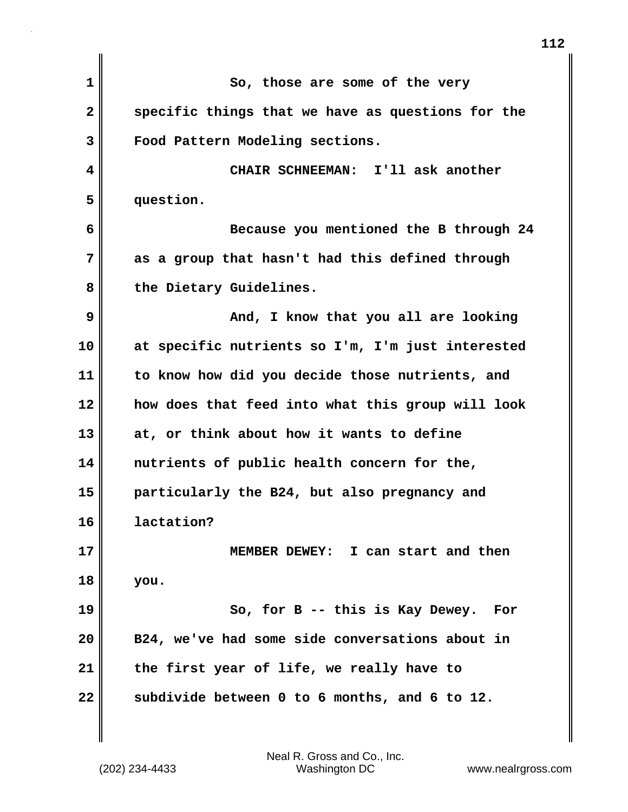| So, those are some of the very                    |
|---------------------------------------------------|
| specific things that we have as questions for the |
| Food Pattern Modeling sections.                   |
| CHAIR SCHNEEMAN: I'll ask another                 |
| question.                                         |
| Because you mentioned the B through 24            |
| as a group that hasn't had this defined through   |
| the Dietary Guidelines.                           |
| And, I know that you all are looking              |
| at specific nutrients so I'm, I'm just interested |
| to know how did you decide those nutrients, and   |
| how does that feed into what this group will look |
| at, or think about how it wants to define         |
| nutrients of public health concern for the,       |
| particularly the B24, but also pregnancy and      |
| lactation?                                        |
| MEMBER DEWEY: I can start and then                |
| you.                                              |
| So, for B -- this is Kay Dewey.<br>For            |
| B24, we've had some side conversations about in   |
| the first year of life, we really have to         |
| subdivide between 0 to 6 months, and 6 to 12.     |
|                                                   |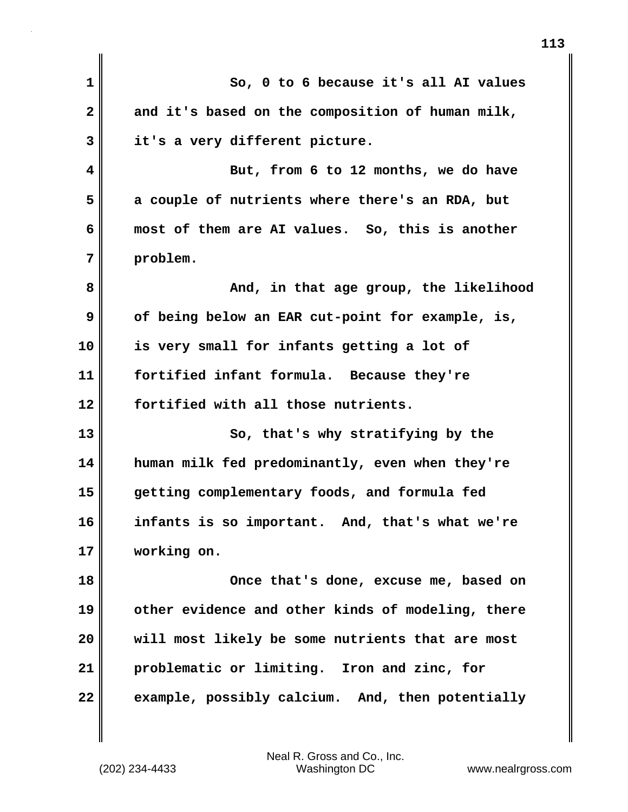| $\mathbf{1}$ | So, 0 to 6 because it's all AI values             |
|--------------|---------------------------------------------------|
| $\mathbf{2}$ | and it's based on the composition of human milk,  |
| 3            | it's a very different picture.                    |
| 4            | But, from 6 to 12 months, we do have              |
| 5            | a couple of nutrients where there's an RDA, but   |
| 6            | most of them are AI values. So, this is another   |
| 7            | problem.                                          |
| 8            | And, in that age group, the likelihood            |
| 9            | of being below an EAR cut-point for example, is,  |
| 10           | is very small for infants getting a lot of        |
| 11           | fortified infant formula. Because they're         |
| 12           | fortified with all those nutrients.               |
| 13           | So, that's why stratifying by the                 |
| 14           | human milk fed predominantly, even when they're   |
| 15           | getting complementary foods, and formula fed      |
| 16           | infants is so important. And, that's what we're   |
| 17           | working on.                                       |
| 18           | Once that's done, excuse me, based on             |
| 19           | other evidence and other kinds of modeling, there |
| 20           | will most likely be some nutrients that are most  |
| 21           | problematic or limiting. Iron and zinc, for       |
| 22           | example, possibly calcium. And, then potentially  |
|              |                                                   |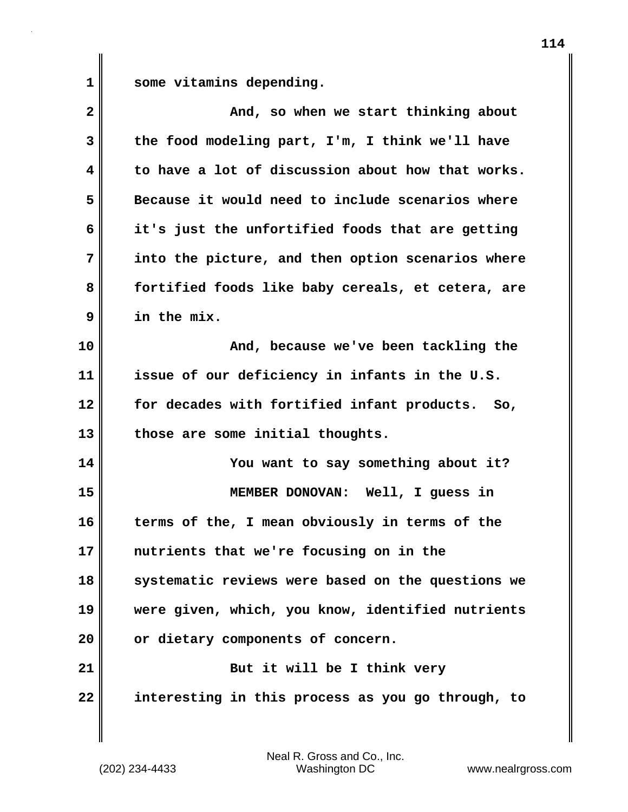1 some vitamins depending.

| $\overline{\mathbf{2}}$ | And, so when we start thinking about              |
|-------------------------|---------------------------------------------------|
| 3                       | the food modeling part, I'm, I think we'll have   |
| 4                       | to have a lot of discussion about how that works. |
| 5                       | Because it would need to include scenarios where  |
| 6                       | it's just the unfortified foods that are getting  |
| 7                       | into the picture, and then option scenarios where |
| 8                       | fortified foods like baby cereals, et cetera, are |
| 9                       | in the mix.                                       |
| 10                      | And, because we've been tackling the              |
| 11                      | issue of our deficiency in infants in the U.S.    |
| 12                      | for decades with fortified infant products. So,   |
| 13                      | those are some initial thoughts.                  |
| 14                      | You want to say something about it?               |
| 15                      | MEMBER DONOVAN: Well, I guess in                  |
| 16                      | terms of the, I mean obviously in terms of the    |
| 17                      | nutrients that we're focusing on in the           |
| 18                      | systematic reviews were based on the questions we |
| 19                      | were given, which, you know, identified nutrients |
| 20                      | or dietary components of concern.                 |
| 21                      | But it will be I think very                       |
| 22                      | interesting in this process as you go through, to |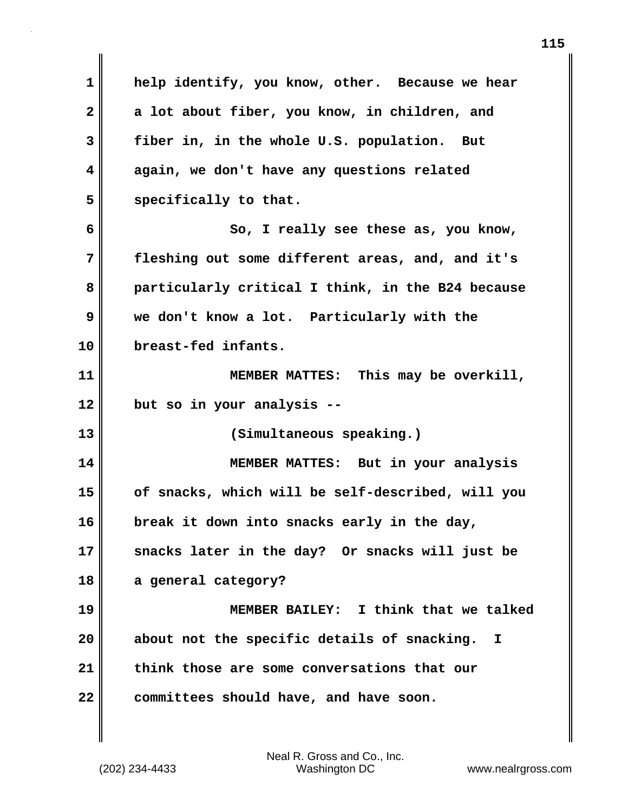**1 help identify, you know, other. Because we hear 2 a lot about fiber, you know, in children, and 3 fiber in, in the whole U.S. population. But 4 again, we don't have any questions related** 5 specifically to that. **6 So, I really see these as, you know, 7 fleshing out some different areas, and, and it's 8 particularly critical I think, in the B24 because 9 we don't know a lot. Particularly with the 10 breast-fed infants. 11 MEMBER MATTES: This may be overkill, 12 but so in your analysis -- 13 (Simultaneous speaking.) 14 MEMBER MATTES: But in your analysis 15 of snacks, which will be self-described, will you 16 break it down into snacks early in the day, 17 snacks later in the day? Or snacks will just be 18 a general category? 19 MEMBER BAILEY: I think that we talked 20 about not the specific details of snacking. I 21 think those are some conversations that our 22 committees should have, and have soon.**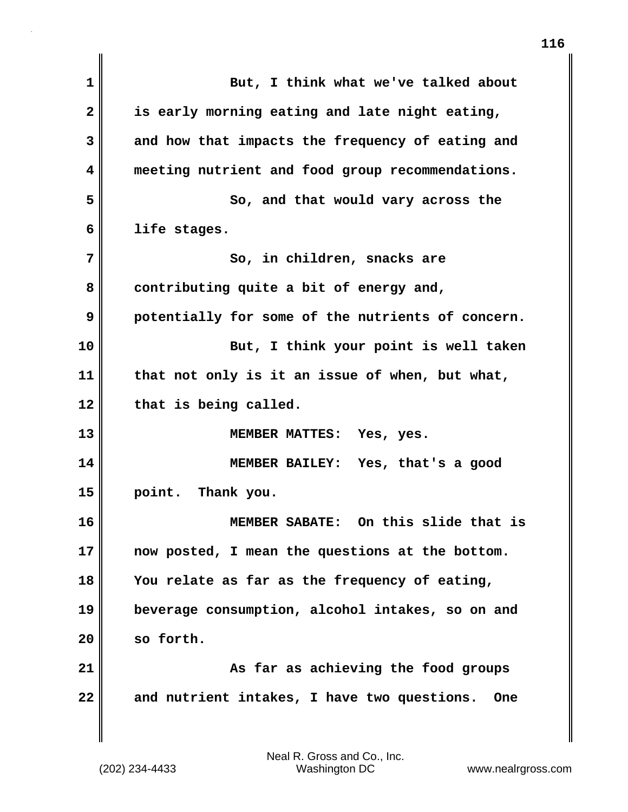| $\mathbf{1}$   | But, I think what we've talked about                      |
|----------------|-----------------------------------------------------------|
| $\overline{2}$ | is early morning eating and late night eating,            |
| 3              | and how that impacts the frequency of eating and          |
| 4              | meeting nutrient and food group recommendations.          |
| 5              | So, and that would vary across the                        |
| 6              | life stages.                                              |
| 7              | So, in children, snacks are                               |
| 8              | contributing quite a bit of energy and,                   |
| 9              | potentially for some of the nutrients of concern.         |
| 10             | But, I think your point is well taken                     |
| 11             | that not only is it an issue of when, but what,           |
| 12             | that is being called.                                     |
| 13             | MEMBER MATTES: Yes, yes.                                  |
| 14             | MEMBER BAILEY: Yes, that's a good                         |
| 15             | point. Thank you.                                         |
| 16             | MEMBER SABATE: On this slide that is                      |
| 17             | now posted, I mean the questions at the bottom.           |
| 18             | You relate as far as the frequency of eating,             |
| 19             | beverage consumption, alcohol intakes, so on and          |
| 20             | so forth.                                                 |
| 21             | As far as achieving the food groups                       |
| 22             | and nutrient intakes, I have two questions.<br><b>One</b> |
|                |                                                           |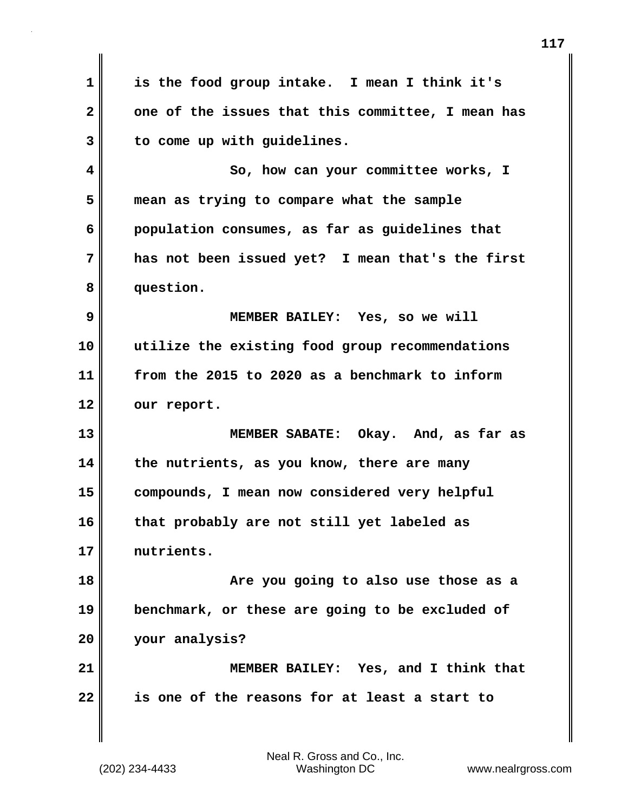**1 is the food group intake. I mean I think it's 2 one of the issues that this committee, I mean has 3 to come up with guidelines. 4 So, how can your committee works, I 5 mean as trying to compare what the sample 6 population consumes, as far as guidelines that 7 has not been issued yet? I mean that's the first 8 question. 9 MEMBER BAILEY: Yes, so we will 10 utilize the existing food group recommendations 11 from the 2015 to 2020 as a benchmark to inform 12 our report. 13 MEMBER SABATE: Okay. And, as far as 14 the nutrients, as you know, there are many 15 compounds, I mean now considered very helpful 16 that probably are not still yet labeled as 17 nutrients. 18 Are you going to also use those as a 19 benchmark, or these are going to be excluded of 20 your analysis? 21 MEMBER BAILEY: Yes, and I think that 22 is one of the reasons for at least a start to**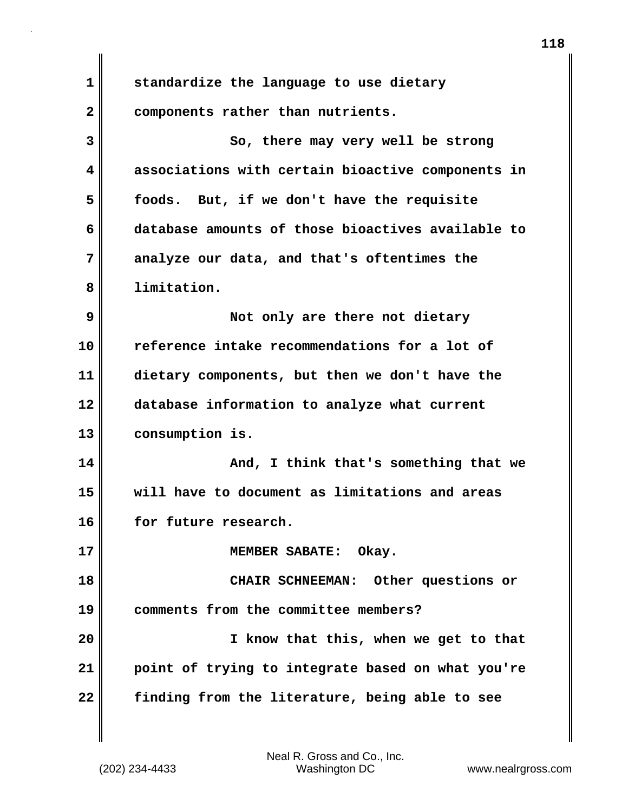**1 standardize the language to use dietary 2 components rather than nutrients. 3** So, there may very well be strong **4 associations with certain bioactive components in 5 foods. But, if we don't have the requisite 6 database amounts of those bioactives available to 7 analyze our data, and that's oftentimes the 8 limitation. 9 Not only are there not dietary 10 reference intake recommendations for a lot of 11 dietary components, but then we don't have the 12 database information to analyze what current 13 consumption is. 14 And, I think that's something that we 15 will have to document as limitations and areas 16 for future research. 17 MEMBER SABATE: Okay. 18 CHAIR SCHNEEMAN: Other questions or 19 comments from the committee members? 20 I know that this, when we get to that 21 point of trying to integrate based on what you're 22 finding from the literature, being able to see**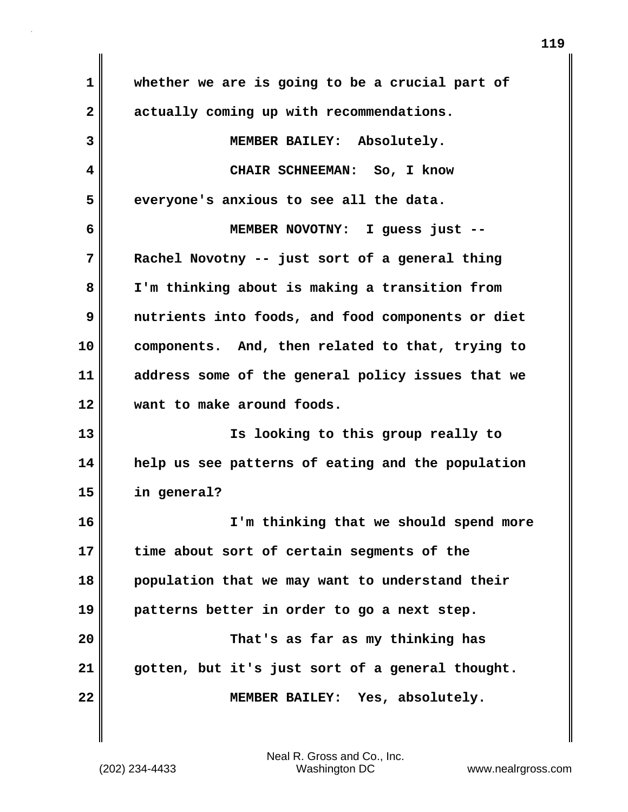**1 whether we are is going to be a crucial part of 2 actually coming up with recommendations. 3 MEMBER BAILEY: Absolutely. 4 CHAIR SCHNEEMAN: So, I know 5 everyone's anxious to see all the data. 6 MEMBER NOVOTNY: I guess just -- 7 Rachel Novotny -- just sort of a general thing 8 I'm thinking about is making a transition from 9 nutrients into foods, and food components or diet 10 components. And, then related to that, trying to 11 address some of the general policy issues that we 12 want to make around foods. 13 Is looking to this group really to 14 help us see patterns of eating and the population 15 in general? 16 I'm thinking that we should spend more 17 time about sort of certain segments of the 18 population that we may want to understand their 19 patterns better in order to go a next step. 20 That's as far as my thinking has 21 gotten, but it's just sort of a general thought. 22 MEMBER BAILEY: Yes, absolutely.**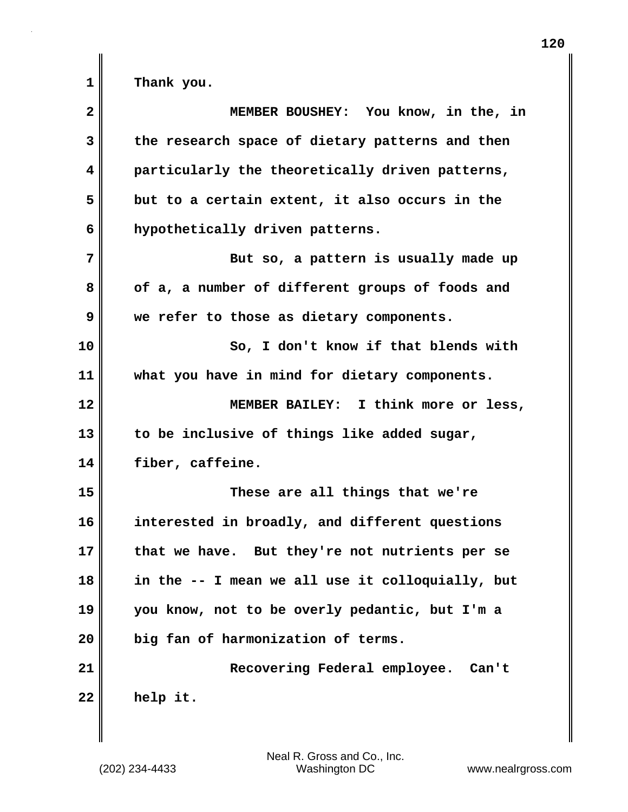| $\mathbf{2}$ | MEMBER BOUSHEY: You know, in the, in             |
|--------------|--------------------------------------------------|
| 3            | the research space of dietary patterns and then  |
| 4            | particularly the theoretically driven patterns,  |
| 5            | but to a certain extent, it also occurs in the   |
| 6            | hypothetically driven patterns.                  |
| 7            | But so, a pattern is usually made up             |
| 8            | of a, a number of different groups of foods and  |
| 9            | we refer to those as dietary components.         |
| 10           | So, I don't know if that blends with             |
| 11           | what you have in mind for dietary components.    |
| 12           | MEMBER BAILEY: I think more or less,             |
| 13           | to be inclusive of things like added sugar,      |
| 14           | fiber, caffeine.                                 |
| 15           | These are all things that we're                  |
| 16           | interested in broadly, and different questions   |
| 17           | that we have. But they're not nutrients per se   |
| 18           | in the -- I mean we all use it colloquially, but |
| 19           | you know, not to be overly pedantic, but I'm a   |
| 20           | big fan of harmonization of terms.               |
| 21           | Recovering Federal employee. Can't               |
| 22           | help it.                                         |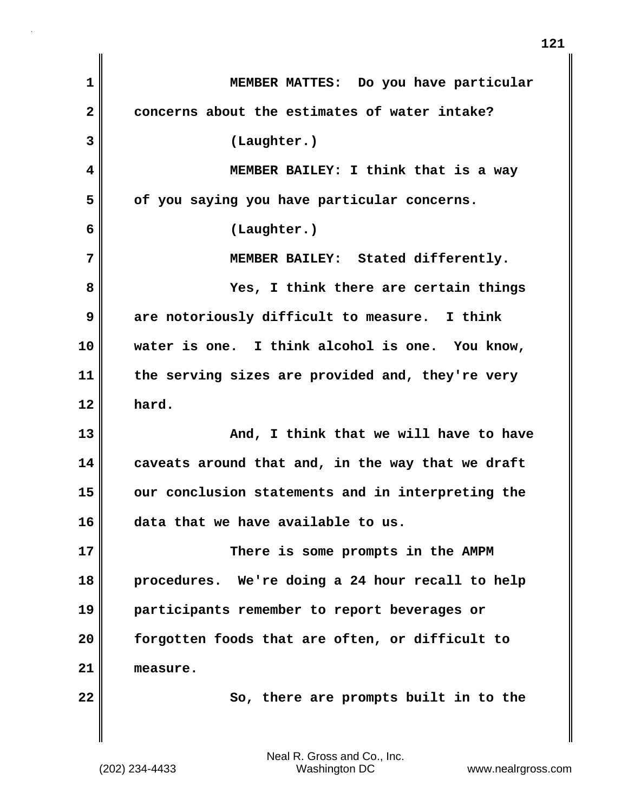**1 MEMBER MATTES: Do you have particular 2 concerns about the estimates of water intake? 3 (Laughter.) 4 MEMBER BAILEY: I think that is a way 5 of you saying you have particular concerns. 6 (Laughter.) 7 MEMBER BAILEY: Stated differently. 8 Yes, I think there are certain things 9 are notoriously difficult to measure. I think 10 water is one. I think alcohol is one. You know, 11 the serving sizes are provided and, they're very 12 hard. 13 And, I think that we will have to have 14 caveats around that and, in the way that we draft 15 our conclusion statements and in interpreting the 16 data that we have available to us. 17 There is some prompts in the AMPM 18 procedures. We're doing a 24 hour recall to help 19 participants remember to report beverages or 20 forgotten foods that are often, or difficult to 21 measure. 22** So, there are prompts built in to the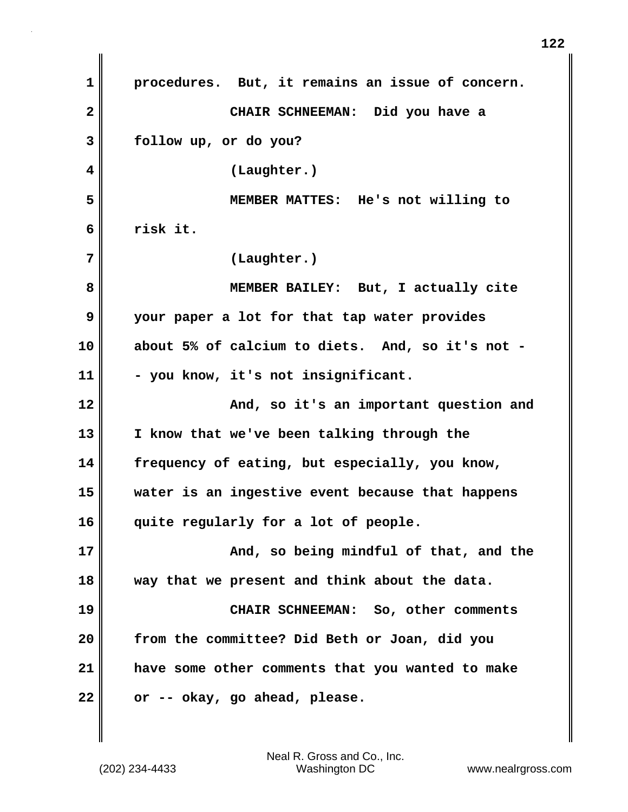**1 procedures. But, it remains an issue of concern. 2 CHAIR SCHNEEMAN: Did you have a 3 follow up, or do you? 4 (Laughter.) 5 MEMBER MATTES: He's not willing to 6 risk it. 7 (Laughter.) 8 MEMBER BAILEY: But, I actually cite 9 your paper a lot for that tap water provides 10 about 5% of calcium to diets. And, so it's not - 11 - you know, it's not insignificant. 12 And, so it's an important question and 13 I know that we've been talking through the 14 frequency of eating, but especially, you know, 15 water is an ingestive event because that happens 16 quite regularly for a lot of people. 17 And, so being mindful of that, and the 18 way that we present and think about the data. 19 CHAIR SCHNEEMAN: So, other comments 20 from the committee? Did Beth or Joan, did you 21 have some other comments that you wanted to make 22 or -- okay, go ahead, please.**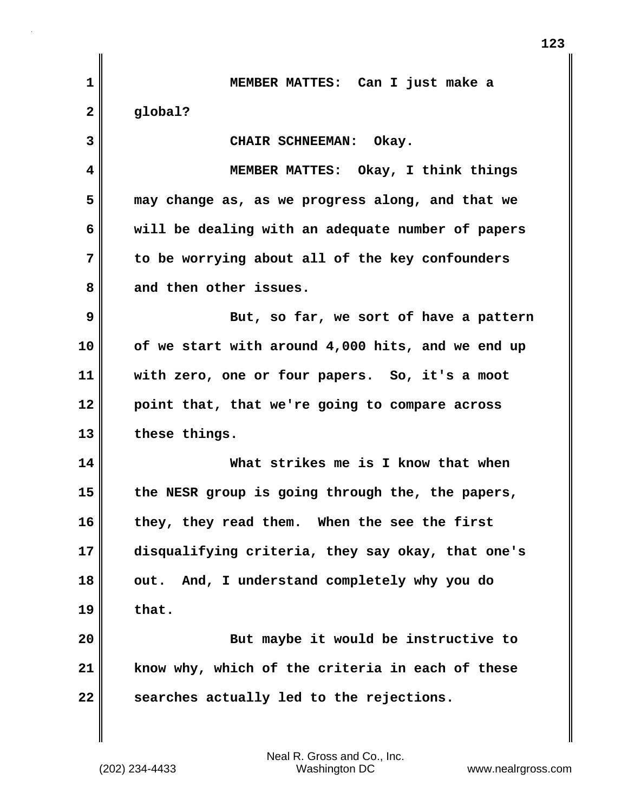| 1            | MEMBER MATTES: Can I just make a                  |
|--------------|---------------------------------------------------|
| $\mathbf{2}$ | global?                                           |
| 3            | CHAIR SCHNEEMAN: Okay.                            |
| 4            | MEMBER MATTES: Okay, I think things               |
| 5            | may change as, as we progress along, and that we  |
| 6            | will be dealing with an adequate number of papers |
| 7            | to be worrying about all of the key confounders   |
| 8            | and then other issues.                            |
| 9            | But, so far, we sort of have a pattern            |
| 10           | of we start with around 4,000 hits, and we end up |
| 11           | with zero, one or four papers. So, it's a moot    |
| 12           | point that, that we're going to compare across    |
| 13           | these things.                                     |
| 14           | What strikes me is I know that when               |
| 15           | the NESR group is going through the, the papers,  |
| 16           | they, they read them. When the see the first      |
| 17           | disqualifying criteria, they say okay, that one's |
| 18           | And, I understand completely why you do<br>out.   |
| 19           | that.                                             |
| 20           | But maybe it would be instructive to              |
| 21           | know why, which of the criteria in each of these  |
| 22           | searches actually led to the rejections.          |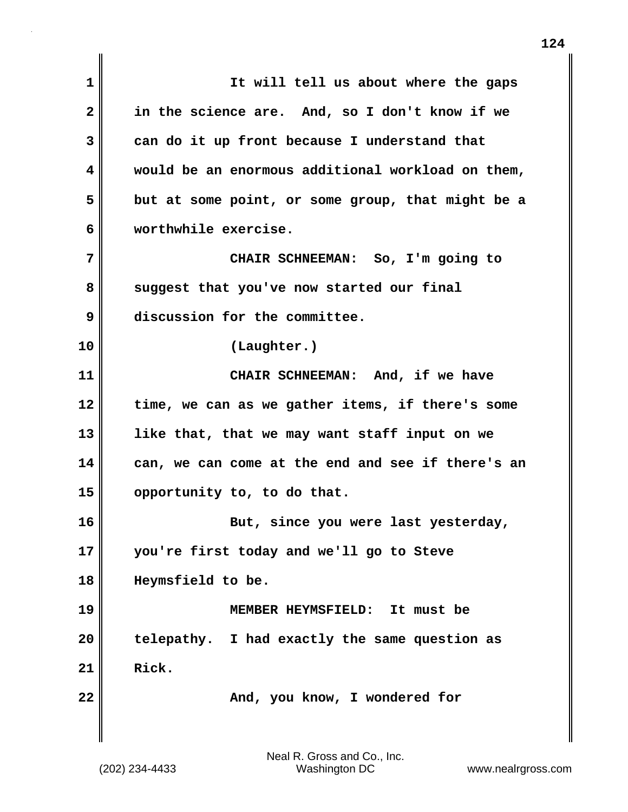**1 It will tell us about where the gaps 2 in the science are. And, so I don't know if we 3 can do it up front because I understand that 4 would be an enormous additional workload on them, 5 but at some point, or some group, that might be a 6 worthwhile exercise. 7 CHAIR SCHNEEMAN: So, I'm going to 8 suggest that you've now started our final 9 discussion for the committee. 10 (Laughter.) 11 CHAIR SCHNEEMAN: And, if we have 12 time, we can as we gather items, if there's some 13 like that, that we may want staff input on we 14 can, we can come at the end and see if there's an 15 opportunity to, to do that. 16 But, since you were last yesterday, 17 you're first today and we'll go to Steve 18 Heymsfield to be. 19 MEMBER HEYMSFIELD: It must be 20 telepathy. I had exactly the same question as 21 Rick. 22** MI **And, you know, I wondered for**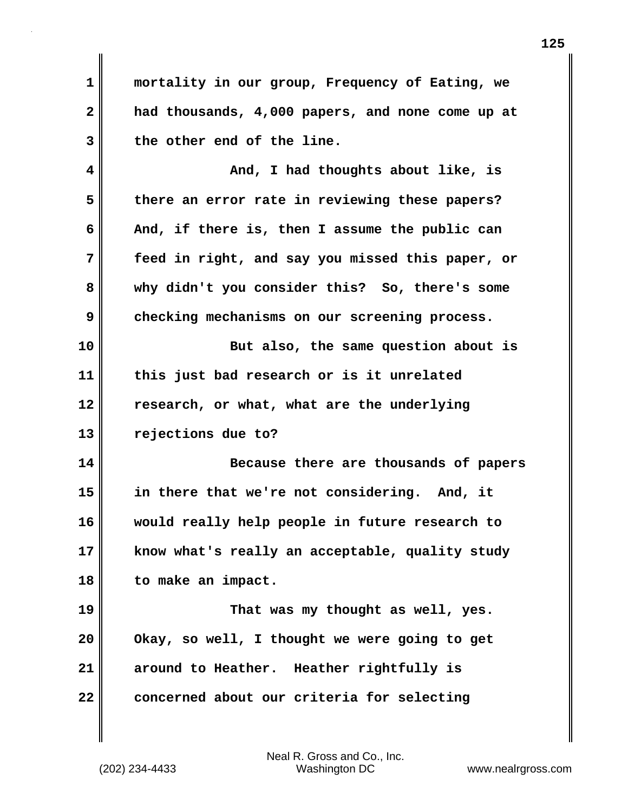**1 mortality in our group, Frequency of Eating, we 2 had thousands, 4,000 papers, and none come up at 3 the other end of the line.**

**4 And, I had thoughts about like, is 5 there an error rate in reviewing these papers? 6 And, if there is, then I assume the public can 7 feed in right, and say you missed this paper, or 8 why didn't you consider this? So, there's some 9 checking mechanisms on our screening process.**

**10 But also, the same question about is 11 this just bad research or is it unrelated 12 research, or what, what are the underlying 13 rejections due to?**

**14 Because there are thousands of papers 15 in there that we're not considering. And, it 16 would really help people in future research to 17 know what's really an acceptable, quality study 18 to make an impact.**

**19 That was my thought as well, yes. 20 Okay, so well, I thought we were going to get 21 around to Heather. Heather rightfully is 22 concerned about our criteria for selecting**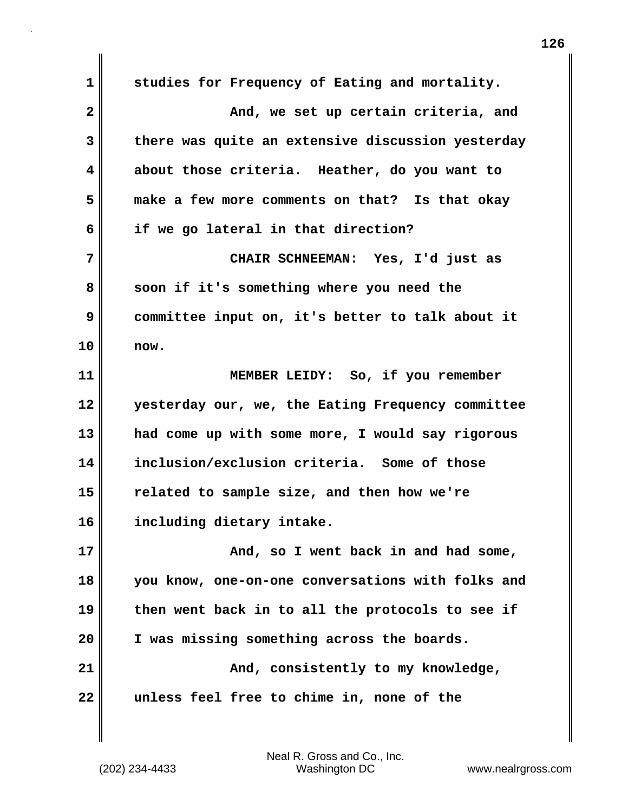**1 studies for Frequency of Eating and mortality. 2 And, we set up certain criteria, and 3 there was quite an extensive discussion yesterday 4 about those criteria. Heather, do you want to 5 make a few more comments on that? Is that okay 6 if we go lateral in that direction? 7 CHAIR SCHNEEMAN: Yes, I'd just as 8 soon if it's something where you need the 9 committee input on, it's better to talk about it 10 now. 11 MEMBER LEIDY: So, if you remember 12 yesterday our, we, the Eating Frequency committee 13 had come up with some more, I would say rigorous 14 inclusion/exclusion criteria. Some of those 15 related to sample size, and then how we're 16 including dietary intake. 17 And, so I went back in and had some, 18 you know, one-on-one conversations with folks and 19 then went back in to all the protocols to see if 20 I was missing something across the boards. 21 And, consistently to my knowledge, 22 unless feel free to chime in, none of the**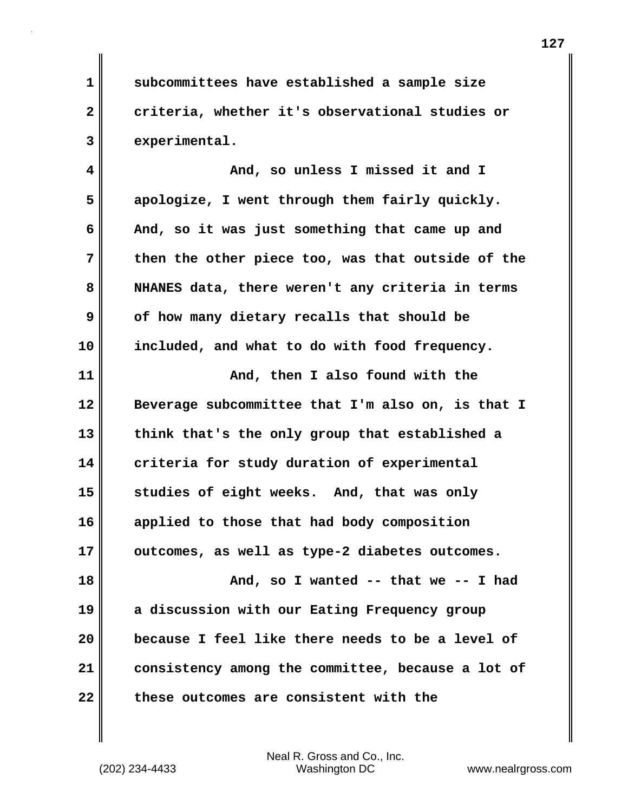**1 subcommittees have established a sample size 2 criteria, whether it's observational studies or 3 experimental.**

**4 And, so unless I missed it and I 5 apologize, I went through them fairly quickly. 6 And, so it was just something that came up and 7 then the other piece too, was that outside of the 8 NHANES data, there weren't any criteria in terms 9 of how many dietary recalls that should be 10 included, and what to do with food frequency.**

**11 And, then I also found with the 12 Beverage subcommittee that I'm also on, is that I 13 think that's the only group that established a 14 criteria for study duration of experimental 15 studies of eight weeks. And, that was only 16 applied to those that had body composition 17 outcomes, as well as type-2 diabetes outcomes. 18 And, so I wanted -- that we -- I had 19 a discussion with our Eating Frequency group 20 because I feel like there needs to be a level of 21 consistency among the committee, because a lot of**

**22 these outcomes are consistent with the**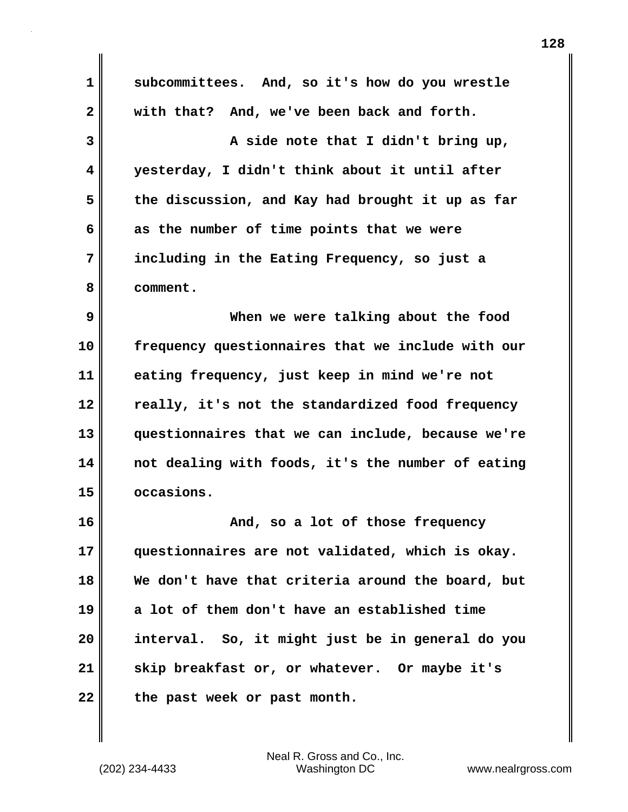**1 subcommittees. And, so it's how do you wrestle 2 with that? And, we've been back and forth. 3 A side note that I didn't bring up, 4 yesterday, I didn't think about it until after 5 the discussion, and Kay had brought it up as far 6 as the number of time points that we were 7 including in the Eating Frequency, so just a 8 comment. 9 When we were talking about the food 10 frequency questionnaires that we include with our 11 eating frequency, just keep in mind we're not 12 really, it's not the standardized food frequency 13 questionnaires that we can include, because we're 14 not dealing with foods, it's the number of eating 15 occasions. 16 And, so a lot of those frequency 17 questionnaires are not validated, which is okay. 18 We don't have that criteria around the board, but 19 a lot of them don't have an established time 20 interval. So, it might just be in general do you 21 skip breakfast or, or whatever. Or maybe it's 22 the past week or past month.**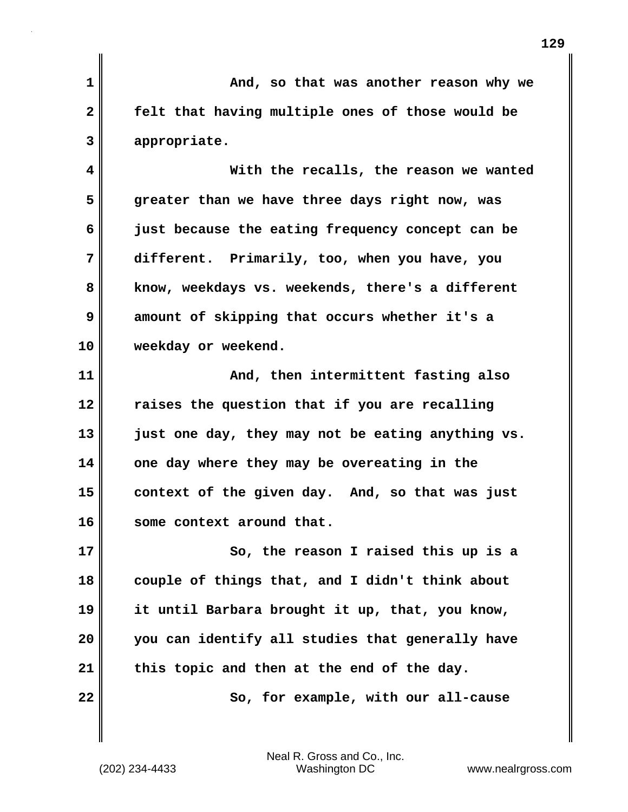**1 And, so that was another reason why we 2 felt that having multiple ones of those would be 3 appropriate. 4 With the recalls, the reason we wanted 5 greater than we have three days right now, was 6 just because the eating frequency concept can be 7 different. Primarily, too, when you have, you 8 know, weekdays vs. weekends, there's a different 9 amount of skipping that occurs whether it's a 10 weekday or weekend. 11 And, then intermittent fasting also 12 raises the question that if you are recalling 13 just one day, they may not be eating anything vs. 14 one day where they may be overeating in the 15 context of the given day. And, so that was just 16 some context around that. 17 So, the reason I raised this up is a 18 couple of things that, and I didn't think about 19 it until Barbara brought it up, that, you know, 20 you can identify all studies that generally have 21 this topic and then at the end of the day. 22** So, for example, with our all-cause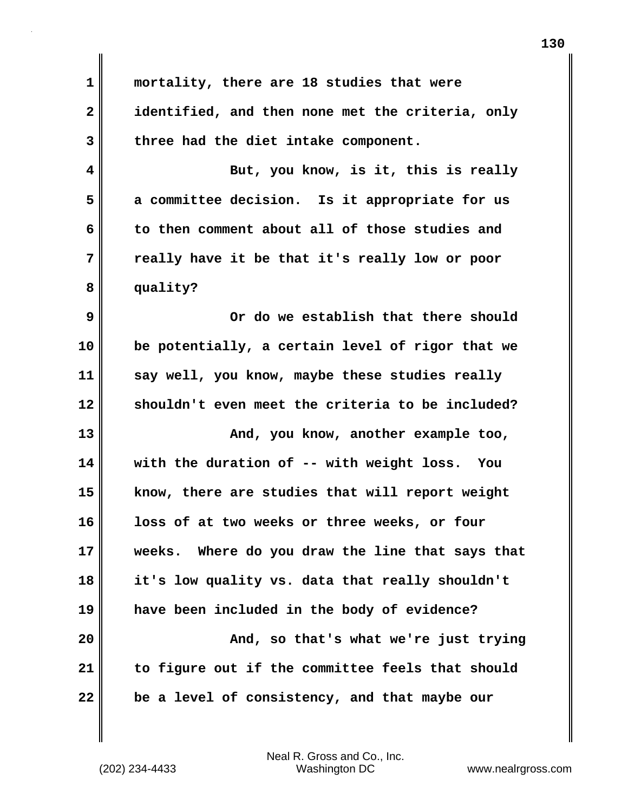**1 mortality, there are 18 studies that were 2 identified, and then none met the criteria, only 3 three had the diet intake component. 4 But, you know, is it, this is really 5 a committee decision. Is it appropriate for us 6 to then comment about all of those studies and 7 really have it be that it's really low or poor 8 quality? 9 Or do we establish that there should 10 be potentially, a certain level of rigor that we 11 say well, you know, maybe these studies really 12 shouldn't even meet the criteria to be included? 13** And, you know, another example too, **14 with the duration of -- with weight loss. You 15 know, there are studies that will report weight 16 loss of at two weeks or three weeks, or four 17 weeks. Where do you draw the line that says that 18 it's low quality vs. data that really shouldn't 19 have been included in the body of evidence? 20 And, so that's what we're just trying 21 to figure out if the committee feels that should 22 be a level of consistency, and that maybe our**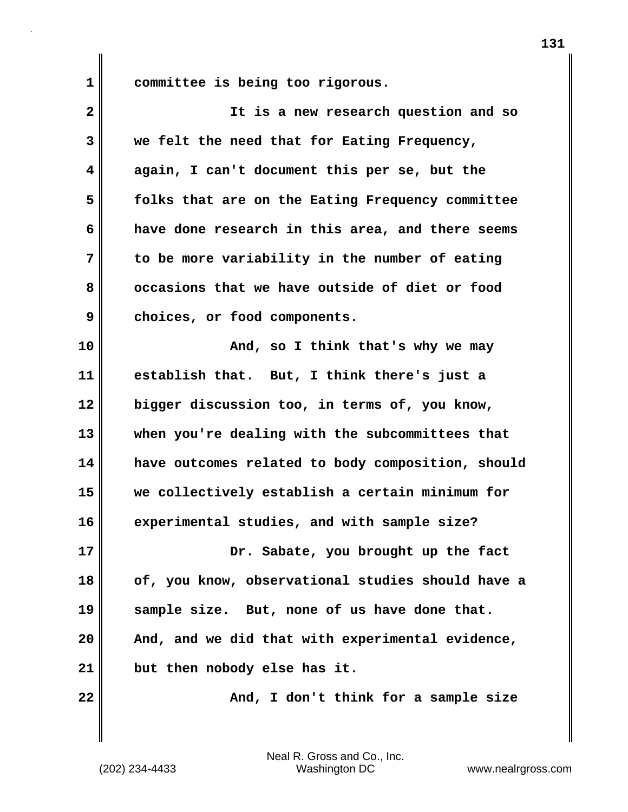**1 committee is being too rigorous.**

| $\overline{\mathbf{2}}$ | It is a new research question and so              |
|-------------------------|---------------------------------------------------|
| 3                       | we felt the need that for Eating Frequency,       |
| 4                       | again, I can't document this per se, but the      |
| 5                       | folks that are on the Eating Frequency committee  |
| 6                       | have done research in this area, and there seems  |
| 7                       | to be more variability in the number of eating    |
| 8                       | occasions that we have outside of diet or food    |
| 9                       | choices, or food components.                      |
| 10                      | And, so I think that's why we may                 |
| 11                      | establish that. But, I think there's just a       |
| 12                      | bigger discussion too, in terms of, you know,     |
| 13                      | when you're dealing with the subcommittees that   |
| 14                      | have outcomes related to body composition, should |
| 15                      | we collectively establish a certain minimum for   |
| 16                      | experimental studies, and with sample size?       |
| 17                      | Dr. Sabate, you brought up the fact               |
| 18                      | of, you know, observational studies should have a |
| 19                      | sample size. But, none of us have done that.      |
| 20                      | And, and we did that with experimental evidence,  |
| 21                      | but then nobody else has it.                      |
| 22                      | And, I don't think for a sample size              |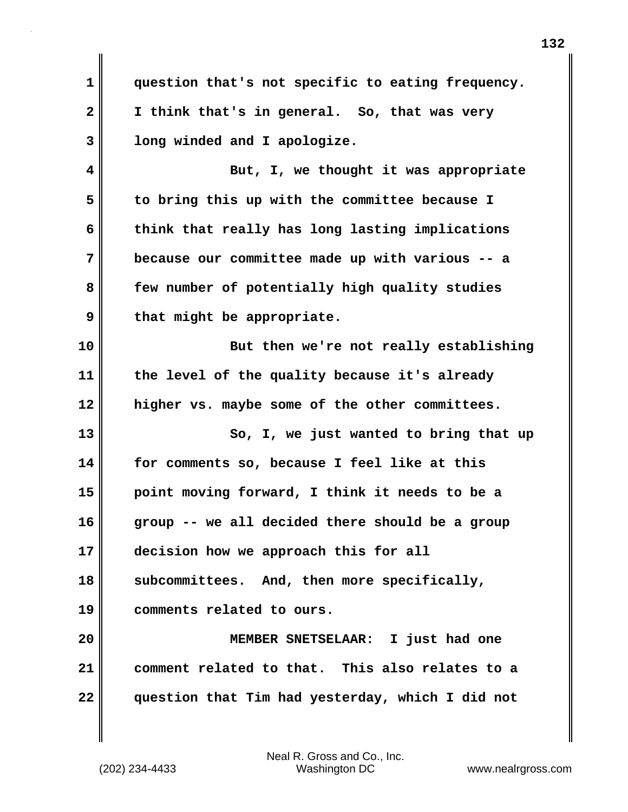**1 question that's not specific to eating frequency. 2 I think that's in general. So, that was very 3 long winded and I apologize. 4 But, I, we thought it was appropriate 5 to bring this up with the committee because I 6 think that really has long lasting implications 7 because our committee made up with various -- a 8 few number of potentially high quality studies 9 that might be appropriate. 10 But then we're not really establishing 11 the level of the quality because it's already 12 higher vs. maybe some of the other committees. 13 So, I, we just wanted to bring that up 14 for comments so, because I feel like at this 15 point moving forward, I think it needs to be a 16 group -- we all decided there should be a group 17 decision how we approach this for all 18 subcommittees. And, then more specifically, 19 comments related to ours. 20 MEMBER SNETSELAAR: I just had one 21 comment related to that. This also relates to a 22 question that Tim had yesterday, which I did not**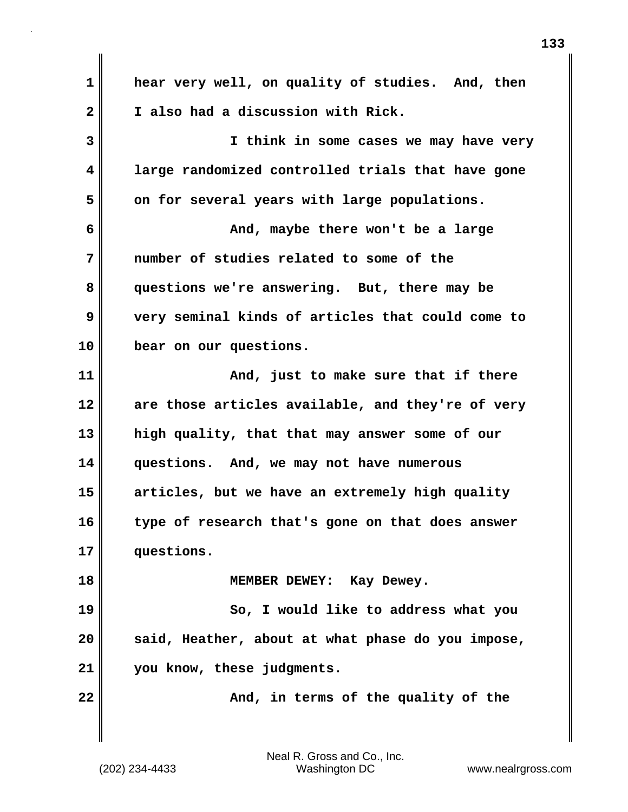**1 hear very well, on quality of studies. And, then 2 I also had a discussion with Rick. 3 I think in some cases we may have very 4 large randomized controlled trials that have gone 5 on for several years with large populations. 6 And, maybe there won't be a large 7 number of studies related to some of the 8 questions we're answering. But, there may be 9 very seminal kinds of articles that could come to 10 bear on our questions. 11 And, just to make sure that if there 12 are those articles available, and they're of very 13 high quality, that that may answer some of our 14 questions. And, we may not have numerous 15 articles, but we have an extremely high quality 16 type of research that's gone on that does answer 17 questions. 18 MEMBER DEWEY: Kay Dewey. 19** So, I would like to address what you **20 said, Heather, about at what phase do you impose, 21 you know, these judgments. 22** MI **And, in terms of the quality of the**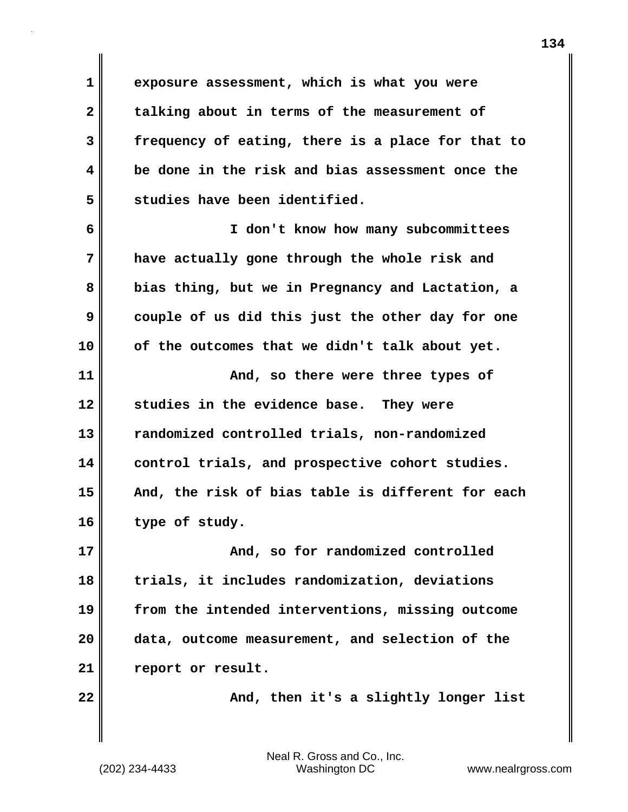**1 exposure assessment, which is what you were 2 talking about in terms of the measurement of 3 frequency of eating, there is a place for that to 4 be done in the risk and bias assessment once the 5 studies have been identified.**

**6 I don't know how many subcommittees 7 have actually gone through the whole risk and 8 bias thing, but we in Pregnancy and Lactation, a 9 couple of us did this just the other day for one 10 of the outcomes that we didn't talk about yet.**

**11 And, so there were three types of 12 studies in the evidence base. They were 13 randomized controlled trials, non-randomized 14 control trials, and prospective cohort studies. 15 And, the risk of bias table is different for each 16 type of study.**

**17 And, so for randomized controlled 18 trials, it includes randomization, deviations 19 from the intended interventions, missing outcome 20 data, outcome measurement, and selection of the 21 report or result.**

22 **And, then it's a slightly longer list**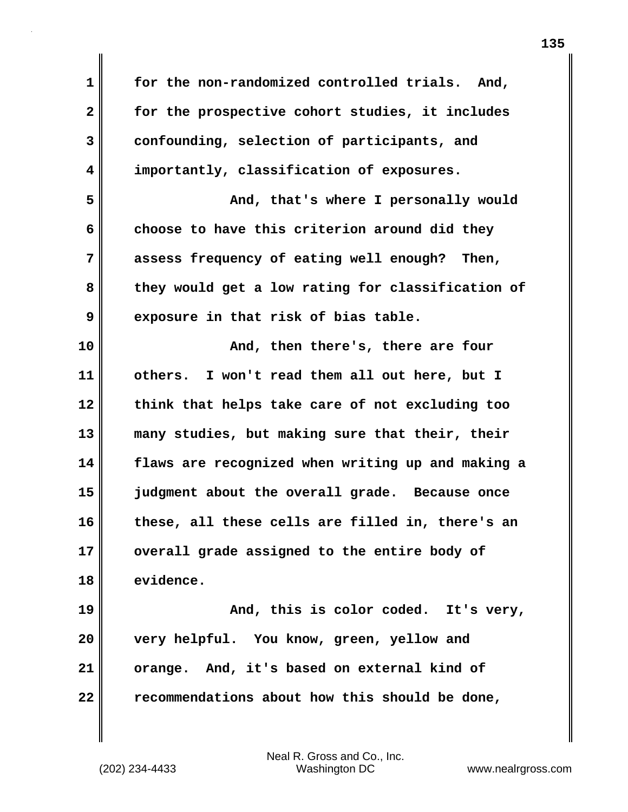**1 for the non-randomized controlled trials. And, 2 for the prospective cohort studies, it includes 3 confounding, selection of participants, and 4 importantly, classification of exposures. 5 And, that's where I personally would 6 choose to have this criterion around did they 7 assess frequency of eating well enough? Then, 8 they would get a low rating for classification of 9 exposure in that risk of bias table. 10 And, then there's, there are four 11 others. I won't read them all out here, but I 12 think that helps take care of not excluding too 13 many studies, but making sure that their, their 14 flaws are recognized when writing up and making a 15 judgment about the overall grade. Because once 16 these, all these cells are filled in, there's an 17 overall grade assigned to the entire body of 18 evidence. 19 And, this is color coded. It's very, 20 very helpful. You know, green, yellow and 21 orange. And, it's based on external kind of 22 recommendations about how this should be done,**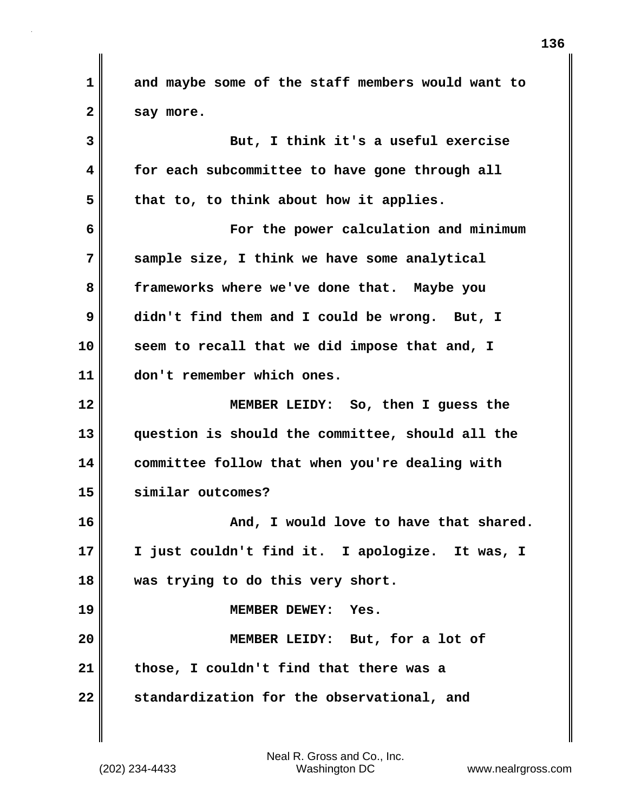**1 and maybe some of the staff members would want to 2 say more. 3 But, I think it's a useful exercise 4 for each subcommittee to have gone through all 5 that to, to think about how it applies. 6 For the power calculation and minimum 7 sample size, I think we have some analytical 8 frameworks where we've done that. Maybe you 9 didn't find them and I could be wrong. But, I 10 seem to recall that we did impose that and, I 11 don't remember which ones. 12 MEMBER LEIDY: So, then I guess the 13 question is should the committee, should all the 14 committee follow that when you're dealing with 15 similar outcomes?** 16 **And, I would love to have that shared.**  $\blacksquare$ **17 I just couldn't find it. I apologize. It was, I 18 was trying to do this very short. 19 MEMBER DEWEY: Yes. 20 MEMBER LEIDY: But, for a lot of 21 those, I couldn't find that there was a 22 standardization for the observational, and**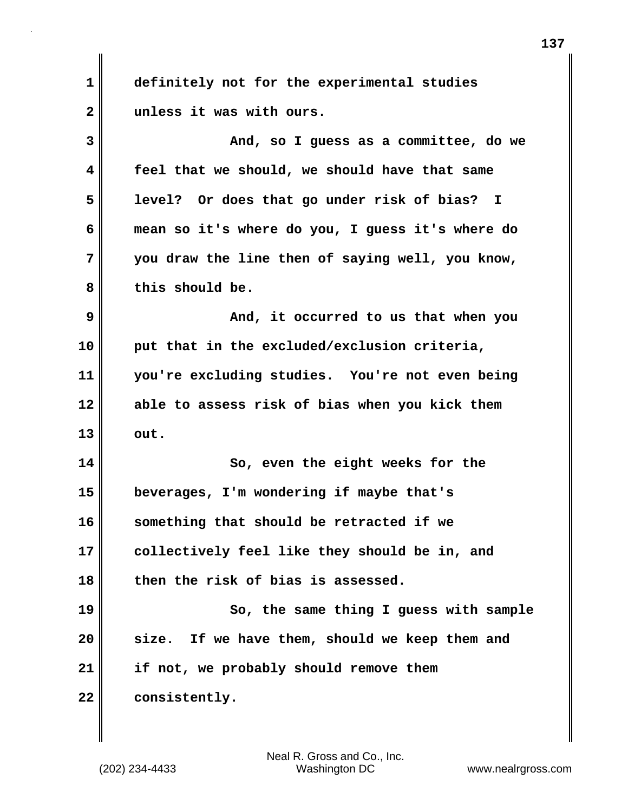**1 definitely not for the experimental studies 2 unless it was with ours. 3 And, so I guess as a committee, do we 4 feel that we should, we should have that same 5 level? Or does that go under risk of bias? I 6 mean so it's where do you, I guess it's where do 7 you draw the line then of saying well, you know, 8 this should be. 9 And, it occurred to us that when you 10 put that in the excluded/exclusion criteria, 11 you're excluding studies. You're not even being 12 able to assess risk of bias when you kick them 13 out. 14** So, even the eight weeks for the **15 beverages, I'm wondering if maybe that's 16 something that should be retracted if we 17 collectively feel like they should be in, and 18 then the risk of bias is assessed. 19 So, the same thing I guess with sample 20 size. If we have them, should we keep them and 21 if not, we probably should remove them 22 consistently.**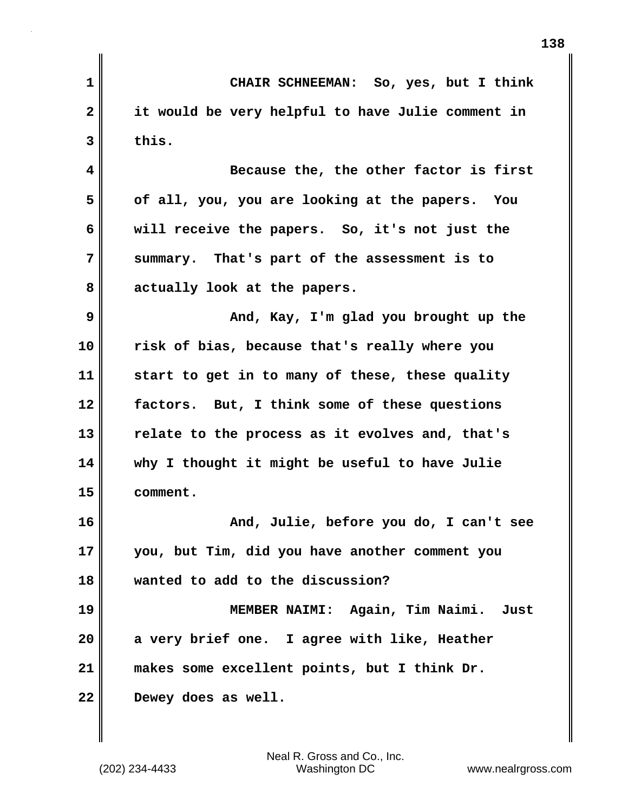**1 CHAIR SCHNEEMAN: So, yes, but I think 2 it would be very helpful to have Julie comment in 3 this. 4 Because the, the other factor is first 5 of all, you, you are looking at the papers. You 6 will receive the papers. So, it's not just the 7 summary. That's part of the assessment is to 8 actually look at the papers. 9 And, Kay, I'm glad you brought up the 10 risk of bias, because that's really where you 11 start to get in to many of these, these quality 12 factors. But, I think some of these questions 13 relate to the process as it evolves and, that's 14 why I thought it might be useful to have Julie 15 comment. 16 And, Julie, before you do, I can't see 17 you, but Tim, did you have another comment you 18 wanted to add to the discussion? 19 MEMBER NAIMI: Again, Tim Naimi. Just 20 a very brief one. I agree with like, Heather 21 makes some excellent points, but I think Dr. 22 Dewey does as well.**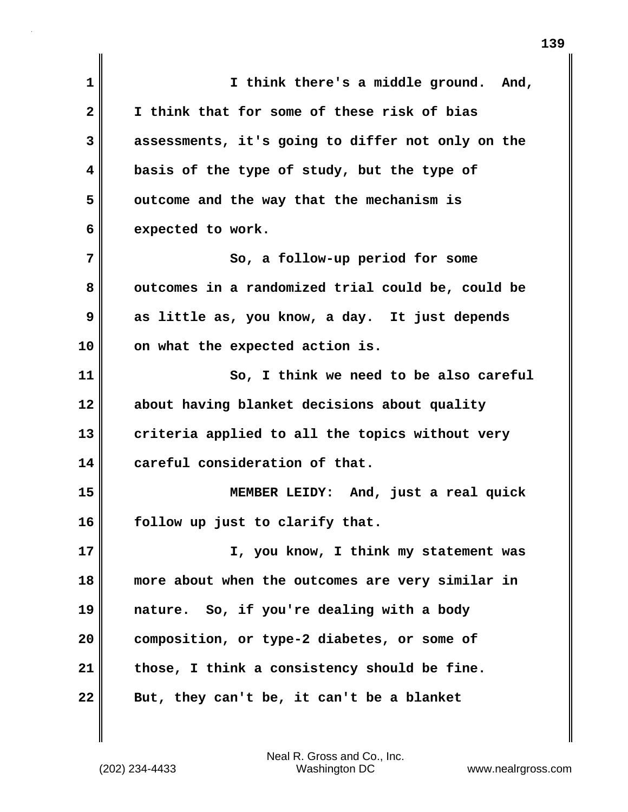**1 I think there's a middle ground. And, 2 I think that for some of these risk of bias 3 assessments, it's going to differ not only on the 4 basis of the type of study, but the type of 5 outcome and the way that the mechanism is 6 expected to work. 7** So, a follow-up period for some 8 outcomes in a randomized trial could be, could be **9 as little as, you know, a day. It just depends 10 on what the expected action is. 11 So, I think we need to be also careful 12 about having blanket decisions about quality 13 criteria applied to all the topics without very 14 careful consideration of that. 15 MEMBER LEIDY: And, just a real quick 16 follow up just to clarify that. 17 I, you know, I think my statement was 18 more about when the outcomes are very similar in 19 nature. So, if you're dealing with a body 20 composition, or type-2 diabetes, or some of 21 those, I think a consistency should be fine. 22 But, they can't be, it can't be a blanket**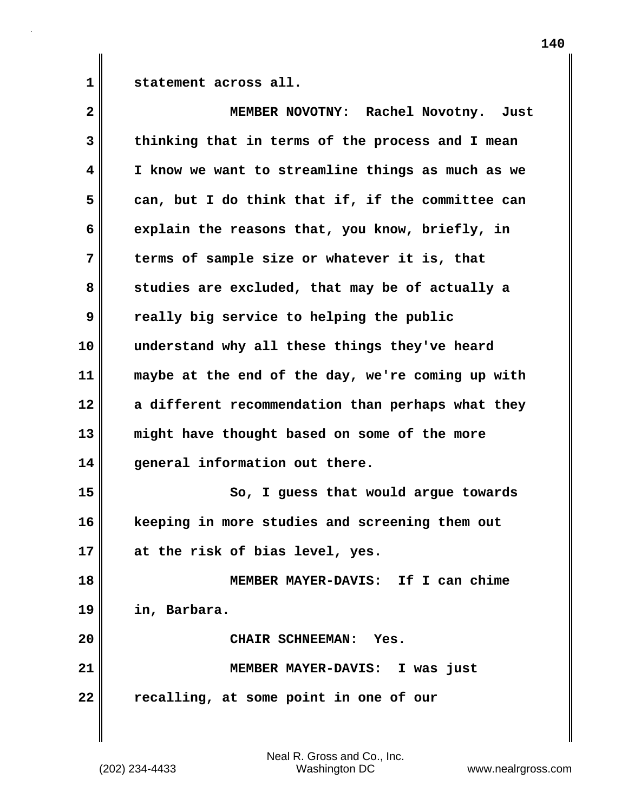1 statement across all.

| $\overline{\mathbf{2}}$ | MEMBER NOVOTNY: Rachel Novotny. Just              |
|-------------------------|---------------------------------------------------|
| 3                       | thinking that in terms of the process and I mean  |
| 4                       | I know we want to streamline things as much as we |
| 5                       | can, but I do think that if, if the committee can |
| 6                       | explain the reasons that, you know, briefly, in   |
| 7                       | terms of sample size or whatever it is, that      |
| 8                       | studies are excluded, that may be of actually a   |
| 9                       | really big service to helping the public          |
| 10                      | understand why all these things they've heard     |
| 11                      | maybe at the end of the day, we're coming up with |
| 12                      | a different recommendation than perhaps what they |
| 13                      | might have thought based on some of the more      |
| 14                      | general information out there.                    |
| 15                      | So, I guess that would argue towards              |
| 16                      | keeping in more studies and screening them out    |
| 17                      | at the risk of bias level, yes.                   |
| 18                      | MEMBER MAYER-DAVIS: If I can chime                |
| 19                      | in, Barbara.                                      |
| 20                      | CHAIR SCHNEEMAN: Yes.                             |
| 21                      | MEMBER MAYER-DAVIS: I was just                    |
| 22                      | recalling, at some point in one of our            |
|                         |                                                   |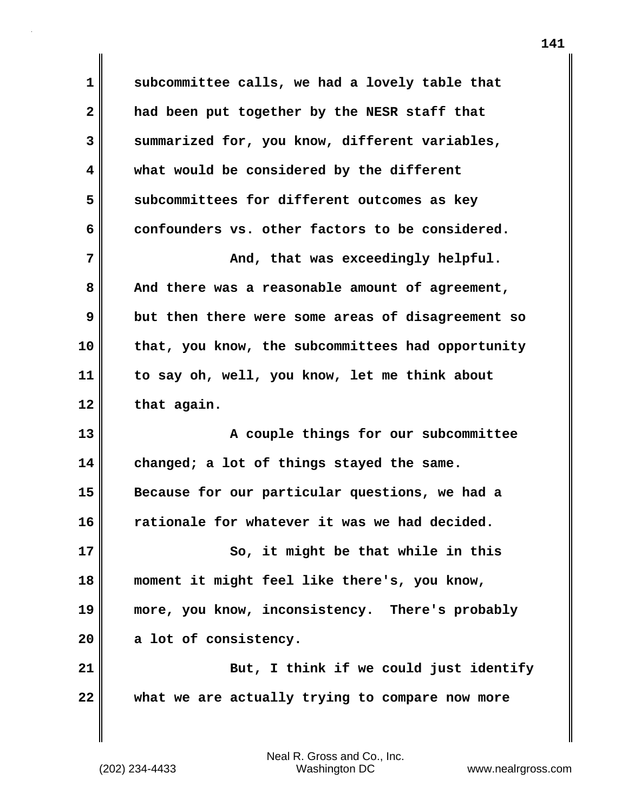**1 subcommittee calls, we had a lovely table that 2 had been put together by the NESR staff that 3 summarized for, you know, different variables, 4 what would be considered by the different 5 subcommittees for different outcomes as key 6 confounders vs. other factors to be considered. 7 And, that was exceedingly helpful. And, that was exceedingly helpful. 8 And there was a reasonable amount of agreement, 9 but then there were some areas of disagreement so 10 that, you know, the subcommittees had opportunity 11 to say oh, well, you know, let me think about 12 that again. 13 A couple things for our subcommittee 14 changed; a lot of things stayed the same. 15 Because for our particular questions, we had a 16 rationale for whatever it was we had decided. 17 So, it might be that while in this 18 moment it might feel like there's, you know, 19 more, you know, inconsistency. There's probably 20 a lot of consistency. 21 But, I think if we could just identify 22 what we are actually trying to compare now more**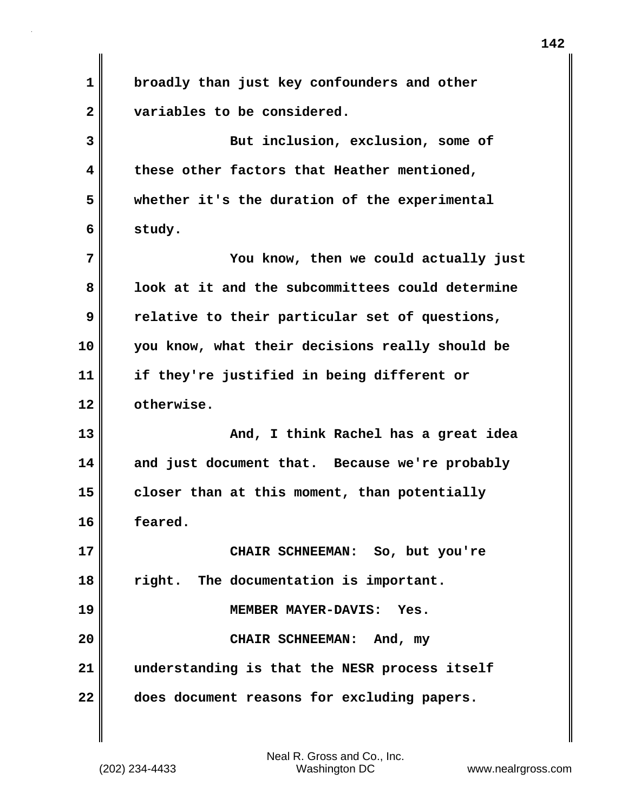| $\mathbf 1$  | broadly than just key confounders and other      |
|--------------|--------------------------------------------------|
| $\mathbf{2}$ | variables to be considered.                      |
| 3            | But inclusion, exclusion, some of                |
| 4            | these other factors that Heather mentioned,      |
| 5            | whether it's the duration of the experimental    |
| 6            | study.                                           |
| 7            | You know, then we could actually just            |
| 8            | look at it and the subcommittees could determine |
| 9            | relative to their particular set of questions,   |
| 10           | you know, what their decisions really should be  |
| 11           | if they're justified in being different or       |
| 12           | otherwise.                                       |
| 13           | And, I think Rachel has a great idea             |
| 14           | and just document that. Because we're probably   |
| 15           | closer than at this moment, than potentially     |
| 16           | feared.                                          |
| 17           | CHAIR SCHNEEMAN: So, but you're                  |
| 18           | right. The documentation is important.           |
| 19           | MEMBER MAYER-DAVIS: Yes.                         |
| 20           | CHAIR SCHNEEMAN: And, my                         |
| 21           | understanding is that the NESR process itself    |
| 22           | does document reasons for excluding papers.      |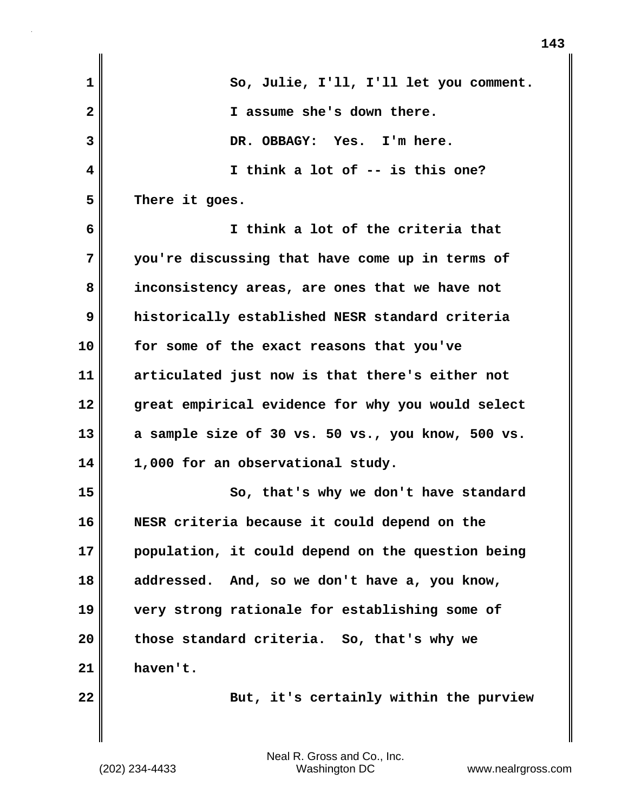| 1            | So, Julie, I'll, I'll let you comment.            |
|--------------|---------------------------------------------------|
| $\mathbf{2}$ | I assume she's down there.                        |
| 3            | DR. OBBAGY: Yes. I'm here.                        |
| 4            | I think a lot of -- is this one?                  |
| 5            | There it goes.                                    |
| 6            | I think a lot of the criteria that                |
| 7            | you're discussing that have come up in terms of   |
| 8            | inconsistency areas, are ones that we have not    |
| 9            | historically established NESR standard criteria   |
| 10           | for some of the exact reasons that you've         |
| 11           | articulated just now is that there's either not   |
| 12           | great empirical evidence for why you would select |
| 13           | a sample size of 30 vs. 50 vs., you know, 500 vs. |
| 14           | 1,000 for an observational study.                 |
| 15           | So, that's why we don't have standard             |
| 16           | NESR criteria because it could depend on the      |
| 17           | population, it could depend on the question being |
| 18           | addressed. And, so we don't have a, you know,     |
| 19           | very strong rationale for establishing some of    |
| 20           | those standard criteria. So, that's why we        |
| 21           | haven't.                                          |
| 22           | But, it's certainly within the purview            |
|              |                                                   |

 $\mathbf{I}$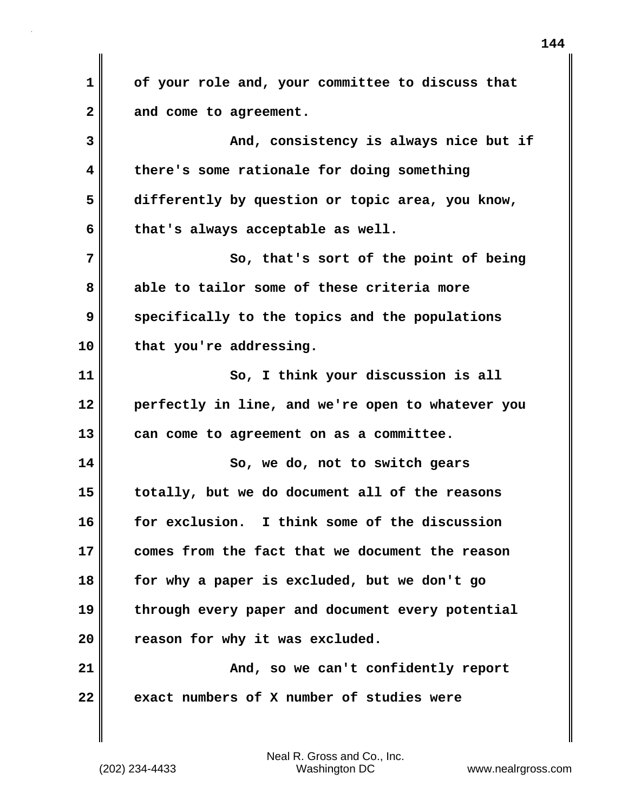**1 of your role and, your committee to discuss that 2 and come to agreement. 3 And, consistency is always nice but if 4 there's some rationale for doing something 5 differently by question or topic area, you know, 6 that's always acceptable as well. 7** So, that's sort of the point of being **8 able to tailor some of these criteria more 9 specifically to the topics and the populations 10 that you're addressing. 11 So, I think your discussion is all 12 perfectly in line, and we're open to whatever you 13 can come to agreement on as a committee. 14 So, we do, not to switch gears 15 totally, but we do document all of the reasons 16 for exclusion. I think some of the discussion 17 comes from the fact that we document the reason 18 for why a paper is excluded, but we don't go 19 through every paper and document every potential 20 reason for why it was excluded. 21 And, so we can't confidently report 22 exact numbers of X number of studies were**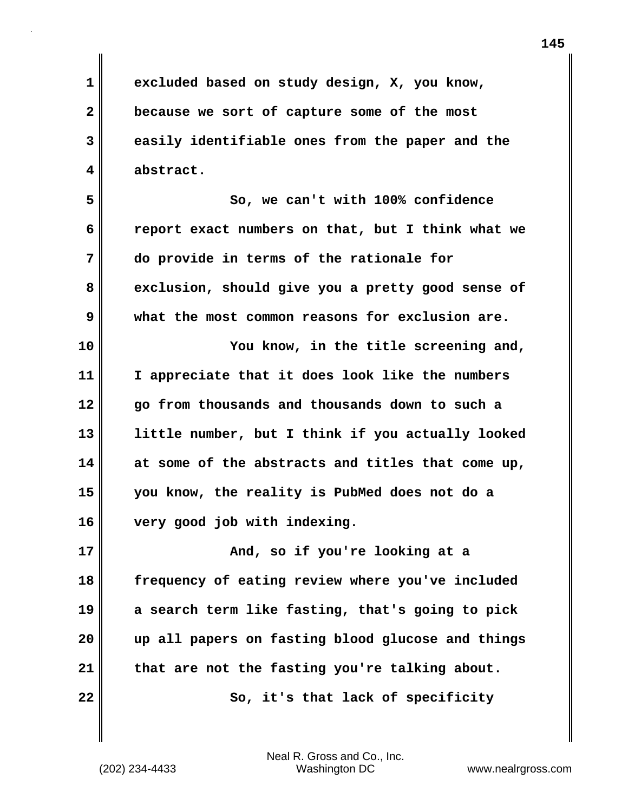**1 excluded based on study design, X, you know, 2 because we sort of capture some of the most 3 easily identifiable ones from the paper and the 4 abstract.**

**5 So, we can't with 100% confidence 6 report exact numbers on that, but I think what we 7 do provide in terms of the rationale for 8 exclusion, should give you a pretty good sense of 9 what the most common reasons for exclusion are.**

**10 You know, in the title screening and, 11 I appreciate that it does look like the numbers 12 go from thousands and thousands down to such a 13 little number, but I think if you actually looked 14 at some of the abstracts and titles that come up, 15 you know, the reality is PubMed does not do a 16 very good job with indexing.**

**17 And, so if you're looking at a 18 frequency of eating review where you've included 19 a search term like fasting, that's going to pick 20 up all papers on fasting blood glucose and things 21 that are not the fasting you're talking about. 22** So, it's that lack of specificity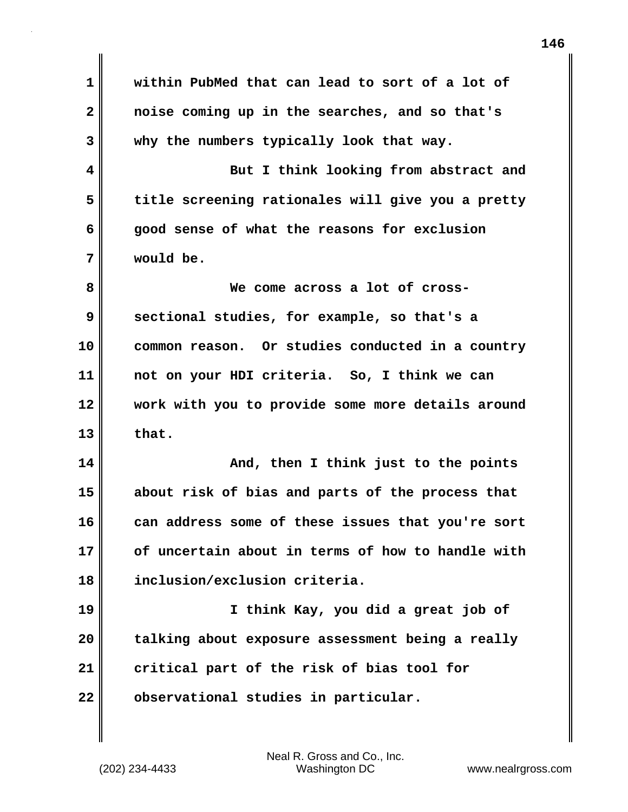**1 within PubMed that can lead to sort of a lot of 2 noise coming up in the searches, and so that's 3 why the numbers typically look that way. 4 But I think looking from abstract and 5 title screening rationales will give you a pretty 6 good sense of what the reasons for exclusion 7 would be. 8 We come across a lot of cross-9 sectional studies, for example, so that's a 10 common reason. Or studies conducted in a country 11 not on your HDI criteria. So, I think we can 12 work with you to provide some more details around 13 that. 14 And, then I think just to the points 15 about risk of bias and parts of the process that 16 can address some of these issues that you're sort 17 of uncertain about in terms of how to handle with 18 inclusion/exclusion criteria. 19 I think Kay, you did a great job of 20 talking about exposure assessment being a really 21 critical part of the risk of bias tool for 22 observational studies in particular.**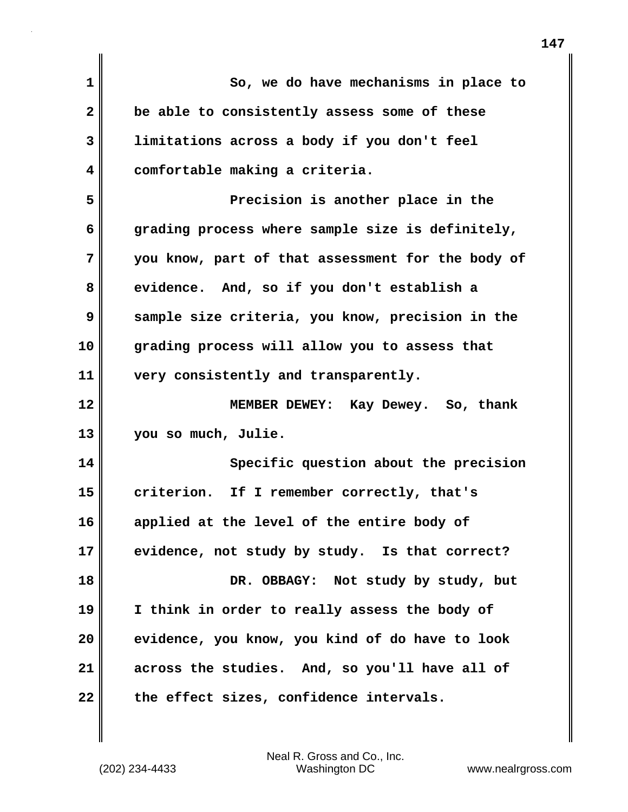| 1            | So, we do have mechanisms in place to             |
|--------------|---------------------------------------------------|
| $\mathbf{2}$ | be able to consistently assess some of these      |
| 3            | limitations across a body if you don't feel       |
| 4            | comfortable making a criteria.                    |
| 5            | Precision is another place in the                 |
| 6            | grading process where sample size is definitely,  |
| 7            | you know, part of that assessment for the body of |
| 8            | evidence. And, so if you don't establish a        |
| 9            | sample size criteria, you know, precision in the  |
| 10           | grading process will allow you to assess that     |
| 11           | very consistently and transparently.              |
| 12           | MEMBER DEWEY: Kay Dewey. So, thank                |
| 13           | you so much, Julie.                               |
| 14           | Specific question about the precision             |
| 15           | criterion. If I remember correctly, that's        |
| 16           | applied at the level of the entire body of        |
| 17           | evidence, not study by study. Is that correct?    |
| 18           | DR. OBBAGY: Not study by study, but               |
| 19           | I think in order to really assess the body of     |
| 20           | evidence, you know, you kind of do have to look   |
| 21           | across the studies. And, so you'll have all of    |
| 22           | the effect sizes, confidence intervals.           |

 $\mathbf{I}$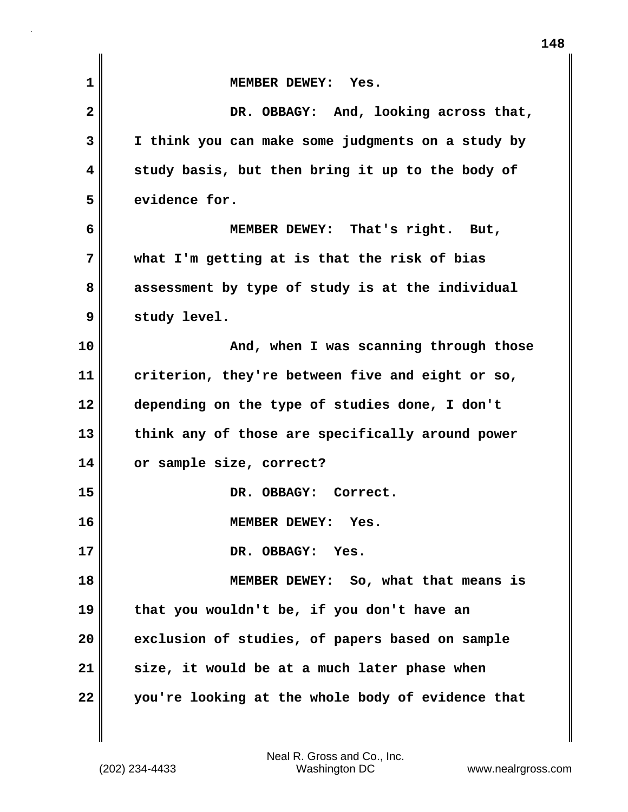| $\mathbf{1}$ | MEMBER DEWEY: Yes.                                |
|--------------|---------------------------------------------------|
| $\mathbf{2}$ | DR. OBBAGY: And, looking across that,             |
| 3            | I think you can make some judgments on a study by |
| 4            | study basis, but then bring it up to the body of  |
| 5            | evidence for.                                     |
| 6            | MEMBER DEWEY: That's right. But,                  |
| 7            | what I'm getting at is that the risk of bias      |
| 8            | assessment by type of study is at the individual  |
| 9            | study level.                                      |
| 10           | And, when I was scanning through those            |
| 11           | criterion, they're between five and eight or so,  |
| 12           | depending on the type of studies done, I don't    |
| 13           | think any of those are specifically around power  |
| 14           | or sample size, correct?                          |
| 15           | DR. OBBAGY: Correct.                              |
| 16           | MEMBER DEWEY: Yes.                                |
| 17           | DR. OBBAGY: Yes.                                  |
| 18           | MEMBER DEWEY: So, what that means is              |
| 19           | that you wouldn't be, if you don't have an        |
| 20           | exclusion of studies, of papers based on sample   |
| 21           | size, it would be at a much later phase when      |
| 22           | you're looking at the whole body of evidence that |

(202) 234-4433 Washington DC www.nealrgross.com Neal R. Gross and Co., Inc.

**148**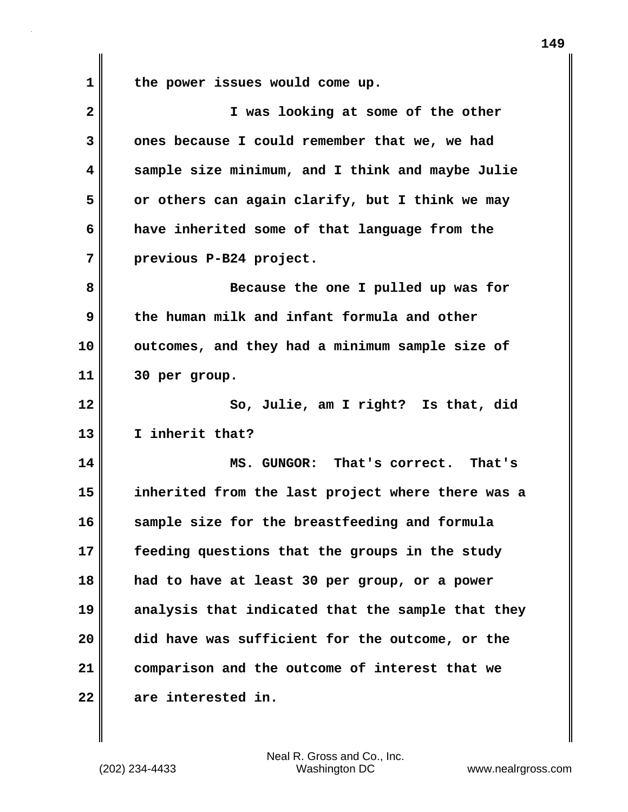**1 the power issues would come up.**

| $\overline{\mathbf{2}}$ | I was looking at some of the other                |
|-------------------------|---------------------------------------------------|
| 3                       | ones because I could remember that we, we had     |
| 4                       | sample size minimum, and I think and maybe Julie  |
| 5                       | or others can again clarify, but I think we may   |
| 6                       | have inherited some of that language from the     |
| 7                       | previous P-B24 project.                           |
| 8                       | Because the one I pulled up was for               |
| 9                       | the human milk and infant formula and other       |
| 10                      | outcomes, and they had a minimum sample size of   |
| 11                      | 30 per group.                                     |
| 12                      | So, Julie, am I right? Is that, did               |
| 13                      | I inherit that?                                   |
| 14                      | MS. GUNGOR: That's correct. That's                |
| 15                      | inherited from the last project where there was a |
| 16                      | sample size for the breastfeeding and formula     |
| 17                      | feeding questions that the groups in the study    |
| 18                      | had to have at least 30 per group, or a power     |
| 19                      | analysis that indicated that the sample that they |
| 20                      | did have was sufficient for the outcome, or the   |
| 21                      | comparison and the outcome of interest that we    |
| 22                      | are interested in.                                |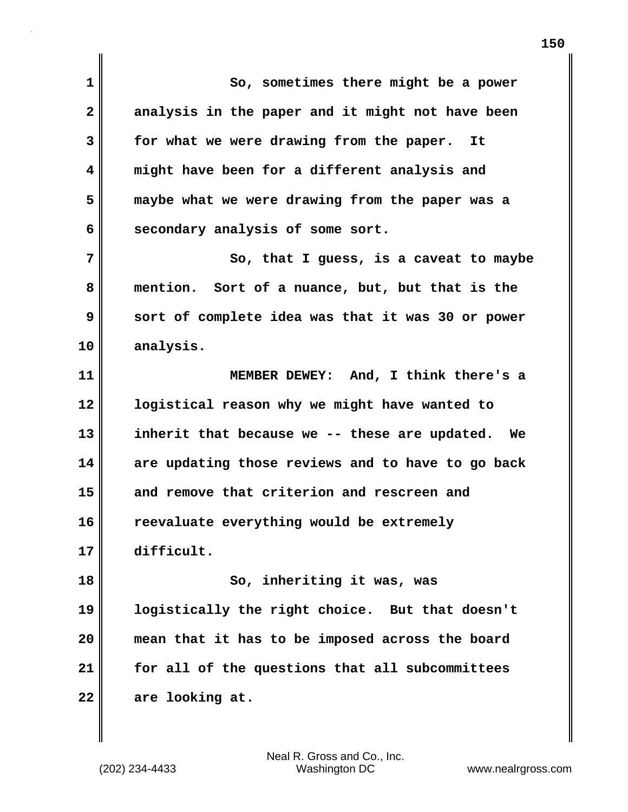**1 So, sometimes there might be a power 2 analysis in the paper and it might not have been 3 for what we were drawing from the paper. It 4 might have been for a different analysis and 5 maybe what we were drawing from the paper was a 6 secondary analysis of some sort. 7** So, that I guess, is a caveat to maybe **8 mention. Sort of a nuance, but, but that is the 9 sort of complete idea was that it was 30 or power 10 analysis. 11 MEMBER DEWEY: And, I think there's a 12 logistical reason why we might have wanted to 13 inherit that because we -- these are updated. We 14 are updating those reviews and to have to go back 15 and remove that criterion and rescreen and 16 reevaluate everything would be extremely 17 difficult. 18 So, inheriting it was, was 19 logistically the right choice. But that doesn't 20 mean that it has to be imposed across the board 21 for all of the questions that all subcommittees 22 are looking at.**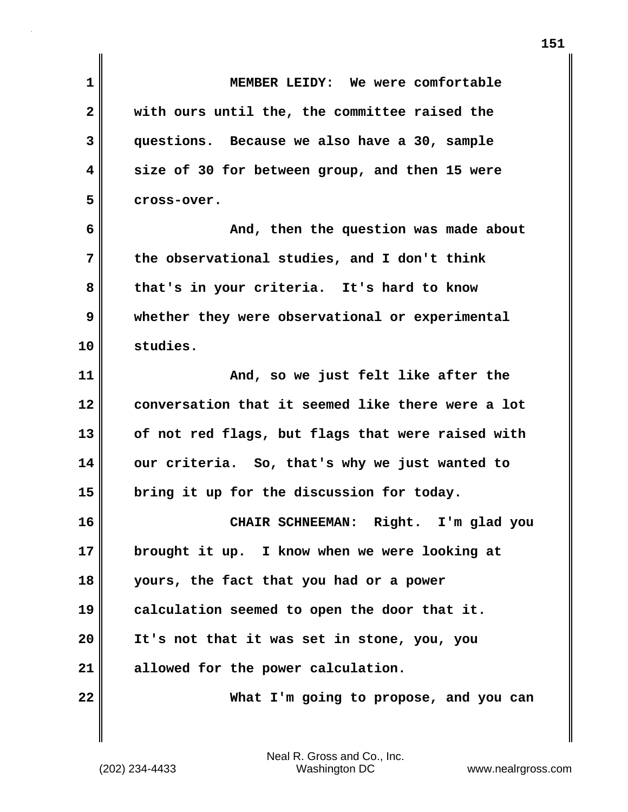| $\mathbf{1}$            | MEMBER LEIDY: We were comfortable                 |
|-------------------------|---------------------------------------------------|
| $\overline{\mathbf{2}}$ | with ours until the, the committee raised the     |
| 3                       | questions. Because we also have a 30, sample      |
| 4                       | size of 30 for between group, and then 15 were    |
| 5                       | cross-over.                                       |
| 6                       | And, then the question was made about             |
| 7                       | the observational studies, and I don't think      |
| 8                       | that's in your criteria. It's hard to know        |
| 9                       | whether they were observational or experimental   |
| 10                      | studies.                                          |
| 11                      | And, so we just felt like after the               |
| 12                      | conversation that it seemed like there were a lot |
| 13                      | of not red flags, but flags that were raised with |
| 14                      | our criteria. So, that's why we just wanted to    |
| 15                      | bring it up for the discussion for today.         |
| 16                      | CHAIR SCHNEEMAN: Right. I'm glad you              |
| 17                      | brought it up. I know when we were looking at     |
| 18                      | yours, the fact that you had or a power           |
| 19                      | calculation seemed to open the door that it.      |
| 20                      | It's not that it was set in stone, you, you       |
| 21                      | allowed for the power calculation.                |
| 22                      | What I'm going to propose, and you can            |
|                         |                                                   |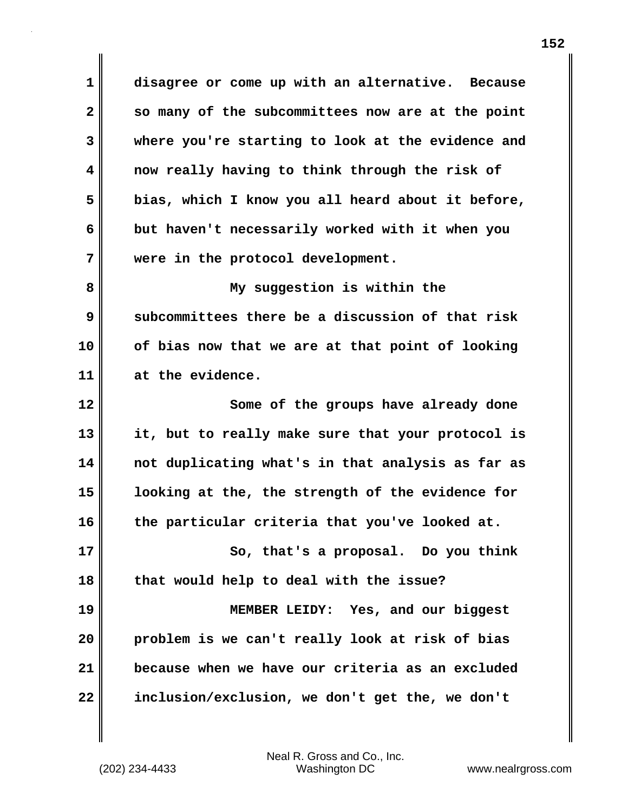**1 disagree or come up with an alternative. Because 2 so many of the subcommittees now are at the point 3 where you're starting to look at the evidence and 4 now really having to think through the risk of 5 bias, which I know you all heard about it before, 6 but haven't necessarily worked with it when you 7 were in the protocol development.**

**8 My suggestion is within the 9 subcommittees there be a discussion of that risk 10 of bias now that we are at that point of looking 11 at the evidence.**

**12** Some of the groups have already done **13 it, but to really make sure that your protocol is 14 not duplicating what's in that analysis as far as 15 looking at the, the strength of the evidence for 16 the particular criteria that you've looked at. 17** So, that's a proposal. Do you think **18 that would help to deal with the issue? 19 MEMBER LEIDY: Yes, and our biggest 20 problem is we can't really look at risk of bias 21 because when we have our criteria as an excluded 22 inclusion/exclusion, we don't get the, we don't**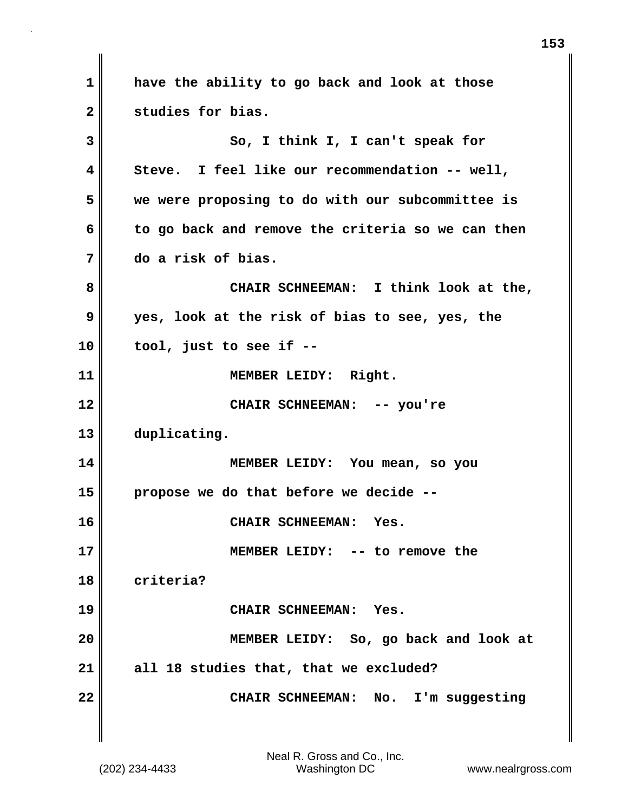**1 have the ability to go back and look at those 2 studies for bias. 3 So, I think I, I can't speak for 4 Steve. I feel like our recommendation -- well, 5 we were proposing to do with our subcommittee is 6 to go back and remove the criteria so we can then 7 do a risk of bias. 8 CHAIR SCHNEEMAN: I think look at the, 9 yes, look at the risk of bias to see, yes, the 10 tool, just to see if -- 11 MEMBER LEIDY: Right. 12 CHAIR SCHNEEMAN: -- you're 13 duplicating. 14 MEMBER LEIDY: You mean, so you 15 propose we do that before we decide -- 16 CHAIR SCHNEEMAN: Yes. 17 MEMBER LEIDY: -- to remove the 18 criteria? 19 CHAIR SCHNEEMAN: Yes. 20 MEMBER LEIDY: So, go back and look at 21 all 18 studies that, that we excluded? 22 CHAIR SCHNEEMAN: No. I'm suggesting**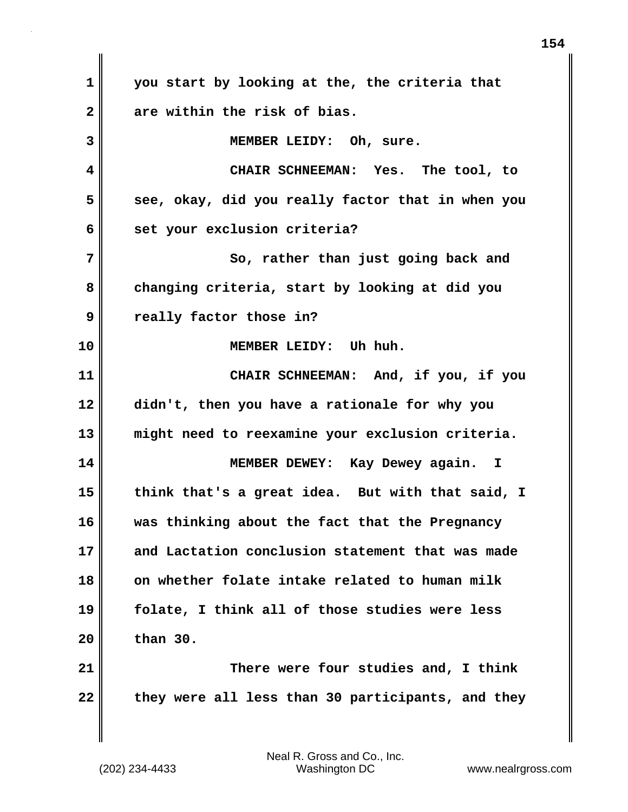**1 you start by looking at the, the criteria that 2 are within the risk of bias. 3 MEMBER LEIDY: Oh, sure. 4 CHAIR SCHNEEMAN: Yes. The tool, to 5** see, okay, did you really factor that in when you **6 set your exclusion criteria? 7** So, rather than just going back and **8 changing criteria, start by looking at did you 9 really factor those in? 10 MEMBER LEIDY: Uh huh. 11 CHAIR SCHNEEMAN: And, if you, if you 12 didn't, then you have a rationale for why you 13 might need to reexamine your exclusion criteria. 14 MEMBER DEWEY: Kay Dewey again. I 15 think that's a great idea. But with that said, I 16 was thinking about the fact that the Pregnancy 17 and Lactation conclusion statement that was made 18 on whether folate intake related to human milk 19 folate, I think all of those studies were less 20 than 30. 21 There were four studies and, I think 22 they were all less than 30 participants, and they**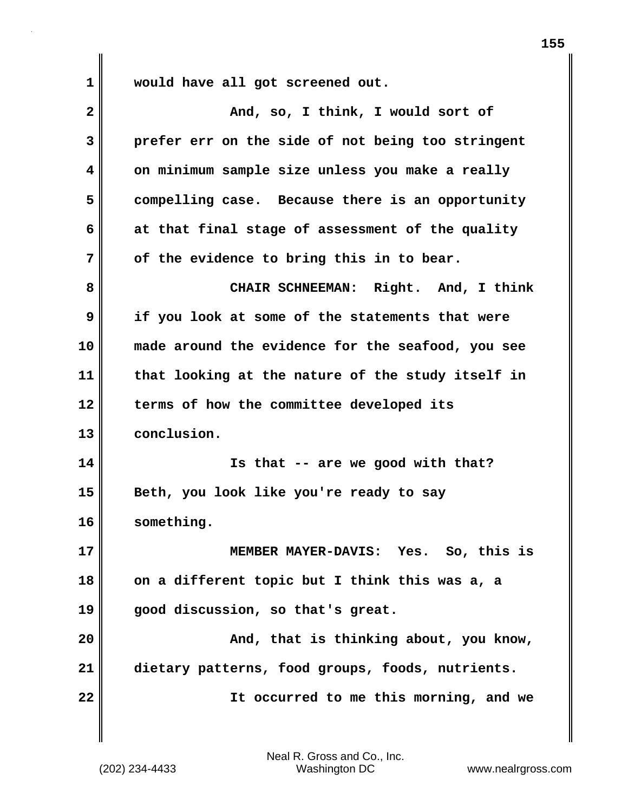**1 would have all got screened out.**

| $\overline{\mathbf{2}}$ | And, so, I think, I would sort of                 |
|-------------------------|---------------------------------------------------|
| 3                       | prefer err on the side of not being too stringent |
| 4                       | on minimum sample size unless you make a really   |
| 5                       | compelling case. Because there is an opportunity  |
| 6                       | at that final stage of assessment of the quality  |
| 7                       | of the evidence to bring this in to bear.         |
| 8                       | CHAIR SCHNEEMAN: Right. And, I think              |
| 9                       | if you look at some of the statements that were   |
| 10                      | made around the evidence for the seafood, you see |
| 11                      | that looking at the nature of the study itself in |
| 12                      | terms of how the committee developed its          |
| 13                      | conclusion.                                       |
| 14                      | Is that -- are we good with that?                 |
| 15                      | Beth, you look like you're ready to say           |
| 16                      | something.                                        |
| 17                      | Yes. So, this is<br><b>MEMBER MAYER-DAVIS:</b>    |
| 18                      | on a different topic but I think this was a, a    |
| 19                      | good discussion, so that's great.                 |
| 20                      | And, that is thinking about, you know,            |
| 21                      | dietary patterns, food groups, foods, nutrients.  |
| 22                      | It occurred to me this morning, and we            |
|                         |                                                   |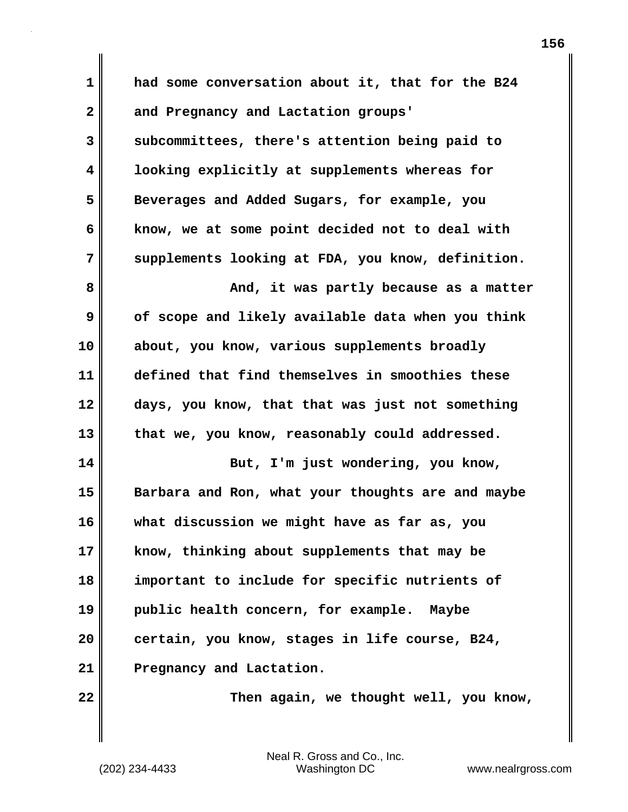**1 had some conversation about it, that for the B24 2 and Pregnancy and Lactation groups' 3 subcommittees, there's attention being paid to 4 looking explicitly at supplements whereas for 5 Beverages and Added Sugars, for example, you 6 know, we at some point decided not to deal with 7 supplements looking at FDA, you know, definition. 8 And, it was partly because as a matter 9 of scope and likely available data when you think 10 about, you know, various supplements broadly 11 defined that find themselves in smoothies these 12 days, you know, that that was just not something 13 that we, you know, reasonably could addressed. 14** But, I'm just wondering, you know, **15 Barbara and Ron, what your thoughts are and maybe 16 what discussion we might have as far as, you 17 know, thinking about supplements that may be 18 important to include for specific nutrients of 19 public health concern, for example. Maybe 20 certain, you know, stages in life course, B24, 21 Pregnancy and Lactation.**

**22 Then again, we thought well, you know,**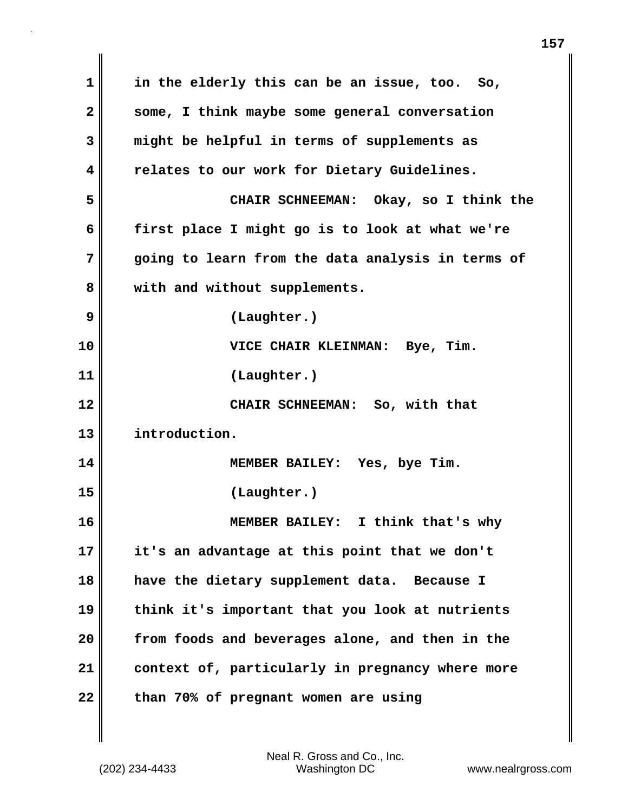**1 in the elderly this can be an issue, too. So, 2 some, I think maybe some general conversation 3 might be helpful in terms of supplements as 4 relates to our work for Dietary Guidelines. 5 CHAIR SCHNEEMAN: Okay, so I think the 6 first place I might go is to look at what we're 7 going to learn from the data analysis in terms of 8 with and without supplements. 9 (Laughter.) 10 VICE CHAIR KLEINMAN: Bye, Tim. 11 (Laughter.) 12 CHAIR SCHNEEMAN: So, with that 13 introduction. 14 MEMBER BAILEY: Yes, bye Tim. 15 (Laughter.) 16 MEMBER BAILEY: I think that's why 17 it's an advantage at this point that we don't 18 have the dietary supplement data. Because I 19 think it's important that you look at nutrients 20 from foods and beverages alone, and then in the 21 context of, particularly in pregnancy where more 22 than 70% of pregnant women are using**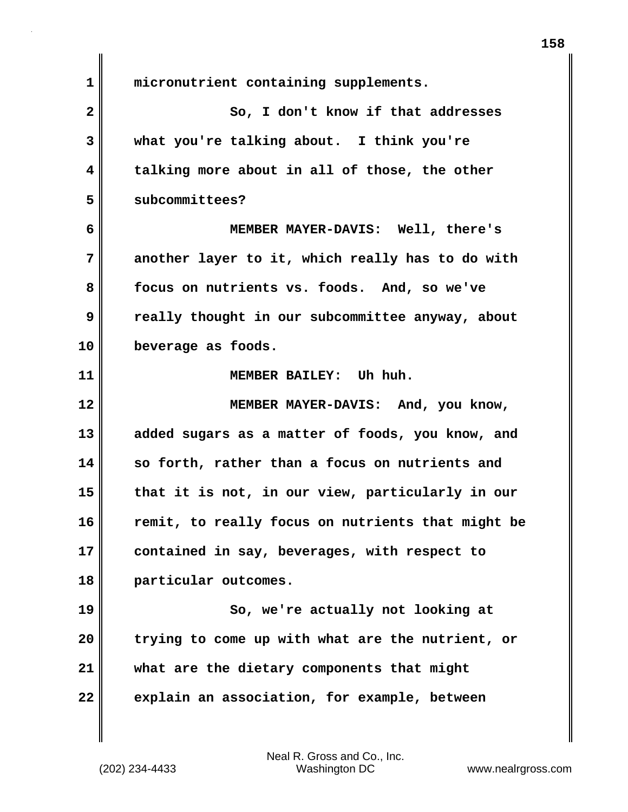**1 micronutrient containing supplements. 2** So, I don't know if that addresses **3 what you're talking about. I think you're 4 talking more about in all of those, the other 5 subcommittees? 6 MEMBER MAYER-DAVIS: Well, there's 7 another layer to it, which really has to do with 8 focus on nutrients vs. foods. And, so we've 9 really thought in our subcommittee anyway, about 10 beverage as foods. 11 MEMBER BAILEY: Uh huh. 12 MEMBER MAYER-DAVIS: And, you know, 13 added sugars as a matter of foods, you know, and 14 so forth, rather than a focus on nutrients and 15 that it is not, in our view, particularly in our 16 remit, to really focus on nutrients that might be 17 contained in say, beverages, with respect to 18 particular outcomes. 19 So, we're actually not looking at 20 trying to come up with what are the nutrient, or 21 what are the dietary components that might 22 explain an association, for example, between**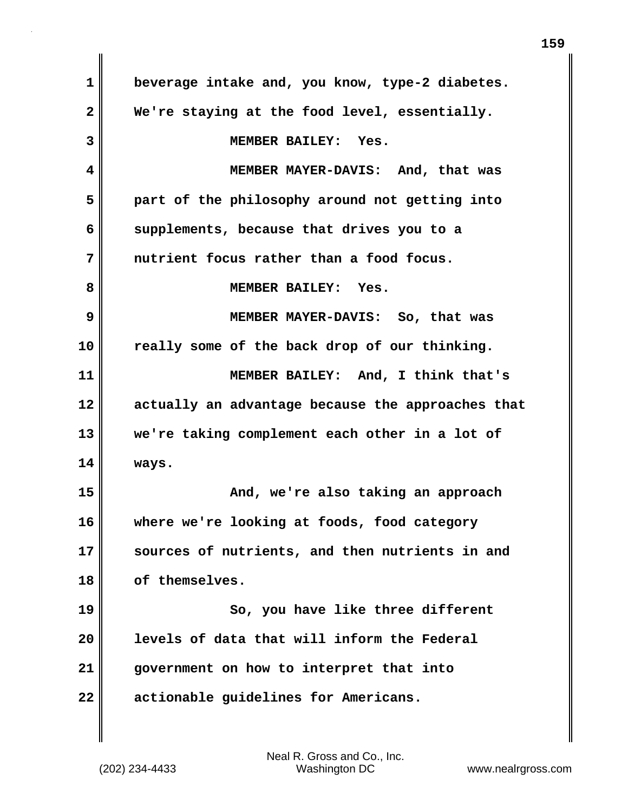**1 beverage intake and, you know, type-2 diabetes. 2 We're staying at the food level, essentially. 3 MEMBER BAILEY: Yes. 4 MEMBER MAYER-DAVIS: And, that was 5 part of the philosophy around not getting into 6 supplements, because that drives you to a 7 nutrient focus rather than a food focus. 8 MEMBER BAILEY: Yes. 9 MEMBER MAYER-DAVIS: So, that was 10 really some of the back drop of our thinking. 11 MEMBER BAILEY: And, I think that's 12 actually an advantage because the approaches that 13 we're taking complement each other in a lot of 14 ways. 15 And, we're also taking an approach 16 where we're looking at foods, food category 17 sources of nutrients, and then nutrients in and 18 of themselves. 19 So, you have like three different 20 levels of data that will inform the Federal 21 government on how to interpret that into 22 actionable guidelines for Americans.**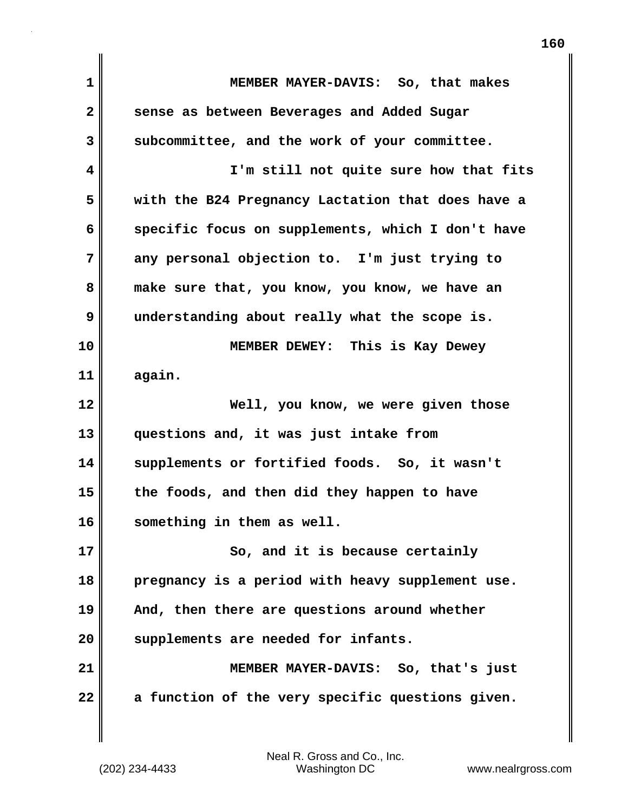| $\mathbf{1}$ | MEMBER MAYER-DAVIS: So, that makes                |
|--------------|---------------------------------------------------|
| $\mathbf{2}$ | sense as between Beverages and Added Sugar        |
| 3            | subcommittee, and the work of your committee.     |
| 4            | I'm still not quite sure how that fits            |
| 5            | with the B24 Pregnancy Lactation that does have a |
| 6            | specific focus on supplements, which I don't have |
| 7            | any personal objection to. I'm just trying to     |
| 8            | make sure that, you know, you know, we have an    |
| 9            | understanding about really what the scope is.     |
| 10           | MEMBER DEWEY: This is Kay Dewey                   |
| 11           | again.                                            |
| 12           | Well, you know, we were given those               |
| 13           | questions and, it was just intake from            |
| 14           | supplements or fortified foods. So, it wasn't     |
| 15           | the foods, and then did they happen to have       |
| 16           | something in them as well.                        |
| 17           | So, and it is because certainly                   |
| 18           | pregnancy is a period with heavy supplement use.  |
| 19           | And, then there are questions around whether      |
| 20           | supplements are needed for infants.               |
| 21           | MEMBER MAYER-DAVIS: So, that's just               |
| 22           | a function of the very specific questions given.  |
|              |                                                   |
|              |                                                   |

 $\mathsf I$ 

**160**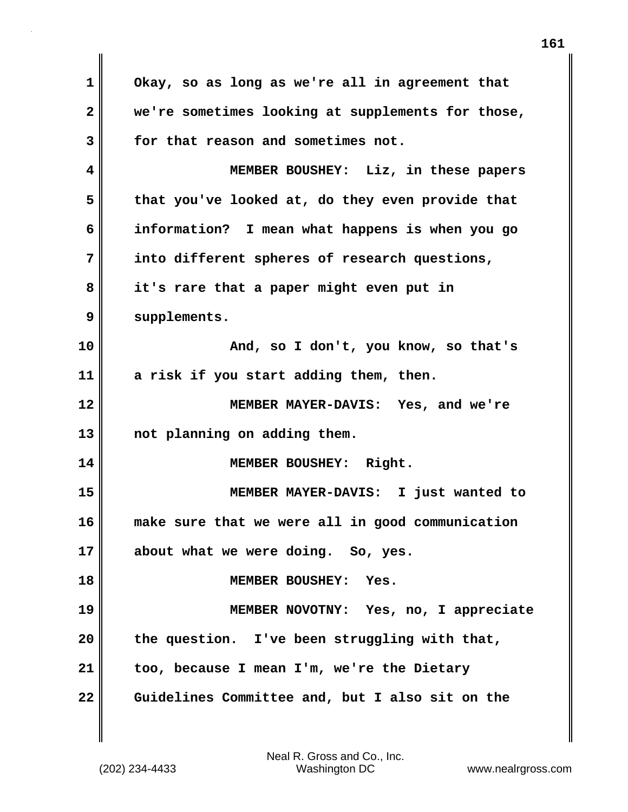**1 Okay, so as long as we're all in agreement that 2 we're sometimes looking at supplements for those, 3 for that reason and sometimes not. 4 MEMBER BOUSHEY: Liz, in these papers 5 that you've looked at, do they even provide that 6 information? I mean what happens is when you go 7 into different spheres of research questions, 8 it's rare that a paper might even put in 9 supplements. 10 And, so I don't, you know, so that's 11 a risk if you start adding them, then. 12 MEMBER MAYER-DAVIS: Yes, and we're 13 not planning on adding them. 14 MEMBER BOUSHEY: Right. 15 MEMBER MAYER-DAVIS: I just wanted to 16 make sure that we were all in good communication 17 about what we were doing. So, yes. 18 MEMBER BOUSHEY: Yes. 19 MEMBER NOVOTNY: Yes, no, I appreciate 20 the question. I've been struggling with that, 21 too, because I mean I'm, we're the Dietary 22 Guidelines Committee and, but I also sit on the**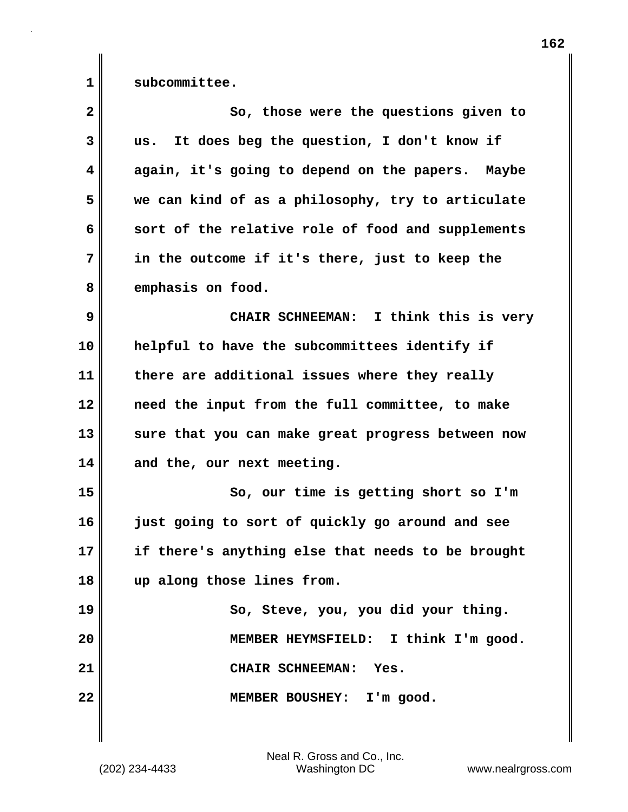**1 subcommittee. 2** So, those were the questions given to **3 us. It does beg the question, I don't know if 4 again, it's going to depend on the papers. Maybe 5 we can kind of as a philosophy, try to articulate 6 sort of the relative role of food and supplements 7 in the outcome if it's there, just to keep the 8 emphasis on food. 9 CHAIR SCHNEEMAN: I think this is very 10 helpful to have the subcommittees identify if 11 there are additional issues where they really 12 need the input from the full committee, to make 13 sure that you can make great progress between now 14 and the, our next meeting. 15 So, our time is getting short so I'm 16 just going to sort of quickly go around and see 17 if there's anything else that needs to be brought 18 up along those lines from. 19 So, Steve, you, you did your thing. 20 MEMBER HEYMSFIELD: I think I'm good. 21 CHAIR SCHNEEMAN: Yes. 22 MEMBER BOUSHEY: I'm good.**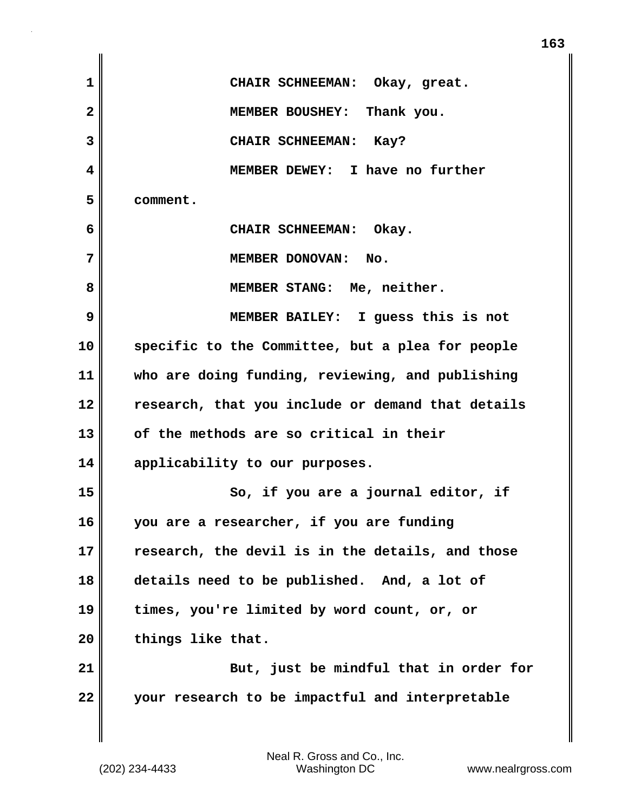| $\mathbf{1}$   | CHAIR SCHNEEMAN: Okay, great.                     |
|----------------|---------------------------------------------------|
| $\overline{2}$ | MEMBER BOUSHEY: Thank you.                        |
| 3              | CHAIR SCHNEEMAN: Kay?                             |
| 4              | MEMBER DEWEY: I have no further                   |
| 5              | comment.                                          |
| 6              | CHAIR SCHNEEMAN: Okay.                            |
| 7              | MEMBER DONOVAN: No.                               |
| 8              | MEMBER STANG: Me, neither.                        |
| 9              | MEMBER BAILEY: I guess this is not                |
| 10             | specific to the Committee, but a plea for people  |
| 11             | who are doing funding, reviewing, and publishing  |
| 12             | research, that you include or demand that details |
| 13             | of the methods are so critical in their           |
| 14             | applicability to our purposes.                    |
| 15             | So, if you are a journal editor, if               |
| 16             | you are a researcher, if you are funding          |
| 17             | research, the devil is in the details, and those  |
| 18             | details need to be published. And, a lot of       |
| 19             | times, you're limited by word count, or, or       |
| 20             | things like that.                                 |
| 21             | But, just be mindful that in order for            |
| 22             | your research to be impactful and interpretable   |
|                |                                                   |

 $\mathsf I$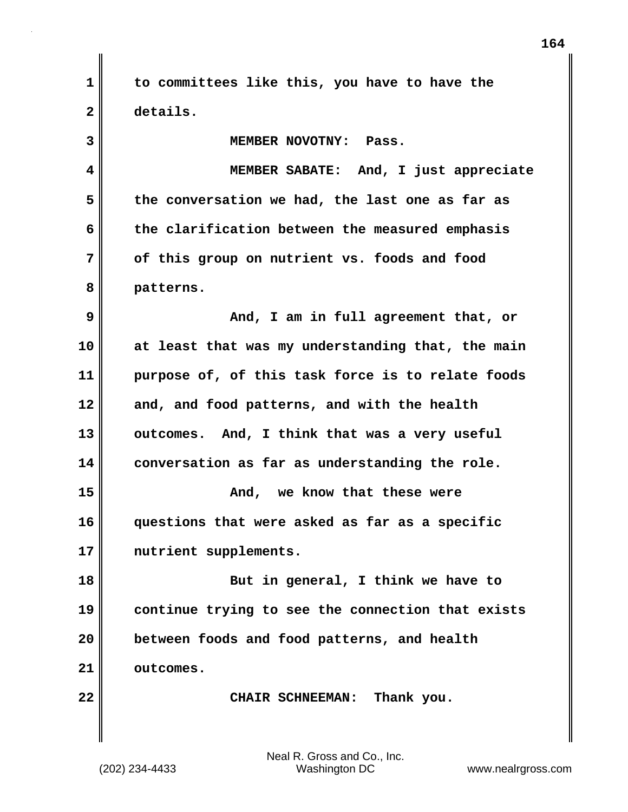**1 to committees like this, you have to have the 2 details.**

**3 MEMBER NOVOTNY: Pass. 4 MEMBER SABATE: And, I just appreciate 5 the conversation we had, the last one as far as 6 the clarification between the measured emphasis 7 of this group on nutrient vs. foods and food 8 patterns. 9 And, I am in full agreement that, or 10 at least that was my understanding that, the main 11 purpose of, of this task force is to relate foods**

**12 and, and food patterns, and with the health 13 outcomes. And, I think that was a very useful 14 conversation as far as understanding the role. 15 And, we know that these were 16 questions that were asked as far as a specific 17 nutrient supplements.**

**18 But in general, I think we have to 19 continue trying to see the connection that exists 20 between foods and food patterns, and health 21 outcomes.**

22 **CHAIR SCHNEEMAN:** Thank you.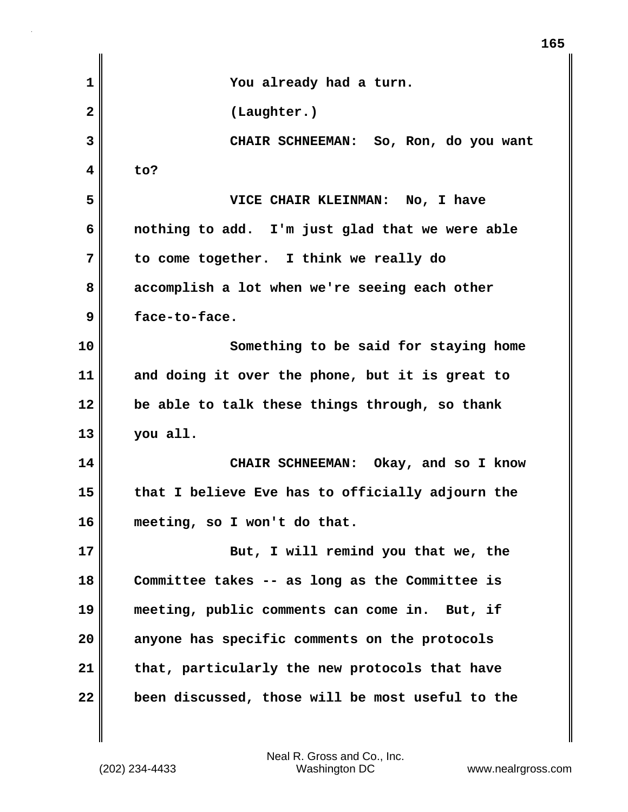| 1            | You already had a turn.                          |
|--------------|--------------------------------------------------|
| $\mathbf{2}$ | (Laughter.)                                      |
| 3            | CHAIR SCHNEEMAN: So, Ron, do you want            |
| 4            | to?                                              |
| 5            | VICE CHAIR KLEINMAN: No, I have                  |
| 6            | nothing to add. I'm just glad that we were able  |
| 7            | to come together. I think we really do           |
| 8            | accomplish a lot when we're seeing each other    |
| 9            | face-to-face.                                    |
| 10           | Something to be said for staying home            |
| 11           | and doing it over the phone, but it is great to  |
| 12           | be able to talk these things through, so thank   |
| 13           | you all.                                         |
| 14           | CHAIR SCHNEEMAN: Okay, and so I know             |
| 15           | that I believe Eve has to officially adjourn the |
| 16           | meeting, so I won't do that.                     |
| 17           | But, I will remind you that we, the              |
| 18           | Committee takes -- as long as the Committee is   |
| 19           | meeting, public comments can come in. But, if    |
| 20           | anyone has specific comments on the protocols    |
| 21           | that, particularly the new protocols that have   |
| 22           | been discussed, those will be most useful to the |

(202) 234-4433 Washington DC www.nealrgross.com Neal R. Gross and Co., Inc.

**165**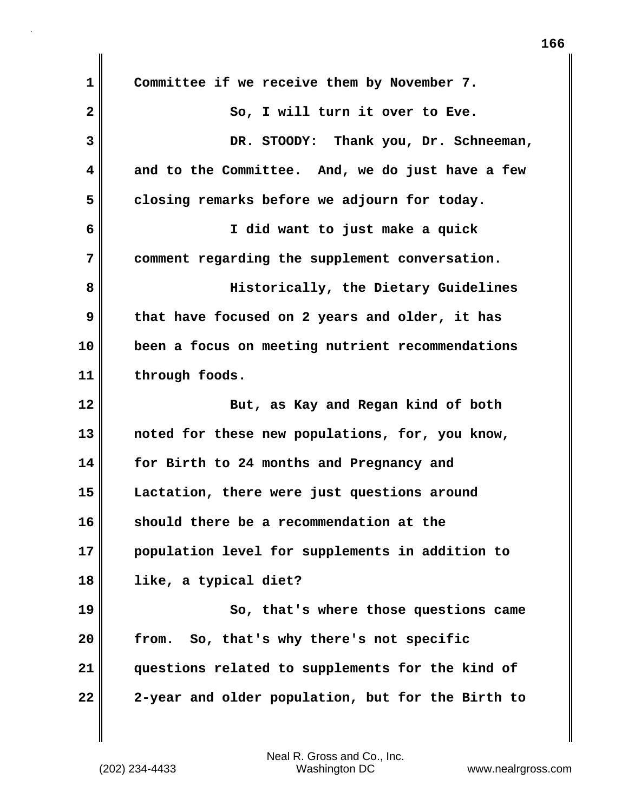| $\mathbf 1$  | Committee if we receive them by November 7.       |
|--------------|---------------------------------------------------|
| $\mathbf{2}$ | So, I will turn it over to Eve.                   |
| 3            | DR. STOODY: Thank you, Dr. Schneeman,             |
| 4            | and to the Committee. And, we do just have a few  |
| 5            | closing remarks before we adjourn for today.      |
| 6            | I did want to just make a quick                   |
| 7            | comment regarding the supplement conversation.    |
| 8            | Historically, the Dietary Guidelines              |
| 9            | that have focused on 2 years and older, it has    |
| 10           | been a focus on meeting nutrient recommendations  |
| 11           | through foods.                                    |
| 12           | But, as Kay and Regan kind of both                |
| 13           | noted for these new populations, for, you know,   |
| 14           | for Birth to 24 months and Pregnancy and          |
| 15           | Lactation, there were just questions around       |
| 16           | should there be a recommendation at the           |
| 17           | population level for supplements in addition to   |
| 18           | like, a typical diet?                             |
| 19           | So, that's where those questions came             |
| 20           | So, that's why there's not specific<br>from.      |
| 21           | questions related to supplements for the kind of  |
| 22           | 2-year and older population, but for the Birth to |

(202) 234-4433 Washington DC www.nealrgross.com Neal R. Gross and Co., Inc.

 $\mathbf{I}$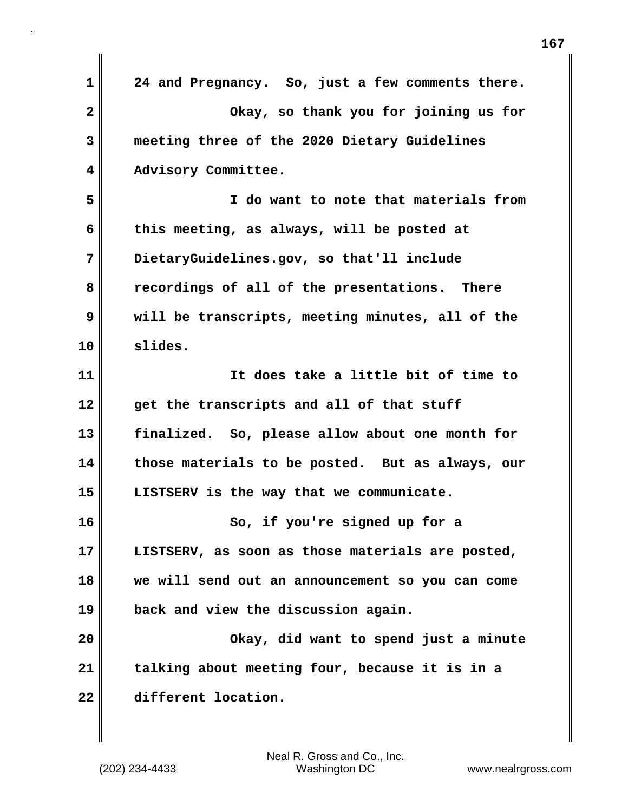**1 24 and Pregnancy. So, just a few comments there. 2 Okay, so thank you for joining us for 3 meeting three of the 2020 Dietary Guidelines 4 Advisory Committee. 5 I do want to note that materials from 6 this meeting, as always, will be posted at 7 DietaryGuidelines.gov, so that'll include 8 recordings of all of the presentations. There 9 will be transcripts, meeting minutes, all of the 10 slides. 11 It does take a little bit of time to 12 get the transcripts and all of that stuff 13 finalized. So, please allow about one month for 14 those materials to be posted. But as always, our 15 LISTSERV is the way that we communicate. 16 So, if you're signed up for a 17 LISTSERV, as soon as those materials are posted, 18 we will send out an announcement so you can come 19 back and view the discussion again. 20 Okay, did want to spend just a minute 21 talking about meeting four, because it is in a 22 different location.**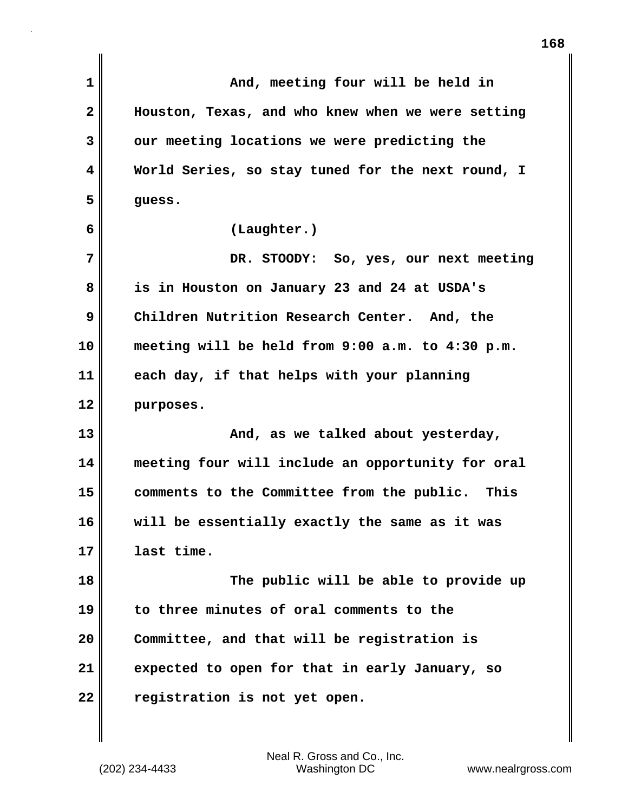| 1            | And, meeting four will be held in                 |
|--------------|---------------------------------------------------|
| $\mathbf{2}$ | Houston, Texas, and who knew when we were setting |
| 3            | our meeting locations we were predicting the      |
| 4            | World Series, so stay tuned for the next round, I |
| 5            | guess.                                            |
| 6            | (Laughter.)                                       |
| 7            | DR. STOODY: So, yes, our next meeting             |
| 8            | is in Houston on January 23 and 24 at USDA's      |
| 9            | Children Nutrition Research Center. And, the      |
| 10           | meeting will be held from 9:00 a.m. to 4:30 p.m.  |
| 11           | each day, if that helps with your planning        |
| 12           | purposes.                                         |
| 13           | And, as we talked about yesterday,                |
| 14           | meeting four will include an opportunity for oral |
| 15           | comments to the Committee from the public. This   |
| 16           | will be essentially exactly the same as it was    |
| 17           | last time.                                        |
| 18           | The public will be able to provide up             |
| 19           | to three minutes of oral comments to the          |
| 20           | Committee, and that will be registration is       |
| 21           | expected to open for that in early January, so    |
| 22           | registration is not yet open.                     |
|              |                                                   |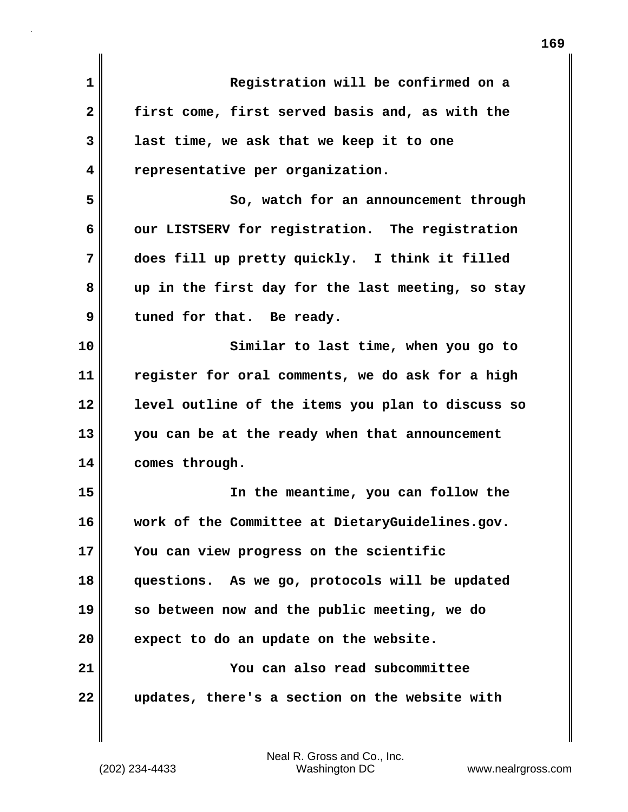| $\mathbf 1$  | Registration will be confirmed on a               |
|--------------|---------------------------------------------------|
| $\mathbf{2}$ | first come, first served basis and, as with the   |
| 3            | last time, we ask that we keep it to one          |
| 4            | representative per organization.                  |
| 5            | So, watch for an announcement through             |
| 6            | our LISTSERV for registration. The registration   |
| 7            | does fill up pretty quickly. I think it filled    |
| 8            | up in the first day for the last meeting, so stay |
| 9            | tuned for that. Be ready.                         |
| 10           | Similar to last time, when you go to              |
| 11           | register for oral comments, we do ask for a high  |
| 12           | level outline of the items you plan to discuss so |
| 13           | you can be at the ready when that announcement    |
| 14           | comes through.                                    |
| 15           | In the meantime, you can follow the               |
| 16           | work of the Committee at DietaryGuidelines.gov.   |
| 17           | You can view progress on the scientific           |
| 18           | questions. As we go, protocols will be updated    |
| 19           | so between now and the public meeting, we do      |
| 20           | expect to do an update on the website.            |
| 21           | You can also read subcommittee                    |
| 22           | updates, there's a section on the website with    |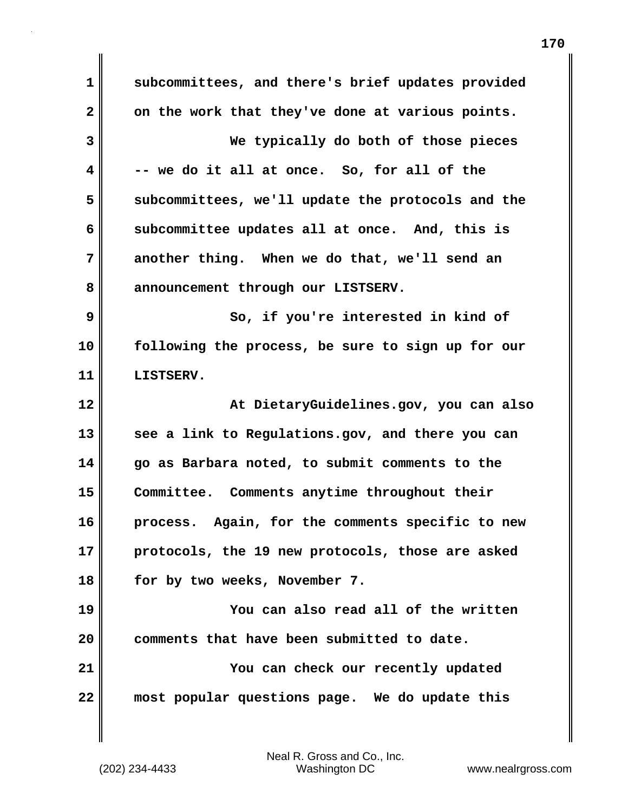**1 subcommittees, and there's brief updates provided** 2 on the work that they've done at various points. **3 We typically do both of those pieces 4 -- we do it all at once. So, for all of the 5 subcommittees, we'll update the protocols and the 6 subcommittee updates all at once. And, this is 7 another thing. When we do that, we'll send an** 8 announcement through our LISTSERV. **9 So, if you're interested in kind of 10 following the process, be sure to sign up for our 11 LISTSERV. 12 At DietaryGuidelines.gov, you can also 13 see a link to Regulations.gov, and there you can 14 go as Barbara noted, to submit comments to the 15 Committee. Comments anytime throughout their 16 process. Again, for the comments specific to new 17 protocols, the 19 new protocols, those are asked 18 for by two weeks, November 7. 19 You can also read all of the written 20 comments that have been submitted to date. 21 You can check our recently updated 22 most popular questions page. We do update this**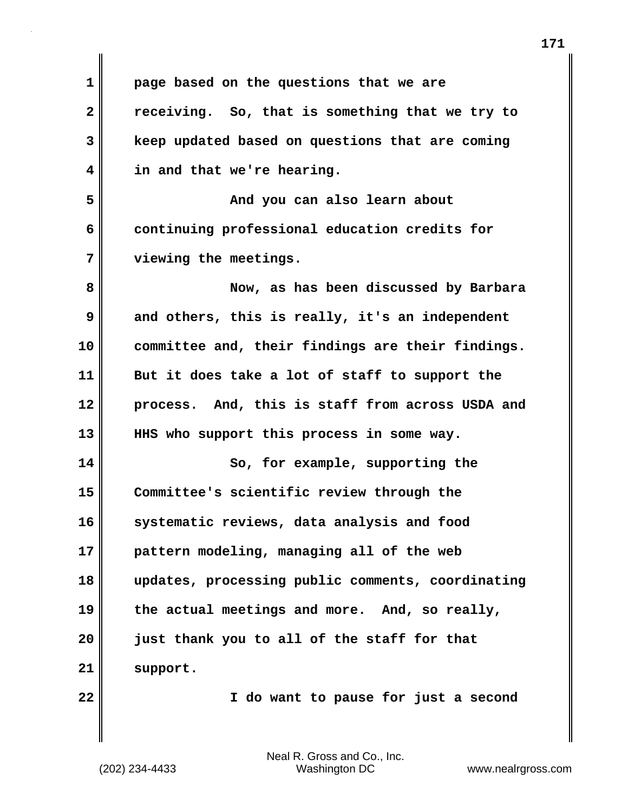| $\mathbf 1$  | page based on the questions that we are           |
|--------------|---------------------------------------------------|
| $\mathbf{2}$ | receiving. So, that is something that we try to   |
| 3            | keep updated based on questions that are coming   |
| 4            | in and that we're hearing.                        |
| 5            | And you can also learn about                      |
| 6            | continuing professional education credits for     |
| 7            | viewing the meetings.                             |
| 8            | Now, as has been discussed by Barbara             |
| 9            | and others, this is really, it's an independent   |
| 10           | committee and, their findings are their findings. |
| 11           | But it does take a lot of staff to support the    |
| 12           | process. And, this is staff from across USDA and  |
| 13           | HHS who support this process in some way.         |
| 14           | So, for example, supporting the                   |
| 15           | Committee's scientific review through the         |
| 16           | systematic reviews, data analysis and food        |
| 17           | pattern modeling, managing all of the web         |
| 18           | updates, processing public comments, coordinating |
| 19           | the actual meetings and more. And, so really,     |
| 20           | just thank you to all of the staff for that       |
| 21           | support.                                          |
| 22           | I do want to pause for just a second              |
|              |                                                   |

 $\mathbf{I}$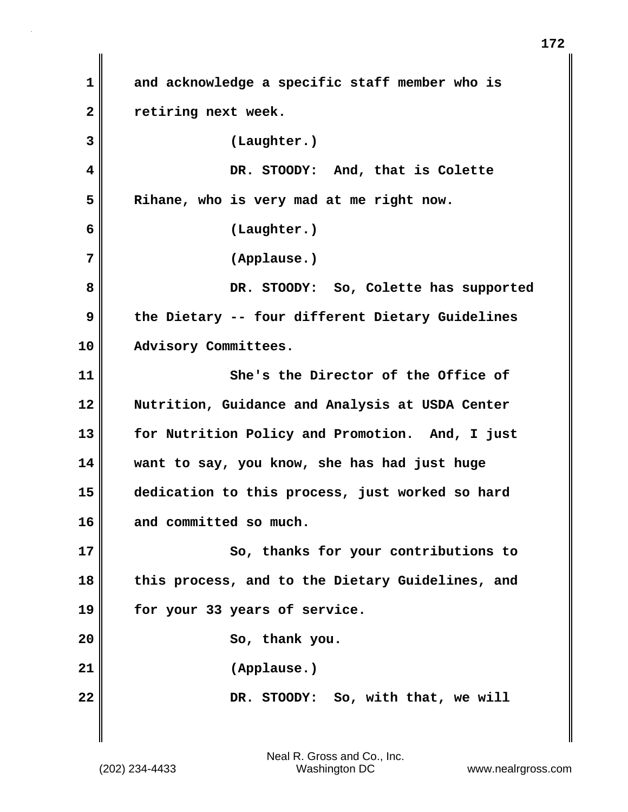**1 and acknowledge a specific staff member who is 2 retiring next week. 3 (Laughter.) 4 DR. STOODY: And, that is Colette 5 Rihane, who is very mad at me right now. 6 (Laughter.) 7 (Applause.) 8 DR. STOODY: So, Colette has supported 9 the Dietary -- four different Dietary Guidelines 10 Advisory Committees. 11 She's the Director of the Office of 12 Nutrition, Guidance and Analysis at USDA Center 13 for Nutrition Policy and Promotion. And, I just 14 want to say, you know, she has had just huge 15 dedication to this process, just worked so hard 16 and committed so much. 17** So, thanks for your contributions to **18 this process, and to the Dietary Guidelines, and 19 for your 33 years of service.** 20 **So, thank you. 21 (Applause.) 22** DR. STOODY: So, with that, we will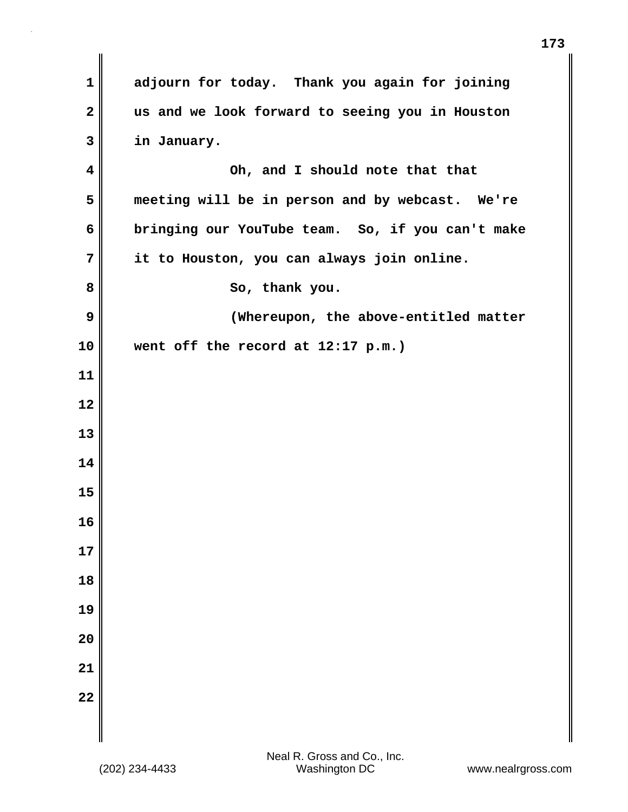| $\mathbf 1$             | adjourn for today. Thank you again for joining   |
|-------------------------|--------------------------------------------------|
| $\mathbf{2}$            | us and we look forward to seeing you in Houston  |
| 3                       | in January.                                      |
| $\overline{\mathbf{4}}$ | Oh, and I should note that that                  |
| 5                       | meeting will be in person and by webcast. We're  |
| 6                       | bringing our YouTube team. So, if you can't make |
| 7                       | it to Houston, you can always join online.       |
| 8                       | So, thank you.                                   |
| 9                       | (Whereupon, the above-entitled matter            |
| 10                      | went off the record at 12:17 p.m.)               |
| 11                      |                                                  |
| 12                      |                                                  |
| 13                      |                                                  |
| 14                      |                                                  |
| 15                      |                                                  |
| 16                      |                                                  |
| 17                      |                                                  |
| 18                      |                                                  |
| 19                      |                                                  |
| 20                      |                                                  |
| 21                      |                                                  |
| 22                      |                                                  |
|                         |                                                  |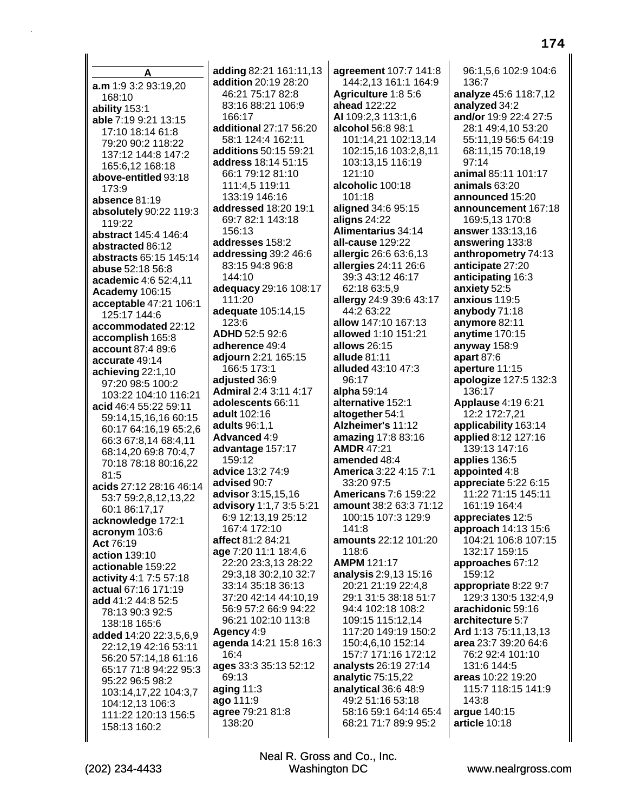A a.m 1:9 3:2 93:19,20 168:10 ability 153:1 able 7:19 9:21 13:15 17:10 18:14 61:8 79:20 90:2 118:22 137:12 144:8 147:2 165:6,12 168:18 above-entitled 93:18 173:9 absence 81:19 absolutely 90:22 119:3 119:22 abstract 145:4 146:4 abstracted 86:12 abstracts 65:15 145:14 abuse 52:18 56:8 academic 4:6 52:4,11 **Academy 106:15** acceptable 47:21 106:1 125:17 144:6 accommodated 22:12 accomplish 165:8 account 87:4 89:6 accurate 49:14 achieving 22:1,10 97:20 98:5 100:2 103:22 104:10 116:21 acid 46:4 55:22 59:11 59:14,15,16,16 60:15 60:17 64:16,19 65:2,6 66:3 67:8,14 68:4,11 68:14,20 69:8 70:4,7 70:18 78:18 80:16,22  $81.5$ acids 27:12 28:16 46:14 53:7 59:2.8.12.13.22 60:1 86:17,17 acknowledge 172:1 acronym 103:6 Act 76:19 **action** 139:10 actionable 159:22 activity 4:1 7:5 57:18 actual 67:16 171:19 add 41:2 44:8 52:5 78:13 90:3 92:5 138:18 165:6 added 14:20 22:3,5,6,9 22:12.19 42:16 53:11 56:20 57:14.18 61:16 65:17 71:8 94:22 95:3 95:22 96:5 98:2 103:14,17,22 104:3,7 104:12,13 106:3 111:22 120:13 156:5 158:13 160:2

adding 82:21 161:11,13 addition 20:19 28:20 46:21 75:17 82:8 83:16 88:21 106:9 166:17 additional 27:17 56:20 58:1 124:4 162:11 additions 50:15 59:21 address 18:14 51:15 66:1 79:12 81:10 111:4,5 119:11 133:19 146:16 addressed 18:20 19:1 69:7 82:1 143:18  $156.13$ addresses 158:2 addressing 39:2 46:6 83:15 94:8 96:8 144:10 adequacy 29:16 108:17 111:20 adequate 105:14,15 123:6 ADHD 52:5 92:6 adherence 49:4 adiourn 2:21 165:15 166:5 173:1 adjusted 36:9 **Admiral 2:4 3:11 4:17** adolescents 66:11 adult 102:16 adults 96:1.1 Advanced 4:9 advantage 157:17 159:12 advice 13:2 74:9 advised 90:7 advisor 3:15,15,16 advisory 1:1,7 3:5 5:21 6:9 12:13.19 25:12 167:4 172:10 affect 81:2 84:21 age 7:20 11:1 18:4,6 22:20 23:3,13 28:22 29:3,18 30:2,10 32:7 33:14 35:18 36:13 37:20 42:14 44:10.19 56:9 57:2 66:9 94:22 96:21 102:10 113:8 Agency 4:9 agenda 14:21 15:8 16:3  $16:4$ ages 33:3 35:13 52:12 69:13 aging  $11:3$ ago 111:9 agree 79:21 81:8 138:20

agreement 107:7 141:8 144:2,13 161:1 164:9 Agriculture 1:8 5:6 ahead 122:22 AI 109:2.3 113:1.6 alcohol 56:8 98:1 101:14,21 102:13,14 102:15,16 103:2,8,11 103:13,15 116:19  $121:10$ alcoholic 100:18 101:18 aligned 34:6 95:15 aligns 24:22 Alimentarius 34:14 all-cause 129:22 allergic 26:6 63:6,13 allergies 24:11 26:6 39:3 43:12 46:17 62:18 63:5,9 allergy 24:9 39:6 43:17 44:2 63:22 allow 147:10 167:13 allowed 1:10 151:21 allows 26:15 allude 81:11 alluded 43:10 47:3 96:17 alpha 59:14 alternative 152:1 altogether 54:1 Alzheimer's 11:12 amazing 17:8 83:16 **AMDR 47:21** amended 48:4 **America 3:22 4:15 7:1** 33:20 97:5 **Americans 7:6 159:22** amount 38:2 63:3 71:12 100:15 107:3 129:9  $141:8$ amounts 22:12 101:20 118:6 **AMPM 121:17** analysis 2:9,13 15:16 20:21 21:19 22:4,8 29:1 31:5 38:18 51:7 94:4 102:18 108:2 109:15 115:12.14 117:20 149:19 150:2 150:4,6,10 152:14 157:7 171:16 172:12 analysts 26:19 27:14 analytic 75:15,22 analytical 36:6 48:9 49:2 51:16 53:18 58:16 59:1 64:14 65:4 68:21 71:7 89:9 95:2

96:1.5.6 102:9 104:6 136:7 analyze 45:6 118:7,12 analyzed 34:2 and/or 19:9 22:4 27:5 28:1 49:4,10 53:20 55:11,19 56:5 64:19 68:11,15 70:18,19  $97:14$ animal 85:11 101:17 animals 63:20 announced 15:20 announcement 167:18 169:5.13 170:8 answer 133:13,16 answering 133:8 anthropometry 74:13 anticipate 27:20 anticipating 16:3 anxiety 52:5 anxious 119:5 anybody 71:18 anymore 82:11 anytime 170:15 anyway  $158.9$ apart  $87:6$ aperture 11:15 apologize 127:5 132:3 136:17 **Applause 4:19 6:21** 12:2 172:7.21 applicability 163:14 applied 8:12 127:16 139:13 147:16 applies 136:5 appointed 4:8 appreciate  $5:226:15$ 11:22 71:15 145:11 161:19 164:4 appreciates 12:5 approach 14:13 15:6 104:21 106:8 107:15 132:17 159:15 approaches 67:12 159:12 appropriate 8:22 9:7 129:3 130:5 132:4,9 arachidonic 59:16 architecture 5:7 Ard 1:13 75:11,13,13 area 23:7 39:20 64:6 76:2 92:4 101:10 131:6 144:5 areas 10:22 19:20 115:7 118:15 141:9 143:8 argue 140:15 article 10:18

Neal R. Gross and Co., Inc. **Washington DC**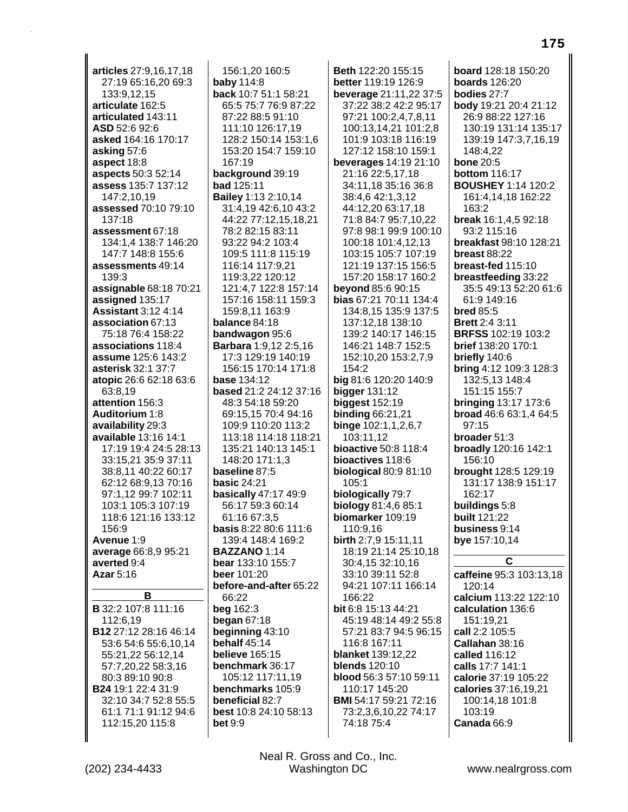articles 27:9.16.17.18 27:19 65:16,20 69:3 133:9,12,15 articulate 162:5 articulated 143:11 ASD 52:6 92:6 asked 164:16 170:17 asking 57:6 aspect 18:8 aspects 50:3 52:14 **assess 135:7 137:12** 147:2,10,19 assessed 70:10 79:10 137:18 assessment 67:18 134:1,4 138:7 146:20 147:7 148:8 155:6 assessments 49:14 139:3 assignable 68:18 70:21 assigned 135:17 **Assistant 3:12 4:14** association 67:13 75:18 76:4 158:22 associations 118:4 assume 125:6 143:2 asterisk 32:1 37:7 atopic 26:6 62:18 63:6 63:8,19 attention 156:3 Auditorium 1:8 availability 29:3 available 13:16 14:1 17:19 19:4 24:5 28:13 33:15.21 35:9 37:11 38:8,11 40:22 60:17 62:12 68:9,13 70:16 97:1,12 99:7 102:11 103:1 105:3 107:19 118:6 121:16 133:12 156:9 Avenue 1:9 average 66:8,9 95:21 averted 9:4 Azar 5:16 B **B** 32:2 107:8 111:16 112:6.19 B12 27:12 28:16 46:14 53:6 54:6 55:6,10,14 55:21,22 56:12,14 57:7,20,22 58:3,16 80:3 89:10 90:8 **B24** 19:1 22:4 31:9 32:10 34:7 52:8 55:5 61:1 71:1 91:12 94:6 112:15,20 115:8

156:1.20 160:5 **baby 114:8** back 10:7 51:1 58:21 65:5 75:7 76:9 87:22 87:22 88:5 91:10 111:10 126:17,19 128:2 150:14 153:1,6 153:20 154:7 159:10 167:19 background 39:19 bad 125:11 **Bailey 1:13 2:10,14** 31:4.19 42:6.10 43:2 44:22 77:12,15,18,21 78:2 82:15 83:11 93:22 94:2 103:4 109:5 111:8 115:19 116:14 117:9.21 119:3,22 120:12 121:4,7 122:8 157:14 157:16 158:11 159:3 159:8,11 163:9 balance 84:18 bandwagon 95:6 **Barbara** 1:9,12 2:5,16 17:3 129:19 140:19 156:15 170:14 171:8 **base 134:12 based** 21:2 24:12 37:16 48:3 54:18 59:20 69:15.15 70:4 94:16 109:9 110:20 113:2 113:18 114:18 118:21 135:21 140:13 145:1 148:20 171:1.3 baseline 87:5 **basic 24:21 basically 47:17 49:9** 56:17 59:3 60:14 61:16 67:3.5 **basis 8:22 80:6 111:6** 139:4 148:4 169:2 **BAZZANO 1:14** bear 133:10 155:7 beer 101:20 before-and-after 65:22 66:22 beg 162:3 began  $67:18$ beginning 43:10 behalf 45:14 **believe** 165:15 benchmark 36:17 105:12 117:11,19 benchmarks 105:9 beneficial 82:7 best 10:8 24:10 58:13  $bet<sub>9:9</sub>$ 

Beth 122:20 155:15 better 119:19 126:9 beverage 21:11,22 37:5 37:22 38:2 42:2 95:17 97:21 100:2.4.7.8.11 100:13,14,21 101:2,8 101:9 103:18 116:19 127:12 158:10 159:1 beverages 14:19 21:10 21:16 22:5,17,18 34:11,18 35:16 36:8 38:4,6 42:1,3,12 44:12,20 63:17,18 71:8 84:7 95:7,10,22 97:8 98:1 99:9 100:10 100:18 101:4,12,13 103:15 105:7 107:19 121:19 137:15 156:5 157:20 158:17 160:2 **beyond 85:6 90:15** bias 67:21 70:11 134:4 134:8,15 135:9 137:5 137:12,18 138:10 139:2 140:17 146:15 146:21 148:7 152:5 152:10.20 153:2.7.9  $154:2$ big 81:6 120:20 140:9 bigger  $131:12$ **biggest 152:19 binding 66:21,21** binge 102:1,1,2,6,7 103:11.12 **bioactive** 50:8 118:4 bioactives 118:6 biological 80:9 81:10 105:1 biologically 79:7 biology 81:4,6 85:1 biomarker 109:19 110:9.16 birth 2:7,9 15:11,11 18:19 21:14 25:10,18 30:4,15 32:10,16 33:10 39:11 52:8 94:21 107:11 166:14 166:22 bit 6:8 15:13 44:21 45:19 48:14 49:2 55:8 57:21 83:7 94:5 96:15 116:8 167:11 **blanket** 139:12,22 **blends** 120:10 blood 56:3 57:10 59:11 110:17 145:20 BMI 54:17 59:21 72:16 73:2,3,6,10,22 74:17 74:18 75:4

board 128:18 150:20 **boards** 126:20 bodies 27:7 body 19:21 20:4 21:12 26:9 88:22 127:16 130:19 131:14 135:17 139:19 147:3,7,16,19 148:4.22 **bone 20:5 bottom** 116:17 **BOUSHEY 1:14 120:2** 161:4,14,18 162:22 163:2 break 16:1,4,5 92:18 93:2 115:16 breakfast 98:10 128:21 **breast 88:22** breast-fed 115:10 breastfeeding 33:22 35:5 49:13 52:20 61:6 61:9 149:16 **bred 85:5 Brett 2:4 3:11 BRFSS 102:19 103:2 brief** 138:20 170:1 briefly 140:6 **bring 4:12 109:3 128:3** 132:5,13 148:4 151:15 155:7 **bringing 13:17 173:6** broad 46:6 63:1,4 64:5  $97.15$ **broader** 51:3 **broadly** 120:16 142:1 156:10 brought 128:5 129:19 131:17 138:9 151:17 162:17 buildings 5:8 **built 121:22** business 9:14 bye 157:10,14 C caffeine 95:3 103:13,18 120:14 calcium 113:22 122:10 calculation 136:6

151:19,21 call 2:2 105:5 Callahan 38:16 called 116:12 calls 17:7 141:1 calorie 37:19 105:22 calories 37:16,19,21 100:14.18 101:8 103:19 Canada 66:9

Neal R. Gross and Co., Inc. Washington DC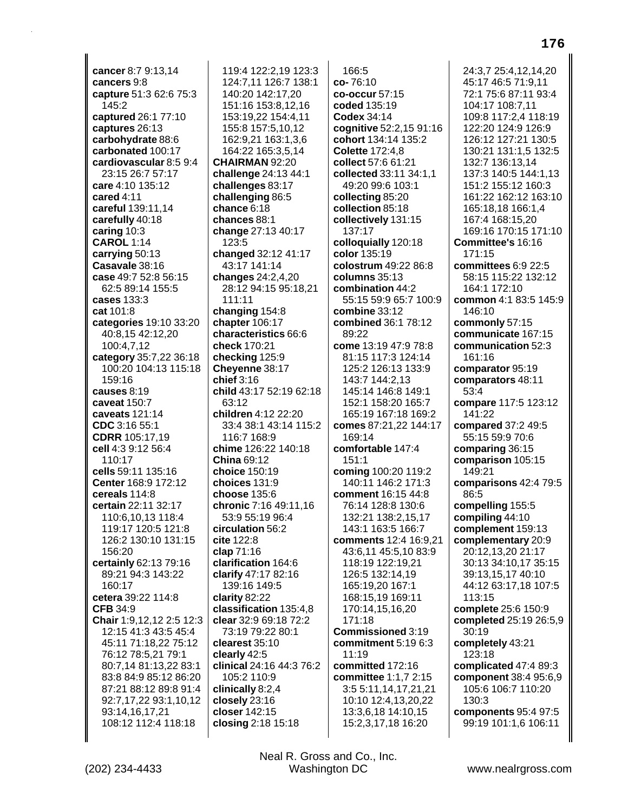cancer 8:7 9:13.14 cancers 9:8 capture 51:3 62:6 75:3 145:2 captured 26:1 77:10 captures 26:13 carbohydrate 88:6 carbonated 100:17 cardiovascular 8:5 9:4 23:15 26:7 57:17 care 4:10 135:12 cared 4:11 careful 139:11,14 carefully 40:18 caring 10:3 **CAROL 1:14** carrying 50:13 Casavale 38:16 case 49:7 52:8 56:15 62:5 89:14 155:5 cases 133:3 cat 101:8 categories 19:10 33:20 40:8,15 42:12,20 100:4,7,12 category 35:7,22 36:18 100:20 104:13 115:18 159:16 causes  $8:19$ caveat 150:7 caveats 121:14 CDC 3:16 55:1 **CDRR** 105:17,19 cell 4:3 9:12 56:4 110:17 cells 59:11 135:16 Center 168:9 172:12 cereals 114:8 certain 22:11 32:17 110:6,10,13 118:4 119:17 120:5 121:8 126:2 130:10 131:15 156:20 certainly 62:13 79:16 89:21 94:3 143:22 160:17 cetera 39:22 114:8 **CFB 34:9** Chair 1:9,12,12 2:5 12:3 12:15 41:3 43:5 45:4 45:11 71:18,22 75:12 76:12 78:5,21 79:1 80:7,14 81:13,22 83:1 83:8 84:9 85:12 86:20 87:21 88:12 89:8 91:4 92:7,17,22 93:1,10,12 93:14,16,17,21 108:12 112:4 118:18

(202) 234-4433

119:4 122:2.19 123:3 124:7,11 126:7 138:1 140:20 142:17,20 151:16 153:8,12,16 153:19,22 154:4,11 155:8 157:5,10,12 162:9,21 163:1,3,6 164:22 165:3,5,14 **CHAIRMAN 92:20** challenge 24:13 44:1 challenges 83:17 challenging 86:5 chance  $6:18$ chances 88:1 change 27:13 40:17 123:5 changed 32:12 41:17 43:17 141:14 changes 24:2,4,20 28:12 94:15 95:18,21 111:11 changing 154:8 chapter 106:17 characteristics 66:6 check 170:21 checking 125:9 Cheyenne 38:17 chief  $3:16$ child 43:17 52:19 62:18 63:12 children 4:12 22:20 33:4 38:1 43:14 115:2 116:7 168:9 chime 126:22 140:18 **China 69:12** choice 150:19 choices 131:9 choose 135:6 chronic 7:16 49:11,16 53:9 55:19 96:4 circulation 56:2 cite 122:8 clap 71:16 clarification 164:6 clarify 47:17 82:16 139:16 149:5 clarity 82:22 classification 135:4,8 clear 32:9 69:18 72:2 73:19 79:22 80:1 clearest 35:10 clearly 42:5 clinical 24:16 44:3 76:2 105:2 110:9 clinically 8:2,4 closely 23:16 closer 142:15 closing 2:18 15:18

 $166:5$  $co-76:10$ co-occur 57:15 coded 135:19 **Codex 34:14** cognitive 52:2,15 91:16 cohort 134:14 135:2 **Colette 172:4.8** collect 57:6 61:21 collected 33:11 34:1,1 49:20 99:6 103:1 collecting 85:20 collection 85:18 collectively 131:15 137:17 colloquially 120:18 color 135:19 colostrum 49:22 86:8 columns 35:13 combination 44:2 55:15 59:9 65:7 100:9 combine 33:12 combined 36:1 78:12 89:22 come 13:19 47:9 78:8 81:15 117:3 124:14 125:2 126:13 133:9 143:7 144:2,13 145:14 146:8 149:1 152:1 158:20 165:7 165:19 167:18 169:2 comes 87:21,22 144:17 169:14 comfortable 147:4  $151:1$ coming 100:20 119:2 140:11 146:2 171:3 comment 16:15 44:8 76:14 128:8 130:6 132:21 138:2,15,17 143:1 163:5 166:7 comments 12:4 16:9,21 43:6,11 45:5,10 83:9 118:19 122:19,21 126:5 132:14,19 165:19,20 167:1 168:15,19 169:11 170:14,15,16,20 171:18 Commissioned 3:19 commitment 5:19 6:3  $11:19$ committed 172:16 committee 1:1,7 2:15 3:5 5:11,14,17,21,21 10:10 12:4,13,20,22 13:3,6,18 14:10,15 15:2,3,17,18 16:20

24:3.7 25:4.12.14.20 45:17 46:5 71:9,11 72:1 75:6 87:11 93:4 104:17 108:7,11 109:8 117:2.4 118:19 122:20 124:9 126:9 126:12 127:21 130:5 130:21 131:1,5 132:5 132:7 136:13.14 137:3 140:5 144:1,13 151:2 155:12 160:3 161:22 162:12 163:10 165:18,18 166:1,4 167:4 168:15,20 169:16 170:15 171:10 Committee's 16:16 171:15 committees 6:9 22:5 58:15 115:22 132:12 164:1 172:10 common 4:1 83:5 145:9 146:10 commonly 57:15 communicate 167:15 communication 52:3 161:16 comparator 95:19 comparators 48:11 53:4 compare 117:5 123:12  $141.22$ compared 37:2 49:5 55:15 59:9 70:6 comparing 36:15 comparison 105:15 149:21 comparisons 42:4 79:5 86:5 compelling 155:5 compiling 44:10 complement 159:13 complementary 20:9 20:12,13,20 21:17 30:13 34:10,17 35:15 39:13,15,17 40:10 44:12 63:17,18 107:5 113:15 complete 25:6 150:9 completed 25:19 26:5,9 30:19 completely 43:21 123:18 complicated 47:4 89:3 component 38:4 95:6,9 105:6 106:7 110:20  $130.3$ components 95:4 97:5 99:19 101:1,6 106:11

Neal R. Gross and Co., Inc.

Washington DC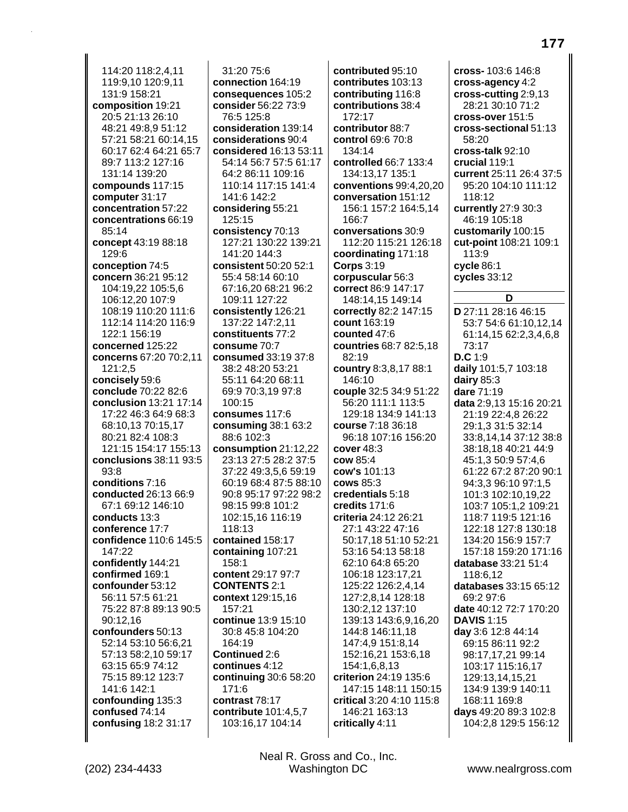114:20 118:2.4.11 119:9,10 120:9,11 131:9 158:21 composition 19:21 20:5 21:13 26:10 48:21 49:8.9 51:12 57:21 58:21 60:14,15 60:17 62:4 64:21 65:7 89:7 113:2 127:16 131:14 139:20 compounds 117:15 computer 31:17 concentration 57:22 concentrations 66:19  $85.14$ concept 43:19 88:18 129:6 conception 74:5 concern 36:21 95:12 104:19,22 105:5,6 106:12,20 107:9 108:19 110:20 111:6 112:14 114:20 116:9 122:1 156:19 concerned 125:22 concerns 67:20 70:2.11 121:2.5 concisely 59:6 conclude 70:22 82:6 conclusion 13:21 17:14 17:22 46:3 64:9 68:3 68:10.13 70:15.17 80:21 82:4 108:3 121:15 154:17 155:13 conclusions 38:11 93:5  $93:8$ conditions 7:16 conducted 26:13 66:9 67:1 69:12 146:10 conducts 13:3 conference 17:7 confidence 110:6 145:5 147:22 confidently 144:21 confirmed 169:1 confounder 53:12 56:11 57:5 61:21 75:22 87:8 89:13 90:5 90:12.16 confounders 50:13 52:14 53:10 56:6,21 57:13 58:2,10 59:17 63:15 65:9 74:12 75:15 89:12 123:7 141:6 142:1 confounding 135:3 confused 74:14 confusing 18:2 31:17

 $31:2075:6$ connection 164:19 consequences 105:2 consider 56:22 73:9 76:5 125:8 consideration 139:14 considerations 90:4 considered 16:13 53:11 54:14 56:7 57:5 61:17 64:2 86:11 109:16 110:14 117:15 141:4 141:6 142:2 considering 55:21 125:15 consistency 70:13 127:21 130:22 139:21 141:20 144:3 consistent 50:20 52:1 55:4 58:14 60:10 67:16,20 68:21 96:2 109:11 127:22 consistently 126:21 137:22 147:2.11 constituents 77:2 consume 70:7 consumed 33:19 37:8 38:2 48:20 53:21 55:11 64:20 68:11 69:9 70:3,19 97:8 100:15 consumes 117:6 consuming  $38:163:2$ 88:6 102:3 consumption  $21:12,22$ 23:13 27:5 28:2 37:5 37:22 49:3,5,6 59:19 60:19 68:4 87:5 88:10 90:8 95:17 97:22 98:2 98:15 99:8 101:2 102:15.16 116:19 118:13 contained 158:17 containing 107:21 158:1 content 29:17 97:7 **CONTENTS 2:1** context 129:15,16 157:21 continue 13:9 15:10 30:8 45:8 104:20 164:19 Continued 2:6 continues 4:12 continuing 30:6 58:20 171:6 contrast 78:17 contribute 101:4,5,7 103:16,17 104:14

contributed 95:10 contributes 103:13 contributing 116:8 contributions 38:4  $172.17$ contributor 88.7 control 69:6 70:8 134:14 controlled 66:7 133:4 134:13,17 135:1 conventions 99:4,20,20 conversation 151:12 156:1 157:2 164:5.14 166:7 conversations 30:9 112:20 115:21 126:18 coordinating 171:18 **Corps 3:19** corpuscular 56:3 correct 86:9 147:17 148:14,15 149:14 correctly 82:2 147:15 count 163:19 counted 47:6 countries 68:7 82:5,18 82:19 country 8:3,8,17 88:1 146:10 couple 32:5 34:9 51:22 56:20 111:1 113:5 129:18 134:9 141:13 course  $7.18, 36.18$ 96:18 107:16 156:20 cover  $48:3$ cow 85:4 cow's 101:13 **cows 85:3** credentials 5:18 credits 171:6 criteria 24:12 26:21 27:1 43:22 47:16 50:17,18 51:10 52:21 53:16 54:13 58:18 62:10 64:8 65:20 106:18 123:17,21 125:22 126:2,4,14 127:2,8,14 128:18 130:2,12 137:10 139:13 143:6,9,16,20 144:8 146:11,18 147:4,9 151:8,14 152:16,21 153:6,18 154:1,6,8,13 criterion 24:19 135:6 147:15 148:11 150:15 critical 3:20 4:10 115:8 146:21 163:13 critically 4:11

 $\text{cross} - 103.6, 146.8$ cross-agency 4:2  $\csc$ -cutting 2:9,13 28:21 30:10 71:2 cross-over 151:5 cross-sectional 51:13 58:20 cross-talk 92:10 crucial 119:1 current 25:11 26:4 37:5 95:20 104:10 111:12 118:12 currently 27:9 30:3 46:19 105:18 customarily 100:15 cut-point 108:21 109:1 113:9  $cycle 86:1$ cycles 33:12 D D 27:11 28:16 46:15 53:7 54:6 61:10,12,14 61:14,15 62:2,3,4,6,8 73:17  $D.C.1:9$ daily 101:5,7 103:18 dairy  $85:3$ dare 71:19 data 2:9.13 15:16 20:21 21:19 22:4,8 26:22 29:1,3 31:5 32:14 33:8,14,14 37:12 38:8 38:18.18 40:21 44:9 45:1,3 50:9 57:4,6 61:22 67:2 87:20 90:1 94:3,3 96:10 97:1,5 101:3 102:10,19,22 103:7 105:1,2 109:21 118:7 119:5 121:16 122:18 127:8 130:18 134:20 156:9 157:7 157:18 159:20 171:16 database 33:21 51:4 118:6.12 databases 33:15 65:12 69:2 97:6 date 40:12 72:7 170:20 **DAVIS 1:15** day 3:6 12:8 44:14 69:15 86:11 92:2 98:17,17,21 99:14 103:17 115:16,17 129:13,14,15,21 134:9 139:9 140:11 168:11 169:8 days 49:20 89:3 102:8 104:2,8 129:5 156:12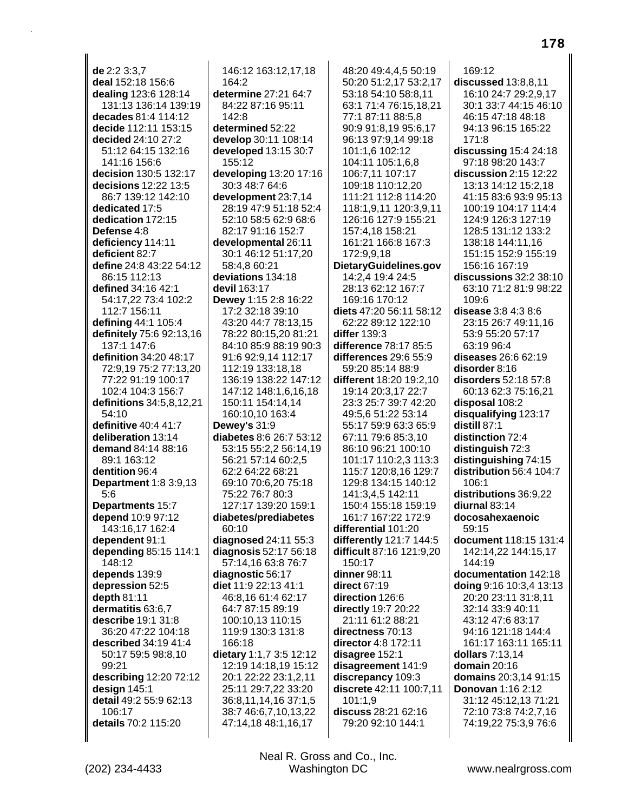**de** 2:2 3:3,7 **deal** 152:18 156:6 **dealing** 123:6 128:14 131:13 136:14 139:19 **decades** 81:4 114:12 **decide** 112:11 153:15 **decided** 24:10 27:2 51:12 64:15 132:16 141:16 156:6 **decision** 130:5 132:17 **decisions** 12:22 13:5 86:7 139:12 142:10 **dedicated** 17:5 **dedication** 172:15 **Defense** 4:8 **deficiency** 114:11 **deficient** 82:7 **define** 24:8 43:22 54:12 86:15 112:13 **defined** 34:16 42:1 54:17,22 73:4 102:2 112:7 156:11 **defining** 44:1 105:4 **definitely** 75:6 92:13,16 137:1 147:6 **definition** 34:20 48:17 72:9,19 75:2 77:13,20 77:22 91:19 100:17 102:4 104:3 156:7 **definitions** 34:5,8,12,21 54:10 **definitive** 40:4 41:7 **deliberation** 13:14 **demand** 84:14 88:16 89:1 163:12 **dentition** 96:4 **Department** 1:8 3:9,13 5:6 **Departments** 15:7 **depend** 10:9 97:12 143:16,17 162:4 **dependent** 91:1 **depending** 85:15 114:1 148:12 **depends** 139:9 **depression** 52:5 **depth** 81:11 **dermatitis** 63:6,7 **describe** 19:1 31:8 36:20 47:22 104:18 **described** 34:19 41:4 50:17 59:5 98:8,10 99:21 **describing** 12:20 72:12 **design** 145:1 **detail** 49:2 55:9 62:13 106:17 **details** 70:2 115:20

146:12 163:12,17,18 164:2 **determine** 27:21 64:7 84:22 87:16 95:11  $142.8$ **determined** 52:22 **develop** 30:11 108:14 **developed** 13:15 30:7 155:12 **developing** 13:20 17:16 30:3 48:7 64:6 **development** 23:7,14 28:19 47:9 51:18 52:4 52:10 58:5 62:9 68:6 82:17 91:16 152:7 **developmental** 26:11 30:1 46:12 51:17,20 58:4,8 60:21 **deviations** 134:18 **devil** 163:17 **Dewey** 1:15 2:8 16:22 17:2 32:18 39:10 43:20 44:7 78:13,15 78:22 80:15,20 81:21 84:10 85:9 88:19 90:3 91:6 92:9,14 112:17 112:19 133:18,18 136:19 138:22 147:12 147:12 148:1,6,16,18 150:11 154:14,14 160:10,10 163:4 **Dewey's** 31:9 **diabetes** 8:6 26:7 53:12 53:15 55:2,2 56:14,19 56:21 57:14 60:2,5 62:2 64:22 68:21 69:10 70:6,20 75:18 75:22 76:7 80:3 127:17 139:20 159:1 **diabetes/prediabetes** 60:10 **diagnosed** 24:11 55:3 **diagnosis** 52:17 56:18 57:14,16 63:8 76:7 **diagnostic** 56:17 **diet** 11:9 22:13 41:1 46:8,16 61:4 62:17 64:7 87:15 89:19 100:10,13 110:15 119:9 130:3 131:8 166:18 **dietary** 1:1,7 3:5 12:12 12:19 14:18,19 15:12 20:1 22:22 23:1,2,11 25:11 29:7,22 33:20 36:8,11,14,16 37:1,5 38:7 46:6,7,10,13,22 47:14,18 48:1,16,17

48:20 49:4,4,5 50:19 50:20 51:2,17 53:2,17 53:18 54:10 58:8,11 63:1 71:4 76:15,18,21 77:1 87:11 88:5,8 90:9 91:8,19 95:6,17 96:13 97:9,14 99:18 101:1,6 102:12 104:11 105:1,6,8 106:7,11 107:17 109:18 110:12,20 111:21 112:8 114:20 118:1,9,11 120:3,9,11 126:16 127:9 155:21 157:4,18 158:21 161:21 166:8 167:3 172:9,9,18 **DietaryGuidelines.gov** 14:2,4 19:4 24:5 28:13 62:12 167:7 169:16 170:12 **diets** 47:20 56:11 58:12 62:22 89:12 122:10 **differ** 139:3 **difference** 78:17 85:5 **differences** 29:6 55:9 59:20 85:14 88:9 **different** 18:20 19:2,10 19:14 20:3,17 22:7 23:3 25:7 39:7 42:20 49:5,6 51:22 53:14 55:17 59:9 63:3 65:9 67:11 79:6 85:3,10 86:10 96:21 100:10 101:17 110:2,3 113:3 115:7 120:8,16 129:7 129:8 134:15 140:12 141:3,4,5 142:11 150:4 155:18 159:19 161:7 167:22 172:9 **differential** 101:20 **differently** 121:7 144:5 **difficult** 87:16 121:9,20 150:17 **dinner** 98:11 **direct** 67:19 **direction** 126:6 **directly** 19:7 20:22 21:11 61:2 88:21 **directness** 70:13 **director** 4:8 172:11 **disagree** 152:1 **disagreement** 141:9 **discrepancy** 109:3 **discrete** 42:11 100:7,11 101:1,9 **discuss** 28:21 62:16 79:20 92:10 144:1

169:12 **discussed** 13:8,8,11 16:10 24:7 29:2,9,17 30:1 33:7 44:15 46:10 46:15 47:18 48:18 94:13 96:15 165:22 171:8 **discussing** 15:4 24:18 97:18 98:20 143:7 **discussion** 2:15 12:22 13:13 14:12 15:2,18 41:15 83:6 93:9 95:13 100:19 104:17 114:4 124:9 126:3 127:19 128:5 131:12 133:2 138:18 144:11,16 151:15 152:9 155:19 156:16 167:19 **discussions** 32:2 38:10 63:10 71:2 81:9 98:22 109:6 **disease** 3:8 4:3 8:6 23:15 26:7 49:11,16 53:9 55:20 57:17 63:19 96:4 **diseases** 26:6 62:19 **disorder** 8:16 **disorders** 52:18 57:8 60:13 62:3 75:16,21 **disposal** 108:2 **disqualifying** 123:17 **distill** 87:1 **distinction** 72:4 **distinguish** 72:3 **distinguishing** 74:15 **distribution** 56:4 104:7 106:1 **distributions** 36:9,22 **diurnal** 83:14 **docosahexaenoic** 59:15 **document** 118:15 131:4 142:14,22 144:15,17 144:19 **documentation** 142:18 **doing** 9:16 10:3,4 13:13 20:20 23:11 31:8,11 32:14 33:9 40:11 43:12 47:6 83:17 94:16 121:18 144:4 161:17 163:11 165:11 **dollars** 7:13,14 **domain** 20:16 **domains** 20:3,14 91:15 **Donovan** 1:16 2:12 31:12 45:12,13 71:21 72:10 73:8 74:2,7,16 74:19,22 75:3,9 76:6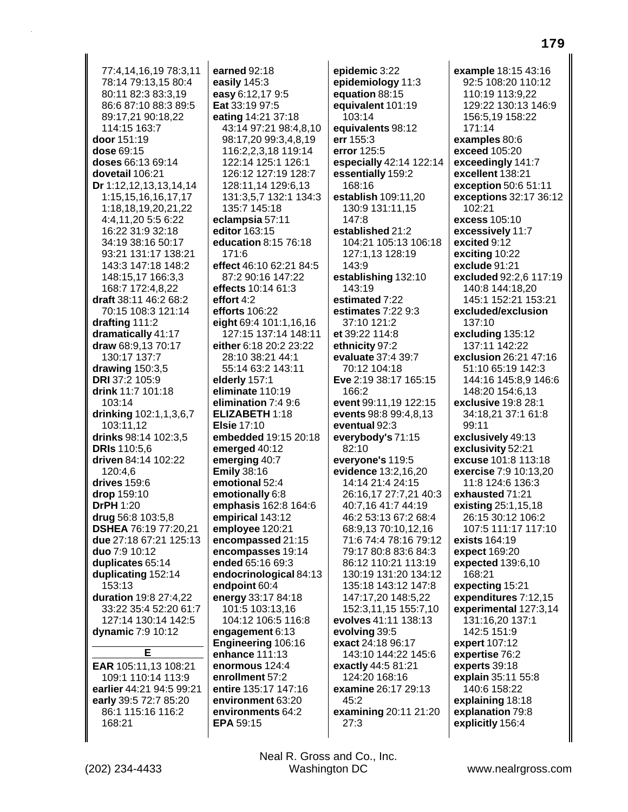77:4.14.16.19 78:3.11 78:14 79:13,15 80:4 80:11 82:3 83:3,19 86:6 87:10 88:3 89:5 89:17.21 90:18.22 114:15 163:7 door 151:19 dose 69:15 doses 66:13 69:14 dovetail 106:21 Dr 1:12,12,13,13,14,14 1:15,15,16,16,17,17 1:18,18,19,20,21,22 4:4,11,20 5:5 6:22 16:22 31:9 32:18 34:19 38:16 50:17 93:21 131:17 138:21 143:3 147:18 148:2 148:15,17 166:3,3 168:7 172:4,8,22 draft 38:11 46:2 68:2 70:15 108:3 121:14 drafting 111:2 dramatically 41:17 draw 68:9.13 70:17 130:17 137:7 drawing  $150:3.5$ **DRI** 37:2 105:9 drink  $11:7 101:18$  $103:14$ drinking 102:1,1,3,6,7 103:11.12 drinks 98:14 102:3,5 **DRIs** 110:5.6 driven 84:14 102:22 120:4.6 drives 159:6 drop 159:10 **DrPH 1:20** drug 56:8 103:5.8 **DSHEA 76:19 77:20,21** due 27:18 67:21 125:13 duo 7:9 10:12 duplicates 65:14 duplicating 152:14 153:13 duration 19:8 27:4,22 33:22 35:4 52:20 61:7 127:14 130:14 142:5 dynamic 7:9 10:12 E EAR 105:11,13 108:21 109:1 110:14 113:9 earlier 44:21 94:5 99:21 early 39:5 72:7 85:20 86:1 115:16 116:2

earned 92:18 easily 145:3 easy 6:12,17 9:5 Eat 33:19 97:5 eating 14:21 37:18 43:14 97:21 98:4,8,10 98:17,20 99:3,4,8,19 116:2,2,3,18 119:14 122:14 125:1 126:1 126:12 127:19 128:7 128:11,14 129:6,13 131:3,5,7 132:1 134:3 135:7 145:18 eclampsia 57:11 editor 163:15 education 8:15 76:18 171:6 effect 46:10 62:21 84:5 87:2 90:16 147:22 effects 10:14 61:3 effort 4:2 efforts 106:22 eight 69:4 101:1,16,16 127:15 137:14 148:11 either 6:18 20:2 23:22 28:10 38:21 44:1 55:14 63:2 143:11 elderly 157:1 eliminate 110:19 elimination 7:4 9:6 ELIZABETH 1:18 **Elsie 17:10** embedded 19:15 20:18 emerged 40:12 emerging 40:7 **Emily 38:16** emotional 52:4 emotionally 6:8 emphasis 162:8 164:6 empirical 143:12 employee 120:21 encompassed 21:15 encompasses 19:14 ended 65:16 69:3 endocrinological 84:13 endpoint 60:4 energy 33:17 84:18 101:5 103:13,16 104:12 106:5 116:8 engagement 6:13 Engineering 106:16 enhance 111:13 enormous 124:4 enrollment 57:2 entire 135:17 147:16 environment 63:20 environments 64:2 EPA 59:15

epidemic 3:22 epidemiology 11:3 equation 88:15 equivalent 101:19 103:14 equivalents 98:12 err 155:3 error 125:5 especially 42:14 122:14 essentially 159:2 168:16 establish 109:11,20 130:9 131:11,15 147:8 established 21:2 104:21 105:13 106:18 127:1,13 128:19 143:9 establishing 132:10 143:19 estimated 7:22 estimates 7:22 9:3 37:10 121:2 et 39:22 114:8 ethnicity 97:2 evaluate 37:4 39:7 70:12 104:18 Eve 2:19 38:17 165:15 166:2 event 99:11.19 122:15 events 98:8 99:4.8.13 eventual 92:3 everybody's 71:15 82:10 everyone's 119:5 evidence 13:2.16.20 14:14 21:4 24:15 26:16,17 27:7,21 40:3 40:7.16 41:7 44:19 46:2 53:13 67:2 68:4 68:9,13 70:10,12,16 71:6 74:4 78:16 79:12 79:17 80:8 83:6 84:3 86:12 110:21 113:19 130:19 131:20 134:12 135:18 143:12 147:8 147:17,20 148:5,22 152:3,11,15 155:7,10 evolves 41:11 138:13 evolving 39:5 exact 24:18 96:17 143:10 144:22 145:6 exactly 44:5 81:21 124:20 168:16 examine 26:17 29:13 45:2 examining 20:11 21:20  $27:3$ 

example 18:15 43:16 92:5 108:20 110:12 110:19 113:9,22 129:22 130:13 146:9 156:5.19 158:22 171:14 examples 80:6 exceed 105:20 exceedingly 141:7 excellent 138:21 exception 50:6 51:11 **exceptions 32:17 36:12** 102:21 excess 105:10 excessively 11:7 excited 9:12 exciting 10:22 exclude 91:21 excluded 92:2,6 117:19 140:8 144:18,20 145:1 152:21 153:21 excluded/exclusion 137:10 excluding 135:12 137:11 142:22 exclusion 26:21 47:16 51:10 65:19 142:3 144:16 145:8,9 146:6 148:20 154:6,13 **exclusive** 19:8 28:1 34:18.21 37:1 61:8  $99:11$ exclusively 49:13 exclusivity 52:21 excuse 101:8 113:18 exercise 7:9 10:13,20 11:8 124:6 136:3 exhausted 71:21 existing 25:1,15,18 26:15 30:12 106:2 107:5 111:17 117:10 exists 164:19 expect 169:20 expected 139:6,10 168:21 expecting 15:21 expenditures 7:12,15 experimental 127:3,14 131:16,20 137:1 142:5 151:9 expert 107:12 expertise 76:2 experts 39:18 explain 35:11 55:8 140:6 158:22 explaining 18:18 explanation 79:8 explicitly 156:4

168:21

Neal R. Gross and Co., Inc. Washington DC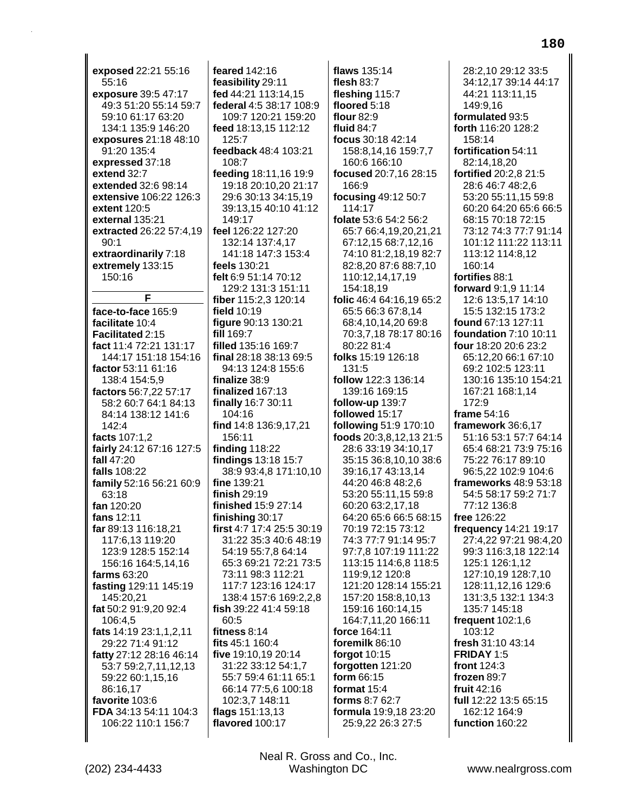exposed 22:21 55:16 55:16 exposure 39:5 47:17 49:3 51:20 55:14 59:7 59:10 61:17 63:20 134:1 135:9 146:20 exposures 21:18 48:10 91:20 135:4 expressed 37:18 extend 32:7 extended 32:6 98:14 extensive 106:22 126:3 extent 120:5 external 135:21 extracted 26:22 57:4,19  $90:1$ extraordinarily 7:18 extremely 133:15 150:16 F. face-to-face 165:9 facilitate 10:4 Facilitated 2:15 fact 11:4 72:21 131:17 144:17 151:18 154:16 factor 53:11 61:16 138:4 154:5,9 factors 56:7,22 57:17 58:2 60:7 64:1 84:13 84:14 138:12 141:6 142:4 facts 107:1,2 fairly 24:12 67:16 127:5 fall 47:20 falls 108:22 family 52:16 56:21 60:9 63:18 fan 120:20 fans 12:11 far 89:13 116:18,21 117:6,13 119:20 123:9 128:5 152:14 156:16 164:5,14,16 farms 63:20 fasting 129:11 145:19 145:20,21 fat 50:2 91:9,20 92:4 106:4,5 fats 14:19 23:1,1,2,11 29:22 71:4 91:12 fatty 27:12 28:16 46:14 53:7 59:2,7,11,12,13 59:22 60:1,15,16 86:16,17 favorite 103:6 FDA 34:13 54:11 104:3 106:22 110:1 156:7

feared 142:16 feasibility 29:11 fed 44:21 113:14,15 federal 4:5 38:17 108:9 109:7 120:21 159:20 feed 18:13,15 112:12 125:7 feedback 48:4 103:21 108:7 feeding 18:11,16 19:9 19:18 20:10,20 21:17 29:6 30:13 34:15,19 39:13.15 40:10 41:12 149:17 feel 126:22 127:20 132:14 137:4,17 141:18 147:3 153:4 feels 130:21 felt 6:9 51:14 70:12 129:2 131:3 151:11 fiber 115:2,3 120:14 field 10:19 figure 90:13 130:21 fill 169:7 filled 135:16 169:7 final 28:18 38:13 69:5 94:13 124:8 155:6 finalize 38:9 finalized 167:13 finally 16:7 30:11  $104.16$ find 14:8 136:9,17,21 156:11 finding  $118:22$ findings 13:18 15:7 38:9 93:4,8 171:10,10 fine 139:21 finish  $29:19$ finished 15:9 27:14 finishing 30:17 first 4:7 17:4 25:5 30:19 31:22 35:3 40:6 48:19 54:19 55:7,8 64:14 65:3 69:21 72:21 73:5 73:11 98:3 112:21 117:7 123:16 124:17 138:4 157:6 169:2,2,8 fish 39:22 41:4 59:18 60:5 fitness 8:14 fits 45:1 160:4 five 19:10,19 20:14 31:22 33:12 54:1,7 55:7 59:4 61:11 65:1 66:14 77:5,6 100:18 102:3,7 148:11 flags 151:13,13 flavored 100:17

flaws 135:14 flesh  $83:7$ fleshing 115:7 floored 5:18 flour 82:9 fluid  $84.7$ focus 30:18 42:14 158:8,14,16 159:7,7 160:6 166:10 focused 20:7,16 28:15 166:9 focusing 49:12 50:7 114:17 folate 53:6 54:2 56:2 65:7 66:4,19,20,21,21 67:12,15 68:7,12,16 74:10 81:2,18,19 82:7 82:8,20 87:6 88:7,10 110:12,14,17,19 154:18,19 folic 46:4 64:16,19 65:2 65:5 66:3 67:8,14 68:4,10,14,20 69:8 70:3,7,18 78:17 80:16 80:22 81:4 folks 15:19 126:18 131:5 follow 122:3 136:14 139:16 169:15 follow-up 139:7 followed 15:17 **following 51:9 170:10** foods 20:3,8,12,13 21:5 28:6 33:19 34:10,17 35:15 36:8,10,10 38:6 39:16,17 43:13,14 44:20 46:8 48:2,6 53:20 55:11,15 59:8 60:20 63:2,17,18 64:20 65:6 66:5 68:15 70:19 72:15 73:12 74:3 77:7 91:14 95:7 97:7,8 107:19 111:22 113:15 114:6,8 118:5 119:9,12 120:8 121:20 128:14 155:21 157:20 158:8,10,13 159:16 160:14,15 164:7.11.20 166:11 force 164:11 foremilk 86:10 forgot 10:15 forgotten 121:20 form 66:15 format 15:4 forms 8:7 62:7 formula 19:9,18 23:20 25:9,22 26:3 27:5

28:2.10 29:12 33:5 34:12,17 39:14 44:17 44:21 113:11,15 149:9,16 formulated 93:5 forth 116:20 128:2 158:14 fortification 54:11 82:14.18.20 fortified 20:2,8 21:5 28:6 46:7 48:2,6 53:20 55:11,15 59:8 60:20 64:20 65:6 66:5 68:15 70:18 72:15 73:12 74:3 77:7 91:14 101:12 111:22 113:11 113:12 114:8,12 160:14 fortifies 88:1 forward 9:1,9 11:14 12:6 13:5,17 14:10 15:5 132:15 173:2 found 67:13 127:11 foundation 7:10 10:11 four 18:20 20:6 23:2 65:12.20 66:1 67:10 69:2 102:5 123:11 130:16 135:10 154:21 167:21 168:1,14 172:9 frame 54:16 framework 36:6.17 51:16 53:1 57:7 64:14 65:4 68:21 73:9 75:16 75:22 76:17 89:10 96:5,22 102:9 104:6 frameworks 48:9 53:18 54:5 58:17 59:2 71:7 77:12 136:8 free 126:22 frequency 14:21 19:17 27:4,22 97:21 98:4,20 99:3 116:3,18 122:14 125:1 126:1.12 127:10,19 128:7,10 128:11,12,16 129:6 131:3,5 132:1 134:3 135:7 145:18 frequent  $102:1,6$ 103:12 fresh 31:10 43:14 FRIDAY 1:5 front 124:3 frozen 89:7 fruit 42:16 full 12:22 13:5 65:15 162:12 164:9 function 160:22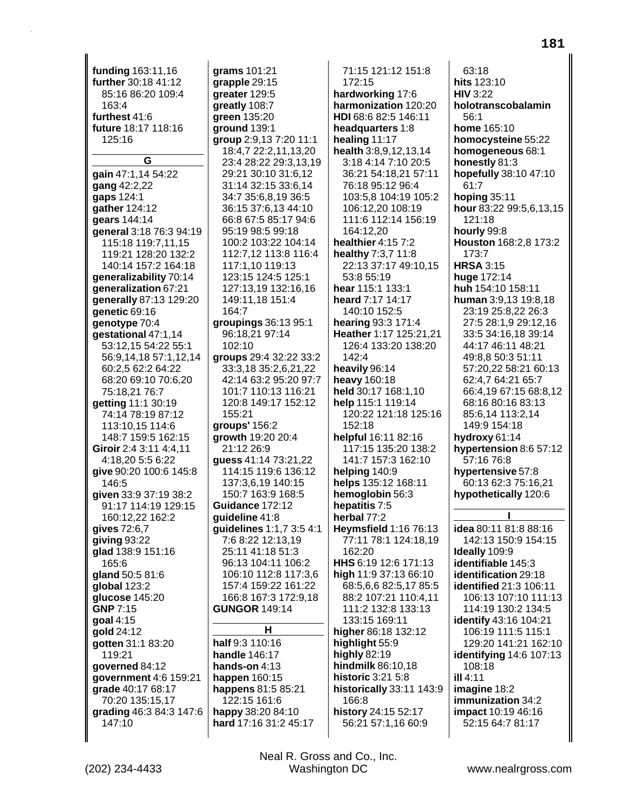funding 163:11,16 grams 101:21 further 30:18 41:12 85:16 86:20 109:4  $163.4$ furthest 41:6 future 18:17 118:16 125:16 G gain 47:1,14 54:22 gang 42:2,22 gaps 124:1 gather 124:12 gears 144:14 general 3:18 76:3 94:19 115:18 119:7,11.15 119:21 128:20 132:2 140:14 157:2 164:18 generalizability 70:14 generalization 67:21 generally 87:13 129:20 164:7 genetic 69:16 genotype 70:4 gestational 47:1,14 53:12.15 54:22 55:1 102:10 56:9.14.18 57:1.12.14 60:2.5 62:2 64:22 68:20 69:10 70:6,20 75:18,21 76:7 **aetting 11:1 30:19** 74:14 78:19 87:12 155:21 113:10,15 114:6 148:7 159:5 162:15 Giroir 2:4 3:11 4:4,11 4:18.20 5:5 6:22 give 90:20 100:6 145:8 146:5 given 33:9 37:19 38:2 91:17 114:19 129:15 160:12,22 162:2 gives 72:6,7 giving 93:22 glad 138:9 151:16 165:6 gland 50:5 81:6 global 123:2 glucose 145:20 **GNP 7:15** goal 4:15 gold 24:12 qotten 31:1 83:20 119:21 handle 146:17 governed 84:12 hands-on  $4:13$ government 4:6 159:21 happen 160:15 grade 40:17 68:17 happens 81:5 85:21 70:20 135:15,17 122:15 161:6 grading 46:3 84:3 147:6 happy 38:20 84:10 147:10 hard 17:16 31:2 45:17

grapple 29:15 greater 129:5 greatly 108:7 green 135:20 ground 139:1 group 2:9,13 7:20 11:1 18:4,7 22:2,11,13,20 23:4 28:22 29:3,13,19 29:21 30:10 31:6,12 31:14 32:15 33:6,14 34:7 35:6,8,19 36:5 36:15 37:6.13 44:10 66:8 67:5 85:17 94:6 95:19 98:5 99:18 100:2 103:22 104:14 112:7,12 113:8 116:4 117:1,10 119:13 123:15 124:5 125:1 127:13,19 132:16,16 149:11,18 151:4 groupings 36:13 95:1 96:18,21 97:14 groups 29:4 32:22 33:2 33:3.18 35:2.6.21.22 42:14 63:2 95:20 97:7 101:7 110:13 116:21 120:8 149:17 152:12 groups' 156:2 growth 19:20 20:4 21:12 26:9 quess 41:14 73:21.22 114:15 119:6 136:12 137:3,6,19 140:15 150:7 163:9 168:5 Guidance 172:12 quideline 41:8 guidelines 1:1,7 3:5 4:1 7:6 8:22 12:13,19 25:11 41:18 51:3 96:13 104:11 106:2 106:10 112:8 117:3,6 157:4 159:22 161:22 166:8 167:3 172:9,18 **GUNGOR 149:14** н half 9:3 110:16

harmonization 120:20 HDI 68:6 82:5 146:11 headquarters 1:8 healing 11:17 health 3:8,9,12,13,14 3:18 4:14 7:10 20:5 36:21 54:18,21 57:11 76:18 95:12 96:4 103:5,8 104:19 105:2 106:12,20 108:19 111:6 112:14 156:19 164:12.20 healthier 4:15 7:2 healthy 7:3,7 11:8 22:13 37:17 49:10,15 53:8 55:19 hear 115:1 133:1 heard 7:17 14:17 140:10 152:5 hearing 93:3 171:4 Heather 1:17 125:21,21 126:4 133:20 138:20 142:4 heavily 96:14 heavy 160:18 held 30:17 168:1,10 help 115:1 119:14 120:22 121:18 125:16  $152:18$ helpful 16:11 82:16 117:15 135:20 138:2 141:7 157:3 162:10 helping 140:9 helps 135:12 168:11 hemoglobin 56:3 hepatitis 7:5 herbal 77:2 **Heymsfield 1:16 76:13** 77:11 78:1 124:18,19 162:20 HHS 6:19 12:6 171:13 high 11:9 37:13 66:10 68:5,6,6 82:5,17 85:5 88:2 107:21 110:4,11 111:2 132:8 133:13 133:15 169:11 higher 86:18 132:12 highlight 55:9 highly  $82:19$ hindmilk 86:10,18 **historic 3:21 5:8** historically 33:11 143:9 166:8 history 24:15 52:17 56:21 57:1,16 60:9

71:15 121:12 151:8

hardworking 17:6

172:15

 $63:18$ hits 123:10 **HIV 3:22** holotranscobalamin  $56:1$ home 165:10 homocysteine 55:22 homogeneous 68:1 honestly 81:3 hopefully 38:10 47:10 61:7 hoping  $35:11$ hour 83:22 99:5,6,13,15 121:18 hourly 99:8 Houston 168:2,8 173:2 173:7 **HRSA 3:15** huge 172:14 huh 154:10 158:11 human 3:9,13 19:8,18 23:19 25:8,22 26:3 27:5 28:1,9 29:12,16 33:5 34:16,18 39:14 44:17 46:11 48:21 49:8.8 50:3 51:11 57:20.22 58:21 60:13 62:4,7 64:21 65:7 66:4,19 67:15 68:8,12 68:16 80:16 83:13 85:6.14 113:2.14 149:9 154:18 hydroxy  $61:14$ hypertension 8:6 57:12 57:16 76:8 hypertensive 57:8 60:13 62:3 75:16,21 hypothetically 120:6 п idea 80:11 81:8 88:16 142:13 150:9 154:15 Ideally 109:9 identifiable 145:3

identification 29:18 identified 21:3 106:11 106:13 107:10 111:13 114:19 130:2 134:5 identify 43:16 104:21 106:19 111:5 115:1 129:20 141:21 162:10 identifying 14:6 107:13 108:18 ill 4:11 imagine 18:2 immunization 34:2 impact 10:19 46:16 52:15 64:7 81:17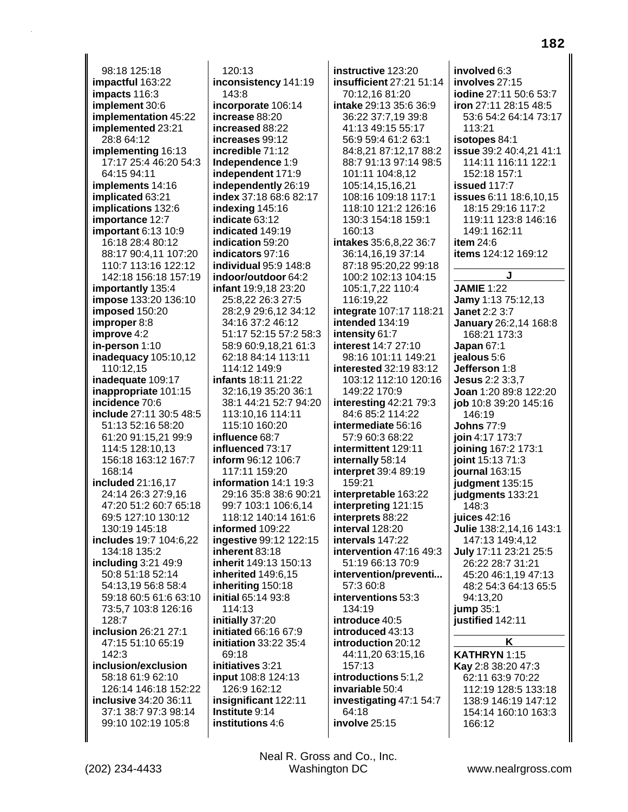98:18 125:18 **impactful** 163:22 **impacts** 116:3 **implement** 30:6 **implementation** 45:22 **implemented** 23:21 28:8 64:12 **implementing** 16:13 17:17 25:4 46:20 54:3 64:15 94:11 **implements** 14:16 **implicated** 63:21 **implications** 132:6 **importance** 12:7 **important** 6:13 10:9 16:18 28:4 80:12 88:17 90:4,11 107:20 110:7 113:16 122:12 142:18 156:18 157:19 **importantly** 135:4 **impose** 133:20 136:10 **imposed** 150:20 **improper** 8:8 **improve** 4:2 **in-person** 1:10 **inadequacy** 105:10,12 110:12,15 **inadequate** 109:17 **inappropriate** 101:15 **incidence** 70:6 **include** 27:11 30:5 48:5 51:13 52:16 58:20 61:20 91:15,21 99:9 114:5 128:10,13 156:18 163:12 167:7 168:14 **included** 21:16,17 24:14 26:3 27:9,16 47:20 51:2 60:7 65:18 69:5 127:10 130:12 130:19 145:18 **includes** 19:7 104:6,22 134:18 135:2 **including** 3:21 49:9 50:8 51:18 52:14 54:13,19 56:8 58:4 59:18 60:5 61:6 63:10 73:5,7 103:8 126:16 128:7 **inclusion** 26:21 27:1 47:15 51:10 65:19 142:3 **inclusion/exclusion** 58:18 61:9 62:10 126:14 146:18 152:22 **inclusive** 34:20 36:11 37:1 38:7 97:3 98:14 99:10 102:19 105:8

120:13 **inconsistency** 141:19 143:8 **incorporate** 106:14 **increase** 88:20 **increased** 88:22 **increases** 99:12 **incredible** 71:12 **Independence** 1:9 **independent** 171:9 **independently** 26:19 **index** 37:18 68:6 82:17 **indexing** 145:16 **indicate** 63:12 **indicated** 149:19 **indication** 59:20 **indicators** 97:16 **individual** 95:9 148:8 **indoor/outdoor** 64:2 **infant** 19:9,18 23:20 25:8,22 26:3 27:5 28:2,9 29:6,12 34:12 34:16 37:2 46:12 51:17 52:15 57:2 58:3 58:9 60:9,18,21 61:3 62:18 84:14 113:11 114:12 149:9 **infants** 18:11 21:22 32:16,19 35:20 36:1 38:1 44:21 52:7 94:20 113:10,16 114:11 115:10 160:20 **influence** 68:7 **influenced** 73:17 **inform** 96:12 106:7 117:11 159:20 **information** 14:1 19:3 29:16 35:8 38:6 90:21 99:7 103:1 106:6,14 118:12 140:14 161:6 **informed** 109:22 **ingestive** 99:12 122:15 **inherent** 83:18 **inherit** 149:13 150:13 **inherited** 149:6,15 **inheriting** 150:18 **initial** 65:14 93:8 114:13 **initially** 37:20 **initiated** 66:16 67:9 **initiation** 33:22 35:4 69:18 **initiatives** 3:21 **input** 108:8 124:13 126:9 162:12 **insignificant** 122:11 **Institute** 9:14 **institutions** 4:6

**instructive** 123:20 **insufficient** 27:21 51:14 70:12,16 81:20 **intake** 29:13 35:6 36:9 36:22 37:7,19 39:8 41:13 49:15 55:17 56:9 59:4 61:2 63:1 84:8,21 87:12,17 88:2 88:7 91:13 97:14 98:5 101:11 104:8,12 105:14,15,16,21 108:16 109:18 117:1 118:10 121:2 126:16 130:3 154:18 159:1 160:13 **intakes** 35:6,8,22 36:7 36:14,16,19 37:14 87:18 95:20,22 99:18 100:2 102:13 104:15 105:1,7,22 110:4 116:19,22 **integrate** 107:17 118:21 **intended** 134:19 **intensity** 61:7 **interest** 14:7 27:10 98:16 101:11 149:21 **interested** 32:19 83:12 103:12 112:10 120:16 149:22 170:9 **interesting** 42:21 79:3 84:6 85:2 114:22 **intermediate** 56:16 57:9 60:3 68:22 **intermittent** 129:11 **internally** 58:14 **interpret** 39:4 89:19 159:21 **interpretable** 163:22 **interpreting** 121:15 **interprets** 88:22 **interval** 128:20 **intervals** 147:22 **intervention** 47:16 49:3 51:19 66:13 70:9 **intervention/preventi...** 57:3 60:8 **interventions** 53:3 134:19 **introduce** 40:5 **introduced** 43:13 **introduction** 20:12 44:11,20 63:15,16 157:13 **introductions** 5:1,2 **invariable** 50:4 **investigating** 47:1 54:7 64:18 **involve** 25:15

**involved** 6:3 **involves** 27:15 **iodine** 27:11 50:6 53:7 **iron** 27:11 28:15 48:5 53:6 54:2 64:14 73:17 113:21 **isotopes** 84:1 **issue** 39:2 40:4,21 41:1 114:11 116:11 122:1 152:18 157:1 **issued** 117:7 **issues** 6:11 18:6,10,15 18:15 29:16 117:2 119:11 123:8 146:16 149:1 162:11 **item** 24:6 **items** 124:12 169:12 **J JAMIE** 1:22 **Jamy** 1:13 75:12,13 **Janet** 2:2 3:7 **January** 26:2,14 168:8 168:21 173:3 **Japan** 67:1 **jealous** 5:6 **Jefferson** 1:8 **Jesus** 2:2 3:3,7 **Joan** 1:20 89:8 122:20 **job** 10:8 39:20 145:16 146:19 **Johns** 77:9 **join** 4:17 173:7 **joining** 167:2 173:1 **joint** 15:13 71:3 **journal** 163:15 **judgment** 135:15 **judgments** 133:21 148:3 **juices** 42:16 **Julie** 138:2,14,16 143:1 147:13 149:4,12 **July** 17:11 23:21 25:5 26:22 28:7 31:21 45:20 46:1,19 47:13 48:2 54:3 64:13 65:5 94:13,20 **jump** 35:1 **justified** 142:11 **K**

**KATHRYN** 1:15 **Kay** 2:8 38:20 47:3 62:11 63:9 70:22 112:19 128:5 133:18 138:9 146:19 147:12 154:14 160:10 163:3 166:12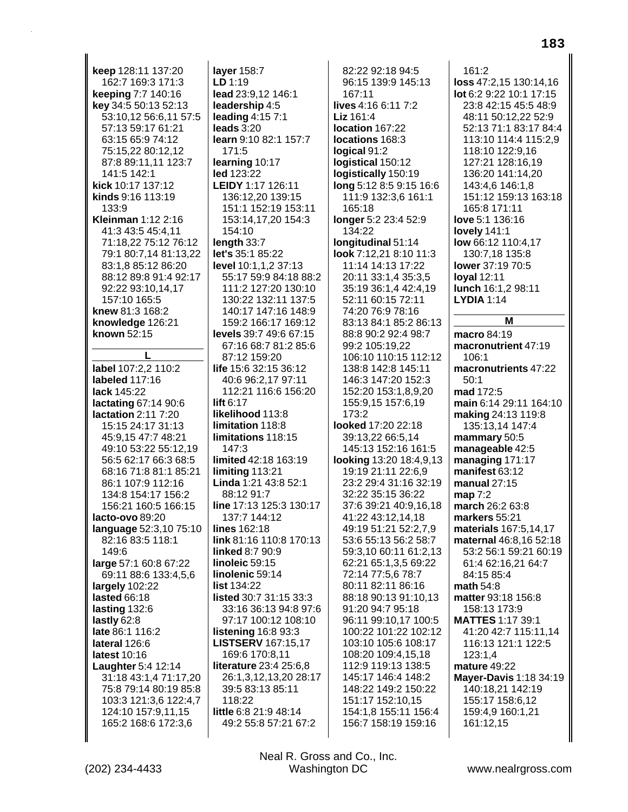keep 128:11 137:20 162:7 169:3 171:3 keeping 7:7 140:16 key 34:5 50:13 52:13 53:10.12 56:6.11 57:5 57:13 59:17 61:21 63:15 65:9 74:12 75:15,22 80:12,12 87:8 89:11,11 123:7 141:5 142:1 kick 10:17 137:12 kinds 9:16 113:19 133:9 Kleinman 1:12 2:16 41:3 43:5 45:4,11 71:18,22 75:12 76:12 79:1 80:7,14 81:13,22 83:1,8 85:12 86:20 88:12 89:8 91:4 92:17 92:22 93:10,14,17 157:10 165:5 knew 81:3 168:2 knowledge 126:21 known 52:15 label 107:2.2 110:2 labeled 117:16 lack 145:22 lactating 67:14 90:6 lactation 2:11 7:20 15:15 24:17 31:13 45:9,15 47:7 48:21 49:10 53:22 55:12,19 56:5 62:17 66:3 68:5 68:16 71:8 81:1 85:21 86:1 107:9 112:16 134:8 154:17 156:2 156:21 160:5 166:15 lacto-ovo 89:20 language 52:3,10 75:10 82:16 83:5 118:1 149:6 large 57:1 60:8 67:22 69:11 88:6 133:4,5,6 largely 102:22 lasted 66:18 lasting 132:6 lastly 62:8 late 86:1 116:2 lateral 126:6 latest 10:16 Laughter 5:4 12:14 31:18 43:1,4 71:17,20 75:8 79:14 80:19 85:8 103:3 121:3,6 122:4,7 124:10 157:9,11,15 165:2 168:6 172:3.6

layer 158:7  $LD 1:19$ lead 23:9,12 146:1 leadership 4:5 leading  $4:157:1$ leads 3:20 learn 9:10 82:1 157:7 171:5 learning 10:17 led 123:22 LEIDY 1:17 126:11 136:12,20 139:15 151:1 152:19 153:11 153:14,17,20 154:3 154:10 length 33:7 let's 35:1 85:22 level 10:1,1,2 37:13 55:17 59:9 84:18 88:2 111:2 127:20 130:10 130:22 132:11 137:5 140:17 147:16 148:9 159:2 166:17 169:12 levels 39:7 49:6 67:15 67:16 68:7 81:2 85:6 87:12 159:20 life 15:6 32:15 36:12 40:6 96:2,17 97:11 112:21 116:6 156:20 lift  $6:17$ likelihood 113:8  $limitation 118.8$ limitations 118:15 147:3 limited 42:18 163:19 limiting 113:21 Linda 1:21 43:8 52:1 88:12 91:7 line 17:13 125:3 130:17 137:7 144:12 lines 162:18 link 81:16 110:8 170:13 **linked 8:7 90:9** linoleic 59:15 linolenic 59:14 list 134:22 listed 30:7 31:15 33:3 33:16 36:13 94:8 97:6 97:17 100:12 108:10 listening 16:8 93:3 **LISTSERV** 167:15,17 169:6 170:8,11 literature 23:4 25:6,8 26:1,3,12,13,20 28:17 39:5 83:13 85:11 118:22 little 6:8 21:9 48:14 49:2 55:8 57:21 67:2

82:22 92:18 94:5 96:15 139:9 145:13 167:11 lives 4:16 6:11 7:2 Liz 161:4 location 167:22 locations 168:3 logical 91:2 logistical 150:12 logistically 150:19 long 5:12 8:5 9:15 16:6 111:9 132:3,6 161:1 165:18 longer 5:2 23:4 52:9 134:22 longitudinal 51:14 look 7:12,21 8:10 11:3 11:14 14:13 17:22 20:11 33:1,4 35:3,5 35:19 36:1,4 42:4,19 52:11 60:15 72:11 74:20 76:9 78:16 83:13 84:1 85:2 86:13 88:8 90:2 92:4 98:7 99:2 105:19.22 106:10 110:15 112:12 138:8 142:8 145:11 146:3 147:20 152:3 152:20 153:1,8,9,20 155:9,15 157:6,19  $173.2$ looked 17:20 22:18 39:13,22 66:5,14 145:13 152:16 161:5 **looking** 13:20 18:4,9,13 19:19 21:11 22:6,9 23:2 29:4 31:16 32:19 32:22 35:15 36:22 37:6 39:21 40:9,16,18 41:22 43:12,14,18 49:19 51:21 52:2,7,9 53:6 55:13 56:2 58:7 59:3,10 60:11 61:2,13 62:21 65:1,3,5 69:22 72:14 77:5,6 78:7 80:11 82:11 86:16 88:18 90:13 91:10.13 91:20 94:7 95:18 96:11 99:10.17 100:5 100:22 101:22 102:12 103:10 105:6 108:17 108:20 109:4,15,18 112:9 119:13 138:5 145:17 146:4 148:2 148:22 149:2 150:22 151:17 152:10.15 154:1.8 155:11 156:4 156:7 158:19 159:16

 $161:2$ loss 47:2,15 130:14,16 lot 6:2 9:22 10:1 17:15 23:8 42:15 45:5 48:9 48:11 50:12.22 52:9 52:13 71:1 83:17 84:4 113:10 114:4 115:2,9 118:10 122:9,16 127:21 128:16,19 136:20 141:14,20 143:4,6 146:1,8 151:12 159:13 163:18 165:8 171:11 love 5:1 136:16 lovely 141:1 low 66:12 110:4,17 130:7,18 135:8 lower 37:19 70:5 loyal 12:11 **lunch** 16:1,2 98:11 **LYDIA 1:14** M **macro** 84:19 macronutrient 47:19 106:1 macronutrients 47:22  $50:1$ mad 172:5 main 6:14 29:11 164:10 making 24:13 119:8 135:13,14 147:4 mammary 50:5 manageable 42:5 managing  $171:17$ manifest  $63:12$ manual  $27:15$ map 7:2 march 26:2 63:8 markers 55:21 materials 167:5,14,17 maternal 46:8,16 52:18 53:2 56:1 59:21 60:19 61:4 62:16,21 64:7 84:15 85:4 math  $54:8$ matter 93:18 156:8 158:13 173:9 **MATTES 1:17 39:1** 41:20 42:7 115:11,14 116:13 121:1 122:5 123:1,4 mature 49:22 Mayer-Davis 1:18 34:19 140:18,21 142:19 155:17 158:6,12 159:4,9 160:1,21 161:12,15

Neal R. Gross and Co., Inc. Washington DC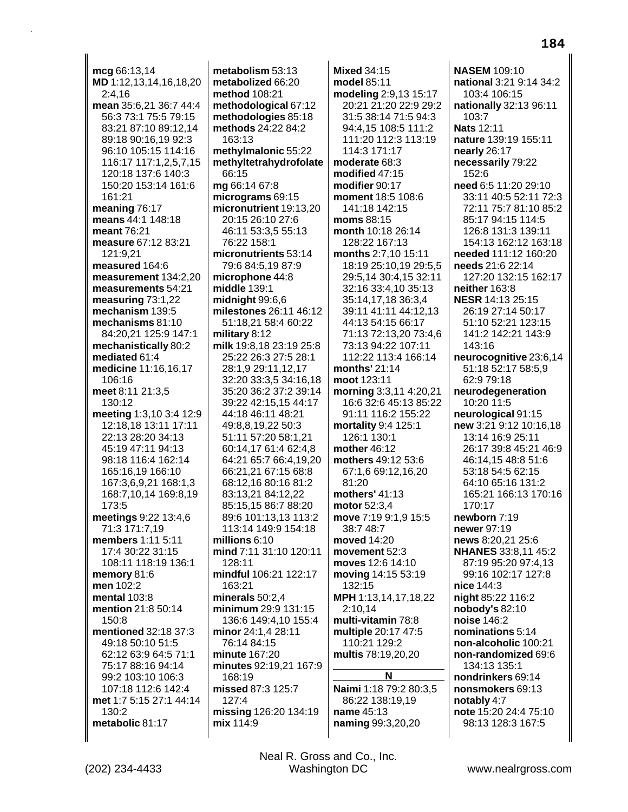mcg 66:13,14 MD 1:12,13,14,16,18,20  $2:4,16$ mean 35:6,21 36:7 44:4 56:3 73:1 75:5 79:15 83:21 87:10 89:12,14 89:18 90:16,19 92:3 96:10 105:15 114:16 116:17 117:1,2,5,7,15 120:18 137:6 140:3 150:20 153:14 161:6 161:21 meaning 76:17 means 44:1 148:18 meant 76:21 measure 67:12 83:21 121:9.21 measured 164:6 measurement 134:2.20 measurements 54:21 measuring  $73:1,22$ mechanism 139:5 mechanisms 81:10 84:20,21 125:9 147:1 mechanistically 80:2 mediated 61:4 medicine 11:16.16.17 106:16 meet  $8:11$  21:3,5 130:12 meeting 1:3,10 3:4 12:9 12:18.18 13:11 17:11 22:13 28:20 34:13 45:19 47:11 94:13 98:18 116:4 162:14 165:16,19 166:10 167:3,6,9,21 168:1,3 168:7,10,14 169:8,19 173:5 meetings 9:22 13:4,6 71:3 171:7,19 members 1:11 5:11 17:4 30:22 31:15 108:11 118:19 136:1 memory 81:6 men 102:2 mental 103:8 mention 21:8 50:14 150:8 mentioned 32:18 37:3 49:18 50:10 51:5 62:12 63:9 64:5 71:1 75:17 88:16 94:14 99:2 103:10 106:3 107:18 112:6 142:4 met 1:7 5:15 27:1 44:14 130:2 metabolic 81:17

metabolism  $53:13$ metabolized 66:20 method 108:21 methodological 67:12 methodologies 85:18 methods 24:22 84:2  $163.13$ methylmalonic 55:22 methyltetrahydrofolate 66:15 mg 66:14 67:8 micrograms 69:15 micronutrient 19:13,20 20:15 26:10 27:6 46:11 53:3,5 55:13 76:22 158:1 micronutrients 53:14 79:6 84:5,19 87:9 microphone 44:8 middle 139:1 midnight  $99:6,6$ milestones 26:11 46:12 51:18.21 58:4 60:22 military 8:12 milk 19:8.18 23:19 25:8 25:22 26:3 27:5 28:1 28:1.9 29:11.12.17 32:20 33:3,5 34:16,18 35:20 36:2 37:2 39:14 39:22 42:15,15 44:17 44:18 46:11 48:21 49:8.8.19.22 50:3 51:11 57:20 58:1,21 60:14,17 61:4 62:4,8 64:21 65:7 66:4.19.20 66:21,21 67:15 68:8 68:12,16 80:16 81:2 83:13,21 84:12,22 85:15.15 86:7 88:20 89:6 101:13.13 113:2 113:14 149:9 154:18 millions  $6:10$ mind 7:11 31:10 120:11  $128.11$ mindful 106:21 122:17 163:21 minerals  $50:2.4$ minimum 29:9 131:15 136:6 149:4.10 155:4 minor 24:1,4 28:11 76:14 84:15 minute 167:20 minutes 92:19,21 167:9 168:19 missed 87:3 125:7  $127:4$ missing 126:20 134:19 mix 114:9

**Mixed 34:15** model 85:11 modeling 2:9,13 15:17 20:21 21:20 22:9 29:2 31:5 38:14 71:5 94:3 94:4,15 108:5 111:2 111:20 112:3 113:19 114:3 171:17 moderate 68:3 modified 47:15 modifier 90:17 moment 18:5 108:6 141:18 142:15 moms 88:15 month 10:18 26:14 128:22 167:13 months 2:7,10 15:11 18:19 25:10,19 29:5,5 29:5,14 30:4,15 32:11 32:16 33:4,10 35:13 35:14,17,18 36:3,4 39:11 41:11 44:12,13 44:13 54:15 66:17 71:13 72:13,20 73:4,6 73:13 94:22 107:11 112:22 113:4 166:14 months'  $21:14$ moot 123:11 **morning** 3:3,11 4:20,21 16:6 32:6 45:13 85:22 91:11 116:2 155:22 mortality 9:4 125:1 126:1 130:1 mother  $46:12$ mothers 49:12 53:6 67:1,6 69:12,16,20 81:20 mothers' 41:13 motor 52:3.4 move 7:19 9:1,9 15:5 38:7 48:7 moved 14:20 movement 52:3 moves 12:6 14:10 moving 14:15 53:19 132:15 MPH 1:13,14,17,18,22 2:10.14 multi-vitamin 78:8 multiple 20:17 47:5 110:21 129:2 multis 78:19,20,20 N Naimi 1:18 79:2 80:3,5 86:22 138:19,19 name 45:13

**NASEM 109:10** national 3:21 9:14 34:2 103:4 106:15 nationally 32:13 96:11  $103:7$ Nats 12:11 nature 139:19 155:11 nearly 26:17 necessarily 79:22 152:6 need 6:5 11:20 29:10 33:11 40:5 52:11 72:3 72:11 75:7 81:10 85:2 85:17 94:15 114:5 126:8 131:3 139:11 154:13 162:12 163:18 needed 111:12 160:20 needs 21:6 22:14 127:20 132:15 162:17 neither 163:8 NESR 14:13 25:15 26:19 27:14 50:17 51:10 52:21 123:15 141:2 142:21 143:9 143:16 neurocognitive 23:6.14 51:18 52:17 58:5,9 62:9 79:18 neurodegeneration 10:20 11:5 neurological 91:15 new 3:21 9:12 10:16,18 13:14 16:9 25:11 26:17 39:8 45:21 46:9 46:14.15 48:8 51:6 53:18 54:5 62:15 64:10 65:16 131:2 165:21 166:13 170:16 170:17 newborn 7:19 newer 97:19 news 8:20,21 25:6 **NHANES** 33:8,11 45:2 87:19 95:20 97:4.13 99:16 102:17 127:8 nice 144:3 night 85:22 116:2 nobody's 82:10 noise 146:2 nominations 5:14 non-alcoholic 100:21 non-randomized 69:6 134:13 135:1 nondrinkers 69:14 nonsmokers 69:13 notably 4:7 note 15:20 24:4 75:10 98:13 128:3 167:5

Neal R. Gross and Co., Inc. **Washington DC** 

naming 99:3,20,20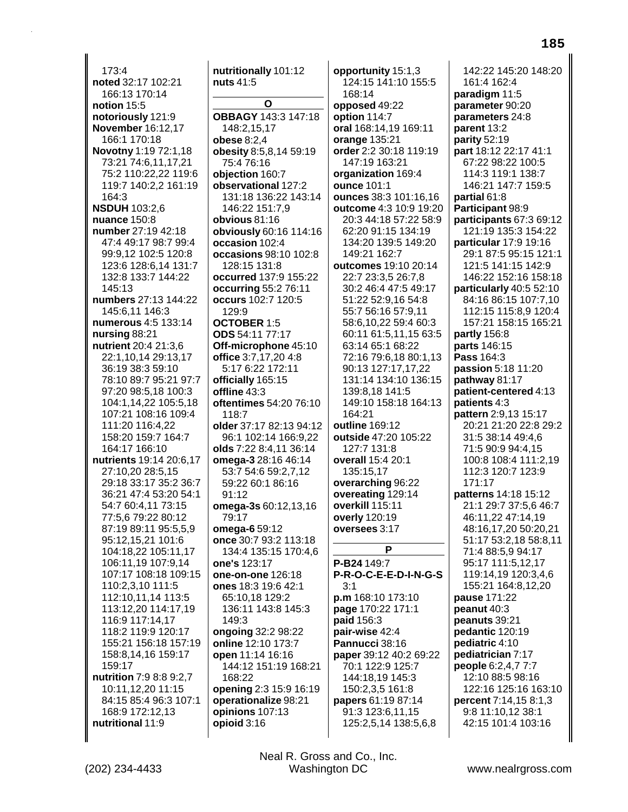173:4 noted 32:17 102:21 166:13 170:14 notion 15:5 notoriously 121:9 **November 16:12,17** 166:1 170:18 Novotny 1:19 72:1,18 73:21 74:6,11,17,21 75:2 110:22,22 119:6 119:7 140:2,2 161:19 164:3 **NSDUH** 103:2,6 nuance 150:8 number 27:19 42:18 47:4 49:17 98:7 99:4 99:9,12 102:5 120:8 123:6 128:6,14 131:7 132:8 133:7 144:22 145:13 numbers 27:13 144:22 145:6,11 146:3 numerous 4:5 133:14 nursing 88:21 nutrient 20:4 21:3,6 22:1.10.14 29:13.17 36:19 38:3 59:10 78:10 89:7 95:21 97:7 97:20 98:5,18 100:3 104:1.14.22 105:5.18 107:21 108:16 109:4 111:20 116:4.22 158:20 159:7 164:7 164:17 166:10 nutrients 19:14 20:6.17 27:10,20 28:5,15 29:18 33:17 35:2 36:7 36:21 47:4 53:20 54:1 54:7 60:4,11 73:15 77:5.6 79:22 80:12 87:19 89:11 95:5,5,9 95:12,15,21 101:6 104:18,22 105:11,17 106:11,19 107:9,14 107:17 108:18 109:15 110:2,3,10 111:5 112:10.11.14 113:5 113:12,20 114:17,19 116:9 117:14.17 118:2 119:9 120:17 155:21 156:18 157:19 158:8,14,16 159:17 159:17 nutrition 7:9 8:8 9:2,7 10:11,12,20 11:15 84:15 85:4 96:3 107:1 168:9 172:12,13 nutritional 11:9

nutritionally 101:12 nuts 41:5 O **OBBAGY 143:3 147:18** 148:2,15,17 obese 8:2,4 obesity 8:5,8,14 59:19 75:4 76:16 objection 160:7 observational 127:2 131:18 136:22 143:14 146:22 151:7.9 obvious 81:16 obviously 60:16 114:16 occasion 102:4 occasions 98:10 102:8 128:15 131:8 occurred 137:9 155:22 **occurring 55:2 76:11** occurs 102:7 120:5 129:9 **OCTOBER 1:5 ODS** 54:11 77:17 Off-microphone 45:10 office 3:7,17,20 4:8 5:17 6:22 172:11 officially 165:15 offline 43:3 oftentimes 54:20 76:10 118:7 older 37:17 82:13 94:12 96:1 102:14 166:9,22 olds 7:22 8:4,11 36:14 **omega-3** 28:16 46:14 53:7 54:6 59:2,7,12 59:22 60:1 86:16  $91:12$ omega-3s 60:12,13,16 79:17 omega-6 59:12 once 30:7 93:2 113:18 134:4 135:15 170:4.6 one's 123:17 one-on-one 126:18 ones 18:3 19:6 42:1 65:10,18 129:2 136:11 143:8 145:3 149:3 ongoing 32:2 98:22 online 12:10 173:7 open 11:14 16:16 144:12 151:19 168:21 168:22 opening 2:3 15:9 16:19 operationalize 98:21 opinions 107:13 opioid 3:16

opportunity 15:1,3 124:15 141:10 155:5 168:14 opposed 49:22 option 114:7 oral 168:14,19 169:11 orange 135:21 order 2:2 30:18 119:19 147:19 163:21 organization 169:4 ounce 101:1 ounces 38:3 101:16,16 outcome 4:3 10:9 19:20 20:3 44:18 57:22 58:9 62:20 91:15 134:19 134:20 139:5 149:20 149:21 162:7 outcomes 19:10 20:14 22:7 23:3,5 26:7,8 30:2 46:4 47:5 49:17 51:22 52:9,16 54:8 55:7 56:16 57:9.11 58:6,10,22 59:4 60:3 60:11 61:5,11,15 63:5 63:14 65:1 68:22 72:16 79:6.18 80:1.13 90:13 127:17,17,22 131:14 134:10 136:15 139:8,18 141:5 149:10 158:18 164:13  $164.21$ outline 169:12 outside 47:20 105:22 127:7 131:8 overall 15:4 20:1 135:15.17 overarching 96:22 overeating 129:14 overkill 115:11 overly 120:19 oversees 3:17 P P-B24 149:7 P-R-O-C-E-E-D-I-N-G-S  $3:1$ p.m 168:10 173:10 page 170:22 171:1 paid 156:3 pair-wise 42:4 Pannucci 38:16 paper 39:12 40:2 69:22 70:1 122:9 125:7 144:18,19 145:3 150:2,3,5 161:8 papers 61:19 87:14 91:3 123:6,11,15 125:2,5,14 138:5,6,8

142:22 145:20 148:20 161:4 162:4 paradigm 11:5 parameter 90:20 parameters 24:8 parent 13:2 parity  $52:19$ part 18:12 22:17 41:1 67:22 98:22 100:5 114:3 119:1 138:7 146:21 147:7 159:5 partial 61:8 Participant 98:9 participants 67:3 69:12 121:19 135:3 154:22 particular 17:9 19:16 29:1 87:5 95:15 121:1 121:5 141:15 142:9 146:22 152:16 158:18 particularly 40:5 52:10 84:16 86:15 107:7,10 112:15 115:8,9 120:4 157:21 158:15 165:21 partly 156:8 parts 146:15 Pass 164:3 passion 5:18 11:20 pathway 81:17 **patient-centered** 4:13 **patients 4:3** pattern 2:9.13 15:17 20:21 21:20 22:8 29:2 31:5 38:14 49:4,6 71:5 90:9 94:4,15 100:8 108:4 111:2.19 112:3 120:7 123:9 171:17 patterns 14:18 15:12 21:1 29:7 37:5.6 46:7 46:11.22 47:14.19 48:16,17,20 50:20,21 51:17 53:2,18 58:8,11 71:4 88:5,9 94:17 95:17 111:5,12,17 119:14,19 120:3,4,6 155:21 164:8,12,20 pause 171:22 peanut 40:3 peanuts 39:21 pedantic 120:19 pediatric 4:10 pediatrician 7:17 people 6:2,4,7 7:7 12:10 88:5 98:16 122:16 125:16 163:10 percent 7:14,15 8:1,3 9:8 11:10.12 38:1 42:15 101:4 103:16

Neal R. Gross and Co., Inc. Washington DC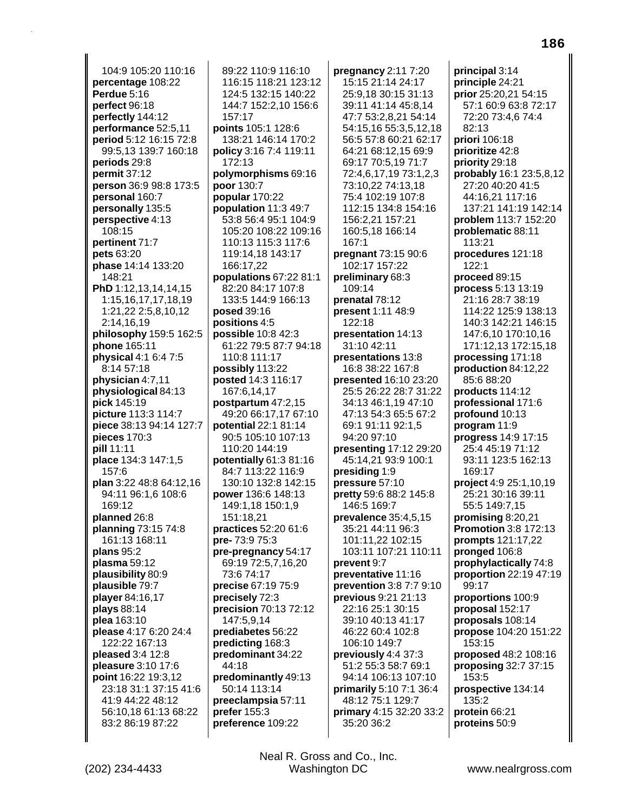104:9 105:20 110:16 **percentage** 108:22 **Perdue** 5:16 **perfect** 96:18 **perfectly** 144:12 **performance** 52:5,11 **period** 5:12 16:15 72:8 99:5,13 139:7 160:18 **periods** 29:8 **permit** 37:12 **person** 36:9 98:8 173:5 **personal** 160:7 **personally** 135:5 **perspective** 4:13 108:15 **pertinent** 71:7 **pets** 63:20 **phase** 14:14 133:20 148:21 **PhD** 1:12,13,14,14,15 1:15,16,17,17,18,19 1:21,22 2:5,8,10,12 2:14,16,19 **philosophy** 159:5 162:5 **phone** 165:11 **physical** 4:1 6:4 7:5 8:14 57:18 **physician** 4:7,11 **physiological** 84:13 **pick** 145:19 **picture** 113:3 114:7 **piece** 38:13 94:14 127:7 **pieces** 170:3 **pill** 11:11 **place** 134:3 147:1,5 157:6 **plan** 3:22 48:8 64:12,16 94:11 96:1,6 108:6 169:12 **planned** 26:8 **planning** 73:15 74:8 161:13 168:11 **plans** 95:2 **plasma** 59:12 **plausibility** 80:9 **plausible** 79:7 **player** 84:16,17 **plays** 88:14 **plea** 163:10 **please** 4:17 6:20 24:4 122:22 167:13 **pleased** 3:4 12:8 **pleasure** 3:10 17:6 **point** 16:22 19:3,12 23:18 31:1 37:15 41:6 41:9 44:22 48:12 56:10,18 61:13 68:22 83:2 86:19 87:22

89:22 110:9 116:10 116:15 118:21 123:12 124:5 132:15 140:22 144:7 152:2,10 156:6 157:17 **points** 105:1 128:6 138:21 146:14 170:2 **policy** 3:16 7:4 119:11 172:13 **polymorphisms** 69:16 **poor** 130:7 **popular** 170:22 **population** 11:3 49:7 53:8 56:4 95:1 104:9 105:20 108:22 109:16 110:13 115:3 117:6 119:14,18 143:17 166:17,22 **populations** 67:22 81:1 82:20 84:17 107:8 133:5 144:9 166:13 **posed** 39:16 **positions** 4:5 **possible** 10:8 42:3 61:22 79:5 87:7 94:18 110:8 111:17 **possibly** 113:22 **posted** 14:3 116:17 167:6,14,17 **postpartum** 47:2,15 49:20 66:17,17 67:10 **potential** 22:1 81:14 90:5 105:10 107:13 110:20 144:19 **potentially** 61:3 81:16 84:7 113:22 116:9 130:10 132:8 142:15 **power** 136:6 148:13 149:1,18 150:1,9 151:18,21 **practices** 52:20 61:6 **pre-** 73:9 75:3 **pre-pregnancy** 54:17 69:19 72:5,7,16,20 73:6 74:17 **precise** 67:19 75:9 **precisely** 72:3 **precision** 70:13 72:12 147:5,9,14 **prediabetes** 56:22 **predicting** 168:3 **predominant** 34:22 44:18 **predominantly** 49:13 50:14 113:14 **preeclampsia** 57:11 **prefer** 155:3 **preference** 109:22

**pregnancy** 2:11 7:20 15:15 21:14 24:17 25:9,18 30:15 31:13 39:11 41:14 45:8,14 47:7 53:2,8,21 54:14 54:15,16 55:3,5,12,18 56:5 57:8 60:21 62:17 64:21 68:12,15 69:9 69:17 70:5,19 71:7 72:4,6,17,19 73:1,2,3 73:10,22 74:13,18 75:4 102:19 107:8 112:15 134:8 154:16 156:2,21 157:21 160:5,18 166:14 167:1 **pregnant** 73:15 90:6 102:17 157:22 **preliminary** 68:3 109:14 **prenatal** 78:12 **present** 1:11 48:9 122:18 **presentation** 14:13 31:10 42:11 **presentations** 13:8 16:8 38:22 167:8 **presented** 16:10 23:20 25:5 26:22 28:7 31:22 34:13 46:1,19 47:10 47:13 54:3 65:5 67:2 69:1 91:11 92:1,5 94:20 97:10 **presenting** 17:12 29:20 45:14,21 93:9 100:1 **presiding** 1:9 **pressure** 57:10 **pretty** 59:6 88:2 145:8 146:5 169:7 **prevalence** 35:4,5,15 35:21 44:11 96:3 101:11,22 102:15 103:11 107:21 110:11 **prevent** 9:7 **preventative** 11:16 **prevention** 3:8 7:7 9:10 **previous** 9:21 21:13 22:16 25:1 30:15 39:10 40:13 41:17 46:22 60:4 102:8 106:10 149:7 **previously** 4:4 37:3 51:2 55:3 58:7 69:1 94:14 106:13 107:10 **primarily** 5:10 7:1 36:4 48:12 75:1 129:7 **primary** 4:15 32:20 33:2 35:20 36:2

**principal** 3:14 **principle** 24:21 **prior** 25:20,21 54:15 57:1 60:9 63:8 72:17 72:20 73:4,6 74:4 82:13 **priori** 106:18 **prioritize** 42:8 **priority** 29:18 **probably** 16:1 23:5,8,12 27:20 40:20 41:5 44:16,21 117:16 137:21 141:19 142:14 **problem** 113:7 152:20 **problematic** 88:11 113:21 **procedures** 121:18 122:1 **proceed** 89:15 **process** 5:13 13:19 21:16 28:7 38:19 114:22 125:9 138:13 140:3 142:21 146:15 147:6,10 170:10,16 171:12,13 172:15,18 **processing** 171:18 **production** 84:12,22 85:6 88:20 **products** 114:12 **professional** 171:6 **profound** 10:13 **program** 11:9 **progress** 14:9 17:15 25:4 45:19 71:12 93:11 123:5 162:13 169:17 **project** 4:9 25:1,10,19 25:21 30:16 39:11 55:5 149:7,15 **promising** 8:20,21 **Promotion** 3:8 172:13 **prompts** 121:17,22 **pronged** 106:8 **prophylactically** 74:8 **proportion** 22:19 47:19 99:17 **proportions** 100:9 **proposal** 152:17 **proposals** 108:14 **propose** 104:20 151:22 153:15 **proposed** 48:2 108:16 **proposing** 32:7 37:15 153:5 **prospective** 134:14

135:2 **protein** 66:21 **proteins** 50:9

(202) 234-4433 Washington DC www.nealrgross.com Neal R. Gross and Co., Inc.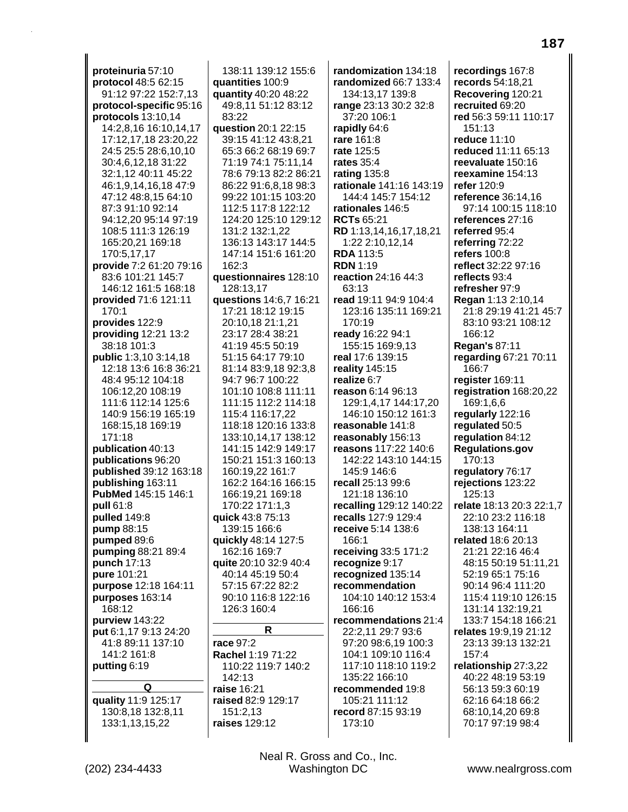proteinuria 57:10 protocol 48:5 62:15 91:12 97:22 152:7,13 protocol-specific 95:16 protocols 13:10.14 14:2,8,16 16:10,14,17 17:12,17,18 23:20,22 24:5 25:5 28:6,10,10 30:4,6,12,18 31:22 32:1,12 40:11 45:22 46:1,9,14,16,18 47:9 47:12 48:8,15 64:10 87:3 91:10 92:14 94:12.20 95:14 97:19 108:5 111:3 126:19 165:20,21 169:18 170:5,17,17 provide 7:2 61:20 79:16 83:6 101:21 145:7 146:12 161:5 168:18 provided 71:6 121:11 170:1 provides 122:9 providing 12:21 13:2 38:18 101:3 **public** 1:3.10 3:14.18 12:18 13:6 16:8 36:21 48:4 95:12 104:18 106:12,20 108:19 111:6 112:14 125:6 140:9 156:19 165:19 168:15.18 169:19 171:18 **publication** 40:13 publications 96:20 published 39:12 163:18 publishing 163:11 PubMed 145:15 146:1 pull 61:8 pulled 149:8 pump 88:15 pumped 89:6 pumping 88:21 89:4 punch 17:13 pure 101:21 purpose 12:18 164:11 purposes 163:14 168:12 purview 143:22 put 6:1,17 9:13 24:20 41:8 89:11 137:10 141:2 161:8 putting 6:19 Q quality 11:9 125:17 130:8,18 132:8,11

138:11 139:12 155:6 quantities 100:9 quantity 40:20 48:22 49:8,11 51:12 83:12 83:22 question 20:1 22:15 39:15 41:12 43:8,21 65:3 66:2 68:19 69:7 71:19 74:1 75:11.14 78:6 79:13 82:2 86:21 86:22 91:6,8,18 98:3 99:22 101:15 103:20 112:5 117:8 122:12 124:20 125:10 129:12 131:2 132:1,22 136:13 143:17 144:5 147:14 151:6 161:20 162:3 questionnaires 128:10 128:13,17 questions 14:6,7 16:21 17:21 18:12 19:15 20:10,18 21:1,21 23:17 28:4 38:21 41:19 45:5 50:19 51:15 64:17 79:10 81:14 83:9,18 92:3,8 94:7 96:7 100:22 101:10 108:8 111:11 111:15 112:2 114:18 115:4 116:17.22 118:18 120:16 133:8 133:10,14,17 138:12 141:15 142:9 149:17 150:21 151:3 160:13 160:19,22 161:7 162:2 164:16 166:15 166:19,21 169:18 170:22 171:1,3 quick 43:8 75:13 139:15 166:6 quickly 48:14 127:5 162:16 169:7 quite 20:10 32:9 40:4 40:14 45:19 50:4 57:15 67:22 82:2 90:10 116:8 122:16 126:3 160:4  $\mathsf{R}$ race 97:2

Rachel 1:19 71:22

raised 82:9 129:17

142:13

raise 16:21

151:2.13

raises 129:12

110:22 119:7 140:2

134:13,17 139:8 range 23:13 30:2 32:8 37:20 106:1 rapidly 64:6 rare 161:8 rate 125:5 rates  $35:4$ rating 135:8 rationale 141:16 143:19 144:4 145:7 154:12 rationales 146:5 **RCTs 65:21** RD 1:13,14,16,17,18,21 1:22 2:10,12,14 **RDA 113:5 RDN 1:19** reaction 24:16 44:3 63:13 read 19:11 94:9 104:4 123:16 135:11 169:21 170:19 ready 16:22 94:1 155:15 169:9.13 real 17:6 139:15 reality 145:15 realize 6:7 reason 6:14 96:13 129:1.4.17 144:17.20 146:10 150:12 161:3 reasonable 141:8 reasonably 156:13 reasons 117:22 140:6 142:22 143:10 144:15 145:9 146:6 recall 25:13 99:6 121:18 136:10 recalling 129:12 140:22 recalls 127:9 129:4 receive 5:14 138:6 166:1 receiving 33:5 171:2 recognize 9:17 recognized 135:14 recommendation 104:10 140:12 153:4 166:16 recommendations 21:4 22:2,11 29:7 93:6 97:20 98:6,19 100:3 104:1 109:10 116:4 117:10 118:10 119:2 135:22 166:10 recommended 19:8 105:21 111:12 record 87:15 93:19 173:10

randomization 134:18

randomized 66:7 133:4

187 recordings 167:8 records 54:18,21 Recovering 120:21 recruited 69:20 red 56:3 59:11 110:17 reduce 11:10 reduced 11:11 65:13 reevaluate 150:16 reexamine 154:13 refer 120:9 reference 36:14,16 97:14 100:15 118:10 references 27:16 referred 95:4 referring 72:22 refers 100:8 reflect 32:22 97:16 reflects 93:4 refresher 97:9 Regan 1:13 2:10,14 21:8 29:19 41:21 45:7 83:10 93:21 108:12 **Regan's 87:11** regarding 67:21 70:11 register 169:11 registration 168:20,22 169:1.6.6 reqularly 122:16 regulated 50:5 regulation 84:12 **Regulations.gov** regulatory 76:17 rejections 123:22

 $151.13$ 

166:12

166:7

170:13

125:13

relate 18:13 20:3 22:1,7

22:10 23:2 116:18

138:13 164:11

related 18:6 20:13

21:21 22:16 46:4

52:19 65:1 75:16

90:14 96:4 111:20

131:14 132:19,21

relates 19:9,19 21:12

relationship 27:3,22

56:13 59:3 60:19

62:16 64:18 66:2

68:10,14,20 69:8

70:17 97:19 98:4

40:22 48:19 53:19

157:4

23:13 39:13 132:21

48:15 50:19 51:11,21

115:4 119:10 126:15

133:7 154:18 166:21

133:1,13,15,22

Neal R. Gross and Co., Inc. Washington DC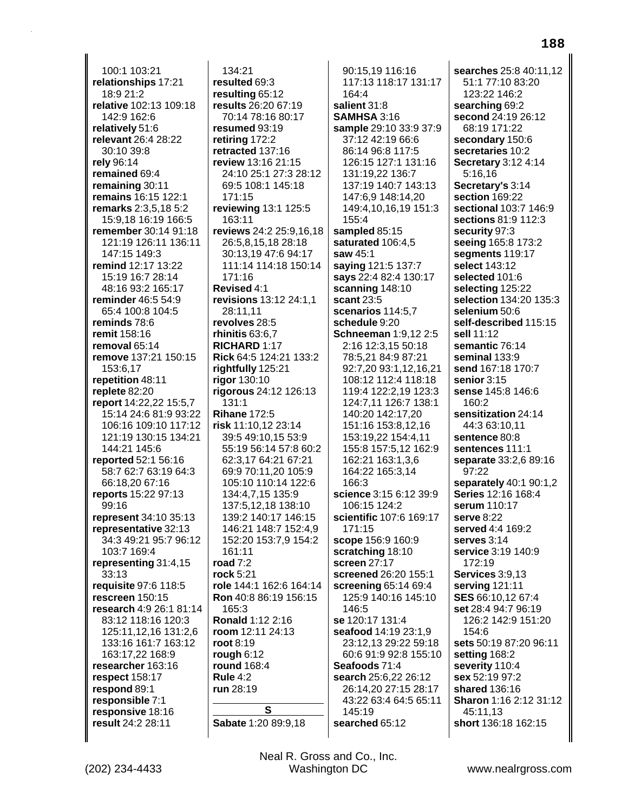100:1 103:21 **relationships** 17:21 18:9 21:2 **relative** 102:13 109:18 142:9 162:6 **relatively** 51:6 **relevant** 26:4 28:22 30:10 39:8 **rely** 96:14 **remained** 69:4 **remaining** 30:11 **remains** 16:15 122:1 **remarks** 2:3,5,18 5:2 15:9,18 16:19 166:5 **remember** 30:14 91:18 121:19 126:11 136:11 147:15 149:3 **remind** 12:17 13:22 15:19 16:7 28:14 48:16 93:2 165:17 **reminder** 46:5 54:9 65:4 100:8 104:5 **reminds** 78:6 **remit** 158:16 **removal** 65:14 **remove** 137:21 150:15 153:6,17 **repetition** 48:11 **replete** 82:20 **report** 14:22,22 15:5,7 15:14 24:6 81:9 93:22 106:16 109:10 117:12 121:19 130:15 134:21 144:21 145:6 **reported** 52:1 56:16 58:7 62:7 63:19 64:3 66:18,20 67:16 **reports** 15:22 97:13 99:16 **represent** 34:10 35:13 **representative** 32:13 34:3 49:21 95:7 96:12 103:7 169:4 **representing** 31:4,15 33:13 **requisite** 97:6 118:5 **rescreen** 150:15 **research** 4:9 26:1 81:14 83:12 118:16 120:3 125:11,12,16 131:2,6 133:16 161:7 163:12 163:17,22 168:9 **researcher** 163:16 **respect** 158:17 **respond** 89:1 **responsible** 7:1 **responsive** 18:16 **result** 24:2 28:11

134:21 **resulted** 69:3 **resulting** 65:12 **results** 26:20 67:19 70:14 78:16 80:17 **resumed** 93:19 **retiring** 172:2 **retracted** 137:16 **review** 13:16 21:15 24:10 25:1 27:3 28:12 69:5 108:1 145:18 171:15 **reviewing** 13:1 125:5 163:11 **reviews** 24:2 25:9,16,18 26:5,8,15,18 28:18 30:13,19 47:6 94:17 111:14 114:18 150:14 171:16 **Revised** 4:1 **revisions** 13:12 24:1,1 28:11,11 **revolves** 28:5 **rhinitis** 63:6,7 **RICHARD** 1:17 **Rick** 64:5 124:21 133:2 **rightfully** 125:21 **rigor** 130:10 **rigorous** 24:12 126:13 131:1 **Rihane** 172:5 **risk** 11:10,12 23:14 39:5 49:10,15 53:9 55:19 56:14 57:8 60:2 62:3,17 64:21 67:21 69:9 70:11,20 105:9 105:10 110:14 122:6 134:4,7,15 135:9 137:5,12,18 138:10 139:2 140:17 146:15 146:21 148:7 152:4,9 152:20 153:7,9 154:2 161:11 **road** 7:2 **rock** 5:21 **role** 144:1 162:6 164:14 **Ron** 40:8 86:19 156:15 165:3 **Ronald** 1:12 2:16 **room** 12:11 24:13 **root** 8:19 **rough** 6:12 **round** 168:4 **Rule** 4:2 **run** 28:19 **S**

90:15,19 116:16 117:13 118:17 131:17 164:4 **salient** 31:8 **SAMHSA** 3:16 **sample** 29:10 33:9 37:9 37:12 42:19 66:6 86:14 96:8 117:5 126:15 127:1 131:16 131:19,22 136:7 137:19 140:7 143:13 147:6,9 148:14,20 149:4,10,16,19 151:3 155:4 **sampled** 85:15 **saturated** 106:4,5 **saw** 45:1 **saying** 121:5 137:7 **says** 22:4 82:4 130:17 **scanning** 148:10 **scant** 23:5 **scenarios** 114:5,7 **schedule** 9:20 **Schneeman** 1:9,12 2:5 2:16 12:3,15 50:18 78:5,21 84:9 87:21 92:7,20 93:1,12,16,21 108:12 112:4 118:18 119:4 122:2,19 123:3 124:7,11 126:7 138:1 140:20 142:17,20 151:16 153:8,12,16 153:19,22 154:4,11 155:8 157:5,12 162:9 162:21 163:1,3,6 164:22 165:3,14 166:3 **science** 3:15 6:12 39:9 106:15 124:2 **scientific** 107:6 169:17 171:15 **scope** 156:9 160:9 **scratching** 18:10 **screen** 27:17 **screened** 26:20 155:1 **screening** 65:14 69:4 125:9 140:16 145:10 146:5 **se** 120:17 131:4 **seafood** 14:19 23:1,9 23:12,13 29:22 59:18 60:6 91:9 92:8 155:10 **Seafoods** 71:4 **search** 25:6,22 26:12 26:14,20 27:15 28:17 43:22 63:4 64:5 65:11 145:19 **searched** 65:12

**searches** 25:8 40:11,12 51:1 77:10 83:20 123:22 146:2 **searching** 69:2 **second** 24:19 26:12 68:19 171:22 **secondary** 150:6 **secretaries** 10:2 **Secretary** 3:12 4:14 5:16,16 **Secretary's** 3:14 **section** 169:22 **sectional** 103:7 146:9 **sections** 81:9 112:3 **security** 97:3 **seeing** 165:8 173:2 **segments** 119:17 **select** 143:12 **selected** 101:6 **selecting** 125:22 **selection** 134:20 135:3 **selenium** 50:6 **self-described** 115:15 **sell** 11:12 **semantic** 76:14 **seminal** 133:9 **send** 167:18 170:7 **senior** 3:15 **sense** 145:8 146:6 160:2 **sensitization** 24:14 44:3 63:10,11 **sentence** 80:8 **sentences** 111:1 **separate** 33:2,6 89:16 97:22 **separately** 40:1 90:1,2 **Series** 12:16 168:4 **serum** 110:17 **serve** 8:22 **served** 4:4 169:2 **serves** 3:14 **service** 3:19 140:9 172:19 **Services** 3:9,13 **serving** 121:11 **SES** 66:10,12 67:4 **set** 28:4 94:7 96:19 126:2 142:9 151:20 154:6 **sets** 50:19 87:20 96:11 **setting** 168:2 **severity** 110:4 **sex** 52:19 97:2 **shared** 136:16 **Sharon** 1:16 2:12 31:12 45:11,13 **short** 136:18 162:15

(202) 234-4433 Washington DC www.nealrgross.com Neal R. Gross and Co., Inc.

**Sabate** 1:20 89:9,18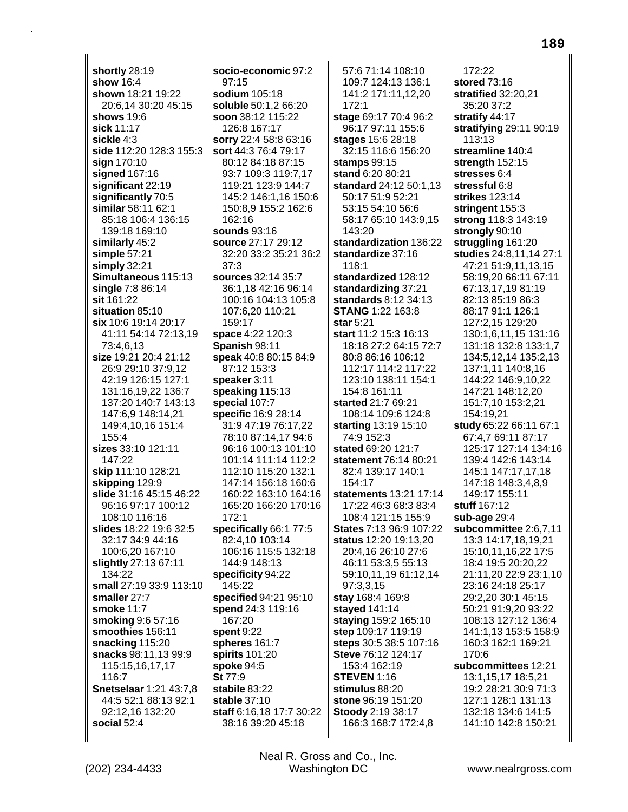**shortly** 28:19 **show** 16:4 **shown** 18:21 19:22 20:6,14 30:20 45:15 **shows** 19:6 **sick** 11:17 **sickle** 4:3 **side** 112:20 128:3 155:3 **sign** 170:10 **signed** 167:16 **significant** 22:19 **significantly** 70:5 **similar** 58:11 62:1 85:18 106:4 136:15 139:18 169:10 **similarly** 45:2 **simple** 57:21 **simply** 32:21 **Simultaneous** 115:13 **single** 7:8 86:14 **sit** 161:22 **situation** 85:10 **six** 10:6 19:14 20:17 41:11 54:14 72:13,19 73:4,6,13 **size** 19:21 20:4 21:12 26:9 29:10 37:9,12 42:19 126:15 127:1 131:16,19,22 136:7 137:20 140:7 143:13 147:6,9 148:14,21 149:4,10,16 151:4 155:4 **sizes** 33:10 121:11 147:22 **skip** 111:10 128:21 **skipping** 129:9 **slide** 31:16 45:15 46:22 96:16 97:17 100:12 108:10 116:16 **slides** 18:22 19:6 32:5 32:17 34:9 44:16 100:6,20 167:10 **slightly** 27:13 67:11 134:22 **small** 27:19 33:9 113:10 **smaller** 27:7 **smoke** 11:7 **smoking** 9:6 57:16 **smoothies** 156:11 **snacking** 115:20 **snacks** 98:11,13 99:9 115:15,16,17,17 116:7 **Snetselaar** 1:21 43:7,8 44:5 52:1 88:13 92:1 92:12,16 132:20 **social** 52:4

**socio-economic** 97:2 97:15 **sodium** 105:18 **soluble** 50:1,2 66:20 **soon** 38:12 115:22 126:8 167:17 **sorry** 22:4 58:8 63:16 **sort** 44:3 76:4 79:17 80:12 84:18 87:15 93:7 109:3 119:7,17 119:21 123:9 144:7 145:2 146:1,16 150:6 150:8,9 155:2 162:6 162:16 **sounds** 93:16 **source** 27:17 29:12 32:20 33:2 35:21 36:2 37:3 **sources** 32:14 35:7 36:1,18 42:16 96:14 100:16 104:13 105:8 107:6,20 110:21 159:17 **space** 4:22 120:3 **Spanish** 98:11 **speak** 40:8 80:15 84:9 87:12 153:3 **speaker** 3:11 **speaking** 115:13 **special** 107:7 **specific** 16:9 28:14 31:9 47:19 76:17,22 78:10 87:14,17 94:6 96:16 100:13 101:10 101:14 111:14 112:2 112:10 115:20 132:1 147:14 156:18 160:6 160:22 163:10 164:16 165:20 166:20 170:16 172:1 **specifically** 66:1 77:5 82:4,10 103:14 106:16 115:5 132:18 144:9 148:13 **specificity** 94:22 145:22 **specified** 94:21 95:10 **spend** 24:3 119:16 167:20 **spent** 9:22 **spheres** 161:7 **spirits** 101:20 **spoke** 94:5 **St** 77:9 **stabile** 83:22 **stable** 37:10 **staff** 6:16,18 17:7 30:22 38:16 39:20 45:18

57:6 71:14 108:10 109:7 124:13 136:1 141:2 171:11,12,20 172:1 **stage** 69:17 70:4 96:2 96:17 97:11 155:6 **stages** 15:6 28:18 32:15 116:6 156:20 **stamps** 99:15 **stand** 6:20 80:21 **standard** 24:12 50:1,13 50:17 51:9 52:21 53:15 54:10 56:6 58:17 65:10 143:9,15 143:20 **standardization** 136:22 **standardize** 37:16 118:1 **standardized** 128:12 **standardizing** 37:21 **standards** 8:12 34:13 **STANG** 1:22 163:8 **star** 5:21 **start** 11:2 15:3 16:13 18:18 27:2 64:15 72:7 80:8 86:16 106:12 112:17 114:2 117:22 123:10 138:11 154:1 154:8 161:11 **started** 21:7 69:21 108:14 109:6 124:8 **starting** 13:19 15:10 74:9 152:3 **stated** 69:20 121:7 **statement** 76:14 80:21 82:4 139:17 140:1 154:17 **statements** 13:21 17:14 17:22 46:3 68:3 83:4 108:4 121:15 155:9 **States** 7:13 96:9 107:22 **status** 12:20 19:13,20 20:4,16 26:10 27:6 46:11 53:3,5 55:13 59:10,11,19 61:12,14 97:3,3,15 **stay** 168:4 169:8 **stayed** 141:14 **staying** 159:2 165:10 **step** 109:17 119:19 **steps** 30:5 38:5 107:16 **Steve** 76:12 124:17 153:4 162:19 **STEVEN** 1:16 **stimulus** 88:20 **stone** 96:19 151:20 **Stoody** 2:19 38:17 166:3 168:7 172:4,8

172:22 **stored** 73:16 **stratified** 32:20,21 35:20 37:2 **stratify** 44:17 **stratifying** 29:11 90:19 113:13 **streamline** 140:4 **strength** 152:15 **stresses** 6:4 **stressful** 6:8 **strikes** 123:14 **stringent** 155:3 **strong** 118:3 143:19 **strongly** 90:10 **struggling** 161:20 **studies** 24:8,11,14 27:1 47:21 51:9,11,13,15 58:19,20 66:11 67:11 67:13,17,19 81:19 82:13 85:19 86:3 88:17 91:1 126:1 127:2,15 129:20 130:1,6,11,15 131:16 131:18 132:8 133:1,7 134:5,12,14 135:2,13 137:1,11 140:8,16 144:22 146:9,10,22 147:21 148:12,20 151:7,10 153:2,21 154:19,21 **study** 65:22 66:11 67:1 67:4,7 69:11 87:17 125:17 127:14 134:16 139:4 142:6 143:14 145:1 147:17,17,18 147:18 148:3,4,8,9 149:17 155:11 **stuff** 167:12 **sub-age** 29:4 **subcommittee** 2:6,7,11 13:3 14:17,18,19,21 15:10,11,16,22 17:5 18:4 19:5 20:20,22 21:11,20 22:9 23:1,10 23:16 24:18 25:17 29:2,20 30:1 45:15 50:21 91:9,20 93:22 108:13 127:12 136:4 141:1,13 153:5 158:9 160:3 162:1 169:21 170:6 **subcommittees** 12:21 13:1,15,17 18:5,21 19:2 28:21 30:9 71:3 127:1 128:1 131:13 132:18 134:6 141:5 141:10 142:8 150:21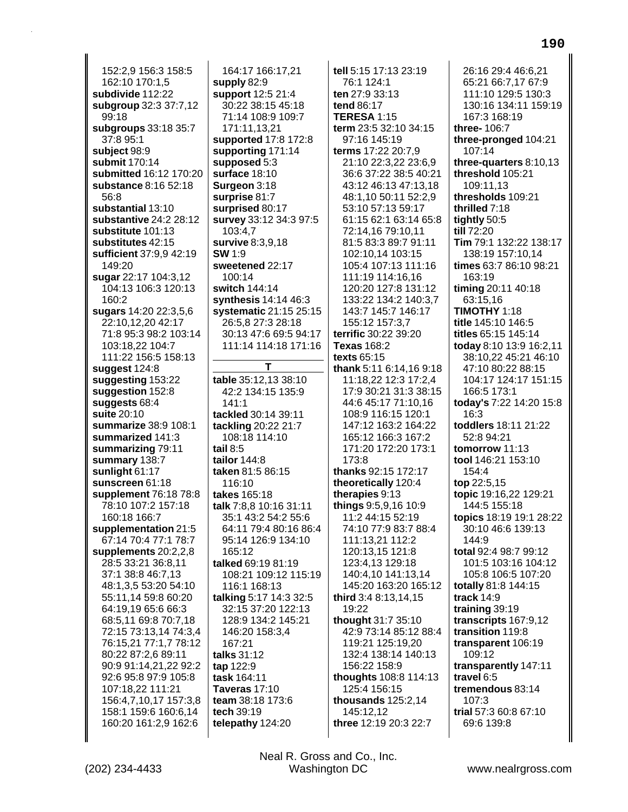152:2,9 156:3 158:5 162:10 170:1,5 **subdivide** 112:22 **subgroup** 32:3 37:7,12 99:18 **subgroups** 33:18 35:7 37:8 95:1 **subject** 98:9 **submit** 170:14 **submitted** 16:12 170:20 **substance** 8:16 52:18 56:8 **substantial** 13:10 **substantive** 24:2 28:12 **substitute** 101:13 **substitutes** 42:15 **sufficient** 37:9,9 42:19 149:20 **sugar** 22:17 104:3,12 104:13 106:3 120:13 160:2 **sugars** 14:20 22:3,5,6 22:10,12,20 42:17 71:8 95:3 98:2 103:14 103:18,22 104:7 111:22 156:5 158:13 **suggest** 124:8 **suggesting** 153:22 **suggestion** 152:8 **suggests** 68:4 **suite** 20:10 **summarize** 38:9 108:1 **summarized** 141:3 **summarizing** 79:11 **summary** 138:7 **sunlight** 61:17 **sunscreen** 61:18 **supplement** 76:18 78:8 78:10 107:2 157:18 160:18 166:7 **supplementation** 21:5 67:14 70:4 77:1 78:7 **supplements** 20:2,2,8 28:5 33:21 36:8,11 37:1 38:8 46:7,13 48:1,3,5 53:20 54:10 55:11,14 59:8 60:20 64:19,19 65:6 66:3 68:5,11 69:8 70:7,18 72:15 73:13,14 74:3,4 76:15,21 77:1,7 78:12 80:22 87:2,6 89:11 90:9 91:14,21,22 92:2 92:6 95:8 97:9 105:8 107:18,22 111:21 156:4,7,10,17 157:3,8 158:1 159:6 160:6,14 160:20 161:2,9 162:6

164:17 166:17,21 **supply** 82:9 **support** 12:5 21:4 30:22 38:15 45:18 71:14 108:9 109:7 171:11,13,21 **supported** 17:8 172:8 **supporting** 171:14 **supposed** 5:3 **surface** 18:10 **Surgeon** 3:18 **surprise** 81:7 **surprised** 80:17 **survey** 33:12 34:3 97:5 103:4,7 **survive** 8:3,9,18 **SW** 1:9 **sweetened** 22:17 100:14 **switch** 144:14 **synthesis** 14:14 46:3 **systematic** 21:15 25:15 26:5,8 27:3 28:18 30:13 47:6 69:5 94:17 111:14 114:18 171:16 **T table** 35:12,13 38:10 42:2 134:15 135:9 141:1 **tackled** 30:14 39:11 **tackling** 20:22 21:7 108:18 114:10 **tail** 8:5 **tailor** 144:8 **taken** 81:5 86:15 116:10 **takes** 165:18 **talk** 7:8,8 10:16 31:11 35:1 43:2 54:2 55:6 64:11 79:4 80:16 86:4 95:14 126:9 134:10 165:12 **talked** 69:19 81:19 108:21 109:12 115:19 116:1 168:13 **talking** 5:17 14:3 32:5 32:15 37:20 122:13 128:9 134:2 145:21 146:20 158:3,4 167:21 **talks** 31:12 **tap** 122:9 **task** 164:11 **Taveras** 17:10 **team** 38:18 173:6 **tech** 39:19 **telepathy** 124:20

**tell** 5:15 17:13 23:19 76:1 124:1 **ten** 27:9 33:13 **tend** 86:17 **TERESA** 1:15 **term** 23:5 32:10 34:15 97:16 145:19 **terms** 17:22 20:7,9 21:10 22:3,22 23:6,9 36:6 37:22 38:5 40:21 43:12 46:13 47:13,18 48:1,10 50:11 52:2,9 53:10 57:13 59:17 61:15 62:1 63:14 65:8 72:14,16 79:10,11 81:5 83:3 89:7 91:11 102:10,14 103:15 105:4 107:13 111:16 111:19 114:16,16 120:20 127:8 131:12 133:22 134:2 140:3,7 143:7 145:7 146:17 155:12 157:3,7 **terrific** 30:22 39:20 **Texas** 168:2 **texts** 65:15 **thank** 5:11 6:14,16 9:18 11:18,22 12:3 17:2,4 17:9 30:21 31:3 38:15 44:6 45:17 71:10,16 108:9 116:15 120:1 147:12 163:2 164:22 165:12 166:3 167:2 171:20 172:20 173:1 173:8 **thanks** 92:15 172:17 **theoretically** 120:4 **therapies** 9:13 **things** 9:5,9,16 10:9 11:2 44:15 52:19 74:10 77:9 83:7 88:4 111:13,21 112:2 120:13,15 121:8 123:4,13 129:18 140:4,10 141:13,14 145:20 163:20 165:12 **third** 3:4 8:13,14,15 19:22 **thought** 31:7 35:10 42:9 73:14 85:12 88:4 119:21 125:19,20 132:4 138:14 140:13 156:22 158:9 **thoughts** 108:8 114:13 125:4 156:15 **thousands** 125:2,14 145:12,12 **three** 12:19 20:3 22:7

26:16 29:4 46:6,21 65:21 66:7,17 67:9 111:10 129:5 130:3 130:16 134:11 159:19 167:3 168:19 **three-** 106:7 **three-pronged** 104:21 107:14 **three-quarters** 8:10,13 **threshold** 105:21 109:11,13 **thresholds** 109:21 **thrilled** 7:18 **tightly** 50:5 **till** 72:20 **Tim** 79:1 132:22 138:17 138:19 157:10,14 **times** 63:7 86:10 98:21 163:19 **timing** 20:11 40:18 63:15,16 **TIMOTHY** 1:18 **title** 145:10 146:5 **titles** 65:15 145:14 **today** 8:10 13:9 16:2,11 38:10,22 45:21 46:10 47:10 80:22 88:15 104:17 124:17 151:15 166:5 173:1 **today's** 7:22 14:20 15:8 16:3 **toddlers** 18:11 21:22 52:8 94:21 **tomorrow** 11:13 **tool** 146:21 153:10 154:4 **top** 22:5,15 **topic** 19:16,22 129:21 144:5 155:18 **topics** 18:19 19:1 28:22 30:10 46:6 139:13 144:9 **total** 92:4 98:7 99:12 101:5 103:16 104:12 105:8 106:5 107:20 **totally** 81:8 144:15 **track** 14:9 **training** 39:19 **transcripts** 167:9,12 **transition** 119:8 **transparent** 106:19 109:12 **transparently** 147:11 **travel** 6:5 **tremendous** 83:14 107:3 **trial** 57:3 60:8 67:10 69:6 139:8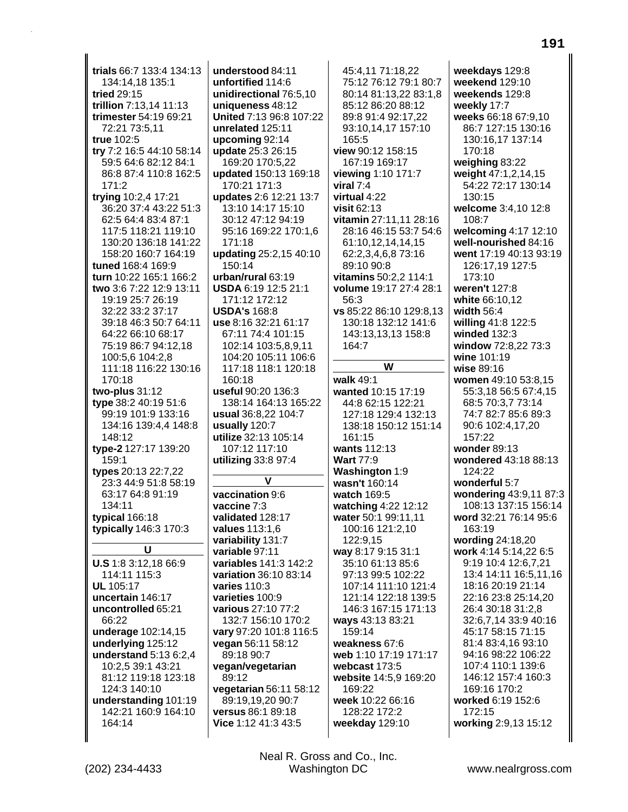trials 66:7 133:4 134:13 134:14,18 135:1 tried 29:15 trillion 7:13,14 11:13 trimester 54:19 69:21 72:21 73:5,11 true 102:5 try 7:2 16:5 44:10 58:14 59:5 64:6 82:12 84:1 86:8 87:4 110:8 162:5  $171:2$ trying 10:2,4 17:21 36:20 37:4 43:22 51:3 62:5 64:4 83:4 87:1 117:5 118:21 119:10 130:20 136:18 141:22 158:20 160:7 164:19 tuned 168:4 169:9 turn 10:22 165:1 166:2 two 3:6 7:22 12:9 13:11 19:19 25:7 26:19 32:22 33:2 37:17 39:18 46:3 50:7 64:11 64:22 66:10 68:17 75:19 86:7 94:12,18 100:5.6 104:2.8 111:18 116:22 130:16 170:18 two-plus  $31:12$ type 38:2 40:19 51:6 99:19 101:9 133:16 134:16 139:4.4 148:8 148:12 type-2 127:17 139:20 159:1 types 20:13 22:7,22 23:3 44:9 51:8 58:19 63:17 64:8 91:19 134:11 typical 166:18 typically 146:3 170:3 U U.S 1:8 3:12.18 66:9 114:11 115:3 **UL** 105:17 uncertain 146:17 uncontrolled 65:21 66:22 underage 102:14,15 underlying 125:12 understand 5:13 6:2,4 10:2.5 39:1 43:21 81:12 119:18 123:18 124:3 140:10 understanding 101:19 142:21 160:9 164:10 164:14

understood 84:11 unfortified 114:6 unidirectional 76:5,10 uniqueness 48:12 United 7:13 96:8 107:22 unrelated 125:11 upcoming 92:14 update 25:3 26:15 169:20 170:5,22 updated 150:13 169:18 170:21 171:3 updates 2:6 12:21 13:7 13:10 14:17 15:10 30:12 47:12 94:19 95:16 169:22 170:1.6 171:18 updating 25:2,15 40:10 150:14 urban/rural 63:19 USDA 6:19 12:5 21:1 171:12 172:12 **USDA's 168:8** use 8:16 32:21 61:17 67:11 74:4 101:15 102:14 103:5,8,9,11 104:20 105:11 106:6 117:18 118:1 120:18 160:18 useful 90:20 136:3 138:14 164:13 165:22 usual 36:8.22 104:7 usually 120:7 utilize 32:13 105:14 107:12 117:10 utilizing 33:8 97:4 vaccination 9:6 vaccine 7:3 validated 128:17 values 113:1,6 variability 131:7 variable 97:11 variables 141:3 142:2 variation 36:10 83:14 varies 110:3 varieties 100:9 various 27:10 77:2 132:7 156:10 170:2 vary 97:20 101:8 116:5 vegan 56:11 58:12 89:18 90:7 vegan/vegetarian 89:12 vegetarian 56:11 58:12 89:19,19,20 90:7 versus 86:1 89:18 Vice 1:12 41:3 43:5

45:4.11 71:18.22 75:12 76:12 79:1 80:7 80:14 81:13,22 83:1,8 85:12 86:20 88:12 89:8 91:4 92:17.22 93:10,14,17 157:10 165:5 view 90:12 158:15 167:19 169:17 viewing 1:10 171:7 viral  $7:4$ virtual 4:22 visit 62:13 vitamin 27:11.11 28:16 28:16 46:15 53:7 54:6 61:10,12,14,14,15 62:2,3,4,6,8 73:16 89:10 90:8 vitamins 50:2,2 114:1 volume 19:17 27:4 28:1 56:3 vs 85:22 86:10 129:8,13 130:18 132:12 141:6 143:13,13,13 158:8 164:7 W walk 49:1 wanted 10:15 17:19 44:8 62:15 122:21 127:18 129:4 132:13 138:18 150:12 151:14 161:15 wants 112:13 **Wart 77:9** Washington 1:9 wasn't 160:14 watch 169:5 watching 4:22 12:12 water 50:1 99:11,11 100:16 121:2,10 122:9,15 way 8:17 9:15 31:1 35:10 61:13 85:6 97:13 99:5 102:22 107:14 111:10 121:4 121:14 122:18 139:5 146:3 167:15 171:13 ways 43:13 83:21 159:14 weakness 67:6 web 1:10 17:19 171:17 webcast 173:5 website 14:5,9 169:20 169:22 week 10:22 66:16 128:22 172:2 weekday 129:10

weekdays 129:8 weekend 129:10 weekends 129:8 weekly 17:7 weeks 66:18 67:9.10 86:7 127:15 130:16 130:16,17 137:14 170:18 weighing 83:22 weight 47:1,2,14,15 54:22 72:17 130:14 130:15 welcome 3:4,10 12:8 108:7 welcoming 4:17 12:10 well-nourished 84:16 went 17:19 40:13 93:19 126:17,19 127:5 173:10 weren't 127:8 white 66:10,12 width 56:4 willing 41:8 122:5 winded 132:3 window 72:8,22 73:3 wine 101:19 wise 89:16 women 49:10 53:8,15 55:3,18 56:5 67:4,15 68:5 70:3.7 73:14 74:7 82:7 85:6 89:3 90:6 102:4,17,20 157:22 wonder  $89:13$ wondered 43:18 88:13  $124:22$ wonderful 5:7 wondering 43:9,11 87:3 108:13 137:15 156:14 word 32:21 76:14 95:6  $163:19$ wording 24:18,20 work 4:14 5:14,22 6:5 9:19 10:4 12:6.7.21 13:4 14:11 16:5,11,16 18:16 20:19 21:14 22:16 23:8 25:14,20 26:4 30:18 31:2,8 32:6,7,14 33:9 40:16 45:17 58:15 71:15 81:4 83:4,16 93:10 94:16 98:22 106:22 107:4 110:1 139:6 146:12 157:4 160:3 169:16 170:2 worked 6:19 152:6 172:15 working 2:9,13 15:12

Neal R. Gross and Co., Inc.

**Washington DC**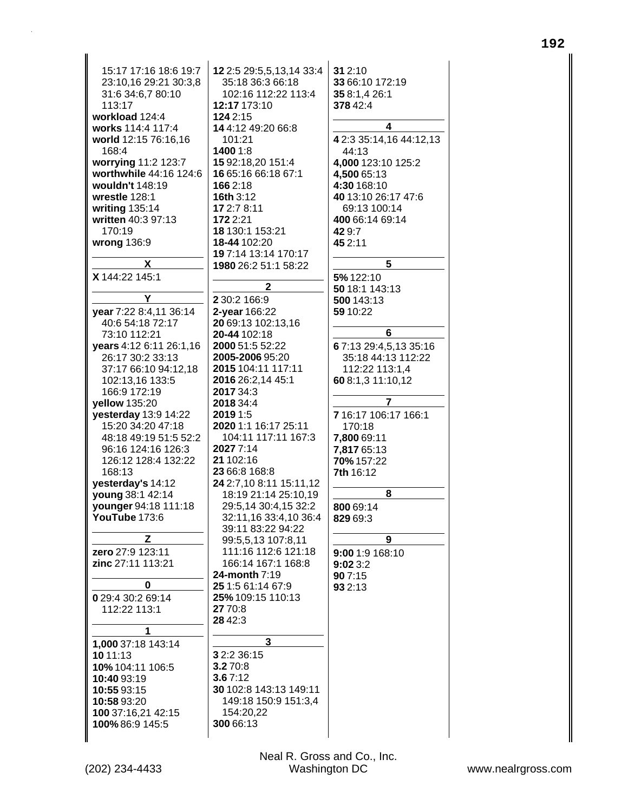| 15:17 17:16 18:6 19:7<br>23:10,16 29:21 30:3,8<br>31:6 34:6,7 80:10<br>113:17<br>workload 124:4<br>works 114:4 117:4<br>world 12:15 76:16,16<br>168:4<br>worrying 11:2 123:7<br>worthwhile 44:16 124:6<br>wouldn't 148:19<br>wrestle 128:1<br>writing 135:14<br>written 40:3 97:13<br>170:19<br>wrong 136:9 | 12 2:5 29:5,5,13,14 33:4<br>35:18 36:3 66:18<br>102:16 112:22 113:4<br>12:17 173:10<br>124 2:15<br>14 4:12 49:20 66:8<br>101:21<br>1400 1:8<br>15 92:18,20 151:4<br>16 65:16 66:18 67:1<br>166 2:18<br>16th 3:12<br>17 2:7 8:11<br>172 2:21<br>18 130:1 153:21<br>18-44 102:20<br>19 7:14 13:14 170:17 | 31 2:10<br>33 66:10 172:19<br>35 8:1,4 26:1<br>378 42:4<br>4<br>4 2:3 35:14,16 44:12,13<br>44:13<br>4,000 123:10 125:2<br>4,500 65:13<br>4:30 168:10<br>40 13:10 26:17 47:6<br>69:13 100:14<br>400 66:14 69:14<br>429.7<br>45 2:11 |
|-------------------------------------------------------------------------------------------------------------------------------------------------------------------------------------------------------------------------------------------------------------------------------------------------------------|--------------------------------------------------------------------------------------------------------------------------------------------------------------------------------------------------------------------------------------------------------------------------------------------------------|------------------------------------------------------------------------------------------------------------------------------------------------------------------------------------------------------------------------------------|
| X                                                                                                                                                                                                                                                                                                           | 1980 26:2 51:1 58:22                                                                                                                                                                                                                                                                                   | 5                                                                                                                                                                                                                                  |
| X 144:22 145:1                                                                                                                                                                                                                                                                                              |                                                                                                                                                                                                                                                                                                        | 5% 122:10                                                                                                                                                                                                                          |
| Υ                                                                                                                                                                                                                                                                                                           | 2<br>2 30:2 166:9                                                                                                                                                                                                                                                                                      | 50 18:1 143:13                                                                                                                                                                                                                     |
| year 7:22 8:4,11 36:14                                                                                                                                                                                                                                                                                      | 2-year 166:22                                                                                                                                                                                                                                                                                          | 500 143:13<br>59 10:22                                                                                                                                                                                                             |
| 40:6 54:18 72:17                                                                                                                                                                                                                                                                                            | 20 69:13 102:13,16                                                                                                                                                                                                                                                                                     |                                                                                                                                                                                                                                    |
| 73:10 112:21                                                                                                                                                                                                                                                                                                | 20-44 102:18                                                                                                                                                                                                                                                                                           | 6                                                                                                                                                                                                                                  |
| years 4:12 6:11 26:1,16                                                                                                                                                                                                                                                                                     | 2000 51:5 52:22                                                                                                                                                                                                                                                                                        | 67:13 29:4,5,13 35:16                                                                                                                                                                                                              |
| 26:17 30:2 33:13                                                                                                                                                                                                                                                                                            | 2005-2006 95:20                                                                                                                                                                                                                                                                                        | 35:18 44:13 112:22                                                                                                                                                                                                                 |
| 37:17 66:10 94:12,18                                                                                                                                                                                                                                                                                        | 2015 104:11 117:11                                                                                                                                                                                                                                                                                     | 112:22 113:1,4                                                                                                                                                                                                                     |
| 102:13,16 133:5<br>166:9 172:19                                                                                                                                                                                                                                                                             | 2016 26:2,14 45:1<br>2017 34:3                                                                                                                                                                                                                                                                         | 60 8:1,3 11:10,12                                                                                                                                                                                                                  |
| yellow 135:20                                                                                                                                                                                                                                                                                               | 2018 34:4                                                                                                                                                                                                                                                                                              | 7                                                                                                                                                                                                                                  |
| yesterday 13:9 14:22                                                                                                                                                                                                                                                                                        | 2019 1:5                                                                                                                                                                                                                                                                                               | 7 16:17 106:17 166:1                                                                                                                                                                                                               |
| 15:20 34:20 47:18                                                                                                                                                                                                                                                                                           | 2020 1:1 16:17 25:11                                                                                                                                                                                                                                                                                   | 170:18                                                                                                                                                                                                                             |
| 48:18 49:19 51:5 52:2                                                                                                                                                                                                                                                                                       | 104:11 117:11 167:3                                                                                                                                                                                                                                                                                    | 7,800 69:11                                                                                                                                                                                                                        |
| 96:16 124:16 126:3                                                                                                                                                                                                                                                                                          | 2027 7:14<br>21 102:16                                                                                                                                                                                                                                                                                 | 7,817 65:13                                                                                                                                                                                                                        |
| 126:12 128:4 132:22<br>168:13                                                                                                                                                                                                                                                                               | 23 66:8 168:8                                                                                                                                                                                                                                                                                          | 70% 157:22<br>7th 16:12                                                                                                                                                                                                            |
| yesterday's 14:12                                                                                                                                                                                                                                                                                           | 24 2:7,10 8:11 15:11,12                                                                                                                                                                                                                                                                                |                                                                                                                                                                                                                                    |
| young 38:1 42:14                                                                                                                                                                                                                                                                                            | 18:19 21:14 25:10.19                                                                                                                                                                                                                                                                                   | 8                                                                                                                                                                                                                                  |
| younger 94:18 111:18                                                                                                                                                                                                                                                                                        | 29:5,14 30:4,15 32:2                                                                                                                                                                                                                                                                                   | 800 69:14                                                                                                                                                                                                                          |
| YouTube 173:6                                                                                                                                                                                                                                                                                               | 32:11,16 33:4,10 36:4                                                                                                                                                                                                                                                                                  | 829 69:3                                                                                                                                                                                                                           |
| z                                                                                                                                                                                                                                                                                                           | 39:11 83:22 94:22                                                                                                                                                                                                                                                                                      | 9                                                                                                                                                                                                                                  |
| zero 27:9 123:11                                                                                                                                                                                                                                                                                            | 99:5,5,13 107:8,11<br>111:16 112:6 121:18                                                                                                                                                                                                                                                              |                                                                                                                                                                                                                                    |
| zinc 27:11 113:21                                                                                                                                                                                                                                                                                           | 166:14 167:1 168:8                                                                                                                                                                                                                                                                                     | 9:00 1:9 168:10<br>9:023:2                                                                                                                                                                                                         |
|                                                                                                                                                                                                                                                                                                             | 24-month 7:19                                                                                                                                                                                                                                                                                          | 90 7:15                                                                                                                                                                                                                            |
| 0                                                                                                                                                                                                                                                                                                           | 25 1:5 61:14 67:9                                                                                                                                                                                                                                                                                      | 93 2:13                                                                                                                                                                                                                            |
| 0 29:4 30:2 69:14                                                                                                                                                                                                                                                                                           | 25% 109:15 110:13                                                                                                                                                                                                                                                                                      |                                                                                                                                                                                                                                    |
| 112:22 113:1                                                                                                                                                                                                                                                                                                | 27 70:8                                                                                                                                                                                                                                                                                                |                                                                                                                                                                                                                                    |
|                                                                                                                                                                                                                                                                                                             | 28 42:3                                                                                                                                                                                                                                                                                                |                                                                                                                                                                                                                                    |
| 1                                                                                                                                                                                                                                                                                                           | 3                                                                                                                                                                                                                                                                                                      |                                                                                                                                                                                                                                    |
| 1,000 37:18 143:14<br>10 11:13                                                                                                                                                                                                                                                                              | 3 2:2 36:15                                                                                                                                                                                                                                                                                            |                                                                                                                                                                                                                                    |
| 10% 104:11 106:5                                                                                                                                                                                                                                                                                            | 3.270:8                                                                                                                                                                                                                                                                                                |                                                                                                                                                                                                                                    |
| 10:40 93:19                                                                                                                                                                                                                                                                                                 | 3.67:12                                                                                                                                                                                                                                                                                                |                                                                                                                                                                                                                                    |
| 10:55 93:15                                                                                                                                                                                                                                                                                                 | 30 102:8 143:13 149:11                                                                                                                                                                                                                                                                                 |                                                                                                                                                                                                                                    |
| 10:58 93:20                                                                                                                                                                                                                                                                                                 | 149:18 150:9 151:3,4                                                                                                                                                                                                                                                                                   |                                                                                                                                                                                                                                    |
| 100 37:16,21 42:15                                                                                                                                                                                                                                                                                          | 154:20,22                                                                                                                                                                                                                                                                                              |                                                                                                                                                                                                                                    |
| 100% 86:9 145:5                                                                                                                                                                                                                                                                                             | 300 66:13                                                                                                                                                                                                                                                                                              |                                                                                                                                                                                                                                    |
|                                                                                                                                                                                                                                                                                                             |                                                                                                                                                                                                                                                                                                        |                                                                                                                                                                                                                                    |

 $\mathbf{I}$